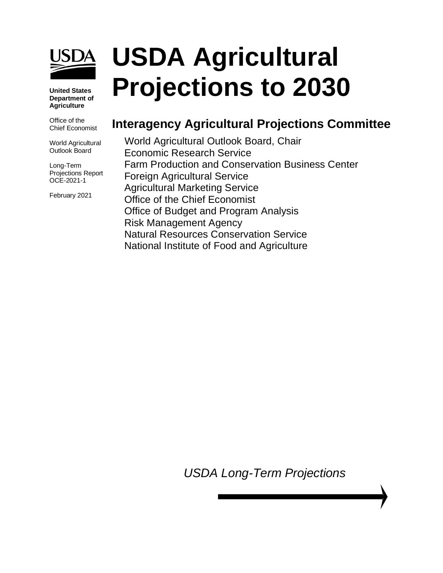

#### **United States Department of Agriculture**

Office of the Chief Economist

World Agricultural Outlook Board

Long-Term Projections Report OCE-2021-1

February 2021

# **USDA Agricultural Projections to 2030**

# **Interagency Agricultural Projections Committee**

World Agricultural Outlook Board, Chair Economic Research Service Farm Production and Conservation Business Center Foreign Agricultural Service Agricultural Marketing Service Office of the Chief Economist Office of Budget and Program Analysis Risk Management Agency Natural Resources Conservation Service National Institute of Food and Agriculture

*USDA Long-Term Projections*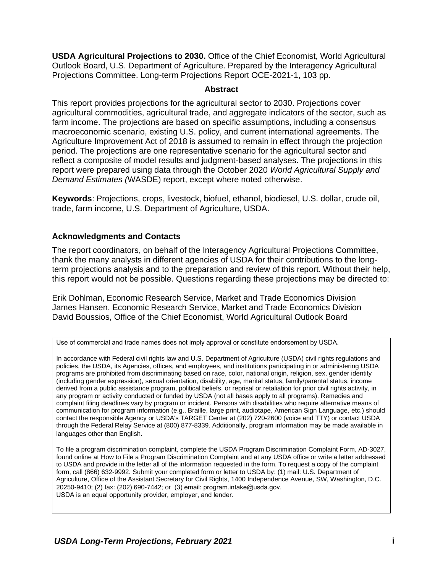**USDA Agricultural Projections to 2030.** Office of the Chief Economist, World Agricultural Outlook Board, U.S. Department of Agriculture. Prepared by the Interagency Agricultural Projections Committee. Long-term Projections Report OCE-2021-1, 103 pp.

#### **Abstract**

<span id="page-1-0"></span>This report provides projections for the agricultural sector to 2030. Projections cover agricultural commodities, agricultural trade, and aggregate indicators of the sector, such as farm income. The projections are based on specific assumptions, including a consensus macroeconomic scenario, existing U.S. policy, and current international agreements. The Agriculture Improvement Act of 2018 is assumed to remain in effect through the projection period. The projections are one representative scenario for the agricultural sector and reflect a composite of model results and judgment-based analyses. The projections in this report were prepared using data through the October 2020 *World Agricultural Supply and Demand Estimates (*WASDE) report, except where noted otherwise.

**Keywords**: Projections, crops, livestock, biofuel, ethanol, biodiesel, U.S. dollar, crude oil, trade, farm income, U.S. Department of Agriculture, USDA.

#### <span id="page-1-1"></span>**Acknowledgments and Contacts**

The report coordinators, on behalf of the Interagency Agricultural Projections Committee, thank the many analysts in different agencies of USDA for their contributions to the longterm projections analysis and to the preparation and review of this report. Without their help, this report would not be possible. Questions regarding these projections may be directed to:

Erik Dohlman, Economic Research Service, Market and Trade Economics Division James Hansen, Economic Research Service, Market and Trade Economics Division David Boussios, Office of the Chief Economist, World Agricultural Outlook Board

In accordance with Federal civil rights law and U.S. Department of Agriculture (USDA) civil rights regulations and policies, the USDA, its Agencies, offices, and employees, and institutions participating in or administering USDA programs are prohibited from discriminating based on race, color, national origin, religion, sex, gender identity (including gender expression), sexual orientation, disability, age, marital status, family/parental status, income derived from a public assistance program, political beliefs, or reprisal or retaliation for prior civil rights activity, in any program or activity conducted or funded by USDA (not all bases apply to all programs). Remedies and complaint filing deadlines vary by program or incident. Persons with disabilities who require alternative means of communication for program information (e.g., Braille, large print, audiotape, American Sign Language, etc.) should contact the responsible Agency or USDA's TARGET Center at (202) 720-2600 (voice and TTY) or contact USDA through the Federal Relay Service at (800) 877-8339. Additionally, program information may be made available in languages other than English.

To file a program discrimination complaint, complete the USDA Program Discrimination Complaint Form, AD-3027, found online at How to File a Program Discrimination Complaint and at any USDA office or write a letter addressed to USDA and provide in the letter all of the information requested in the form. To request a copy of the complaint form, call (866) 632-9992. Submit your completed form or letter to USDA by: (1) mail: U.S. Department of Agriculture, Office of the Assistant Secretary for Civil Rights, 1400 Independence Avenue, SW, Washington, D.C. 20250-9410; (2) fax: (202) 690-7442; or (3) email: program.intake@usda.gov. USDA is an equal opportunity provider, employer, and lender.

Use of commercial and trade names does not imply approval or constitute endorsement by USDA.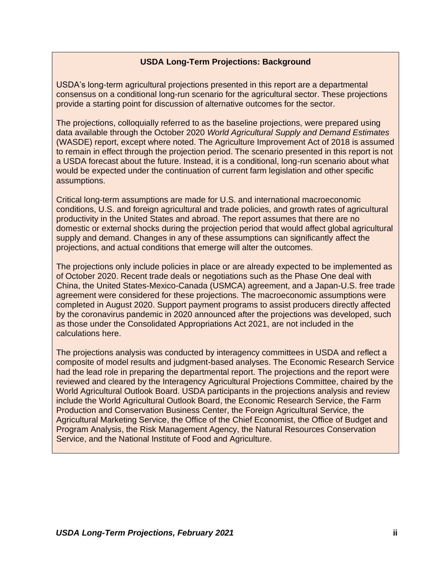### **USDA Long-Term Projections: Background**

<span id="page-2-0"></span>USDA's long-term agricultural projections presented in this report are a departmental consensus on a conditional long-run scenario for the agricultural sector. These projections provide a starting point for discussion of alternative outcomes for the sector.

The projections, colloquially referred to as the baseline projections, were prepared using data available through the October 2020 *World Agricultural Supply and Demand Estimates* (WASDE) report, except where noted. The Agriculture Improvement Act of 2018 is assumed to remain in effect through the projection period. The scenario presented in this report is not a USDA forecast about the future. Instead, it is a conditional, long-run scenario about what would be expected under the continuation of current farm legislation and other specific assumptions.

Critical long-term assumptions are made for U.S. and international macroeconomic conditions, U.S. and foreign agricultural and trade policies, and growth rates of agricultural productivity in the United States and abroad. The report assumes that there are no domestic or external shocks during the projection period that would affect global agricultural supply and demand. Changes in any of these assumptions can significantly affect the projections, and actual conditions that emerge will alter the outcomes.

The projections only include policies in place or are already expected to be implemented as of October 2020. Recent trade deals or negotiations such as the Phase One deal with China, the United States-Mexico-Canada (USMCA) agreement, and a Japan-U.S. free trade agreement were considered for these projections. The macroeconomic assumptions were completed in August 2020. Support payment programs to assist producers directly affected by the coronavirus pandemic in 2020 announced after the projections was developed, such as those under the Consolidated Appropriations Act 2021, are not included in the calculations here.

The projections analysis was conducted by interagency committees in USDA and reflect a composite of model results and judgment-based analyses. The Economic Research Service had the lead role in preparing the departmental report. The projections and the report were reviewed and cleared by the Interagency Agricultural Projections Committee, chaired by the World Agricultural Outlook Board. USDA participants in the projections analysis and review include the World Agricultural Outlook Board, the Economic Research Service, the Farm Production and Conservation Business Center, the Foreign Agricultural Service, the Agricultural Marketing Service, the Office of the Chief Economist, the Office of Budget and Program Analysis, the Risk Management Agency, the Natural Resources Conservation Service, and the National Institute of Food and Agriculture.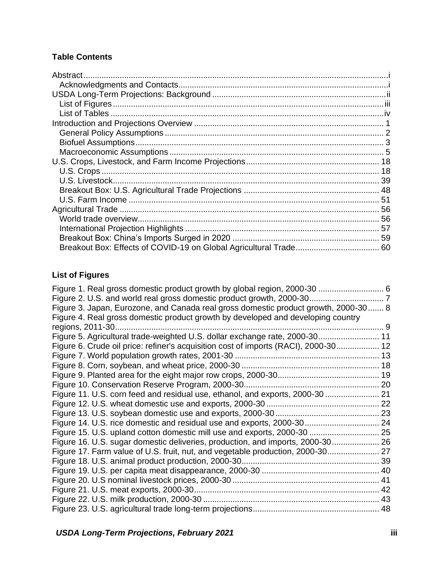## **Table Contents**

## <span id="page-3-0"></span>**List of Figures**

| Figure 3. Japan, Eurozone, and Canada real gross domestic product growth, 2000-30 8 |  |
|-------------------------------------------------------------------------------------|--|
| Figure 4. Real gross domestic product growth by developed and developing country    |  |
| regions, 2011-30                                                                    |  |
| Figure 5. Agricultural trade-weighted U.S. dollar exchange rate, 2000-30 11         |  |
| Figure 6. Crude oil price: refiner's acquisition cost of imports (RACI), 2000-30 12 |  |
|                                                                                     |  |
|                                                                                     |  |
|                                                                                     |  |
|                                                                                     |  |
| Figure 11. U.S. corn feed and residual use, ethanol, and exports, 2000-30  21       |  |
|                                                                                     |  |
|                                                                                     |  |
|                                                                                     |  |
| Figure 15. U.S. upland cotton domestic mill use and exports, 2000-30  25            |  |
| Figure 16. U.S. sugar domestic deliveries, production, and imports, 2000-30 26      |  |
| Figure 17. Farm value of U.S. fruit, nut, and vegetable production, 2000-30 27      |  |
|                                                                                     |  |
|                                                                                     |  |
|                                                                                     |  |
|                                                                                     |  |
|                                                                                     |  |
|                                                                                     |  |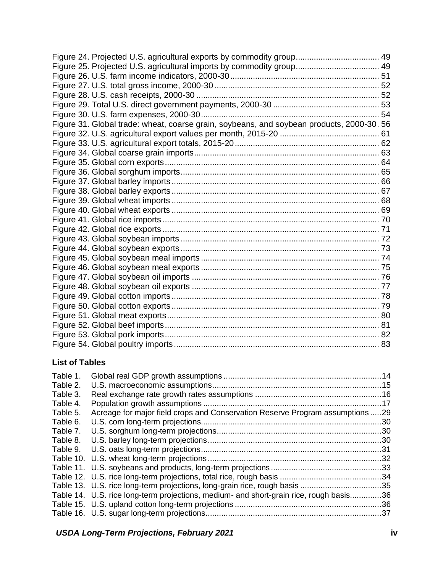| Figure 24. Projected U.S. agricultural exports by commodity group 49                      |  |
|-------------------------------------------------------------------------------------------|--|
| Figure 25. Projected U.S. agricultural imports by commodity group 49                      |  |
|                                                                                           |  |
|                                                                                           |  |
|                                                                                           |  |
|                                                                                           |  |
|                                                                                           |  |
| Figure 31. Global trade: wheat, coarse grain, soybeans, and soybean products, 2000-30. 56 |  |
|                                                                                           |  |
|                                                                                           |  |
|                                                                                           |  |
|                                                                                           |  |
|                                                                                           |  |
|                                                                                           |  |
|                                                                                           |  |
|                                                                                           |  |
|                                                                                           |  |
|                                                                                           |  |
|                                                                                           |  |
|                                                                                           |  |
|                                                                                           |  |
|                                                                                           |  |
|                                                                                           |  |
|                                                                                           |  |
|                                                                                           |  |
|                                                                                           |  |
|                                                                                           |  |
|                                                                                           |  |
|                                                                                           |  |
|                                                                                           |  |
|                                                                                           |  |
|                                                                                           |  |

## <span id="page-4-0"></span>**List of Tables**

| Acreage for major field crops and Conservation Reserve Program assumptions 29          |           |
|----------------------------------------------------------------------------------------|-----------|
|                                                                                        | .30       |
|                                                                                        |           |
|                                                                                        |           |
|                                                                                        |           |
|                                                                                        |           |
|                                                                                        |           |
|                                                                                        |           |
|                                                                                        |           |
| Table 14. U.S. rice long-term projections, medium- and short-grain rice, rough basis36 |           |
|                                                                                        |           |
|                                                                                        |           |
|                                                                                        | Table 10. |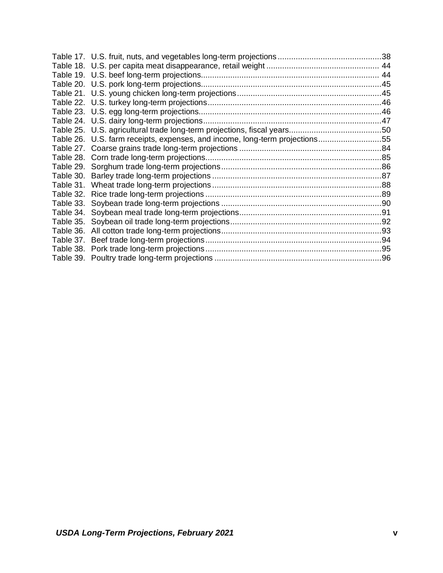|           | Table 26. U.S. farm receipts, expenses, and income, long-term projections55 |  |
|-----------|-----------------------------------------------------------------------------|--|
|           |                                                                             |  |
|           |                                                                             |  |
|           |                                                                             |  |
|           |                                                                             |  |
|           |                                                                             |  |
| Table 32. |                                                                             |  |
| Table 33. |                                                                             |  |
|           |                                                                             |  |
|           |                                                                             |  |
|           |                                                                             |  |
|           |                                                                             |  |
|           |                                                                             |  |
|           |                                                                             |  |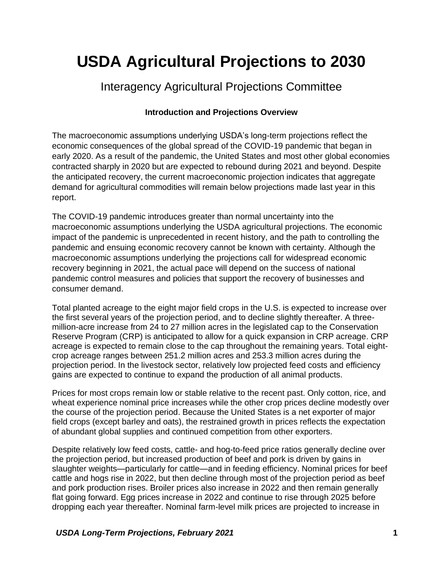# **USDA Agricultural Projections to 2030**

# Interagency Agricultural Projections Committee

## **Introduction and Projections Overview**

<span id="page-6-0"></span>The macroeconomic assumptions underlying USDA's long-term projections reflect the economic consequences of the global spread of the COVID-19 pandemic that began in early 2020. As a result of the pandemic, the United States and most other global economies contracted sharply in 2020 but are expected to rebound during 2021 and beyond. Despite the anticipated recovery, the current macroeconomic projection indicates that aggregate demand for agricultural commodities will remain below projections made last year in this report.

The COVID-19 pandemic introduces greater than normal uncertainty into the macroeconomic assumptions underlying the USDA agricultural projections. The economic impact of the pandemic is unprecedented in recent history, and the path to controlling the pandemic and ensuing economic recovery cannot be known with certainty. Although the macroeconomic assumptions underlying the projections call for widespread economic recovery beginning in 2021, the actual pace will depend on the success of national pandemic control measures and policies that support the recovery of businesses and consumer demand.

Total planted acreage to the eight major field crops in the U.S. is expected to increase over the first several years of the projection period, and to decline slightly thereafter. A threemillion-acre increase from 24 to 27 million acres in the legislated cap to the Conservation Reserve Program (CRP) is anticipated to allow for a quick expansion in CRP acreage. CRP acreage is expected to remain close to the cap throughout the remaining years. Total eightcrop acreage ranges between 251.2 million acres and 253.3 million acres during the projection period. In the livestock sector, relatively low projected feed costs and efficiency gains are expected to continue to expand the production of all animal products.

Prices for most crops remain low or stable relative to the recent past. Only cotton, rice, and wheat experience nominal price increases while the other crop prices decline modestly over the course of the projection period. Because the United States is a net exporter of major field crops (except barley and oats), the restrained growth in prices reflects the expectation of abundant global supplies and continued competition from other exporters.

Despite relatively low feed costs, cattle- and hog-to-feed price ratios generally decline over the projection period, but increased production of beef and pork is driven by gains in slaughter weights—particularly for cattle—and in feeding efficiency. Nominal prices for beef cattle and hogs rise in 2022, but then decline through most of the projection period as beef and pork production rises. Broiler prices also increase in 2022 and then remain generally flat going forward. Egg prices increase in 2022 and continue to rise through 2025 before dropping each year thereafter. Nominal farm-level milk prices are projected to increase in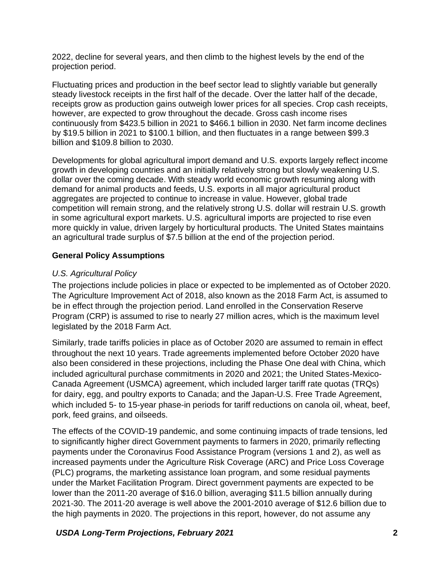2022, decline for several years, and then climb to the highest levels by the end of the projection period.

Fluctuating prices and production in the beef sector lead to slightly variable but generally steady livestock receipts in the first half of the decade. Over the latter half of the decade, receipts grow as production gains outweigh lower prices for all species. Crop cash receipts, however, are expected to grow throughout the decade. Gross cash income rises continuously from \$423.5 billion in 2021 to \$466.1 billion in 2030. Net farm income declines by \$19.5 billion in 2021 to \$100.1 billion, and then fluctuates in a range between \$99.3 billion and \$109.8 billion to 2030.

Developments for global agricultural import demand and U.S. exports largely reflect income growth in developing countries and an initially relatively strong but slowly weakening U.S. dollar over the coming decade. With steady world economic growth resuming along with demand for animal products and feeds, U.S. exports in all major agricultural product aggregates are projected to continue to increase in value. However, global trade competition will remain strong, and the relatively strong U.S. dollar will restrain U.S. growth in some agricultural export markets. U.S. agricultural imports are projected to rise even more quickly in value, driven largely by horticultural products. The United States maintains an agricultural trade surplus of \$7.5 billion at the end of the projection period.

#### <span id="page-7-0"></span>**General Policy Assumptions**

#### *U.S. Agricultural Policy*

The projections include policies in place or expected to be implemented as of October 2020. The Agriculture Improvement Act of 2018, also known as the 2018 Farm Act, is assumed to be in effect through the projection period. Land enrolled in the Conservation Reserve Program (CRP) is assumed to rise to nearly 27 million acres, which is the maximum level legislated by the 2018 Farm Act.

Similarly, trade tariffs policies in place as of October 2020 are assumed to remain in effect throughout the next 10 years. Trade agreements implemented before October 2020 have also been considered in these projections, including the Phase One deal with China, which included agricultural purchase commitments in 2020 and 2021; the United States-Mexico-Canada Agreement (USMCA) agreement, which included larger tariff rate quotas (TRQs) for dairy, egg, and poultry exports to Canada; and the Japan-U.S. Free Trade Agreement, which included 5- to 15-year phase-in periods for tariff reductions on canola oil, wheat, beef, pork, feed grains, and oilseeds.

The effects of the COVID-19 pandemic, and some continuing impacts of trade tensions, led to significantly higher direct Government payments to farmers in 2020, primarily reflecting payments under the Coronavirus Food Assistance Program (versions 1 and 2), as well as increased payments under the Agriculture Risk Coverage (ARC) and Price Loss Coverage (PLC) programs, the marketing assistance loan program, and some residual payments under the Market Facilitation Program. Direct government payments are expected to be lower than the 2011-20 average of \$16.0 billion, averaging \$11.5 billion annually during 2021-30. The 2011-20 average is well above the 2001-2010 average of \$12.6 billion due to the high payments in 2020. The projections in this report, however, do not assume any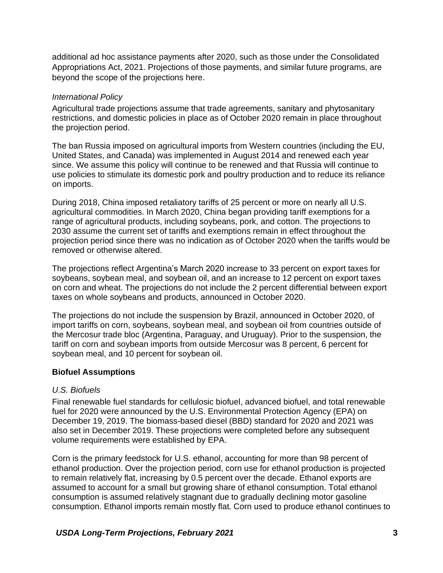additional ad hoc assistance payments after 2020, such as those under the Consolidated Appropriations Act, 2021. Projections of those payments, and similar future programs, are beyond the scope of the projections here.

#### *International Policy*

Agricultural trade projections assume that trade agreements, sanitary and phytosanitary restrictions, and domestic policies in place as of October 2020 remain in place throughout the projection period.

The ban Russia imposed on agricultural imports from Western countries (including the EU, United States, and Canada) was implemented in August 2014 and renewed each year since. We assume this policy will continue to be renewed and that Russia will continue to use policies to stimulate its domestic pork and poultry production and to reduce its reliance on imports.

During 2018, China imposed retaliatory tariffs of 25 percent or more on nearly all U.S. agricultural commodities. In March 2020, China began providing tariff exemptions for a range of agricultural products, including soybeans, pork, and cotton. The projections to 2030 assume the current set of tariffs and exemptions remain in effect throughout the projection period since there was no indication as of October 2020 when the tariffs would be removed or otherwise altered.

The projections reflect Argentina's March 2020 increase to 33 percent on export taxes for soybeans, soybean meal, and soybean oil, and an increase to 12 percent on export taxes on corn and wheat. The projections do not include the 2 percent differential between export taxes on whole soybeans and products, announced in October 2020.

The projections do not include the suspension by Brazil, announced in October 2020, of import tariffs on corn, soybeans, soybean meal, and soybean oil from countries outside of the Mercosur trade bloc (Argentina, Paraguay, and Uruguay). Prior to the suspension, the tariff on corn and soybean imports from outside Mercosur was 8 percent, 6 percent for soybean meal, and 10 percent for soybean oil.

#### <span id="page-8-0"></span>**Biofuel Assumptions**

#### *U.S. Biofuels*

Final renewable fuel standards for cellulosic biofuel, advanced biofuel, and total renewable fuel for 2020 were announced by the U.S. Environmental Protection Agency (EPA) on December 19, 2019. The biomass-based diesel (BBD) standard for 2020 and 2021 was also set in December 2019. These projections were completed before any subsequent volume requirements were established by EPA.

Corn is the primary feedstock for U.S. ethanol, accounting for more than 98 percent of ethanol production. Over the projection period, corn use for ethanol production is projected to remain relatively flat, increasing by 0.5 percent over the decade. Ethanol exports are assumed to account for a small but growing share of ethanol consumption. Total ethanol consumption is assumed relatively stagnant due to gradually declining motor gasoline consumption. Ethanol imports remain mostly flat. Corn used to produce ethanol continues to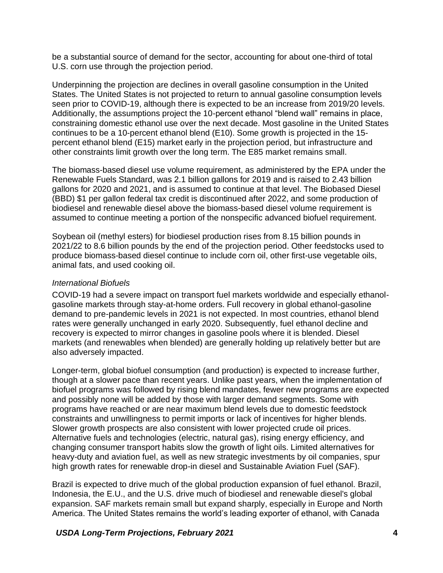be a substantial source of demand for the sector, accounting for about one-third of total U.S. corn use through the projection period.

Underpinning the projection are declines in overall gasoline consumption in the United States. The United States is not projected to return to annual gasoline consumption levels seen prior to COVID-19, although there is expected to be an increase from 2019/20 levels. Additionally, the assumptions project the 10-percent ethanol "blend wall" remains in place, constraining domestic ethanol use over the next decade. Most gasoline in the United States continues to be a 10-percent ethanol blend (E10). Some growth is projected in the 15 percent ethanol blend (E15) market early in the projection period, but infrastructure and other constraints limit growth over the long term. The E85 market remains small.

The biomass-based diesel use volume requirement, as administered by the EPA under the Renewable Fuels Standard, was 2.1 billion gallons for 2019 and is raised to 2.43 billion gallons for 2020 and 2021, and is assumed to continue at that level. The Biobased Diesel (BBD) \$1 per gallon federal tax credit is discontinued after 2022, and some production of biodiesel and renewable diesel above the biomass-based diesel volume requirement is assumed to continue meeting a portion of the nonspecific advanced biofuel requirement.

Soybean oil (methyl esters) for biodiesel production rises from 8.15 billion pounds in 2021/22 to 8.6 billion pounds by the end of the projection period. Other feedstocks used to produce biomass-based diesel continue to include corn oil, other first-use vegetable oils, animal fats, and used cooking oil.

#### *International Biofuels*

COVID-19 had a severe impact on transport fuel markets worldwide and especially ethanolgasoline markets through stay-at-home orders. Full recovery in global ethanol-gasoline demand to pre-pandemic levels in 2021 is not expected. In most countries, ethanol blend rates were generally unchanged in early 2020. Subsequently, fuel ethanol decline and recovery is expected to mirror changes in gasoline pools where it is blended. Diesel markets (and renewables when blended) are generally holding up relatively better but are also adversely impacted.

Longer-term, global biofuel consumption (and production) is expected to increase further, though at a slower pace than recent years. Unlike past years, when the implementation of biofuel programs was followed by rising blend mandates, fewer new programs are expected and possibly none will be added by those with larger demand segments. Some with programs have reached or are near maximum blend levels due to domestic feedstock constraints and unwillingness to permit imports or lack of incentives for higher blends. Slower growth prospects are also consistent with lower projected crude oil prices. Alternative fuels and technologies (electric, natural gas), rising energy efficiency, and changing consumer transport habits slow the growth of light oils. Limited alternatives for heavy-duty and aviation fuel, as well as new strategic investments by oil companies, spur high growth rates for renewable drop-in diesel and Sustainable Aviation Fuel (SAF).

Brazil is expected to drive much of the global production expansion of fuel ethanol. Brazil, Indonesia, the E.U., and the U.S. drive much of biodiesel and renewable diesel's global expansion. SAF markets remain small but expand sharply, especially in Europe and North America. The United States remains the world's leading exporter of ethanol, with Canada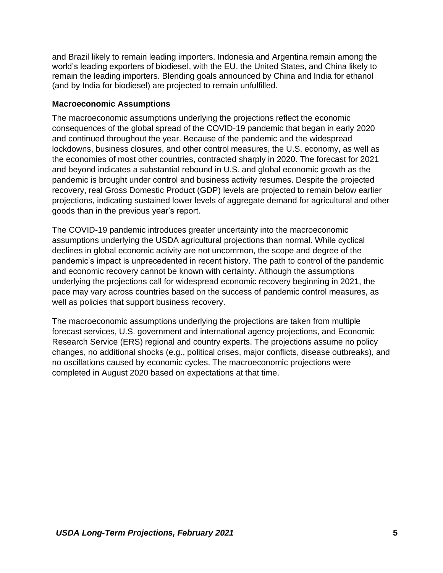and Brazil likely to remain leading importers. Indonesia and Argentina remain among the world's leading exporters of biodiesel, with the EU, the United States, and China likely to remain the leading importers. Blending goals announced by China and India for ethanol (and by India for biodiesel) are projected to remain unfulfilled.

#### <span id="page-10-0"></span>**Macroeconomic Assumptions**

The macroeconomic assumptions underlying the projections reflect the economic consequences of the global spread of the COVID-19 pandemic that began in early 2020 and continued throughout the year. Because of the pandemic and the widespread lockdowns, business closures, and other control measures, the U.S. economy, as well as the economies of most other countries, contracted sharply in 2020. The forecast for 2021 and beyond indicates a substantial rebound in U.S. and global economic growth as the pandemic is brought under control and business activity resumes. Despite the projected recovery, real Gross Domestic Product (GDP) levels are projected to remain below earlier projections, indicating sustained lower levels of aggregate demand for agricultural and other goods than in the previous year's report.

The COVID-19 pandemic introduces greater uncertainty into the macroeconomic assumptions underlying the USDA agricultural projections than normal. While cyclical declines in global economic activity are not uncommon, the scope and degree of the pandemic's impact is unprecedented in recent history. The path to control of the pandemic and economic recovery cannot be known with certainty. Although the assumptions underlying the projections call for widespread economic recovery beginning in 2021, the pace may vary across countries based on the success of pandemic control measures, as well as policies that support business recovery.

The macroeconomic assumptions underlying the projections are taken from multiple forecast services, U.S. government and international agency projections, and Economic Research Service (ERS) regional and country experts. The projections assume no policy changes, no additional shocks (e.g., political crises, major conflicts, disease outbreaks), and no oscillations caused by economic cycles. The macroeconomic projections were completed in August 2020 based on expectations at that time.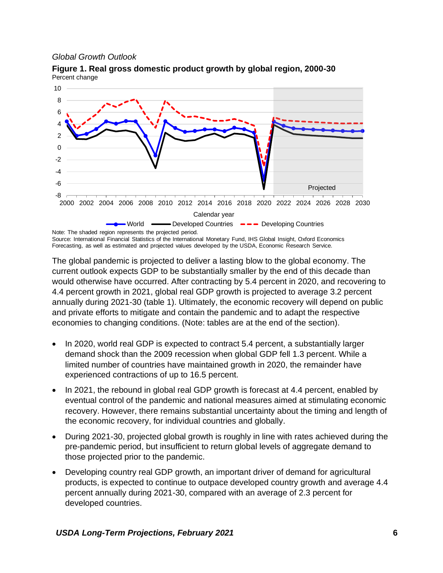#### *Global Growth Outlook*



<span id="page-11-0"></span>**Figure 1. Real gross domestic product growth by global region, 2000-30** Percent change

Source: International Financial Statistics of the International Monetary Fund, IHS Global Insight, Oxford Economics Forecasting, as well as estimated and projected values developed by the USDA, Economic Research Service.

The global pandemic is projected to deliver a lasting blow to the global economy. The current outlook expects GDP to be substantially smaller by the end of this decade than would otherwise have occurred. After contracting by 5.4 percent in 2020, and recovering to 4.4 percent growth in 2021, global real GDP growth is projected to average 3.2 percent annually during 2021-30 (table 1). Ultimately, the economic recovery will depend on public and private efforts to mitigate and contain the pandemic and to adapt the respective economies to changing conditions. (Note: tables are at the end of the section).

- In 2020, world real GDP is expected to contract 5.4 percent, a substantially larger demand shock than the 2009 recession when global GDP fell 1.3 percent. While a limited number of countries have maintained growth in 2020, the remainder have experienced contractions of up to 16.5 percent.
- In 2021, the rebound in global real GDP growth is forecast at 4.4 percent, enabled by eventual control of the pandemic and national measures aimed at stimulating economic recovery. However, there remains substantial uncertainty about the timing and length of the economic recovery, for individual countries and globally.
- During 2021-30, projected global growth is roughly in line with rates achieved during the pre-pandemic period, but insufficient to return global levels of aggregate demand to those projected prior to the pandemic.
- Developing country real GDP growth, an important driver of demand for agricultural products, is expected to continue to outpace developed country growth and average 4.4 percent annually during 2021-30, compared with an average of 2.3 percent for developed countries.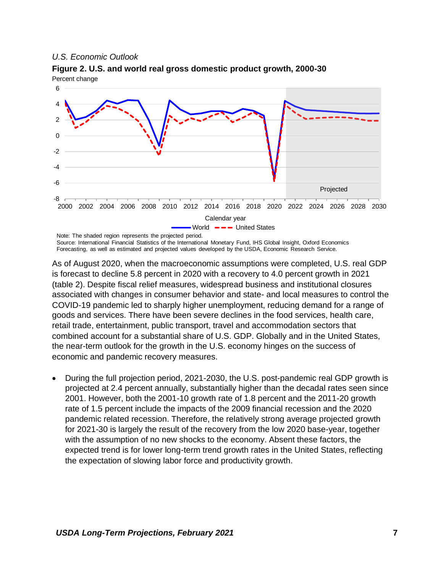#### *U.S. Economic Outlook*



<span id="page-12-0"></span>**Figure 2. U.S. and world real gross domestic product growth, 2000-30** Percent change

Forecasting, as well as estimated and projected values developed by the USDA, Economic Research Service.

As of August 2020, when the macroeconomic assumptions were completed, U.S. real GDP is forecast to decline 5.8 percent in 2020 with a recovery to 4.0 percent growth in 2021 (table 2). Despite fiscal relief measures, widespread business and institutional closures associated with changes in consumer behavior and state- and local measures to control the COVID-19 pandemic led to sharply higher unemployment, reducing demand for a range of goods and services. There have been severe declines in the food services, health care, retail trade, entertainment, public transport, travel and accommodation sectors that combined account for a substantial share of U.S. GDP. Globally and in the United States, the near-term outlook for the growth in the U.S. economy hinges on the success of economic and pandemic recovery measures.

• During the full projection period, 2021-2030, the U.S. post-pandemic real GDP growth is projected at 2.4 percent annually, substantially higher than the decadal rates seen since 2001. However, both the 2001-10 growth rate of 1.8 percent and the 2011-20 growth rate of 1.5 percent include the impacts of the 2009 financial recession and the 2020 pandemic related recession. Therefore, the relatively strong average projected growth for 2021-30 is largely the result of the recovery from the low 2020 base-year, together with the assumption of no new shocks to the economy. Absent these factors, the expected trend is for lower long-term trend growth rates in the United States, reflecting the expectation of slowing labor force and productivity growth.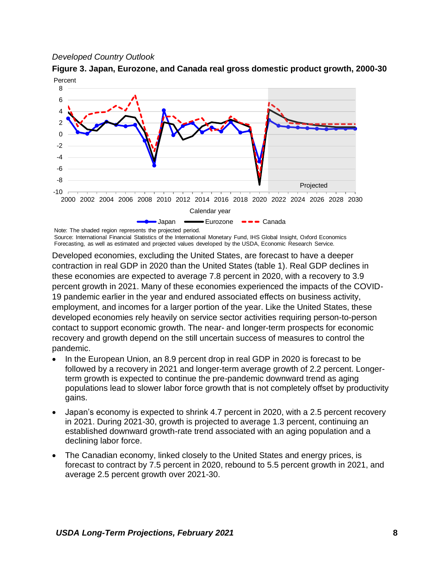#### *Developed Country Outlook*

<span id="page-13-0"></span>**Figure 3. Japan, Eurozone, and Canada real gross domestic product growth, 2000-30** Percent



Source: International Financial Statistics of the International Monetary Fund, IHS Global Insight, Oxford Economics Forecasting, as well as estimated and projected values developed by the USDA, Economic Research Service.

Developed economies, excluding the United States, are forecast to have a deeper contraction in real GDP in 2020 than the United States (table 1). Real GDP declines in these economies are expected to average 7.8 percent in 2020, with a recovery to 3.9 percent growth in 2021. Many of these economies experienced the impacts of the COVID-19 pandemic earlier in the year and endured associated effects on business activity, employment, and incomes for a larger portion of the year. Like the United States, these developed economies rely heavily on service sector activities requiring person-to-person contact to support economic growth. The near- and longer-term prospects for economic recovery and growth depend on the still uncertain success of measures to control the pandemic.

- In the European Union, an 8.9 percent drop in real GDP in 2020 is forecast to be followed by a recovery in 2021 and longer-term average growth of 2.2 percent. Longerterm growth is expected to continue the pre-pandemic downward trend as aging populations lead to slower labor force growth that is not completely offset by productivity gains.
- Japan's economy is expected to shrink 4.7 percent in 2020, with a 2.5 percent recovery in 2021. During 2021-30, growth is projected to average 1.3 percent, continuing an established downward growth-rate trend associated with an aging population and a declining labor force.
- The Canadian economy, linked closely to the United States and energy prices, is forecast to contract by 7.5 percent in 2020, rebound to 5.5 percent growth in 2021, and average 2.5 percent growth over 2021-30.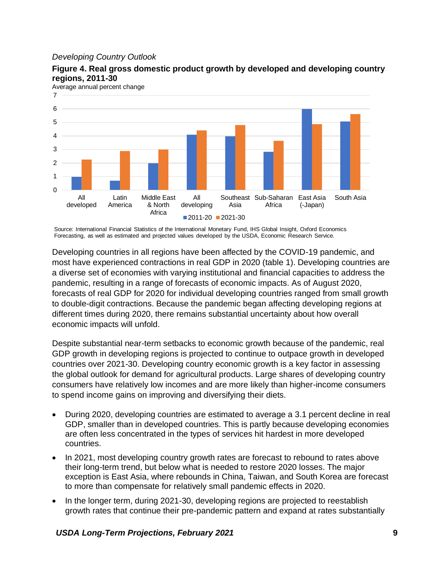#### *Developing Country Outlook*



<span id="page-14-0"></span>**Figure 4. Real gross domestic product growth by developed and developing country regions, 2011-30**

Source: International Financial Statistics of the International Monetary Fund, IHS Global Insight, Oxford Economics Forecasting, as well as estimated and projected values developed by the USDA, Economic Research Service.

Developing countries in all regions have been affected by the COVID-19 pandemic, and most have experienced contractions in real GDP in 2020 (table 1). Developing countries are a diverse set of economies with varying institutional and financial capacities to address the pandemic, resulting in a range of forecasts of economic impacts. As of August 2020, forecasts of real GDP for 2020 for individual developing countries ranged from small growth to double-digit contractions. Because the pandemic began affecting developing regions at different times during 2020, there remains substantial uncertainty about how overall economic impacts will unfold.

Despite substantial near-term setbacks to economic growth because of the pandemic, real GDP growth in developing regions is projected to continue to outpace growth in developed countries over 2021-30. Developing country economic growth is a key factor in assessing the global outlook for demand for agricultural products. Large shares of developing country consumers have relatively low incomes and are more likely than higher-income consumers to spend income gains on improving and diversifying their diets.

- During 2020, developing countries are estimated to average a 3.1 percent decline in real GDP, smaller than in developed countries. This is partly because developing economies are often less concentrated in the types of services hit hardest in more developed countries.
- In 2021, most developing country growth rates are forecast to rebound to rates above their long-term trend, but below what is needed to restore 2020 losses. The major exception is East Asia, where rebounds in China, Taiwan, and South Korea are forecast to more than compensate for relatively small pandemic effects in 2020.
- In the longer term, during 2021-30, developing regions are projected to reestablish growth rates that continue their pre-pandemic pattern and expand at rates substantially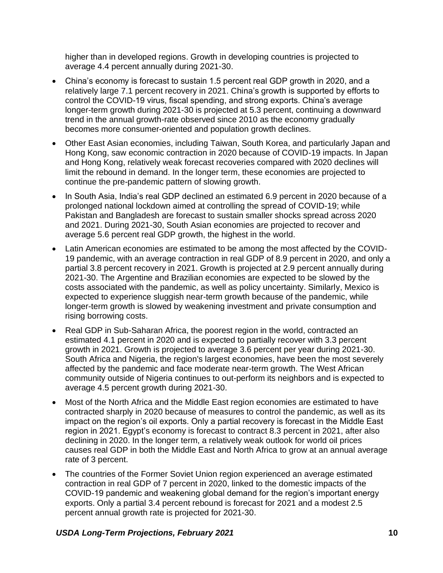higher than in developed regions. Growth in developing countries is projected to average 4.4 percent annually during 2021-30.

- China's economy is forecast to sustain 1.5 percent real GDP growth in 2020, and a relatively large 7.1 percent recovery in 2021. China's growth is supported by efforts to control the COVID-19 virus, fiscal spending, and strong exports. China's average longer-term growth during 2021-30 is projected at 5.3 percent, continuing a downward trend in the annual growth-rate observed since 2010 as the economy gradually becomes more consumer-oriented and population growth declines.
- Other East Asian economies, including Taiwan, South Korea, and particularly Japan and Hong Kong, saw economic contraction in 2020 because of COVID-19 impacts. In Japan and Hong Kong, relatively weak forecast recoveries compared with 2020 declines will limit the rebound in demand. In the longer term, these economies are projected to continue the pre-pandemic pattern of slowing growth.
- In South Asia, India's real GDP declined an estimated 6.9 percent in 2020 because of a prolonged national lockdown aimed at controlling the spread of COVID-19; while Pakistan and Bangladesh are forecast to sustain smaller shocks spread across 2020 and 2021. During 2021-30, South Asian economies are projected to recover and average 5.6 percent real GDP growth, the highest in the world.
- Latin American economies are estimated to be among the most affected by the COVID-19 pandemic, with an average contraction in real GDP of 8.9 percent in 2020, and only a partial 3.8 percent recovery in 2021. Growth is projected at 2.9 percent annually during 2021-30. The Argentine and Brazilian economies are expected to be slowed by the costs associated with the pandemic, as well as policy uncertainty. Similarly, Mexico is expected to experience sluggish near-term growth because of the pandemic, while longer-term growth is slowed by weakening investment and private consumption and rising borrowing costs.
- Real GDP in Sub-Saharan Africa, the poorest region in the world, contracted an estimated 4.1 percent in 2020 and is expected to partially recover with 3.3 percent growth in 2021. Growth is projected to average 3.6 percent per year during 2021-30. South Africa and Nigeria, the region's largest economies, have been the most severely affected by the pandemic and face moderate near-term growth. The West African community outside of Nigeria continues to out-perform its neighbors and is expected to average 4.5 percent growth during 2021-30.
- Most of the North Africa and the Middle East region economies are estimated to have contracted sharply in 2020 because of measures to control the pandemic, as well as its impact on the region's oil exports. Only a partial recovery is forecast in the Middle East region in 2021. Egypt's economy is forecast to contract 8.3 percent in 2021, after also declining in 2020. In the longer term, a relatively weak outlook for world oil prices causes real GDP in both the Middle East and North Africa to grow at an annual average rate of 3 percent.
- The countries of the Former Soviet Union region experienced an average estimated contraction in real GDP of 7 percent in 2020, linked to the domestic impacts of the COVID-19 pandemic and weakening global demand for the region's important energy exports. Only a partial 3.4 percent rebound is forecast for 2021 and a modest 2.5 percent annual growth rate is projected for 2021-30.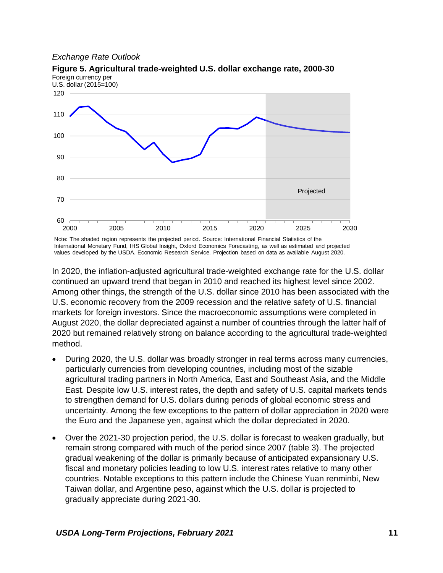#### *Exchange Rate Outlook*



<span id="page-16-0"></span>**Figure 5. Agricultural trade-weighted U.S. dollar exchange rate, 2000-30** Foreign currency per

Note: The shaded region represents the projected period. Source: International Financial Statistics of the International Monetary Fund, IHS Global Insight, Oxford Economics Forecasting, as well as estimated and projected values developed by the USDA, Economic Research Service. Projection based on data as available August 2020.

In 2020, the inflation-adjusted agricultural trade-weighted exchange rate for the U.S. dollar continued an upward trend that began in 2010 and reached its highest level since 2002. Among other things, the strength of the U.S. dollar since 2010 has been associated with the U.S. economic recovery from the 2009 recession and the relative safety of U.S. financial markets for foreign investors. Since the macroeconomic assumptions were completed in August 2020, the dollar depreciated against a number of countries through the latter half of 2020 but remained relatively strong on balance according to the agricultural trade-weighted method.

- During 2020, the U.S. dollar was broadly stronger in real terms across many currencies, particularly currencies from developing countries, including most of the sizable agricultural trading partners in North America, East and Southeast Asia, and the Middle East. Despite low U.S. interest rates, the depth and safety of U.S. capital markets tends to strengthen demand for U.S. dollars during periods of global economic stress and uncertainty. Among the few exceptions to the pattern of dollar appreciation in 2020 were the Euro and the Japanese yen, against which the dollar depreciated in 2020.
- Over the 2021-30 projection period, the U.S. dollar is forecast to weaken gradually, but remain strong compared with much of the period since 2007 (table 3). The projected gradual weakening of the dollar is primarily because of anticipated expansionary U.S. fiscal and monetary policies leading to low U.S. interest rates relative to many other countries. Notable exceptions to this pattern include the Chinese Yuan renminbi, New Taiwan dollar, and Argentine peso, against which the U.S. dollar is projected to gradually appreciate during 2021-30.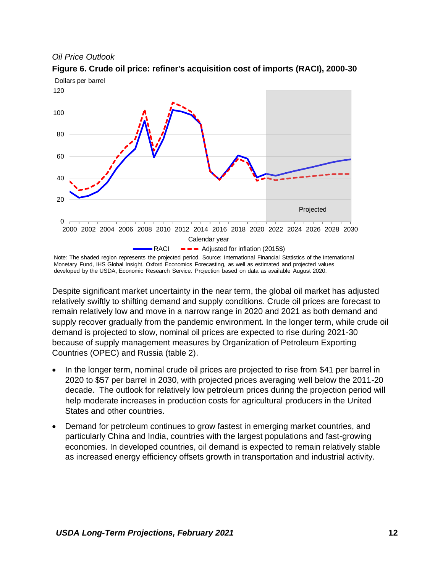#### *Oil Price Outlook*



<span id="page-17-0"></span>**Figure 6. Crude oil price: refiner's acquisition cost of imports (RACI), 2000-30**

Despite significant market uncertainty in the near term, the global oil market has adjusted relatively swiftly to shifting demand and supply conditions. Crude oil prices are forecast to remain relatively low and move in a narrow range in 2020 and 2021 as both demand and supply recover gradually from the pandemic environment. In the longer term, while crude oil demand is projected to slow, nominal oil prices are expected to rise during 2021-30 because of supply management measures by Organization of Petroleum Exporting Countries (OPEC) and Russia (table 2).

- In the longer term, nominal crude oil prices are projected to rise from \$41 per barrel in 2020 to \$57 per barrel in 2030, with projected prices averaging well below the 2011-20 decade. The outlook for relatively low petroleum prices during the projection period will help moderate increases in production costs for agricultural producers in the United States and other countries.
- Demand for petroleum continues to grow fastest in emerging market countries, and particularly China and India, countries with the largest populations and fast-growing economies. In developed countries, oil demand is expected to remain relatively stable as increased energy efficiency offsets growth in transportation and industrial activity.

Note: The shaded region represents the projected period. Source: International Financial Statistics of the International Monetary Fund, IHS Global Insight, Oxford Economics Forecasting, as well as estimated and projected values developed by the USDA, Economic Research Service. Projection based on data as available August 2020.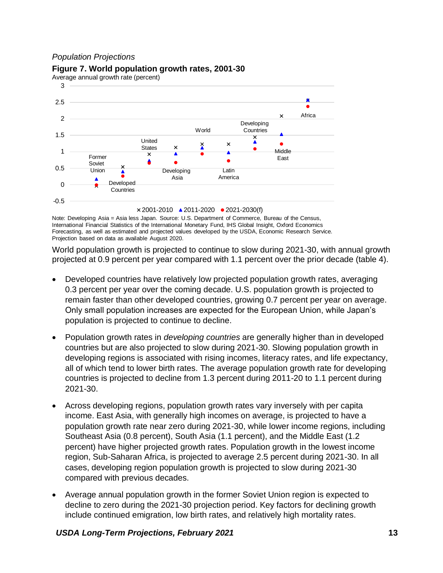#### *Population Projections*

#### 3 A 2.5 Africa  $\times$ 2 Developing **W**orld **Countries** 1.5 × United ▲  $\times$ X States  $\times$ Middle 1 Former East A Soviet 0.5 Union Latin Developing ≜ Asia America Developed 0 **Countries** -0.5 2001-2010 2011-2020 2021-2030(f)

#### <span id="page-18-0"></span>**Figure 7. World population growth rates, 2001-30**

Average annual growth rate (percent)

Note: Developing Asia = Asia less Japan. Source: U.S. Department of Commerce, Bureau of the Census, International Financial Statistics of the International Monetary Fund, IHS Global Insight, Oxford Economics Forecasting, as well as estimated and projected values developed by the USDA, Economic Research Service. Projection based on data as available August 2020.

World population growth is projected to continue to slow during 2021-30, with annual growth projected at 0.9 percent per year compared with 1.1 percent over the prior decade (table 4).

- Developed countries have relatively low projected population growth rates, averaging 0.3 percent per year over the coming decade. U.S. population growth is projected to remain faster than other developed countries, growing 0.7 percent per year on average. Only small population increases are expected for the European Union, while Japan's population is projected to continue to decline.
- Population growth rates in *developing countries* are generally higher than in developed countries but are also projected to slow during 2021-30. Slowing population growth in developing regions is associated with rising incomes, literacy rates, and life expectancy, all of which tend to lower birth rates. The average population growth rate for developing countries is projected to decline from 1.3 percent during 2011-20 to 1.1 percent during 2021-30.
- Across developing regions, population growth rates vary inversely with per capita income. East Asia, with generally high incomes on average, is projected to have a population growth rate near zero during 2021-30, while lower income regions, including Southeast Asia (0.8 percent), South Asia (1.1 percent), and the Middle East (1.2 percent) have higher projected growth rates. Population growth in the lowest income region, Sub-Saharan Africa, is projected to average 2.5 percent during 2021-30. In all cases, developing region population growth is projected to slow during 2021-30 compared with previous decades.
- Average annual population growth in the former Soviet Union region is expected to decline to zero during the 2021-30 projection period. Key factors for declining growth include continued emigration, low birth rates, and relatively high mortality rates.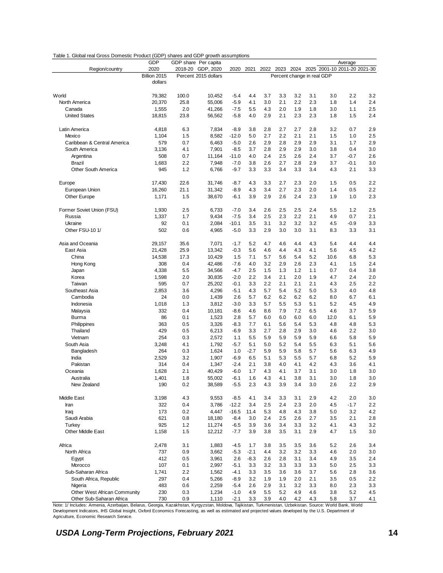<span id="page-19-0"></span>

| Table 1. Global real Gross Domestic Product (GDP) shares and GDP growth assumptions |
|-------------------------------------------------------------------------------------|
|-------------------------------------------------------------------------------------|

|                              | <b>GDP</b>   |            | GDP share Per capita |                  |        |            |            |            |                            |                                             | Average    |     |
|------------------------------|--------------|------------|----------------------|------------------|--------|------------|------------|------------|----------------------------|---------------------------------------------|------------|-----|
| Region/country               | 2020         |            | 2018-20 GDP, 2020    | 2020             | 2021   |            |            |            |                            | 2022 2023 2024 2025 2001-10 2011-20 2021-30 |            |     |
|                              | Billion 2015 |            | Percent 2015 dollars |                  |        |            |            |            | Percent change in real GDP |                                             |            |     |
|                              | dollars      |            |                      |                  |        |            |            |            |                            |                                             |            |     |
|                              |              |            |                      |                  |        |            |            |            |                            |                                             |            |     |
| World                        | 79,382       | 100.0      | 10,452               | $-5.4$           | 4.4    | 3.7        | 3.3        | 3.2        | 3.1                        | 3.0                                         | 2.2        | 3.2 |
| North America                | 20,370       | 25.8       | 55,006               | $-5.9$           | 4.1    | 3.0        | 2.1        | 2.2        | 2.3                        | 1.8                                         | 1.4        | 2.4 |
| Canada                       | 1,555        | 2.0        | 41,266               | $-7.5$           | 5.5    | 4.3        | 2.0        | 1.9        | 1.8                        | 3.0                                         | 1.1        | 2.5 |
| <b>United States</b>         | 18,815       | 23.8       | 56,562               | $-5.8$           | 4.0    | 2.9        | 2.1        | 2.3        | 2.3                        | 1.8                                         | 1.5        | 2.4 |
| Latin America                | 4,818        | 6.3        | 7,834                | $-8.9$           | 3.8    | 2.8        | 2.7        | 2.7        | 2.8                        | 3.2                                         | 0.7        | 2.9 |
| Mexico                       | 1,104        | 1.5        | 8,582                | $-12.0$          | 5.0    | 2.7        | 2.2        | 2.1        | 2.1                        | 1.5                                         | 1.0        | 2.5 |
| Caribbean & Central America  | 579          | 0.7        | 6,463                | $-5.0$           | 2.6    | 2.9        | 2.8        | 2.9        | 2.9                        | 3.1                                         | 1.7        | 2.9 |
| South America                | 3,136        | 4.1        | 7,901                | $-8.5$           | 3.7    | 2.8        | 2.9        | 2.9        | 3.0                        | 3.8                                         | 0.4        | 3.0 |
| Argentina                    | 508          | 0.7        | 11,164               | $-11.0$          | 4.0    | 2.4        | 2.5        | 2.6        | 2.4                        | 3.7                                         | $-0.7$     | 2.6 |
| <b>Brazil</b>                | 1,683        | 2.2        | 7,948                | $-7.0$           | 3.8    | 2.6        | 2.7        | 2.8        | 2.9                        | 3.7                                         | $-0.1$     | 3.0 |
| Other South America          | 945          | 1.2        | 6,766                | $-9.7$           | 3.3    | 3.3        | 3.4        | 3.3        | 3.4                        | 4.3                                         | 2.1        | 3.3 |
| Europe                       | 17,430       | 22.6       | 31,746               | $-8.7$           | 4.3    | 3.3        | 2.7        | 2.3        | 2.0                        | 1.5                                         | 0.5        | 2.2 |
| European Union               | 16,260       | 21.1       | 31,342               | $-8.9$           | 4.3    | 3.4        | 2.7        | 2.3        | 2.0                        | 1.4                                         | 0.5        | 2.2 |
| Other Europe                 | 1,171        | 1.5        | 38,670               | $-6.1$           | 3.9    | 2.9        | 2.6        | 2.4        | 2.3                        | 1.9                                         | 1.0        | 2.3 |
|                              |              |            |                      |                  |        |            |            |            |                            |                                             |            |     |
| Former Soviet Union (FSU)    | 1,930        | 2.5        | 6,733                | $-7.0$           | 3.4    | 2.6        | 2.5        | 2.5        | 2.4                        | 5.5                                         | 1.2        | 2.5 |
| Russia                       | 1,337        | 1.7        | 9,434                | $-7.5$           | 3.4    | 2.5        | 2.3        | 2.2        | 2.1                        | 4.9                                         | 0.7        | 2.1 |
| Ukraine                      | 92           | 0.1        | 2,084                | $-10.1$          | 3.5    | 3.1        | 3.2        | 3.2        | 3.2                        | 4.5                                         | $-0.9$     | 3.3 |
| Other FSU-10 1/              | 502          | 0.6        | 4,965                | $-5.0$           | 3.3    | 2.9        | 3.0        | 3.0        | 3.1                        | 8.3                                         | 3.3        | 3.1 |
| Asia and Oceania             | 29,157       | 35.6       | 7,071                | $-1.7$           | 5.2    | 4.7        | 4.6        | 4.4        | 4.3                        | 5.4                                         | 4.4        | 4.4 |
| East Asia                    | 21,428       | 25.9       | 13,342               | $-0.3$           | 5.6    | 4.6        | 4.4        | 4.3        | 4.1                        | 5.6                                         | 4.5        | 4.2 |
| China                        | 14,538       | 17.3       | 10,429               | 1.5              | 7.1    | 5.7        | 5.6        | 5.4        | 5.2                        | 10.6                                        | 6.8        | 5.3 |
| Hong Kong                    | 308          | 0.4        | 42,486               | $-7.6$           | 4.0    | 3.2        | 2.9        | 2.6        | 2.3                        | 4.1                                         | 1.5        | 2.4 |
| Japan                        | 4,338        | 5.5        | 34,566               | $-4.7$           | 2.5    | 1.5        | 1.3        | 1.2        | 1.1                        | 0.7                                         | 0.4        | 3.8 |
| Korea                        | 1,598        | 2.0        | 30,835               | $-2.0$           | 2.2    | 3.4        | 2.1        | 2.0        | 1.9                        | 4.7                                         | 2.4        | 2.0 |
| Taiwan                       | 595          | 0.7        | 25,202               | $-0.1$           | 3.3    | 2.2        | 2.1        | 2.1        | 2.1                        | 4.3                                         | 2.5        | 2.2 |
| Southeast Asia               | 2,853        | 3.6        | 4,296                | $-5.1$           | 4.3    | 5.7        | 5.4        | 5.2        | 5.0                        | 5.3                                         | 4.0        | 4.8 |
| Cambodia                     | 24           | 0.0        | 1,439                | 2.6              | 5.7    | 6.2        | 6.2        | 6.2        | 6.2                        | 8.0                                         | 6.7        | 6.1 |
| Indonesia                    | 1,018        | 1.3        | 3,812                | $-3.0$           | 3.3    | 5.7        | 5.5        | 5.3        | 5.1                        | 5.2                                         | 4.5        | 4.9 |
| Malaysia                     | 332          | 0.4        | 10,181               | $-8.6$           | 4.6    | 8.6        | 7.9        | 7.2        | 6.5                        | 4.6                                         | 3.7        | 5.9 |
| Burma                        | 86           | 0.1        | 1,523                | 2.8              | 5.7    | 6.0        | 6.0        | 6.0        | 6.0                        | 12.0                                        | 6.1        | 5.9 |
| Philippines                  | 363          | 0.5        | 3,326                | $-8.3$           | 7.7    | 6.1        | 5.6        | 5.4        | 5.3                        | 4.8                                         | 4.8        | 5.3 |
| Thailand                     | 429          | 0.5        | 6,213                | $-6.9$           | 3.3    | 2.7        | 2.8        | 2.9        | 3.0                        | 4.6                                         | 2.2        | 3.0 |
| Vietnam                      | 254          | 0.3        | 2,572                | 1.1              | 5.5    | 5.9        | 5.9        | 5.9        | 5.9                        | 6.6                                         | 5.8        | 5.9 |
| South Asia                   | 3,248        | 4.1        | 1,792                | $-5.7$           | 5.1    | 5.0        | 5.2        | 5.4        | 5.5                        | 6.3                                         | 5.1        | 5.6 |
| Bangladesh                   | 264          | 0.3        | 1,624                | 1.0              | $-2.7$ | 5.9        | 5.9        | 5.8        | 5.7                        | 5.6                                         | 6.3        | 4.9 |
| India                        | 2,529        | 3.2        | 1,907                | $-6.9$           | 6.5    | 5.1        | 5.3        | 5.5        | 5.7                        | 6.8                                         | 5.2        | 5.9 |
| Pakistan                     | 314          | 0.4        | 1,347                | $-2.4$           | 2.1    | 3.8        | 4.0        | 4.1        | 4.2                        | 4.3                                         | 3.6        | 4.1 |
| Oceania                      | 1,628        | 2.1        | 40,429               | $-6.0$           | 1.7    | 4.3        | 4.1        | 3.7        | 3.1                        | 3.0                                         | 1.8        | 3.0 |
| Australia                    | 1,401        | 1.8        | 55,002               | $-6.1$           | 1.6    | 4.3        | 4.1        | 3.8        | 3.1                        | 3.0                                         | 1.8        | 3.0 |
| New Zealand                  | 190          | 0.2        | 38,589               | $-5.5$           | 2.3    | 4.3        | 3.9        | 3.4        | 3.0                        | 2.6                                         | 2.2        | 2.9 |
| Middle East                  | 3,198        | 4.3        | 9,553                | $-8.5$           | 4.1    | 3.4        | 3.3        | 3.1        | 2.9                        | 4.2                                         | 2.0        | 3.0 |
| Iran                         | 322          | 0.4        | 3,786                | $-12.2$          | 3.4    | 2.5        | 2.4        | 2.3        | 2.0                        | 4.5                                         | $-1.7$     | 2.2 |
| Iraq                         | 173          | 0.2        | 4,447                | $-16.5$          | 11.4   | 5.3        | 4.8        | 4.3        | 3.8                        | 5.0                                         | 3.2        | 4.2 |
| Saudi Arabia                 | 621          | 0.8        | 18,180               | $-8.4$           | 3.0    | 2.4        | 2.5        | 2.6        | 2.7                        | 3.5                                         | 2.1        | 2.8 |
| Turkey                       | 925          | $1.2$      | 11,274               | $-6.5$           | 3.9    | 3.6        | 3.4        | 3.3        | 3.2                        | 4.1                                         | 4.3        | 3.2 |
| Other Middle East            | 1,158        | 1.5        | 12,212               | $-7.7$           | 3.9    | 3.8        | 3.5        | 3.1        | 2.9                        | 4.7                                         | 1.5        | 3.0 |
| Africa                       |              |            |                      |                  | 1.7    |            |            |            |                            | 5.2                                         |            | 3.4 |
| North Africa                 | 2,478<br>737 | 3.1<br>0.9 | 1,883<br>3,662       | $-4.5$<br>$-5.3$ | $-2.1$ | 3.8<br>4.4 | 3.5<br>3.2 | 3.5<br>3.2 | 3.6<br>3.3                 | 4.6                                         | 2.6<br>2.0 | 3.0 |
|                              | 412          | 0.5        |                      | 2.6              | $-8.3$ |            | 2.8        | 3.1        | 3.4                        | 4.9                                         | 3.5        | 2.4 |
| Egypt<br>Morocco             | 107          | 0.1        | 3,961                | $-5.1$           | 3.3    | 2.6<br>3.2 | 3.3        | 3.3        | 3.3                        | 5.0                                         | 2.5        | 3.3 |
| Sub-Saharan Africa           | 1,741        | 2.2        | 2,997<br>1,562       | $-4.1$           | 3.3    | 3.5        | 3.6        | 3.6        | 3.7                        | 5.6                                         | 2.8        | 3.6 |
| South Africa, Republic       | 297          | 0.4        | 5,266                | $-8.9$           | 3.2    | 1.9        | 1.9        | 2.0        | 2.1                        | 3.5                                         | 0.5        | 2.2 |
| Nigeria                      | 483          | 0.6        | 2,259                | $-5.4$           | 2.6    | 2.9        | 3.1        | 3.2        | 3.3                        | 8.0                                         | 2.3        | 3.3 |
| Other West African Community | 230          | 0.3        | 1,234                | $-1.0$           | 4.9    | 5.5        | 5.2        | 4.9        | 4.6                        | 3.8                                         | 5.2        | 4.5 |
| Other Sub-Saharan Africa     | 730          | 0.9        | 1,110                | $-2.1$           | 3.3    | 3.9        | 4.0        | 4.2        | 4.3                        | 5.8                                         | 3.7        | 4.1 |
|                              |              |            |                      |                  |        |            |            |            |                            |                                             |            |     |

Note: 1/ Includes: Armenia, Azerbaijan, Belarus, Georgia, Kazakhstan, Kyrgyzstan, Moldova, Tajikistan, Turkmenistan, Uzbekistan. Source: World Bank, World<br>Development Indicators, IHS Global Insight, Oxford Economics Foreca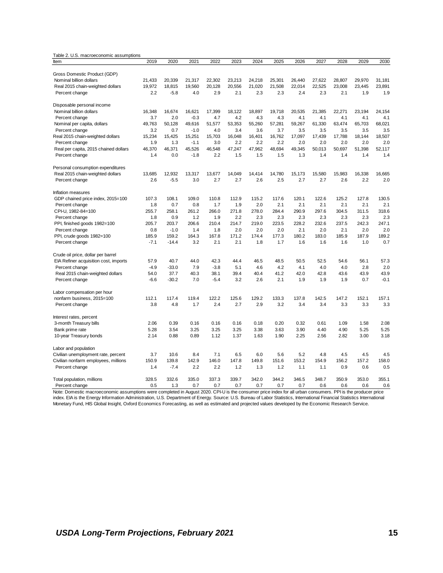<span id="page-20-0"></span>

| 2022<br>2030<br>2019<br>2020<br>2021<br>2023<br>2024<br>2025<br>2026<br>2027<br>2028<br>2029<br>Item<br>Gross Domestic Product (GDP)<br>21,433<br>Nominal billion dollars<br>20,339<br>21,317<br>22,302<br>23,213<br>24,218<br>25,301<br>26,440<br>27,622<br>28,807<br>29.970<br>31,181<br>19,972<br>18,815<br>19,560<br>20,128<br>20,556<br>21,020<br>21,508<br>22,014<br>22,525<br>23,008<br>23,445<br>23,891<br>Real 2015 chain-weighted dollars<br>2.2<br>$-5.8$<br>4.0<br>2.9<br>2.1<br>2.3<br>2.3<br>2.4<br>2.3<br>2.1<br>1.9<br>1.9<br>Percent change<br>Disposable personal income<br>Nominal billion dollars<br>16,348<br>16,674<br>16,621<br>17,399<br>18,122<br>18,897<br>19,718<br>20,535<br>21,385<br>22,271<br>23,194<br>24,154<br>3.7<br>2.0<br>$-0.3$<br>4.7<br>4.3<br>4.3<br>4.1<br>4.1<br>4.1<br>4.1<br>4.1<br>Percent change<br>4.2<br>49,763<br>50,128<br>49,616<br>53,353<br>55,260<br>57,281<br>59,267<br>61,330<br>63,474<br>65,703<br>68,021<br>Nominal per capita, dollars<br>51,577<br>3.5<br>Percent change<br>3.2<br>0.7<br>$-1.0$<br>4.0<br>3.4<br>3.6<br>3.7<br>3.5<br>3.5<br>3.5<br>3.5<br>15,425<br>16,048<br>16,401<br>17,097<br>18,507<br>Real 2015 chain-weighted dollars<br>15,234<br>15,251<br>15,703<br>16,762<br>17,439<br>17,788<br>18,144<br>1.9<br>$-1.1$<br>3.0<br>2.2<br>2.2<br>2.2<br>2.0<br>2.0<br>2.0<br>2.0<br>2.0<br>Percent change<br>1.3<br>47,962<br>51,398<br>46,370<br>46,371<br>45,526<br>46,548<br>47,247<br>48,694<br>49,345<br>50,013<br>50,697<br>52,117<br>Real per capita, 2015 chained dollars<br>1.4<br>0.0<br>$-1.8$<br>2.2<br>1.5<br>1.5<br>1.4<br>Percent change<br>1.5<br>1.3<br>1.4<br>1.4<br>1.4<br>Personal consumption expenditures<br>12,932<br>Real 2015 chain-weighted dollars<br>13,685<br>13,317<br>13,677<br>14,049<br>14,414<br>14,780<br>15,173<br>15,580<br>15,983<br>16,338<br>16,665<br>2.6<br>$-5.5$<br>3.0<br>2.7<br>2.7<br>2.6<br>2.5<br>2.7<br>2.7<br>2.6<br>2.2<br>2.0<br>Percent change<br>Inflation measures<br>107.3<br>108.1<br>109.0<br>110.8<br>112.9<br>115.2<br>117.6<br>120.1<br>122.6<br>125.2<br>127.8<br>130.5<br>GDP chained price index, 2015=100<br>2.1<br>2.1<br>1.8<br>0.7<br>0.8<br>1.7<br>1.9<br>2.0<br>2.1<br>2.1<br>2.1<br>2.1<br>Percent change<br>CPI-U, 1982-84=100<br>278.0<br>284.4<br>290.9<br>297.6<br>304.5<br>318.6<br>255.7<br>258.1<br>261.2<br>266.0<br>271.8<br>311.5<br>2.3<br>2.3<br>2.3<br>1.8<br>0.9<br>1.2<br>1.9<br>2.2<br>2.3<br>2.3<br>2.3<br>2.3<br>Percent change<br>PPI, finished goods 1982=100<br>205.7<br>203.7<br>206.6<br>210.4<br>214.7<br>219.0<br>223.5<br>228.2<br>232.6<br>237.5<br>242.3<br>247.1<br>2.0<br>0.8<br>$-1.0$<br>1.4<br>2.0<br>2.0<br>2.0<br>2.1<br>2.0<br>2.1<br>2.0<br>Percent change<br>1.8<br>171.2<br>180.2<br>183.0<br>187.9<br>189.2<br>PPI, crude goods 1982=100<br>185.9<br>159.2<br>164.3<br>167.8<br>174.4<br>177.3<br>185.9<br>3.2<br>2.1<br>2.1<br>1.8<br>1.6<br>0.7<br>Percent change<br>$-7.1$<br>$-14.4$<br>1.7<br>1.6<br>1.6<br>1.0<br>Crude oil price, dollar per barrel<br>40.7<br>44.0<br>42.3<br>44.4<br>46.5<br>48.5<br>50.5<br>52.5<br>54.6<br>56.1<br>57.3<br>EIA Refiner acquisition cost, imports<br>57.9<br>$-33.0$<br>7.9<br>5.1<br>4.2<br>2.8<br>2.0<br>Percent change<br>$-4.9$<br>$-3.8$<br>4.6<br>4.1<br>4.0<br>4.0<br>37.7<br>39.4<br>41.2<br>42.0<br>42.8<br>43.9<br>43.9<br>Real 2015 chain-weighted dollars<br>54.0<br>40.3<br>38.1<br>40.4<br>43.6<br>$-6.6$<br>$-30.2$<br>7.0<br>$-5.4$<br>3.2<br>2.6<br>2.1<br>1.9<br>1.9<br>1.9<br>0.7<br>$-0.1$<br>Percent change<br>Labor compensation per hour<br>112.1<br>119.4<br>122.2<br>125.6<br>129.2<br>133.3<br>142.5<br>147.2<br>152.1<br>157.1<br>nonfarm business, 2015=100<br>117.4<br>137.8<br>2.9<br>3.8<br>4.8<br>1.7<br>2.4<br>2.7<br>3.2<br>3.4<br>3.4<br>3.3<br>3.3<br>3.3<br>Percent change<br>Interest rates, percent<br>3-month Treasury bills<br>2.06<br>0.39<br>0.16<br>0.16<br>0.16<br>0.18<br>0.20<br>0.32<br>0.61<br>1.09<br>1.58<br>2.08<br>5.28<br>3.25<br>3.25<br>3.38<br>3.90<br>4.40<br>4.90<br>5.25<br>5.25<br>Bank prime rate<br>3.54<br>3.25<br>3.63<br>10-year Treasury bonds<br>2.14<br>0.88<br>0.89<br>1.12<br>1.37<br>1.63<br>1.90<br>2.25<br>2.56<br>2.82<br>3.00<br>3.18<br>Labor and population<br>5.2<br>4.5<br>4.5<br>Civilian unemployment rate, percent<br>3.7<br>10.6<br>8.4<br>7.1<br>6.5<br>6.0<br>5.6<br>4.8<br>4.5<br>146.0<br>158.0<br>Civilian nonfarm employees, millions<br>150.9<br>139.8<br>142.9<br>147.8<br>149.8<br>151.6<br>153.2<br>154.9<br>156.2<br>157.2<br>2.2<br>2.2<br>0.9<br>0.5<br>Percent change<br>1.4<br>$-7.4$<br>1.2<br>1.3<br>1.2<br>1.1<br>1.1<br>0.6<br>335.0<br>339.7<br>342.0<br>348.7<br>350.9<br>353.0<br>355.1<br>Total population, millions<br>328.5<br>332.6<br>337.3<br>344.2<br>346.5<br>0.7<br>0.7<br>0.5<br>1.3<br>0.7<br>0.7<br>0.7<br>0.7<br>0.6<br>0.6<br>0.6<br>0.6<br>Percent change | Table 2. U.S. macroeconomic assumptions |  |  |  |  |  |  |
|-------------------------------------------------------------------------------------------------------------------------------------------------------------------------------------------------------------------------------------------------------------------------------------------------------------------------------------------------------------------------------------------------------------------------------------------------------------------------------------------------------------------------------------------------------------------------------------------------------------------------------------------------------------------------------------------------------------------------------------------------------------------------------------------------------------------------------------------------------------------------------------------------------------------------------------------------------------------------------------------------------------------------------------------------------------------------------------------------------------------------------------------------------------------------------------------------------------------------------------------------------------------------------------------------------------------------------------------------------------------------------------------------------------------------------------------------------------------------------------------------------------------------------------------------------------------------------------------------------------------------------------------------------------------------------------------------------------------------------------------------------------------------------------------------------------------------------------------------------------------------------------------------------------------------------------------------------------------------------------------------------------------------------------------------------------------------------------------------------------------------------------------------------------------------------------------------------------------------------------------------------------------------------------------------------------------------------------------------------------------------------------------------------------------------------------------------------------------------------------------------------------------------------------------------------------------------------------------------------------------------------------------------------------------------------------------------------------------------------------------------------------------------------------------------------------------------------------------------------------------------------------------------------------------------------------------------------------------------------------------------------------------------------------------------------------------------------------------------------------------------------------------------------------------------------------------------------------------------------------------------------------------------------------------------------------------------------------------------------------------------------------------------------------------------------------------------------------------------------------------------------------------------------------------------------------------------------------------------------------------------------------------------------------------------------------------------------------------------------------------------------------------------------------------------------------------------------------------------------------------------------------------------------------------------------------------------------------------------------------------------------------------------------------------------------------------------------------------------------------------------------------------------------------------------------------------------------------------------------------------------------------------------------------------------------------------------------------------------------------------------------------------------------------------------------------------------------------------------------------------------------------------------------------------------------------------------------------------------------------------------------------------------------------------------------------------------------------------------------------------------------------------------------------------------------------------------------------------------------------------------------------------------------------------------|-----------------------------------------|--|--|--|--|--|--|
|                                                                                                                                                                                                                                                                                                                                                                                                                                                                                                                                                                                                                                                                                                                                                                                                                                                                                                                                                                                                                                                                                                                                                                                                                                                                                                                                                                                                                                                                                                                                                                                                                                                                                                                                                                                                                                                                                                                                                                                                                                                                                                                                                                                                                                                                                                                                                                                                                                                                                                                                                                                                                                                                                                                                                                                                                                                                                                                                                                                                                                                                                                                                                                                                                                                                                                                                                                                                                                                                                                                                                                                                                                                                                                                                                                                                                                                                                                                                                                                                                                                                                                                                                                                                                                                                                                                                                                                                                                                                                                                                                                                                                                                                                                                                                                                                                                                                                                                         |                                         |  |  |  |  |  |  |
|                                                                                                                                                                                                                                                                                                                                                                                                                                                                                                                                                                                                                                                                                                                                                                                                                                                                                                                                                                                                                                                                                                                                                                                                                                                                                                                                                                                                                                                                                                                                                                                                                                                                                                                                                                                                                                                                                                                                                                                                                                                                                                                                                                                                                                                                                                                                                                                                                                                                                                                                                                                                                                                                                                                                                                                                                                                                                                                                                                                                                                                                                                                                                                                                                                                                                                                                                                                                                                                                                                                                                                                                                                                                                                                                                                                                                                                                                                                                                                                                                                                                                                                                                                                                                                                                                                                                                                                                                                                                                                                                                                                                                                                                                                                                                                                                                                                                                                                         |                                         |  |  |  |  |  |  |
|                                                                                                                                                                                                                                                                                                                                                                                                                                                                                                                                                                                                                                                                                                                                                                                                                                                                                                                                                                                                                                                                                                                                                                                                                                                                                                                                                                                                                                                                                                                                                                                                                                                                                                                                                                                                                                                                                                                                                                                                                                                                                                                                                                                                                                                                                                                                                                                                                                                                                                                                                                                                                                                                                                                                                                                                                                                                                                                                                                                                                                                                                                                                                                                                                                                                                                                                                                                                                                                                                                                                                                                                                                                                                                                                                                                                                                                                                                                                                                                                                                                                                                                                                                                                                                                                                                                                                                                                                                                                                                                                                                                                                                                                                                                                                                                                                                                                                                                         |                                         |  |  |  |  |  |  |
|                                                                                                                                                                                                                                                                                                                                                                                                                                                                                                                                                                                                                                                                                                                                                                                                                                                                                                                                                                                                                                                                                                                                                                                                                                                                                                                                                                                                                                                                                                                                                                                                                                                                                                                                                                                                                                                                                                                                                                                                                                                                                                                                                                                                                                                                                                                                                                                                                                                                                                                                                                                                                                                                                                                                                                                                                                                                                                                                                                                                                                                                                                                                                                                                                                                                                                                                                                                                                                                                                                                                                                                                                                                                                                                                                                                                                                                                                                                                                                                                                                                                                                                                                                                                                                                                                                                                                                                                                                                                                                                                                                                                                                                                                                                                                                                                                                                                                                                         |                                         |  |  |  |  |  |  |
|                                                                                                                                                                                                                                                                                                                                                                                                                                                                                                                                                                                                                                                                                                                                                                                                                                                                                                                                                                                                                                                                                                                                                                                                                                                                                                                                                                                                                                                                                                                                                                                                                                                                                                                                                                                                                                                                                                                                                                                                                                                                                                                                                                                                                                                                                                                                                                                                                                                                                                                                                                                                                                                                                                                                                                                                                                                                                                                                                                                                                                                                                                                                                                                                                                                                                                                                                                                                                                                                                                                                                                                                                                                                                                                                                                                                                                                                                                                                                                                                                                                                                                                                                                                                                                                                                                                                                                                                                                                                                                                                                                                                                                                                                                                                                                                                                                                                                                                         |                                         |  |  |  |  |  |  |
|                                                                                                                                                                                                                                                                                                                                                                                                                                                                                                                                                                                                                                                                                                                                                                                                                                                                                                                                                                                                                                                                                                                                                                                                                                                                                                                                                                                                                                                                                                                                                                                                                                                                                                                                                                                                                                                                                                                                                                                                                                                                                                                                                                                                                                                                                                                                                                                                                                                                                                                                                                                                                                                                                                                                                                                                                                                                                                                                                                                                                                                                                                                                                                                                                                                                                                                                                                                                                                                                                                                                                                                                                                                                                                                                                                                                                                                                                                                                                                                                                                                                                                                                                                                                                                                                                                                                                                                                                                                                                                                                                                                                                                                                                                                                                                                                                                                                                                                         |                                         |  |  |  |  |  |  |
|                                                                                                                                                                                                                                                                                                                                                                                                                                                                                                                                                                                                                                                                                                                                                                                                                                                                                                                                                                                                                                                                                                                                                                                                                                                                                                                                                                                                                                                                                                                                                                                                                                                                                                                                                                                                                                                                                                                                                                                                                                                                                                                                                                                                                                                                                                                                                                                                                                                                                                                                                                                                                                                                                                                                                                                                                                                                                                                                                                                                                                                                                                                                                                                                                                                                                                                                                                                                                                                                                                                                                                                                                                                                                                                                                                                                                                                                                                                                                                                                                                                                                                                                                                                                                                                                                                                                                                                                                                                                                                                                                                                                                                                                                                                                                                                                                                                                                                                         |                                         |  |  |  |  |  |  |
|                                                                                                                                                                                                                                                                                                                                                                                                                                                                                                                                                                                                                                                                                                                                                                                                                                                                                                                                                                                                                                                                                                                                                                                                                                                                                                                                                                                                                                                                                                                                                                                                                                                                                                                                                                                                                                                                                                                                                                                                                                                                                                                                                                                                                                                                                                                                                                                                                                                                                                                                                                                                                                                                                                                                                                                                                                                                                                                                                                                                                                                                                                                                                                                                                                                                                                                                                                                                                                                                                                                                                                                                                                                                                                                                                                                                                                                                                                                                                                                                                                                                                                                                                                                                                                                                                                                                                                                                                                                                                                                                                                                                                                                                                                                                                                                                                                                                                                                         |                                         |  |  |  |  |  |  |
|                                                                                                                                                                                                                                                                                                                                                                                                                                                                                                                                                                                                                                                                                                                                                                                                                                                                                                                                                                                                                                                                                                                                                                                                                                                                                                                                                                                                                                                                                                                                                                                                                                                                                                                                                                                                                                                                                                                                                                                                                                                                                                                                                                                                                                                                                                                                                                                                                                                                                                                                                                                                                                                                                                                                                                                                                                                                                                                                                                                                                                                                                                                                                                                                                                                                                                                                                                                                                                                                                                                                                                                                                                                                                                                                                                                                                                                                                                                                                                                                                                                                                                                                                                                                                                                                                                                                                                                                                                                                                                                                                                                                                                                                                                                                                                                                                                                                                                                         |                                         |  |  |  |  |  |  |
|                                                                                                                                                                                                                                                                                                                                                                                                                                                                                                                                                                                                                                                                                                                                                                                                                                                                                                                                                                                                                                                                                                                                                                                                                                                                                                                                                                                                                                                                                                                                                                                                                                                                                                                                                                                                                                                                                                                                                                                                                                                                                                                                                                                                                                                                                                                                                                                                                                                                                                                                                                                                                                                                                                                                                                                                                                                                                                                                                                                                                                                                                                                                                                                                                                                                                                                                                                                                                                                                                                                                                                                                                                                                                                                                                                                                                                                                                                                                                                                                                                                                                                                                                                                                                                                                                                                                                                                                                                                                                                                                                                                                                                                                                                                                                                                                                                                                                                                         |                                         |  |  |  |  |  |  |
|                                                                                                                                                                                                                                                                                                                                                                                                                                                                                                                                                                                                                                                                                                                                                                                                                                                                                                                                                                                                                                                                                                                                                                                                                                                                                                                                                                                                                                                                                                                                                                                                                                                                                                                                                                                                                                                                                                                                                                                                                                                                                                                                                                                                                                                                                                                                                                                                                                                                                                                                                                                                                                                                                                                                                                                                                                                                                                                                                                                                                                                                                                                                                                                                                                                                                                                                                                                                                                                                                                                                                                                                                                                                                                                                                                                                                                                                                                                                                                                                                                                                                                                                                                                                                                                                                                                                                                                                                                                                                                                                                                                                                                                                                                                                                                                                                                                                                                                         |                                         |  |  |  |  |  |  |
|                                                                                                                                                                                                                                                                                                                                                                                                                                                                                                                                                                                                                                                                                                                                                                                                                                                                                                                                                                                                                                                                                                                                                                                                                                                                                                                                                                                                                                                                                                                                                                                                                                                                                                                                                                                                                                                                                                                                                                                                                                                                                                                                                                                                                                                                                                                                                                                                                                                                                                                                                                                                                                                                                                                                                                                                                                                                                                                                                                                                                                                                                                                                                                                                                                                                                                                                                                                                                                                                                                                                                                                                                                                                                                                                                                                                                                                                                                                                                                                                                                                                                                                                                                                                                                                                                                                                                                                                                                                                                                                                                                                                                                                                                                                                                                                                                                                                                                                         |                                         |  |  |  |  |  |  |
|                                                                                                                                                                                                                                                                                                                                                                                                                                                                                                                                                                                                                                                                                                                                                                                                                                                                                                                                                                                                                                                                                                                                                                                                                                                                                                                                                                                                                                                                                                                                                                                                                                                                                                                                                                                                                                                                                                                                                                                                                                                                                                                                                                                                                                                                                                                                                                                                                                                                                                                                                                                                                                                                                                                                                                                                                                                                                                                                                                                                                                                                                                                                                                                                                                                                                                                                                                                                                                                                                                                                                                                                                                                                                                                                                                                                                                                                                                                                                                                                                                                                                                                                                                                                                                                                                                                                                                                                                                                                                                                                                                                                                                                                                                                                                                                                                                                                                                                         |                                         |  |  |  |  |  |  |
|                                                                                                                                                                                                                                                                                                                                                                                                                                                                                                                                                                                                                                                                                                                                                                                                                                                                                                                                                                                                                                                                                                                                                                                                                                                                                                                                                                                                                                                                                                                                                                                                                                                                                                                                                                                                                                                                                                                                                                                                                                                                                                                                                                                                                                                                                                                                                                                                                                                                                                                                                                                                                                                                                                                                                                                                                                                                                                                                                                                                                                                                                                                                                                                                                                                                                                                                                                                                                                                                                                                                                                                                                                                                                                                                                                                                                                                                                                                                                                                                                                                                                                                                                                                                                                                                                                                                                                                                                                                                                                                                                                                                                                                                                                                                                                                                                                                                                                                         |                                         |  |  |  |  |  |  |
|                                                                                                                                                                                                                                                                                                                                                                                                                                                                                                                                                                                                                                                                                                                                                                                                                                                                                                                                                                                                                                                                                                                                                                                                                                                                                                                                                                                                                                                                                                                                                                                                                                                                                                                                                                                                                                                                                                                                                                                                                                                                                                                                                                                                                                                                                                                                                                                                                                                                                                                                                                                                                                                                                                                                                                                                                                                                                                                                                                                                                                                                                                                                                                                                                                                                                                                                                                                                                                                                                                                                                                                                                                                                                                                                                                                                                                                                                                                                                                                                                                                                                                                                                                                                                                                                                                                                                                                                                                                                                                                                                                                                                                                                                                                                                                                                                                                                                                                         |                                         |  |  |  |  |  |  |
|                                                                                                                                                                                                                                                                                                                                                                                                                                                                                                                                                                                                                                                                                                                                                                                                                                                                                                                                                                                                                                                                                                                                                                                                                                                                                                                                                                                                                                                                                                                                                                                                                                                                                                                                                                                                                                                                                                                                                                                                                                                                                                                                                                                                                                                                                                                                                                                                                                                                                                                                                                                                                                                                                                                                                                                                                                                                                                                                                                                                                                                                                                                                                                                                                                                                                                                                                                                                                                                                                                                                                                                                                                                                                                                                                                                                                                                                                                                                                                                                                                                                                                                                                                                                                                                                                                                                                                                                                                                                                                                                                                                                                                                                                                                                                                                                                                                                                                                         |                                         |  |  |  |  |  |  |
|                                                                                                                                                                                                                                                                                                                                                                                                                                                                                                                                                                                                                                                                                                                                                                                                                                                                                                                                                                                                                                                                                                                                                                                                                                                                                                                                                                                                                                                                                                                                                                                                                                                                                                                                                                                                                                                                                                                                                                                                                                                                                                                                                                                                                                                                                                                                                                                                                                                                                                                                                                                                                                                                                                                                                                                                                                                                                                                                                                                                                                                                                                                                                                                                                                                                                                                                                                                                                                                                                                                                                                                                                                                                                                                                                                                                                                                                                                                                                                                                                                                                                                                                                                                                                                                                                                                                                                                                                                                                                                                                                                                                                                                                                                                                                                                                                                                                                                                         |                                         |  |  |  |  |  |  |
|                                                                                                                                                                                                                                                                                                                                                                                                                                                                                                                                                                                                                                                                                                                                                                                                                                                                                                                                                                                                                                                                                                                                                                                                                                                                                                                                                                                                                                                                                                                                                                                                                                                                                                                                                                                                                                                                                                                                                                                                                                                                                                                                                                                                                                                                                                                                                                                                                                                                                                                                                                                                                                                                                                                                                                                                                                                                                                                                                                                                                                                                                                                                                                                                                                                                                                                                                                                                                                                                                                                                                                                                                                                                                                                                                                                                                                                                                                                                                                                                                                                                                                                                                                                                                                                                                                                                                                                                                                                                                                                                                                                                                                                                                                                                                                                                                                                                                                                         |                                         |  |  |  |  |  |  |
|                                                                                                                                                                                                                                                                                                                                                                                                                                                                                                                                                                                                                                                                                                                                                                                                                                                                                                                                                                                                                                                                                                                                                                                                                                                                                                                                                                                                                                                                                                                                                                                                                                                                                                                                                                                                                                                                                                                                                                                                                                                                                                                                                                                                                                                                                                                                                                                                                                                                                                                                                                                                                                                                                                                                                                                                                                                                                                                                                                                                                                                                                                                                                                                                                                                                                                                                                                                                                                                                                                                                                                                                                                                                                                                                                                                                                                                                                                                                                                                                                                                                                                                                                                                                                                                                                                                                                                                                                                                                                                                                                                                                                                                                                                                                                                                                                                                                                                                         |                                         |  |  |  |  |  |  |
|                                                                                                                                                                                                                                                                                                                                                                                                                                                                                                                                                                                                                                                                                                                                                                                                                                                                                                                                                                                                                                                                                                                                                                                                                                                                                                                                                                                                                                                                                                                                                                                                                                                                                                                                                                                                                                                                                                                                                                                                                                                                                                                                                                                                                                                                                                                                                                                                                                                                                                                                                                                                                                                                                                                                                                                                                                                                                                                                                                                                                                                                                                                                                                                                                                                                                                                                                                                                                                                                                                                                                                                                                                                                                                                                                                                                                                                                                                                                                                                                                                                                                                                                                                                                                                                                                                                                                                                                                                                                                                                                                                                                                                                                                                                                                                                                                                                                                                                         |                                         |  |  |  |  |  |  |
|                                                                                                                                                                                                                                                                                                                                                                                                                                                                                                                                                                                                                                                                                                                                                                                                                                                                                                                                                                                                                                                                                                                                                                                                                                                                                                                                                                                                                                                                                                                                                                                                                                                                                                                                                                                                                                                                                                                                                                                                                                                                                                                                                                                                                                                                                                                                                                                                                                                                                                                                                                                                                                                                                                                                                                                                                                                                                                                                                                                                                                                                                                                                                                                                                                                                                                                                                                                                                                                                                                                                                                                                                                                                                                                                                                                                                                                                                                                                                                                                                                                                                                                                                                                                                                                                                                                                                                                                                                                                                                                                                                                                                                                                                                                                                                                                                                                                                                                         |                                         |  |  |  |  |  |  |
|                                                                                                                                                                                                                                                                                                                                                                                                                                                                                                                                                                                                                                                                                                                                                                                                                                                                                                                                                                                                                                                                                                                                                                                                                                                                                                                                                                                                                                                                                                                                                                                                                                                                                                                                                                                                                                                                                                                                                                                                                                                                                                                                                                                                                                                                                                                                                                                                                                                                                                                                                                                                                                                                                                                                                                                                                                                                                                                                                                                                                                                                                                                                                                                                                                                                                                                                                                                                                                                                                                                                                                                                                                                                                                                                                                                                                                                                                                                                                                                                                                                                                                                                                                                                                                                                                                                                                                                                                                                                                                                                                                                                                                                                                                                                                                                                                                                                                                                         |                                         |  |  |  |  |  |  |
|                                                                                                                                                                                                                                                                                                                                                                                                                                                                                                                                                                                                                                                                                                                                                                                                                                                                                                                                                                                                                                                                                                                                                                                                                                                                                                                                                                                                                                                                                                                                                                                                                                                                                                                                                                                                                                                                                                                                                                                                                                                                                                                                                                                                                                                                                                                                                                                                                                                                                                                                                                                                                                                                                                                                                                                                                                                                                                                                                                                                                                                                                                                                                                                                                                                                                                                                                                                                                                                                                                                                                                                                                                                                                                                                                                                                                                                                                                                                                                                                                                                                                                                                                                                                                                                                                                                                                                                                                                                                                                                                                                                                                                                                                                                                                                                                                                                                                                                         |                                         |  |  |  |  |  |  |
|                                                                                                                                                                                                                                                                                                                                                                                                                                                                                                                                                                                                                                                                                                                                                                                                                                                                                                                                                                                                                                                                                                                                                                                                                                                                                                                                                                                                                                                                                                                                                                                                                                                                                                                                                                                                                                                                                                                                                                                                                                                                                                                                                                                                                                                                                                                                                                                                                                                                                                                                                                                                                                                                                                                                                                                                                                                                                                                                                                                                                                                                                                                                                                                                                                                                                                                                                                                                                                                                                                                                                                                                                                                                                                                                                                                                                                                                                                                                                                                                                                                                                                                                                                                                                                                                                                                                                                                                                                                                                                                                                                                                                                                                                                                                                                                                                                                                                                                         |                                         |  |  |  |  |  |  |
|                                                                                                                                                                                                                                                                                                                                                                                                                                                                                                                                                                                                                                                                                                                                                                                                                                                                                                                                                                                                                                                                                                                                                                                                                                                                                                                                                                                                                                                                                                                                                                                                                                                                                                                                                                                                                                                                                                                                                                                                                                                                                                                                                                                                                                                                                                                                                                                                                                                                                                                                                                                                                                                                                                                                                                                                                                                                                                                                                                                                                                                                                                                                                                                                                                                                                                                                                                                                                                                                                                                                                                                                                                                                                                                                                                                                                                                                                                                                                                                                                                                                                                                                                                                                                                                                                                                                                                                                                                                                                                                                                                                                                                                                                                                                                                                                                                                                                                                         |                                         |  |  |  |  |  |  |
|                                                                                                                                                                                                                                                                                                                                                                                                                                                                                                                                                                                                                                                                                                                                                                                                                                                                                                                                                                                                                                                                                                                                                                                                                                                                                                                                                                                                                                                                                                                                                                                                                                                                                                                                                                                                                                                                                                                                                                                                                                                                                                                                                                                                                                                                                                                                                                                                                                                                                                                                                                                                                                                                                                                                                                                                                                                                                                                                                                                                                                                                                                                                                                                                                                                                                                                                                                                                                                                                                                                                                                                                                                                                                                                                                                                                                                                                                                                                                                                                                                                                                                                                                                                                                                                                                                                                                                                                                                                                                                                                                                                                                                                                                                                                                                                                                                                                                                                         |                                         |  |  |  |  |  |  |
|                                                                                                                                                                                                                                                                                                                                                                                                                                                                                                                                                                                                                                                                                                                                                                                                                                                                                                                                                                                                                                                                                                                                                                                                                                                                                                                                                                                                                                                                                                                                                                                                                                                                                                                                                                                                                                                                                                                                                                                                                                                                                                                                                                                                                                                                                                                                                                                                                                                                                                                                                                                                                                                                                                                                                                                                                                                                                                                                                                                                                                                                                                                                                                                                                                                                                                                                                                                                                                                                                                                                                                                                                                                                                                                                                                                                                                                                                                                                                                                                                                                                                                                                                                                                                                                                                                                                                                                                                                                                                                                                                                                                                                                                                                                                                                                                                                                                                                                         |                                         |  |  |  |  |  |  |
|                                                                                                                                                                                                                                                                                                                                                                                                                                                                                                                                                                                                                                                                                                                                                                                                                                                                                                                                                                                                                                                                                                                                                                                                                                                                                                                                                                                                                                                                                                                                                                                                                                                                                                                                                                                                                                                                                                                                                                                                                                                                                                                                                                                                                                                                                                                                                                                                                                                                                                                                                                                                                                                                                                                                                                                                                                                                                                                                                                                                                                                                                                                                                                                                                                                                                                                                                                                                                                                                                                                                                                                                                                                                                                                                                                                                                                                                                                                                                                                                                                                                                                                                                                                                                                                                                                                                                                                                                                                                                                                                                                                                                                                                                                                                                                                                                                                                                                                         |                                         |  |  |  |  |  |  |
|                                                                                                                                                                                                                                                                                                                                                                                                                                                                                                                                                                                                                                                                                                                                                                                                                                                                                                                                                                                                                                                                                                                                                                                                                                                                                                                                                                                                                                                                                                                                                                                                                                                                                                                                                                                                                                                                                                                                                                                                                                                                                                                                                                                                                                                                                                                                                                                                                                                                                                                                                                                                                                                                                                                                                                                                                                                                                                                                                                                                                                                                                                                                                                                                                                                                                                                                                                                                                                                                                                                                                                                                                                                                                                                                                                                                                                                                                                                                                                                                                                                                                                                                                                                                                                                                                                                                                                                                                                                                                                                                                                                                                                                                                                                                                                                                                                                                                                                         |                                         |  |  |  |  |  |  |
|                                                                                                                                                                                                                                                                                                                                                                                                                                                                                                                                                                                                                                                                                                                                                                                                                                                                                                                                                                                                                                                                                                                                                                                                                                                                                                                                                                                                                                                                                                                                                                                                                                                                                                                                                                                                                                                                                                                                                                                                                                                                                                                                                                                                                                                                                                                                                                                                                                                                                                                                                                                                                                                                                                                                                                                                                                                                                                                                                                                                                                                                                                                                                                                                                                                                                                                                                                                                                                                                                                                                                                                                                                                                                                                                                                                                                                                                                                                                                                                                                                                                                                                                                                                                                                                                                                                                                                                                                                                                                                                                                                                                                                                                                                                                                                                                                                                                                                                         |                                         |  |  |  |  |  |  |
|                                                                                                                                                                                                                                                                                                                                                                                                                                                                                                                                                                                                                                                                                                                                                                                                                                                                                                                                                                                                                                                                                                                                                                                                                                                                                                                                                                                                                                                                                                                                                                                                                                                                                                                                                                                                                                                                                                                                                                                                                                                                                                                                                                                                                                                                                                                                                                                                                                                                                                                                                                                                                                                                                                                                                                                                                                                                                                                                                                                                                                                                                                                                                                                                                                                                                                                                                                                                                                                                                                                                                                                                                                                                                                                                                                                                                                                                                                                                                                                                                                                                                                                                                                                                                                                                                                                                                                                                                                                                                                                                                                                                                                                                                                                                                                                                                                                                                                                         |                                         |  |  |  |  |  |  |
|                                                                                                                                                                                                                                                                                                                                                                                                                                                                                                                                                                                                                                                                                                                                                                                                                                                                                                                                                                                                                                                                                                                                                                                                                                                                                                                                                                                                                                                                                                                                                                                                                                                                                                                                                                                                                                                                                                                                                                                                                                                                                                                                                                                                                                                                                                                                                                                                                                                                                                                                                                                                                                                                                                                                                                                                                                                                                                                                                                                                                                                                                                                                                                                                                                                                                                                                                                                                                                                                                                                                                                                                                                                                                                                                                                                                                                                                                                                                                                                                                                                                                                                                                                                                                                                                                                                                                                                                                                                                                                                                                                                                                                                                                                                                                                                                                                                                                                                         |                                         |  |  |  |  |  |  |
|                                                                                                                                                                                                                                                                                                                                                                                                                                                                                                                                                                                                                                                                                                                                                                                                                                                                                                                                                                                                                                                                                                                                                                                                                                                                                                                                                                                                                                                                                                                                                                                                                                                                                                                                                                                                                                                                                                                                                                                                                                                                                                                                                                                                                                                                                                                                                                                                                                                                                                                                                                                                                                                                                                                                                                                                                                                                                                                                                                                                                                                                                                                                                                                                                                                                                                                                                                                                                                                                                                                                                                                                                                                                                                                                                                                                                                                                                                                                                                                                                                                                                                                                                                                                                                                                                                                                                                                                                                                                                                                                                                                                                                                                                                                                                                                                                                                                                                                         |                                         |  |  |  |  |  |  |
|                                                                                                                                                                                                                                                                                                                                                                                                                                                                                                                                                                                                                                                                                                                                                                                                                                                                                                                                                                                                                                                                                                                                                                                                                                                                                                                                                                                                                                                                                                                                                                                                                                                                                                                                                                                                                                                                                                                                                                                                                                                                                                                                                                                                                                                                                                                                                                                                                                                                                                                                                                                                                                                                                                                                                                                                                                                                                                                                                                                                                                                                                                                                                                                                                                                                                                                                                                                                                                                                                                                                                                                                                                                                                                                                                                                                                                                                                                                                                                                                                                                                                                                                                                                                                                                                                                                                                                                                                                                                                                                                                                                                                                                                                                                                                                                                                                                                                                                         |                                         |  |  |  |  |  |  |
|                                                                                                                                                                                                                                                                                                                                                                                                                                                                                                                                                                                                                                                                                                                                                                                                                                                                                                                                                                                                                                                                                                                                                                                                                                                                                                                                                                                                                                                                                                                                                                                                                                                                                                                                                                                                                                                                                                                                                                                                                                                                                                                                                                                                                                                                                                                                                                                                                                                                                                                                                                                                                                                                                                                                                                                                                                                                                                                                                                                                                                                                                                                                                                                                                                                                                                                                                                                                                                                                                                                                                                                                                                                                                                                                                                                                                                                                                                                                                                                                                                                                                                                                                                                                                                                                                                                                                                                                                                                                                                                                                                                                                                                                                                                                                                                                                                                                                                                         |                                         |  |  |  |  |  |  |
|                                                                                                                                                                                                                                                                                                                                                                                                                                                                                                                                                                                                                                                                                                                                                                                                                                                                                                                                                                                                                                                                                                                                                                                                                                                                                                                                                                                                                                                                                                                                                                                                                                                                                                                                                                                                                                                                                                                                                                                                                                                                                                                                                                                                                                                                                                                                                                                                                                                                                                                                                                                                                                                                                                                                                                                                                                                                                                                                                                                                                                                                                                                                                                                                                                                                                                                                                                                                                                                                                                                                                                                                                                                                                                                                                                                                                                                                                                                                                                                                                                                                                                                                                                                                                                                                                                                                                                                                                                                                                                                                                                                                                                                                                                                                                                                                                                                                                                                         |                                         |  |  |  |  |  |  |
|                                                                                                                                                                                                                                                                                                                                                                                                                                                                                                                                                                                                                                                                                                                                                                                                                                                                                                                                                                                                                                                                                                                                                                                                                                                                                                                                                                                                                                                                                                                                                                                                                                                                                                                                                                                                                                                                                                                                                                                                                                                                                                                                                                                                                                                                                                                                                                                                                                                                                                                                                                                                                                                                                                                                                                                                                                                                                                                                                                                                                                                                                                                                                                                                                                                                                                                                                                                                                                                                                                                                                                                                                                                                                                                                                                                                                                                                                                                                                                                                                                                                                                                                                                                                                                                                                                                                                                                                                                                                                                                                                                                                                                                                                                                                                                                                                                                                                                                         |                                         |  |  |  |  |  |  |
|                                                                                                                                                                                                                                                                                                                                                                                                                                                                                                                                                                                                                                                                                                                                                                                                                                                                                                                                                                                                                                                                                                                                                                                                                                                                                                                                                                                                                                                                                                                                                                                                                                                                                                                                                                                                                                                                                                                                                                                                                                                                                                                                                                                                                                                                                                                                                                                                                                                                                                                                                                                                                                                                                                                                                                                                                                                                                                                                                                                                                                                                                                                                                                                                                                                                                                                                                                                                                                                                                                                                                                                                                                                                                                                                                                                                                                                                                                                                                                                                                                                                                                                                                                                                                                                                                                                                                                                                                                                                                                                                                                                                                                                                                                                                                                                                                                                                                                                         |                                         |  |  |  |  |  |  |
|                                                                                                                                                                                                                                                                                                                                                                                                                                                                                                                                                                                                                                                                                                                                                                                                                                                                                                                                                                                                                                                                                                                                                                                                                                                                                                                                                                                                                                                                                                                                                                                                                                                                                                                                                                                                                                                                                                                                                                                                                                                                                                                                                                                                                                                                                                                                                                                                                                                                                                                                                                                                                                                                                                                                                                                                                                                                                                                                                                                                                                                                                                                                                                                                                                                                                                                                                                                                                                                                                                                                                                                                                                                                                                                                                                                                                                                                                                                                                                                                                                                                                                                                                                                                                                                                                                                                                                                                                                                                                                                                                                                                                                                                                                                                                                                                                                                                                                                         |                                         |  |  |  |  |  |  |
|                                                                                                                                                                                                                                                                                                                                                                                                                                                                                                                                                                                                                                                                                                                                                                                                                                                                                                                                                                                                                                                                                                                                                                                                                                                                                                                                                                                                                                                                                                                                                                                                                                                                                                                                                                                                                                                                                                                                                                                                                                                                                                                                                                                                                                                                                                                                                                                                                                                                                                                                                                                                                                                                                                                                                                                                                                                                                                                                                                                                                                                                                                                                                                                                                                                                                                                                                                                                                                                                                                                                                                                                                                                                                                                                                                                                                                                                                                                                                                                                                                                                                                                                                                                                                                                                                                                                                                                                                                                                                                                                                                                                                                                                                                                                                                                                                                                                                                                         |                                         |  |  |  |  |  |  |
|                                                                                                                                                                                                                                                                                                                                                                                                                                                                                                                                                                                                                                                                                                                                                                                                                                                                                                                                                                                                                                                                                                                                                                                                                                                                                                                                                                                                                                                                                                                                                                                                                                                                                                                                                                                                                                                                                                                                                                                                                                                                                                                                                                                                                                                                                                                                                                                                                                                                                                                                                                                                                                                                                                                                                                                                                                                                                                                                                                                                                                                                                                                                                                                                                                                                                                                                                                                                                                                                                                                                                                                                                                                                                                                                                                                                                                                                                                                                                                                                                                                                                                                                                                                                                                                                                                                                                                                                                                                                                                                                                                                                                                                                                                                                                                                                                                                                                                                         |                                         |  |  |  |  |  |  |
|                                                                                                                                                                                                                                                                                                                                                                                                                                                                                                                                                                                                                                                                                                                                                                                                                                                                                                                                                                                                                                                                                                                                                                                                                                                                                                                                                                                                                                                                                                                                                                                                                                                                                                                                                                                                                                                                                                                                                                                                                                                                                                                                                                                                                                                                                                                                                                                                                                                                                                                                                                                                                                                                                                                                                                                                                                                                                                                                                                                                                                                                                                                                                                                                                                                                                                                                                                                                                                                                                                                                                                                                                                                                                                                                                                                                                                                                                                                                                                                                                                                                                                                                                                                                                                                                                                                                                                                                                                                                                                                                                                                                                                                                                                                                                                                                                                                                                                                         |                                         |  |  |  |  |  |  |
|                                                                                                                                                                                                                                                                                                                                                                                                                                                                                                                                                                                                                                                                                                                                                                                                                                                                                                                                                                                                                                                                                                                                                                                                                                                                                                                                                                                                                                                                                                                                                                                                                                                                                                                                                                                                                                                                                                                                                                                                                                                                                                                                                                                                                                                                                                                                                                                                                                                                                                                                                                                                                                                                                                                                                                                                                                                                                                                                                                                                                                                                                                                                                                                                                                                                                                                                                                                                                                                                                                                                                                                                                                                                                                                                                                                                                                                                                                                                                                                                                                                                                                                                                                                                                                                                                                                                                                                                                                                                                                                                                                                                                                                                                                                                                                                                                                                                                                                         |                                         |  |  |  |  |  |  |
|                                                                                                                                                                                                                                                                                                                                                                                                                                                                                                                                                                                                                                                                                                                                                                                                                                                                                                                                                                                                                                                                                                                                                                                                                                                                                                                                                                                                                                                                                                                                                                                                                                                                                                                                                                                                                                                                                                                                                                                                                                                                                                                                                                                                                                                                                                                                                                                                                                                                                                                                                                                                                                                                                                                                                                                                                                                                                                                                                                                                                                                                                                                                                                                                                                                                                                                                                                                                                                                                                                                                                                                                                                                                                                                                                                                                                                                                                                                                                                                                                                                                                                                                                                                                                                                                                                                                                                                                                                                                                                                                                                                                                                                                                                                                                                                                                                                                                                                         |                                         |  |  |  |  |  |  |
|                                                                                                                                                                                                                                                                                                                                                                                                                                                                                                                                                                                                                                                                                                                                                                                                                                                                                                                                                                                                                                                                                                                                                                                                                                                                                                                                                                                                                                                                                                                                                                                                                                                                                                                                                                                                                                                                                                                                                                                                                                                                                                                                                                                                                                                                                                                                                                                                                                                                                                                                                                                                                                                                                                                                                                                                                                                                                                                                                                                                                                                                                                                                                                                                                                                                                                                                                                                                                                                                                                                                                                                                                                                                                                                                                                                                                                                                                                                                                                                                                                                                                                                                                                                                                                                                                                                                                                                                                                                                                                                                                                                                                                                                                                                                                                                                                                                                                                                         |                                         |  |  |  |  |  |  |
|                                                                                                                                                                                                                                                                                                                                                                                                                                                                                                                                                                                                                                                                                                                                                                                                                                                                                                                                                                                                                                                                                                                                                                                                                                                                                                                                                                                                                                                                                                                                                                                                                                                                                                                                                                                                                                                                                                                                                                                                                                                                                                                                                                                                                                                                                                                                                                                                                                                                                                                                                                                                                                                                                                                                                                                                                                                                                                                                                                                                                                                                                                                                                                                                                                                                                                                                                                                                                                                                                                                                                                                                                                                                                                                                                                                                                                                                                                                                                                                                                                                                                                                                                                                                                                                                                                                                                                                                                                                                                                                                                                                                                                                                                                                                                                                                                                                                                                                         |                                         |  |  |  |  |  |  |
|                                                                                                                                                                                                                                                                                                                                                                                                                                                                                                                                                                                                                                                                                                                                                                                                                                                                                                                                                                                                                                                                                                                                                                                                                                                                                                                                                                                                                                                                                                                                                                                                                                                                                                                                                                                                                                                                                                                                                                                                                                                                                                                                                                                                                                                                                                                                                                                                                                                                                                                                                                                                                                                                                                                                                                                                                                                                                                                                                                                                                                                                                                                                                                                                                                                                                                                                                                                                                                                                                                                                                                                                                                                                                                                                                                                                                                                                                                                                                                                                                                                                                                                                                                                                                                                                                                                                                                                                                                                                                                                                                                                                                                                                                                                                                                                                                                                                                                                         |                                         |  |  |  |  |  |  |
|                                                                                                                                                                                                                                                                                                                                                                                                                                                                                                                                                                                                                                                                                                                                                                                                                                                                                                                                                                                                                                                                                                                                                                                                                                                                                                                                                                                                                                                                                                                                                                                                                                                                                                                                                                                                                                                                                                                                                                                                                                                                                                                                                                                                                                                                                                                                                                                                                                                                                                                                                                                                                                                                                                                                                                                                                                                                                                                                                                                                                                                                                                                                                                                                                                                                                                                                                                                                                                                                                                                                                                                                                                                                                                                                                                                                                                                                                                                                                                                                                                                                                                                                                                                                                                                                                                                                                                                                                                                                                                                                                                                                                                                                                                                                                                                                                                                                                                                         |                                         |  |  |  |  |  |  |
|                                                                                                                                                                                                                                                                                                                                                                                                                                                                                                                                                                                                                                                                                                                                                                                                                                                                                                                                                                                                                                                                                                                                                                                                                                                                                                                                                                                                                                                                                                                                                                                                                                                                                                                                                                                                                                                                                                                                                                                                                                                                                                                                                                                                                                                                                                                                                                                                                                                                                                                                                                                                                                                                                                                                                                                                                                                                                                                                                                                                                                                                                                                                                                                                                                                                                                                                                                                                                                                                                                                                                                                                                                                                                                                                                                                                                                                                                                                                                                                                                                                                                                                                                                                                                                                                                                                                                                                                                                                                                                                                                                                                                                                                                                                                                                                                                                                                                                                         |                                         |  |  |  |  |  |  |
|                                                                                                                                                                                                                                                                                                                                                                                                                                                                                                                                                                                                                                                                                                                                                                                                                                                                                                                                                                                                                                                                                                                                                                                                                                                                                                                                                                                                                                                                                                                                                                                                                                                                                                                                                                                                                                                                                                                                                                                                                                                                                                                                                                                                                                                                                                                                                                                                                                                                                                                                                                                                                                                                                                                                                                                                                                                                                                                                                                                                                                                                                                                                                                                                                                                                                                                                                                                                                                                                                                                                                                                                                                                                                                                                                                                                                                                                                                                                                                                                                                                                                                                                                                                                                                                                                                                                                                                                                                                                                                                                                                                                                                                                                                                                                                                                                                                                                                                         |                                         |  |  |  |  |  |  |

Note: Domestic macroeconomic assumptions were completed in August 2020. CPI-U is the consumer price index for all urban consumers. PPI is the producer price index. EIA is the Energy Information Administration, U.S. Department of Energy. Source: U.S. Bureau of Labor Statistics, International Financial Statistics International Monetary Fund, HIS Global Insight, Oxford Economics Forecasting, as well as estimated and projected values developed by the Economic Research Service.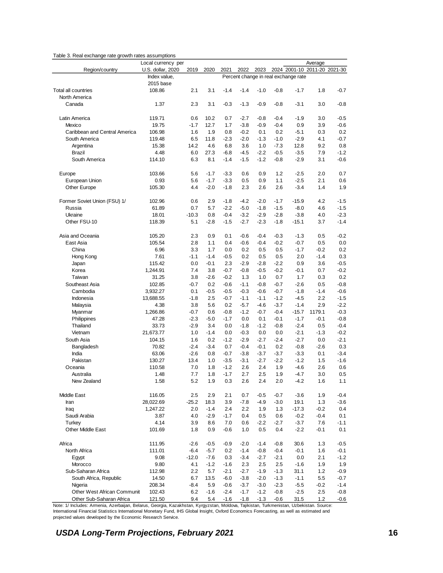|                               | Local currency per |         |        |        |        |        |        |                                      | Average |        |
|-------------------------------|--------------------|---------|--------|--------|--------|--------|--------|--------------------------------------|---------|--------|
| Region/country                | U.S. dollar, 2020  | 2019    | 2020   | 2021   | 2022   | 2023   |        | 2024 2001-10 2011-20 2021-30         |         |        |
|                               | Index value,       |         |        |        |        |        |        | Percent change in real exchange rate |         |        |
|                               | 2015 base          |         |        |        |        |        |        |                                      |         |        |
| Total all countries           | 108.86             | 2.1     | 3.1    | $-1.4$ | $-1.4$ | $-1.0$ | $-0.8$ | $-1.7$                               | 1.8     | $-0.7$ |
| North America                 |                    |         |        |        |        |        |        |                                      |         |        |
| Canada                        | 1.37               | 2.3     | 3.1    | $-0.3$ | $-1.3$ | $-0.9$ | $-0.8$ | $-3.1$                               | 3.0     | $-0.8$ |
|                               |                    |         |        |        |        |        |        |                                      |         |        |
| Latin America                 | 119.71             | 0.6     | 10.2   | 0.7    | $-2.7$ | $-0.8$ | $-0.4$ | $-1.9$                               | 3.0     | $-0.5$ |
| Mexico                        | 19.75              | $-1.7$  | 12.7   | 1.7    | $-3.8$ | $-0.9$ | $-0.4$ | 0.9                                  | 3.9     | $-0.6$ |
| Caribbean and Central America | 106.98             | 1.6     | 1.9    | 0.8    | $-0.2$ | 0.1    | 0.2    | $-5.1$                               | 0.3     | 0.2    |
| South America                 | 119.48             | 6.5     | 11.8   | $-2.3$ | $-2.0$ | $-1.3$ | $-1.0$ | $-2.9$                               | 4.1     | $-0.7$ |
| Argentina                     | 15.38              | 14.2    | 4.6    | 6.8    | 3.6    | 1.0    | $-7.3$ | 12.8                                 | 9.2     | 0.8    |
| <b>Brazil</b>                 | 4.48               | 6.0     | 27.3   | $-6.8$ | $-4.5$ | $-2.2$ | $-0.5$ | $-3.5$                               | 7.9     | $-1.2$ |
| South America                 | 114.10             | 6.3     | 8.1    | $-1.4$ | $-1.5$ | $-1.2$ | $-0.8$ | $-2.9$                               | 3.1     | $-0.6$ |
|                               |                    |         |        |        |        |        |        |                                      |         |        |
| Europe                        | 103.66             | 5.6     | $-1.7$ | $-3.3$ | 0.6    | 0.9    | 1.2    | $-2.5$                               | 2.0     | 0.7    |
| European Union                | 0.93               | 5.6     | $-1.7$ | $-3.3$ | 0.5    | 0.9    | 1.1    | $-2.5$                               | 2.1     | 0.6    |
| Other Europe                  | 105.30             | 4.4     | $-2.0$ | $-1.8$ | 2.3    | 2.6    | 2.6    | $-3.4$                               | 1.4     | 1.9    |
|                               |                    |         |        |        |        |        |        |                                      |         |        |
| Former Soviet Union (FSU) 1/  | 102.96             | 0.6     | 2.9    | $-1.8$ | $-4.2$ | $-2.0$ | $-1.7$ | $-15.9$                              | 4.2     | $-1.5$ |
| Russia                        | 61.89              | 0.7     | 5.7    | $-2.2$ | $-5.0$ | $-1.8$ | $-1.5$ | $-8.0$                               | 4.6     | $-1.5$ |
| Ukraine                       | 18.01              | $-10.3$ | 0.8    | $-0.4$ | $-3.2$ | $-2.9$ | $-2.8$ | $-3.8$                               | 4.0     | $-2.3$ |
| Other FSU-10                  | 118.39             | 5.1     | $-2.8$ | $-1.5$ | $-2.7$ | $-2.3$ | $-1.8$ | $-15.1$                              | 3.7     | $-1.4$ |
|                               |                    |         |        |        |        |        |        |                                      |         |        |
| Asia and Oceania              | 105.20             | 2.3     | 0.9    | 0.1    | $-0.6$ | $-0.4$ | $-0.3$ | $-1.3$                               | 0.5     | $-0.2$ |
| East Asia                     | 105.54             | 2.8     | 1.1    | 0.4    | $-0.6$ | $-0.4$ | $-0.2$ | $-0.7$                               | 0.5     | 0.0    |
| China                         | 6.96               | 3.3     | 1.7    | 0.0    | 0.2    | 0.5    | 0.5    | $-1.7$                               | $-0.2$  | 0.2    |
| Hong Kong                     | 7.61               | $-1.1$  | $-1.4$ | $-0.5$ | 0.2    | 0.5    | 0.5    | 2.0                                  | $-1.4$  | 0.3    |
| Japan                         | 115.42             | 0.0     | $-0.1$ | 2.3    | $-2.9$ | -2.8   | $-2.2$ | 0.9                                  | 3.6     | $-0.5$ |
| Korea                         | 1,244.91           | 7.4     | 3.8    | $-0.7$ | $-0.8$ | $-0.5$ | $-0.2$ | $-0.1$                               | 0.7     | $-0.2$ |
| Taiwan                        | 31.25              | 3.8     | $-2.6$ | $-0.2$ | 1.3    | 1.0    | 0.7    | 1.7                                  | 0.3     | 0.2    |
| Southeast Asia                | 102.85             | $-0.7$  | 0.2    | $-0.6$ | $-1.1$ | $-0.8$ | $-0.7$ | $-2.6$                               | 0.5     | $-0.8$ |
| Cambodia                      | 3,932.27           | 0.1     | $-0.5$ | $-0.5$ | $-0.3$ | $-0.6$ | $-0.7$ | $-1.8$                               | $-1.4$  | $-0.6$ |
| Indonesia                     | 13,688.55          | $-1.8$  | 2.5    | $-0.7$ | $-1.1$ | $-1.1$ | $-1.2$ | $-4.5$                               | 2.2     | $-1.5$ |
| Malaysia                      | 4.38               | 3.8     | 5.6    | 0.2    | $-5.7$ | $-4.6$ | $-3.7$ | $-1.4$                               | 2.9     | $-2.2$ |
| Myanmar                       | 1,266.86           | $-0.7$  | 0.6    | $-0.8$ | $-1.2$ | $-0.7$ | $-0.4$ | $-15.7$                              | 1179.1  | $-0.3$ |
| Philippines                   | 47.28              | $-2.3$  | $-5.0$ | $-1.7$ | 0.0    | 0.1    | $-0.1$ | $-1.7$                               | $-0.1$  | $-0.8$ |
| Thailand                      | 33.73              | $-2.9$  | 3.4    | 0.0    | $-1.8$ | $-1.2$ | $-0.8$ | $-2.4$                               | 0.5     | $-0.4$ |
| Vietnam                       | 21,673.77          | 1.0     | $-1.4$ | 0.0    | $-0.3$ | 0.0    | 0.0    | $-2.1$                               | $-1.3$  | $-0.2$ |
| South Asia                    | 104.15             | 1.6     | 0.2    | $-1.2$ | $-2.9$ | $-2.7$ | $-2.4$ | $-2.7$                               | 0.0     | $-2.1$ |
| Bangladesh                    | 70.82              | $-2.4$  | $-3.4$ | 0.7    | $-0.4$ | $-0.1$ | 0.2    | $-0.8$                               | $-2.6$  | 0.3    |
| India                         | 63.06              | $-2.6$  | 0.8    | $-0.7$ | $-3.8$ | $-3.7$ | $-3.7$ | $-3.3$                               | 0.1     | $-3.4$ |
| Pakistan                      | 130.27             | 13.4    | 1.0    | $-3.5$ | $-3.1$ | $-2.7$ | $-2.2$ | $-1.2$                               | 1.5     | $-1.6$ |
| Oceania                       | 110.58             | 7.0     | 1.8    | $-1.2$ | 2.6    | 2.4    | 1.9    | $-4.6$                               | 2.6     | 0.6    |
| Australia                     | 1.48               | 7.7     | 1.8    | $-1.7$ | 2.7    | 2.5    | 1.9    | $-4.7$                               | 3.0     | 0.5    |
| New Zealand                   | 1.58               | 5.2     | 1.9    | 0.3    | 2.6    | 2.4    | 2.0    | $-4.2$                               | 1.6     | 1.1    |
|                               |                    |         |        |        |        |        |        |                                      |         |        |
| Middle East                   | 116.05             | 2.5     | 2.9    | 2.1    | 0.7    | $-0.5$ | $-0.7$ | $-3.6$                               | 1.9     | $-0.4$ |
| Iran                          | 28,022.69          | $-25.2$ | 18.3   | 3.9    | -7.8   | -4.9   | $-3.0$ | 19.1                                 | 1.3     | $-3.6$ |
| Iraq                          | 1,247.22           | 2.0     | $-1.4$ | 2.4    | 2.2    | 1.9    | 1.3    | $-17.3$                              | $-0.2$  | 0.4    |
| Saudi Arabia                  | 3.87               | 4.0     | $-2.9$ | $-1.7$ | 0.4    | 0.5    | 0.6    | $-0.2$                               | $-0.4$  | 0.1    |
| Turkey                        | 4.14               | 3.9     | 8.6    | 7.0    | 0.6    | -2.2   | $-2.7$ | $-3.7$                               | 7.6     | $-1.1$ |
| Other Middle East             | 101.69             | 1.8     | 0.9    | $-0.6$ | 1.0    | 0.5    | 0.4    | $-2.2$                               | $-0.1$  | 0.1    |
|                               |                    |         |        |        |        |        |        |                                      |         |        |
| Africa                        | 111.95             | $-2.6$  | $-0.5$ | $-0.9$ | $-2.0$ | $-1.4$ | $-0.8$ | 30.6                                 | 1.3     | $-0.5$ |
| North Africa                  | 111.01             | $-6.4$  | $-5.7$ | 0.2    | $-1.4$ | $-0.8$ | $-0.4$ | $-0.1$                               | 1.6     | $-0.1$ |
| Egypt                         | 9.08               | $-12.0$ | $-7.6$ | 0.3    | $-3.4$ | $-2.7$ | $-2.1$ | 0.0                                  | 2.1     | $-1.2$ |
| Morocco                       | 9.80               | 4.1     | $-1.2$ | $-1.6$ | 2.3    | 2.5    | 2.5    | $-1.6$                               | 1.9     | 1.9    |
| Sub-Saharan Africa            | 112.98             | 2.2     | 5.7    | $-2.1$ | $-2.7$ | $-1.9$ | $-1.3$ | 31.1                                 | 1.2     | -0.9   |
| South Africa, Republic        | 14.50              | 6.7     | 13.5   | $-6.0$ | $-3.8$ | $-2.0$ | $-1.3$ | $-1.1$                               | 5.5     | $-0.7$ |
| Nigeria                       | 208.34             | $-8.4$  | 5.9    | $-0.6$ | $-3.7$ | $-3.0$ | $-2.3$ | $-5.5$                               | $-0.2$  | $-1.4$ |
| Other West African Communit   | 102.43             | 6.2     | $-1.6$ | $-2.4$ | $-1.7$ | $-1.2$ | $-0.8$ | $-2.5$                               | 2.5     | -0.8   |
| Other Sub-Saharan Africa      | 121.50             | 9.4     | 5.4    | $-1.6$ | $-1.8$ | $-1.3$ | $-0.6$ | 31.5                                 | 1.2     | $-0.6$ |

<span id="page-21-0"></span>Table 3. Real exchange rate growth rates assumptions

Note: 1/ Includes: Armenia, Azerbaijan, Belarus, Georgia, Kazakhstan, Kyrgyzstan, Moldova, Tajikistan, Turkmenistan, Uzbekistan. Source: International Financial Statistics International Monetary Fund, IHS Global Insight, Oxford Economics Forecasting, as well as estimated and projected values developed by the Economic Research Service.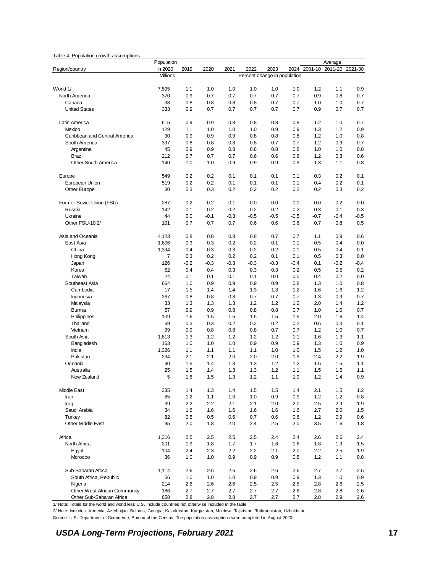#### <span id="page-22-0"></span>Table 4. Population growth assumptions

|                               | Population     |            |            |            |                              |            |            |            | Average    |            |
|-------------------------------|----------------|------------|------------|------------|------------------------------|------------|------------|------------|------------|------------|
| Region/country                | in 2020        | 2019       | 2020       | 2021       | 2022                         | 2023       | 2024       | 2001-10    | 2011-20    | 2021-30    |
|                               | Millions       |            |            |            | Percent change in population |            |            |            |            |            |
|                               |                |            |            |            |                              |            |            |            |            |            |
| World 1/                      | 7,595          | 1.1        | 1.0        | 1.0        | 1.0                          | 1.0        | 1.0        | 1.2        | 1.1        | 0.9        |
| North America                 | 370            | 0.9        | 0.7        | 0.7        | 0.7                          | 0.7        | 0.7        | 0.9        | 0.8        | 0.7        |
| Canada                        | 38             | 0.8        | 0.8        | 0.8        | 0.8                          | 0.7        | 0.7        | 1.0        | 1.0        | 0.7        |
| <b>United States</b>          | 333            | 0.9        | 0.7        | 0.7        | 0.7                          | 0.7        | 0.7        | 0.9        | 0.7        | 0.7        |
| Latin America                 | 615            | 0.9        | 0.9        | 0.8        | 0.8                          | 0.8        | 0.8        | 1.2        | 1.0        | 0.7        |
| Mexico                        | 129            | 1.1        | 1.0        | 1.0        | 1.0                          | 0.9        | 0.9        | 1.3        | 1.2        | 0.9        |
| Caribbean and Central America | 90             | 0.9        | 0.9        | 0.9        | 0.8                          | 0.8        | 0.8        | 1.2        | 1.0        | 0.8        |
| South America                 | 397            | 0.8        | 0.8        | 0.8        | 0.8                          | 0.7        | 0.7        | 1.2        | 0.9        | 0.7        |
| Argentina                     | 45             | 0.9        | 0.9        | 0.8        | 0.8                          | 0.8        | 0.8        | 1.0        | 1.0        | 0.8        |
| <b>Brazil</b>                 | 212            | 0.7        | 0.7        | 0.7        | 0.6                          | 0.6        | 0.6        | 1.2        | 0.8        | 0.6        |
| Other South America           | 140            | 1.0        | 1.0        | 0.9        | 0.9                          | 0.9        | 0.9        | 1.3        | 1.1        | 0.8        |
| Europe                        | 549            | 0.2        | 0.2        | 0.1        | 0.1                          | 0.1        | 0.1        | 0.3        | 0.2        | 0.1        |
| European Union                | 519            | 0.2        | 0.2        | 0.1        | 0.1                          | 0.1        | 0.1        | 0.4        | 0.2        | 0.1        |
| Other Europe                  | 30             | 0.3        | 0.3        | 0.2        | 0.2                          | 0.2        | 0.2        | 0.2        | 0.3        | 0.2        |
|                               |                |            |            |            |                              |            |            |            |            |            |
| Former Soviet Union (FSU)     | 287            | 0.2        | 0.2        | 0.1        | 0.0                          | 0.0        | 0.0        | 0.0        | 0.2        | 0.0        |
| Russia                        | 142            | $-0.1$     | $-0.2$     | $-0.2$     | $-0.2$                       | $-0.2$     | $-0.2$     | $-0.3$     | $-0.1$     | $-0.3$     |
| Ukraine                       | 44             | 0.0        | $-0.1$     | $-0.3$     | $-0.5$                       | $-0.5$     | $-0.5$     | $-0.7$     | $-0.4$     | $-0.5$     |
| Other FSU-10 2/               | 101            | 0.7        | 0.7        | 0.7        | 0.6                          | 0.6        | 0.6        | 0.7        | 0.8        | 0.5        |
| Asia and Oceania              | 4,123          | 0.8        | 0.8        | 0.8        | 0.8                          | 0.7        | 0.7        | 1.1        | 0.9        | 0.6        |
| East Asia                     | 1,606          | 0.3        | 0.3        | 0.2        | 0.2                          | 0.1        | 0.1        | 0.5        | 0.4        | 0.0        |
| China                         | 1,394          | 0.4        | 0.3        | 0.3        | 0.2                          | 0.2        | 0.1        | 0.5        | 0.4        | 0.1        |
| Hong Kong                     | $\overline{7}$ | 0.3        | 0.2        | 0.2        | 0.2                          | 0.1        | 0.1        | 0.5        | 0.3        | 0.0        |
| Japan                         | 126            | $-0.2$     | $-0.3$     | $-0.3$     | $-0.3$                       | $-0.3$     | $-0.4$     | 0.1        | $-0.2$     | $-0.4$     |
| Korea                         | 52             | 0.4        | 0.4        | 0.3        | 0.3                          | 0.3        | 0.2        | 0.5        | 0.5        | 0.2        |
| Taiwan                        | 24             | 0.1        | 0.1        | 0.1        | 0.1                          | 0.0        | 0.0        | 0.4        | 0.2        | 0.0        |
| Southeast Asia                | 664            | 1.0        | 0.9        | 0.9        | 0.9                          | 0.9        | 0.8        | 1.3        | 1.0        | 0.8        |
| Cambodia                      | 17             | 1.5        | 1.4        | 1.4        | 1.3                          | 1.3        | 1.2        | 1.6        | 1.6        | 1.2        |
| Indonesia                     | 267            | 0.8        | 0.8        | 0.8        | 0.7                          | 0.7        | 0.7        | 1.3        | 0.9        | 0.7        |
| Malaysia                      | 33             | 1.3        | 1.3        | 1.3        | 1.2                          | 1.2        | 1.2        | 2.0        | 1.4        | 1.2        |
| <b>Burma</b>                  | 57             | 0.9        | 0.9        | 0.8        | 0.8                          | 0.8        | 0.7        | 1.0        | 1.0        | 0.7        |
| Philippines                   | 109            | 1.6        | 1.5        | 1.5        | 1.5                          | 1.5        | 1.5        | 2.0        | 1.6        | 1.4        |
| Thailand                      | 69             | 0.3        | 0.3        | 0.2        | 0.2                          | 0.2        | 0.2        | 0.6        | 0.3        | 0.1        |
| Vietnam                       | 99             | 0.9        | 0.8        | 0.8        | 0.8                          | 0.7        | 0.7        | 1.2        | 1.0        | 0.7        |
| South Asia                    | 1,813          | 1.3        | 1.2        | 1.2        | 1.2                          | 1.2        | 1.1        | 1.6        | 1.3        | 1.1        |
| Bangladesh                    | 163            | 1.0        | 1.0        | 1.0        | 0.9                          | 0.9        | 0.9        | 1.3        | 1.0        | 0.9        |
| India                         | 1,326          | 1.1        | 1.1        | 1.1        | 1.1                          | 1.0        | 1.0        | 1.5        | 1.2        | 1.0        |
| Pakistan                      | 234            | 2.1        | 2.1        | 2.0        | 2.0                          | 2.0        | 1.9        | 2.4        | 2.2        | 1.9        |
| Oceania                       | 40             | 1.5        | 1.4        | 1.3        | 1.3                          | 1.2        | 1.2        | 1.6        | 1.5        | 1.1        |
| Australia<br>New Zealand      | 25<br>5        | 1.5<br>1.6 | 1.4<br>1.5 | 1.3<br>1.3 | 1.3<br>1.2                   | 1.2<br>1.1 | 1.1<br>1.0 | 1.5<br>1.2 | 1.5<br>1.4 | 1.1<br>0.9 |
|                               |                |            |            |            |                              |            |            |            |            |            |
| Middle East                   | 335            | 1.4        | 1.3        | 1.4        | 1.5                          | 1.5        | 1.4        | 2.1        | 1.5        | 1.2        |
| Iran                          | 85             | 1.2        | 1.1        | 1.0        | 1.0                          | 0.9        | 0.9        | 1.2        | 1.2        | 0.8        |
| Iraq                          | 39             | 2.2        | 2.2        | 2.1        | 2.1                          | 2.0        | 2.0        | 2.5        | 2.9        | 1.9        |
| Saudi Arabia                  | 34             | 1.6        | 1.6        | 1.6        | 1.6                          | 1.6        | 1.6        | 2.7        | 2.0        | 1.5        |
| Turkey                        | 82             | 0.5        | 0.5        | 0.6        | 0.7                          | 0.6        | 0.6        | 1.2        | 0.9        | 0.6        |
| Other Middle East             | 95             | 2.0        | 1.8        | 2.0        | 2.4                          | $2.5\,$    | 2.0        | 3.5        | 1.6        | 1.8        |
| Africa                        | 1,316          | 2.5        | 2.5        | 2.5        | 2.5                          | 2.4        | 2.4        | 2.6        | 2.6        | 2.4        |
| North Africa                  | 201            | 1.9        | 1.8        | 1.7        | 1.7                          | 1.6        | 1.6        | 1.8        | 1.9        | 1.5        |
| Egypt                         | 104            | 2.4        | 2.3        | 2.2        | 2.2                          | 2.1        | 2.0        | 2.2        | 2.5        | 1.9        |
| Morocco                       | 36             | 1.0        | 1.0        | 0.9        | 0.9                          | 0.9        | 0.8        | 1.2        | 1.1        | 0.8        |
| Sub-Saharan Africa            | 1,114          | 2.6        | 2.6        | 2.6        | 2.6                          | 2.6        | 2.6        | 2.7        | 2.7        | 2.5        |
| South Africa, Republic        | 56             | 1.0        | 1.0        | 1.0        | 0.9                          | 0.9        | 0.9        | 1.3        | 1.0        | 0.9        |
| Nigeria                       | 214            | 2.6        | 2.6        | 2.6        | 2.5                          | 2.5        | 2.5        | 2.8        | 2.6        | 2.5        |
| Other West African Community  | 186            | 2.7        | 2.7        | 2.7        | 2.7                          | 2.7        | 2.6        | 2.8        | 2.8        | 2.6        |
| Other Sub-Saharan Africa      | 658            | 2.8        | 2.8        | 2.8        | 2.7                          | 2.7        | 2.7        | 2.8        | 2.9        | 2.6        |

1/ Note: Totals for the world and world less U.S. include countries not otherwise included in the table.

2/ Note: Includes: Armenia, Azerbaijan, Belarus, Georgia, Kazakhstan, Kyrgyzstan, Moldova, Tajikistan, Turkmenistan, Uzbekistan.

Source: U.S. Department of Commerce, Bureau of the Census. The population assumptions were completed in August 2020.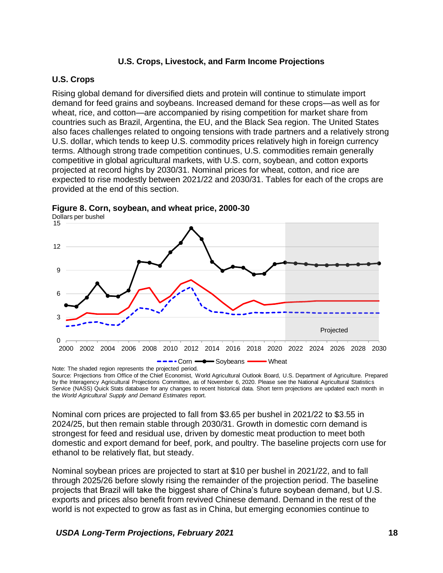#### **U.S. Crops, Livestock, and Farm Income Projections**

#### <span id="page-23-1"></span><span id="page-23-0"></span>**U.S. Crops**

Rising global demand for diversified diets and protein will continue to stimulate import demand for feed grains and soybeans. Increased demand for these crops—as well as for wheat, rice, and cotton—are accompanied by rising competition for market share from countries such as Brazil, Argentina, the EU, and the Black Sea region. The United States also faces challenges related to ongoing tensions with trade partners and a relatively strong U.S. dollar, which tends to keep U.S. commodity prices relatively high in foreign currency terms. Although strong trade competition continues, U.S. commodities remain generally competitive in global agricultural markets, with U.S. corn, soybean, and cotton exports projected at record highs by 2030/31. Nominal prices for wheat, cotton, and rice are expected to rise modestly between 2021/22 and 2030/31. Tables for each of the crops are provided at the end of this section.



<span id="page-23-2"></span>**Figure 8. Corn, soybean, and wheat price, 2000-30** Dollars per bushel

Source: Projections from Office of the Chief Economist, World Agricultural Outlook Board, U.S. Department of Agriculture. Prepared by the Interagency Agricultural Projections Committee, as of November 6, 2020. Please see the National Agricultural Statistics Service (NASS) Quick Stats database for any changes to recent historical data. Short term projections are updated each month in the *World Agricultural Supply and Demand Estimates* report.

Nominal corn prices are projected to fall from \$3.65 per bushel in 2021/22 to \$3.55 in 2024/25, but then remain stable through 2030/31. Growth in domestic corn demand is strongest for feed and residual use, driven by domestic meat production to meet both domestic and export demand for beef, pork, and poultry. The baseline projects corn use for ethanol to be relatively flat, but steady.

Nominal soybean prices are projected to start at \$10 per bushel in 2021/22, and to fall through 2025/26 before slowly rising the remainder of the projection period. The baseline projects that Brazil will take the biggest share of China's future soybean demand, but U.S. exports and prices also benefit from revived Chinese demand. Demand in the rest of the world is not expected to grow as fast as in China, but emerging economies continue to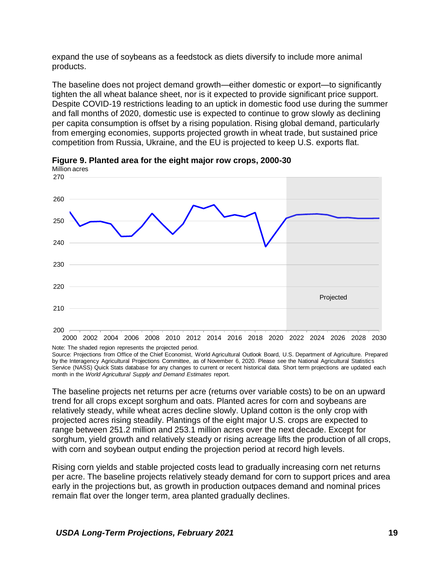expand the use of soybeans as a feedstock as diets diversify to include more animal products.

The baseline does not project demand growth—either domestic or export—to significantly tighten the all wheat balance sheet, nor is it expected to provide significant price support. Despite COVID-19 restrictions leading to an uptick in domestic food use during the summer and fall months of 2020, domestic use is expected to continue to grow slowly as declining per capita consumption is offset by a rising population. Rising global demand, particularly from emerging economies, supports projected growth in wheat trade, but sustained price competition from Russia, Ukraine, and the EU is projected to keep U.S. exports flat.



<span id="page-24-0"></span>**Figure 9. Planted area for the eight major row crops, 2000-30**

Note: The shaded region represents the projected period. Source: Projections from Office of the Chief Economist, World Agricultural Outlook Board, U.S. Department of Agriculture. Prepared by the Interagency Agricultural Projections Committee, as of November 6, 2020. Please see the National Agricultural Statistics Service (NASS) Quick Stats database for any changes to current or recent historical data. Short term projections are updated each month in the *World Agricultural Supply and Demand Estimates* report.

The baseline projects net returns per acre (returns over variable costs) to be on an upward trend for all crops except sorghum and oats. Planted acres for corn and soybeans are relatively steady, while wheat acres decline slowly. Upland cotton is the only crop with projected acres rising steadily. Plantings of the eight major U.S. crops are expected to range between 251.2 million and 253.1 million acres over the next decade. Except for sorghum, yield growth and relatively steady or rising acreage lifts the production of all crops, with corn and soybean output ending the projection period at record high levels.

Rising corn yields and stable projected costs lead to gradually increasing corn net returns per acre. The baseline projects relatively steady demand for corn to support prices and area early in the projections but, as growth in production outpaces demand and nominal prices remain flat over the longer term, area planted gradually declines.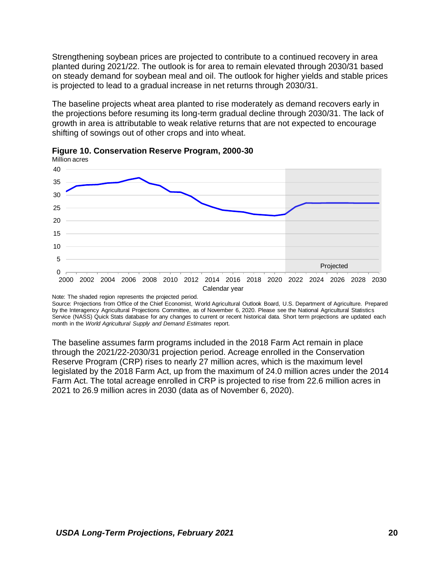Strengthening soybean prices are projected to contribute to a continued recovery in area planted during 2021/22. The outlook is for area to remain elevated through 2030/31 based on steady demand for soybean meal and oil. The outlook for higher yields and stable prices is projected to lead to a gradual increase in net returns through 2030/31.

The baseline projects wheat area planted to rise moderately as demand recovers early in the projections before resuming its long-term gradual decline through 2030/31. The lack of growth in area is attributable to weak relative returns that are not expected to encourage shifting of sowings out of other crops and into wheat.



<span id="page-25-0"></span>

Note: The shaded region represents the projected period.

Source: Projections from Office of the Chief Economist, World Agricultural Outlook Board, U.S. Department of Agriculture. Prepared by the Interagency Agricultural Projections Committee, as of November 6, 2020. Please see the National Agricultural Statistics Service (NASS) Quick Stats database for any changes to current or recent historical data. Short term projections are updated each month in the *World Agricultural Supply and Demand Estimates* report.

The baseline assumes farm programs included in the 2018 Farm Act remain in place through the 2021/22-2030/31 projection period. Acreage enrolled in the Conservation Reserve Program (CRP) rises to nearly 27 million acres, which is the maximum level legislated by the 2018 Farm Act, up from the maximum of 24.0 million acres under the 2014 Farm Act. The total acreage enrolled in CRP is projected to rise from 22.6 million acres in 2021 to 26.9 million acres in 2030 (data as of November 6, 2020).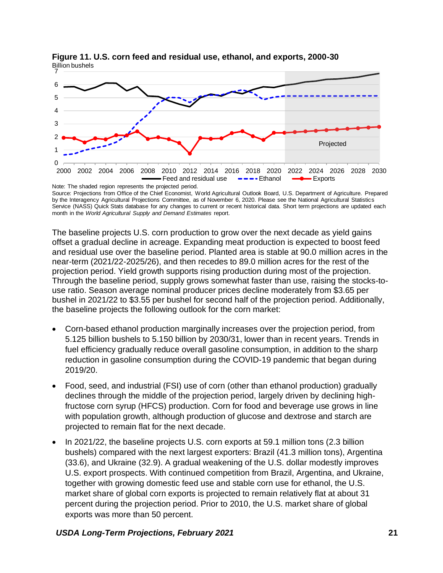

<span id="page-26-0"></span>**Figure 11. U.S. corn feed and residual use, ethanol, and exports, 2000-30** Billion bushels

Source: Projections from Office of the Chief Economist, World Agricultural Outlook Board, U.S. Department of Agriculture. Prepared by the Interagency Agricultural Projections Committee, as of November 6, 2020. Please see the National Agricultural Statistics Service (NASS) Quick Stats database for any changes to current or recent historical data. Short term projections are updated each month in the *World Agricultural Supply and Demand Estimates* report.

The baseline projects U.S. corn production to grow over the next decade as yield gains offset a gradual decline in acreage. Expanding meat production is expected to boost feed and residual use over the baseline period. Planted area is stable at 90.0 million acres in the near-term (2021/22-2025/26), and then recedes to 89.0 million acres for the rest of the projection period. Yield growth supports rising production during most of the projection. Through the baseline period, supply grows somewhat faster than use, raising the stocks-touse ratio. Season average nominal producer prices decline moderately from \$3.65 per bushel in 2021/22 to \$3.55 per bushel for second half of the projection period. Additionally, the baseline projects the following outlook for the corn market:

- Corn-based ethanol production marginally increases over the projection period, from 5.125 billion bushels to 5.150 billion by 2030/31, lower than in recent years. Trends in fuel efficiency gradually reduce overall gasoline consumption, in addition to the sharp reduction in gasoline consumption during the COVID-19 pandemic that began during 2019/20.
- Food, seed, and industrial (FSI) use of corn (other than ethanol production) gradually declines through the middle of the projection period, largely driven by declining highfructose corn syrup (HFCS) production. Corn for food and beverage use grows in line with population growth, although production of glucose and dextrose and starch are projected to remain flat for the next decade.
- In 2021/22, the baseline projects U.S. corn exports at 59.1 million tons (2.3 billion bushels) compared with the next largest exporters: Brazil (41.3 million tons), Argentina (33.6), and Ukraine (32.9). A gradual weakening of the U.S. dollar modestly improves U.S. export prospects. With continued competition from Brazil, Argentina, and Ukraine, together with growing domestic feed use and stable corn use for ethanol, the U.S. market share of global corn exports is projected to remain relatively flat at about 31 percent during the projection period. Prior to 2010, the U.S. market share of global exports was more than 50 percent.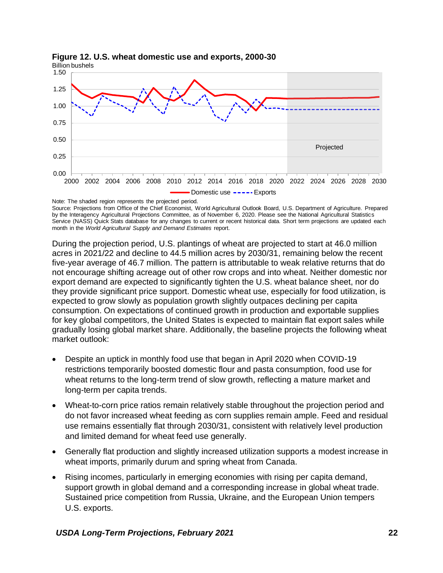

# <span id="page-27-0"></span>**Figure 12. U.S. wheat domestic use and exports, 2000-30**

Note: The shaded region represents the projected period. Source: Projections from Office of the Chief Economist, World Agricultural Outlook Board, U.S. Department of Agriculture. Prepared by the Interagency Agricultural Projections Committee, as of November 6, 2020. Please see the National Agricultural Statistics Service (NASS) Quick Stats database for any changes to current or recent historical data. Short term projections are updated each month in the *World Agricultural Supply and Demand Estimates* report.

During the projection period, U.S. plantings of wheat are projected to start at 46.0 million acres in 2021/22 and decline to 44.5 million acres by 2030/31, remaining below the recent five-year average of 46.7 million. The pattern is attributable to weak relative returns that do not encourage shifting acreage out of other row crops and into wheat. Neither domestic nor export demand are expected to significantly tighten the U.S. wheat balance sheet, nor do they provide significant price support. Domestic wheat use, especially for food utilization, is expected to grow slowly as population growth slightly outpaces declining per capita consumption. On expectations of continued growth in production and exportable supplies for key global competitors, the United States is expected to maintain flat export sales while gradually losing global market share. Additionally, the baseline projects the following wheat market outlook:

- Despite an uptick in monthly food use that began in April 2020 when COVID-19 restrictions temporarily boosted domestic flour and pasta consumption, food use for wheat returns to the long-term trend of slow growth, reflecting a mature market and long-term per capita trends.
- Wheat-to-corn price ratios remain relatively stable throughout the projection period and do not favor increased wheat feeding as corn supplies remain ample. Feed and residual use remains essentially flat through 2030/31, consistent with relatively level production and limited demand for wheat feed use generally.
- Generally flat production and slightly increased utilization supports a modest increase in wheat imports, primarily durum and spring wheat from Canada.
- Rising incomes, particularly in emerging economies with rising per capita demand, support growth in global demand and a corresponding increase in global wheat trade. Sustained price competition from Russia, Ukraine, and the European Union tempers U.S. exports.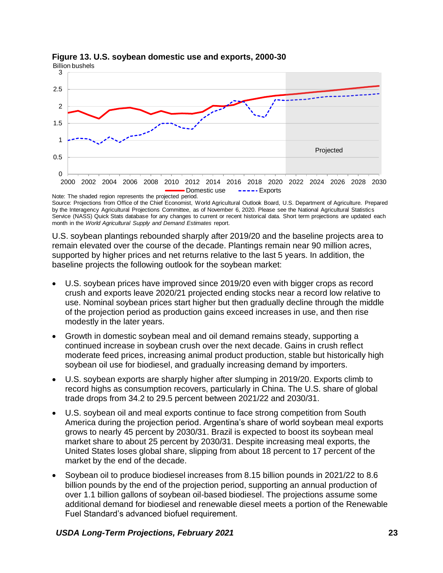

#### <span id="page-28-0"></span>**Figure 13. U.S. soybean domestic use and exports, 2000-30** Billion bushels

Note: The shaded region represents the projected period. Source: Projections from Office of the Chief Economist, World Agricultural Outlook Board, U.S. Department of Agriculture. Prepared by the Interagency Agricultural Projections Committee, as of November 6, 2020. Please see the National Agricultural Statistics Service (NASS) Quick Stats database for any changes to current or recent historical data. Short term projections are updated each month in the *World Agricultural Supply and Demand Estimates* report.

U.S. soybean plantings rebounded sharply after 2019/20 and the baseline projects area to remain elevated over the course of the decade. Plantings remain near 90 million acres, supported by higher prices and net returns relative to the last 5 years. In addition, the baseline projects the following outlook for the soybean market:

- U.S. soybean prices have improved since 2019/20 even with bigger crops as record crush and exports leave 2020/21 projected ending stocks near a record low relative to use. Nominal soybean prices start higher but then gradually decline through the middle of the projection period as production gains exceed increases in use, and then rise modestly in the later years.
- Growth in domestic soybean meal and oil demand remains steady, supporting a continued increase in soybean crush over the next decade. Gains in crush reflect moderate feed prices, increasing animal product production, stable but historically high soybean oil use for biodiesel, and gradually increasing demand by importers.
- U.S. soybean exports are sharply higher after slumping in 2019/20. Exports climb to record highs as consumption recovers, particularly in China. The U.S. share of global trade drops from 34.2 to 29.5 percent between 2021/22 and 2030/31.
- U.S. soybean oil and meal exports continue to face strong competition from South America during the projection period. Argentina's share of world soybean meal exports grows to nearly 45 percent by 2030/31. Brazil is expected to boost its soybean meal market share to about 25 percent by 2030/31. Despite increasing meal exports, the United States loses global share, slipping from about 18 percent to 17 percent of the market by the end of the decade.
- Soybean oil to produce biodiesel increases from 8.15 billion pounds in 2021/22 to 8.6 billion pounds by the end of the projection period, supporting an annual production of over 1.1 billion gallons of soybean oil-based biodiesel. The projections assume some additional demand for biodiesel and renewable diesel meets a portion of the Renewable Fuel Standard's advanced biofuel requirement.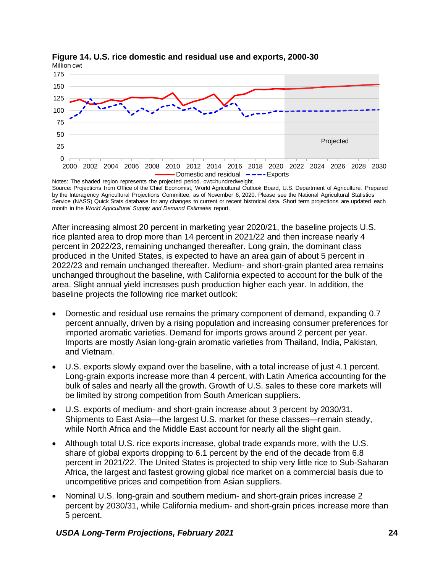

#### <span id="page-29-0"></span>**Figure 14. U.S. rice domestic and residual use and exports, 2000-30** Million cwt

Notes: The shaded region represents the projected period. cwt=hundredweight. Source: Projections from Office of the Chief Economist, World Agricultural Outlook Board, U.S. Department of Agriculture. Prepared by the Interagency Agricultural Projections Committee, as of November 6, 2020. Please see the National Agricultural Statistics Service (NASS) Quick Stats database for any changes to current or recent historical data. Short term projections are updated each month in the *World Agricultural Supply and Demand Estimates* report.

After increasing almost 20 percent in marketing year 2020/21, the baseline projects U.S. rice planted area to drop more than 14 percent in 2021/22 and then increase nearly 4 percent in 2022/23, remaining unchanged thereafter. Long grain, the dominant class produced in the United States, is expected to have an area gain of about 5 percent in 2022/23 and remain unchanged thereafter. Medium- and short-grain planted area remains unchanged throughout the baseline, with California expected to account for the bulk of the area. Slight annual yield increases push production higher each year. In addition, the baseline projects the following rice market outlook:

- Domestic and residual use remains the primary component of demand, expanding 0.7 percent annually, driven by a rising population and increasing consumer preferences for imported aromatic varieties. Demand for imports grows around 2 percent per year. Imports are mostly Asian long-grain aromatic varieties from Thailand, India, Pakistan, and Vietnam.
- U.S. exports slowly expand over the baseline, with a total increase of just 4.1 percent. Long-grain exports increase more than 4 percent, with Latin America accounting for the bulk of sales and nearly all the growth. Growth of U.S. sales to these core markets will be limited by strong competition from South American suppliers.
- U.S. exports of medium- and short-grain increase about 3 percent by 2030/31. Shipments to East Asia—the largest U.S. market for these classes—remain steady, while North Africa and the Middle East account for nearly all the slight gain.
- Although total U.S. rice exports increase, global trade expands more, with the U.S. share of global exports dropping to 6.1 percent by the end of the decade from 6.8 percent in 2021/22. The United States is projected to ship very little rice to Sub-Saharan Africa, the largest and fastest growing global rice market on a commercial basis due to uncompetitive prices and competition from Asian suppliers.
- Nominal U.S. long-grain and southern medium- and short-grain prices increase 2 percent by 2030/31, while California medium- and short-grain prices increase more than 5 percent.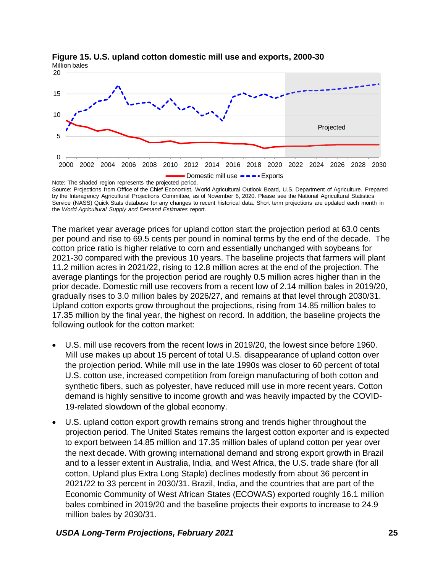

<span id="page-30-0"></span>**Figure 15. U.S. upland cotton domestic mill use and exports, 2000-30** Million bales

Note: The shaded region represents the projected period. Source: Projections from Office of the Chief Economist, World Agricultural Outlook Board, U.S. Department of Agriculture. Prepared by the Interagency Agricultural Projections Committee, as of November 6, 2020. Please see the National Agricultural Statistics Service (NASS) Quick Stats database for any changes to recent historical data. Short term projections are updated each month in the *World Agricultural Supply and Demand Estimates* report.

The market year average prices for upland cotton start the projection period at 63.0 cents per pound and rise to 69.5 cents per pound in nominal terms by the end of the decade. The cotton price ratio is higher relative to corn and essentially unchanged with soybeans for 2021-30 compared with the previous 10 years. The baseline projects that farmers will plant 11.2 million acres in 2021/22, rising to 12.8 million acres at the end of the projection. The average plantings for the projection period are roughly 0.5 million acres higher than in the prior decade. Domestic mill use recovers from a recent low of 2.14 million bales in 2019/20, gradually rises to 3.0 million bales by 2026/27, and remains at that level through 2030/31. Upland cotton exports grow throughout the projections, rising from 14.85 million bales to 17.35 million by the final year, the highest on record. In addition, the baseline projects the following outlook for the cotton market:

- U.S. mill use recovers from the recent lows in 2019/20, the lowest since before 1960. Mill use makes up about 15 percent of total U.S. disappearance of upland cotton over the projection period. While mill use in the late 1990s was closer to 60 percent of total U.S. cotton use, increased competition from foreign manufacturing of both cotton and synthetic fibers, such as polyester, have reduced mill use in more recent years. Cotton demand is highly sensitive to income growth and was heavily impacted by the COVID-19-related slowdown of the global economy.
- U.S. upland cotton export growth remains strong and trends higher throughout the projection period. The United States remains the largest cotton exporter and is expected to export between 14.85 million and 17.35 million bales of upland cotton per year over the next decade. With growing international demand and strong export growth in Brazil and to a lesser extent in Australia, India, and West Africa, the U.S. trade share (for all cotton, Upland plus Extra Long Staple) declines modestly from about 36 percent in 2021/22 to 33 percent in 2030/31. Brazil, India, and the countries that are part of the Economic Community of West African States (ECOWAS) exported roughly 16.1 million bales combined in 2019/20 and the baseline projects their exports to increase to 24.9 million bales by 2030/31.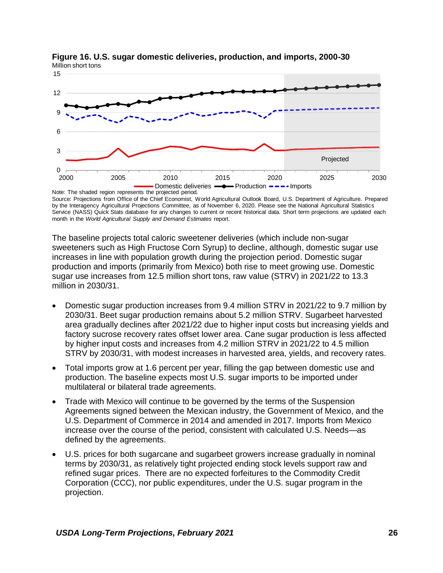

<span id="page-31-0"></span>**Figure 16. U.S. sugar domestic deliveries, production, and imports, 2000-30** Million short tons

Source: Projections from Office of the Chief Economist, World Agricultural Outlook Board, U.S. Department of Agriculture. Prepared by the Interagency Agricultural Projections Committee, as of November 6, 2020. Please see the National Agricultural Statistics Service (NASS) Quick Stats database for any changes to current or recent historical data. Short term projections are updated each month in the *World Agricultural Supply and Demand Estimates* report.

The baseline projects total caloric sweetener deliveries (which include non-sugar sweeteners such as High Fructose Corn Syrup) to decline, although, domestic sugar use increases in line with population growth during the projection period. Domestic sugar production and imports (primarily from Mexico) both rise to meet growing use. Domestic sugar use increases from 12.5 million short tons, raw value (STRV) in 2021/22 to 13.3 million in 2030/31.

- Domestic sugar production increases from 9.4 million STRV in 2021/22 to 9.7 million by 2030/31. Beet sugar production remains about 5.2 million STRV. Sugarbeet harvested area gradually declines after 2021/22 due to higher input costs but increasing yields and factory sucrose recovery rates offset lower area. Cane sugar production is less affected by higher input costs and increases from 4.2 million STRV in 2021/22 to 4.5 million STRV by 2030/31, with modest increases in harvested area, yields, and recovery rates.
- Total imports grow at 1.6 percent per year, filling the gap between domestic use and production. The baseline expects most U.S. sugar imports to be imported under multilateral or bilateral trade agreements.
- Trade with Mexico will continue to be governed by the terms of the Suspension Agreements signed between the Mexican industry, the Government of Mexico, and the U.S. Department of Commerce in 2014 and amended in 2017. Imports from Mexico increase over the course of the period, consistent with calculated U.S. Needs—as defined by the agreements.
- U.S. prices for both sugarcane and sugarbeet growers increase gradually in nominal terms by 2030/31, as relatively tight projected ending stock levels support raw and refined sugar prices. There are no expected forfeitures to the Commodity Credit Corporation (CCC), nor public expenditures, under the U.S. sugar program in the projection.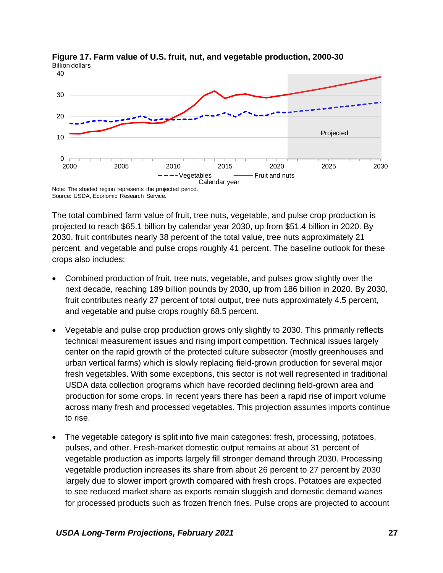

<span id="page-32-0"></span>**Figure 17. Farm value of U.S. fruit, nut, and vegetable production, 2000-30** Billion dollars

The total combined farm value of fruit, tree nuts, vegetable, and pulse crop production is projected to reach \$65.1 billion by calendar year 2030, up from \$51.4 billion in 2020. By 2030, fruit contributes nearly 38 percent of the total value, tree nuts approximately 21 percent, and vegetable and pulse crops roughly 41 percent. The baseline outlook for these crops also includes:

- Combined production of fruit, tree nuts, vegetable, and pulses grow slightly over the next decade, reaching 189 billion pounds by 2030, up from 186 billion in 2020. By 2030, fruit contributes nearly 27 percent of total output, tree nuts approximately 4.5 percent, and vegetable and pulse crops roughly 68.5 percent.
- Vegetable and pulse crop production grows only slightly to 2030. This primarily reflects technical measurement issues and rising import competition. Technical issues largely center on the rapid growth of the protected culture subsector (mostly greenhouses and urban vertical farms) which is slowly replacing field-grown production for several major fresh vegetables. With some exceptions, this sector is not well represented in traditional USDA data collection programs which have recorded declining field-grown area and production for some crops. In recent years there has been a rapid rise of import volume across many fresh and processed vegetables. This projection assumes imports continue to rise.
- The vegetable category is split into five main categories: fresh, processing, potatoes, pulses, and other. Fresh-market domestic output remains at about 31 percent of vegetable production as imports largely fill stronger demand through 2030. Processing vegetable production increases its share from about 26 percent to 27 percent by 2030 largely due to slower import growth compared with fresh crops. Potatoes are expected to see reduced market share as exports remain sluggish and domestic demand wanes for processed products such as frozen french fries. Pulse crops are projected to account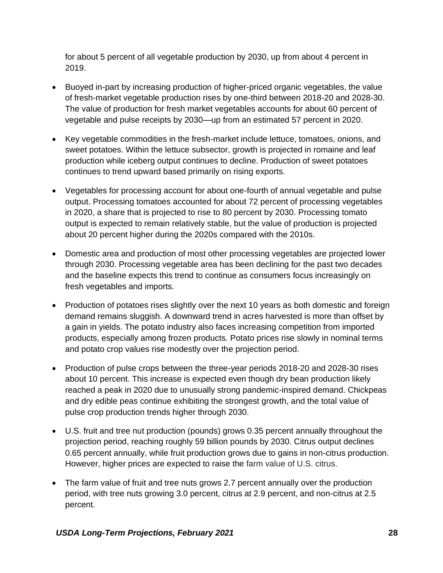for about 5 percent of all vegetable production by 2030, up from about 4 percent in 2019.

- Buoyed in-part by increasing production of higher-priced organic vegetables, the value of fresh-market vegetable production rises by one-third between 2018-20 and 2028-30. The value of production for fresh market vegetables accounts for about 60 percent of vegetable and pulse receipts by 2030—up from an estimated 57 percent in 2020.
- Key vegetable commodities in the fresh-market include lettuce, tomatoes, onions, and sweet potatoes. Within the lettuce subsector, growth is projected in romaine and leaf production while iceberg output continues to decline. Production of sweet potatoes continues to trend upward based primarily on rising exports.
- Vegetables for processing account for about one-fourth of annual vegetable and pulse output. Processing tomatoes accounted for about 72 percent of processing vegetables in 2020, a share that is projected to rise to 80 percent by 2030. Processing tomato output is expected to remain relatively stable, but the value of production is projected about 20 percent higher during the 2020s compared with the 2010s.
- Domestic area and production of most other processing vegetables are projected lower through 2030. Processing vegetable area has been declining for the past two decades and the baseline expects this trend to continue as consumers focus increasingly on fresh vegetables and imports.
- Production of potatoes rises slightly over the next 10 years as both domestic and foreign demand remains sluggish. A downward trend in acres harvested is more than offset by a gain in yields. The potato industry also faces increasing competition from imported products, especially among frozen products. Potato prices rise slowly in nominal terms and potato crop values rise modestly over the projection period.
- Production of pulse crops between the three-year periods 2018-20 and 2028-30 rises about 10 percent. This increase is expected even though dry bean production likely reached a peak in 2020 due to unusually strong pandemic-inspired demand. Chickpeas and dry edible peas continue exhibiting the strongest growth, and the total value of pulse crop production trends higher through 2030.
- U.S. fruit and tree nut production (pounds) grows 0.35 percent annually throughout the projection period, reaching roughly 59 billion pounds by 2030. Citrus output declines 0.65 percent annually, while fruit production grows due to gains in non-citrus production. However, higher prices are expected to raise the farm value of U.S. citrus.
- The farm value of fruit and tree nuts grows 2.7 percent annually over the production period, with tree nuts growing 3.0 percent, citrus at 2.9 percent, and non-citrus at 2.5 percent.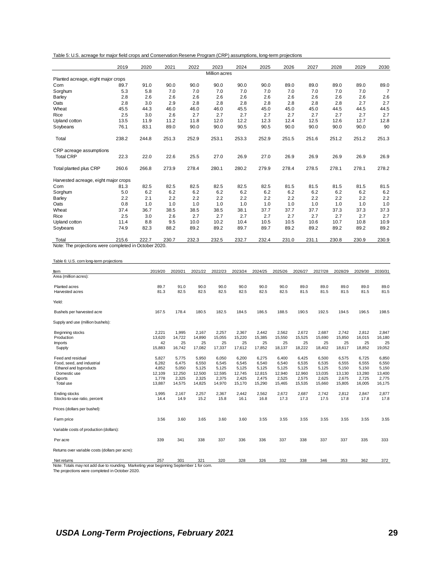|  |  |  | Table 5: U.S. acreage for major field crops and Conservation Reserve Program (CRP) assumptions, long-term projections |  |  |  |
|--|--|--|-----------------------------------------------------------------------------------------------------------------------|--|--|--|
|--|--|--|-----------------------------------------------------------------------------------------------------------------------|--|--|--|

|                                                       | 2019  | 2020  | 2021  | 2022  | 2023          | 2024  | 2025  | 2026  | 2027  | 2028  | 2029  | 2030           |
|-------------------------------------------------------|-------|-------|-------|-------|---------------|-------|-------|-------|-------|-------|-------|----------------|
|                                                       |       |       |       |       | Million acres |       |       |       |       |       |       |                |
| Planted acreage, eight major crops                    |       |       |       |       |               |       |       |       |       |       |       |                |
| Corn                                                  | 89.7  | 91.0  | 90.0  | 90.0  | 90.0          | 90.0  | 90.0  | 89.0  | 89.0  | 89.0  | 89.0  | 89.0           |
| Sorghum                                               | 5.3   | 5.8   | 7.0   | 7.0   | 7.0           | 7.0   | 7.0   | 7.0   | 7.0   | 7.0   | 7.0   | $\overline{7}$ |
| <b>Barley</b>                                         | 2.8   | 2.6   | 2.6   | 2.6   | 2.6           | 2.6   | 2.6   | 2.6   | 2.6   | 2.6   | 2.6   | 2.6            |
| Oats                                                  | 2.8   | 3.0   | 2.9   | 2.8   | 2.8           | 2.8   | 2.8   | 2.8   | 2.8   | 2.8   | 2.7   | 2.7            |
| Wheat                                                 | 45.5  | 44.3  | 46.0  | 46.0  | 46.0          | 45.5  | 45.0  | 45.0  | 45.0  | 44.5  | 44.5  | 44.5           |
| Rice                                                  | 2.5   | 3.0   | 2.6   | 2.7   | 2.7           | 2.7   | 2.7   | 2.7   | 2.7   | 2.7   | 2.7   | 2.7            |
| Upland cotton                                         | 13.5  | 11.9  | 11.2  | 11.8  | 12.0          | 12.2  | 12.3  | 12.4  | 12.5  | 12.6  | 12.7  | 12.8           |
| Soybeans                                              | 76.1  | 83.1  | 89.0  | 90.0  | 90.0          | 90.5  | 90.5  | 90.0  | 90.0  | 90.0  | 90.0  | 90             |
| Total                                                 | 238.2 | 244.8 | 251.3 | 252.9 | 253.1         | 253.3 | 252.9 | 251.5 | 251.6 | 251.2 | 251.2 | 251.3          |
| CRP acreage assumptions                               |       |       |       |       |               |       |       |       |       |       |       |                |
| <b>Total CRP</b>                                      | 22.3  | 22.0  | 22.6  | 25.5  | 27.0          | 26.9  | 27.0  | 26.9  | 26.9  | 26.9  | 26.9  | 26.9           |
| Total planted plus CRP                                | 260.6 | 266.8 | 273.9 | 278.4 | 280.1         | 280.2 | 279.9 | 278.4 | 278.5 | 278.1 | 278.1 | 278.2          |
| Harvested acreage, eight major crops                  |       |       |       |       |               |       |       |       |       |       |       |                |
| Corn                                                  | 81.3  | 82.5  | 82.5  | 82.5  | 82.5          | 82.5  | 82.5  | 81.5  | 81.5  | 81.5  | 81.5  | 81.5           |
| Sorghum                                               | 5.0   | 6.2   | 6.2   | 6.2   | 6.2           | 6.2   | 6.2   | 6.2   | 6.2   | 6.2   | 6.2   | 6.2            |
| Barley                                                | 2.2   | 2.1   | 2.2   | 2.2   | 2.2           | 2.2   | 2.2   | 2.2   | 2.2   | 2.2   | 2.2   | 2.2            |
| Oats                                                  | 0.8   | 1.0   | 1.0   | 1.0   | 1.0           | 1.0   | 1.0   | 1.0   | 1.0   | 1.0   | 1.0   | 1.0            |
| Wheat                                                 | 37.4  | 36.7  | 38.5  | 38.5  | 38.5          | 38.1  | 37.7  | 37.7  | 37.7  | 37.3  | 37.3  | 37.3           |
| Rice                                                  | 2.5   | 3.0   | 2.6   | 2.7   | 2.7           | 2.7   | 2.7   | 2.7   | 2.7   | 2.7   | 2.7   | 2.7            |
| Upland cotton                                         | 11.4  | 8.8   | 9.5   | 10.0  | 10.2          | 10.4  | 10.5  | 10.5  | 10.6  | 10.7  | 10.8  | 10.9           |
| Soybeans                                              | 74.9  | 82.3  | 88.2  | 89.2  | 89.2          | 89.7  | 89.7  | 89.2  | 89.2  | 89.2  | 89.2  | 89.2           |
| Total                                                 | 215.6 | 222.7 | 230.7 | 232.3 | 232.5         | 232.7 | 232.4 | 231.0 | 231.1 | 230.8 | 230.9 | 230.9          |
| Note: The projections were completed in October 2020. |       |       |       |       |               |       |       |       |       |       |       |                |

<span id="page-34-0"></span>Table 6: U.S. corn long-term projections

| Item                                                                                     | 2019/20 | 2020/21 | 2021/22 | 2022/23 | 2023/24 | 2024/25 | 2025/26 | 2026/27 | 2027/28 | 2028/29 | 2029/30 | 2030/31 |
|------------------------------------------------------------------------------------------|---------|---------|---------|---------|---------|---------|---------|---------|---------|---------|---------|---------|
| Area (million acres):                                                                    |         |         |         |         |         |         |         |         |         |         |         |         |
| Planted acres                                                                            | 89.7    | 91.0    | 90.0    | 90.0    | 90.0    | 90.0    | 90.0    | 89.0    | 89.0    | 89.0    | 89.0    | 89.0    |
| Harvested acres                                                                          | 81.3    | 82.5    | 82.5    | 82.5    | 82.5    | 82.5    | 82.5    | 81.5    | 81.5    | 81.5    | 81.5    | 81.5    |
| Yield:                                                                                   |         |         |         |         |         |         |         |         |         |         |         |         |
| Bushels per harvested acre                                                               | 167.5   | 178.4   | 180.5   | 182.5   | 184.5   | 186.5   | 188.5   | 190.5   | 192.5   | 194.5   | 196.5   | 198.5   |
| Supply and use (million bushels):                                                        |         |         |         |         |         |         |         |         |         |         |         |         |
| Beginning stocks                                                                         | 2,221   | 1,995   | 2,167   | 2,257   | 2,367   | 2,442   | 2,562   | 2,672   | 2,687   | 2,742   | 2,812   | 2,847   |
| Production                                                                               | 13,620  | 14,722  | 14,890  | 15,055  | 15,220  | 15,385  | 15,550  | 15,525  | 15,690  | 15,850  | 16,015  | 16,180  |
| <b>Imports</b>                                                                           | 42      | 25      | 25      | 25      | 25      | 25      | 25      | 25      | 25      | 25      | 25      | 25      |
| Supply                                                                                   | 15,883  | 16,742  | 17,082  | 17,337  | 17,612  | 17,852  | 18,137  | 18,222  | 18,402  | 18,617  | 18,852  | 19,052  |
| Feed and residual                                                                        | 5,827   | 5,775   | 5,950   | 6,050   | 6,200   | 6,275   | 6,400   | 6,425   | 6,500   | 6,575   | 6,725   | 6,850   |
| Food, seed, and industrial                                                               | 6,282   | 6.475   | 6,550   | 6,545   | 6,545   | 6.540   | 6,540   | 6,535   | 6,535   | 6,555   | 6,555   | 6,550   |
| Ethanol and byproducts                                                                   | 4,852   | 5,050   | 5,125   | 5,125   | 5,125   | 5,125   | 5,125   | 5,125   | 5,125   | 5,150   | 5,150   | 5,150   |
| Domestic use                                                                             | 12,109  | 12,250  | 12,500  | 12,595  | 12,745  | 12,815  | 12,940  | 12,960  | 13,035  | 13,130  | 13,280  | 13,400  |
| Exports                                                                                  | 1,778   | 2,325   | 2,325   | 2,375   | 2,425   | 2,475   | 2,525   | 2,575   | 2,625   | 2,675   | 2,725   | 2,775   |
| Total use                                                                                | 13,887  | 14,575  | 14,825  | 14,970  | 15,170  | 15,290  | 15,465  | 15,535  | 15,660  | 15,805  | 16,005  | 16,175  |
| Ending stocks                                                                            | 1,995   | 2,167   | 2,257   | 2,367   | 2.442   | 2,562   | 2,672   | 2,687   | 2.742   | 2,812   | 2,847   | 2,877   |
| Stocks-to-use ratio, percent                                                             | 14.4    | 14.9    | 15.2    | 15.8    | 16.1    | 16.8    | 17.3    | 17.3    | 17.5    | 17.8    | 17.8    | 17.8    |
| Prices (dollars per bushel):                                                             |         |         |         |         |         |         |         |         |         |         |         |         |
| Farm price                                                                               | 3.56    | 3.60    | 3.65    | 3.60    | 3.60    | 3.55    | 3.55    | 3.55    | 3.55    | 3.55    | 3.55    | 3.55    |
| Variable costs of production (dollars):                                                  |         |         |         |         |         |         |         |         |         |         |         |         |
| Per acre                                                                                 | 339     | 341     | 338     | 337     | 336     | 336     | 337     | 338     | 337     | 337     | 335     | 333     |
| Returns over variable costs (dollars per acre):                                          |         |         |         |         |         |         |         |         |         |         |         |         |
| Net returns                                                                              | 257     | 301     | 321     | 320     | 328     | 326     | 332     | 338     | 346     | 353     | 362     | 372     |
| Note: Totals may not add due to rounding. Marketing year beginning September 1 for corn. |         |         |         |         |         |         |         |         |         |         |         |         |
| The projections were completed in October 2020.                                          |         |         |         |         |         |         |         |         |         |         |         |         |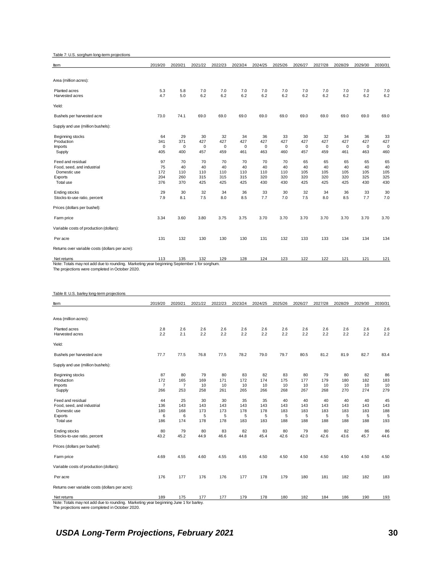<span id="page-35-1"></span>Table 7: U.S. sorghum long-term projections

| Item                                                         | 2019/20     | 2020/21       | 2021/22        | 2022/23     | 2023/24     | 2024/25     | 2025/26     | 2026/27     | 2027/28     | 2028/29     | 2029/30     | 2030/31     |
|--------------------------------------------------------------|-------------|---------------|----------------|-------------|-------------|-------------|-------------|-------------|-------------|-------------|-------------|-------------|
|                                                              |             |               |                |             |             |             |             |             |             |             |             |             |
| Area (million acres):                                        |             |               |                |             |             |             |             |             |             |             |             |             |
| Planted acres                                                | 5.3         | 5.8           | 7.0            | 7.0         | 7.0         | 7.0         | 7.0         | 7.0         | 7.0         | 7.0         | 7.0         | 7.0         |
| Harvested acres                                              | 4.7         | 5.0           | 6.2            | 6.2         | 6.2         | 6.2         | 6.2         | 6.2         | 6.2         | 6.2         | 6.2         | 6.2         |
| Yield:                                                       |             |               |                |             |             |             |             |             |             |             |             |             |
| Bushels per harvested acre                                   | 73.0        | 74.1          | 69.0           | 69.0        | 69.0        | 69.0        | 69.0        | 69.0        | 69.0        | 69.0        | 69.0        | 69.0        |
| Supply and use (million bushels):                            |             |               |                |             |             |             |             |             |             |             |             |             |
| Beginning stocks                                             | 64          | 29            | 30             | 32          | 34          | 36          | 33          | 30          | 32          | 34          | 36          | 33          |
| Production                                                   | 341         | 371           | 427            | 427         | 427         | 427         | 427         | 427         | 427         | 427         | 427         | 427         |
| <b>Imports</b>                                               | $\mathbf 0$ | $\mathbf 0$   | $\mathbf 0$    | $\mathbf 0$ | $\mathsf 0$ | $\mathbf 0$ | $\mathbf 0$ | $\mathbf 0$ | $\mathbf 0$ | $\mathbf 0$ | $\mathbf 0$ | $\mathbf 0$ |
| Supply                                                       | 405         | 400           | 457            | 459         | 461         | 463         | 460         | 457         | 459         | 461         | 463         | 460         |
| Feed and residual                                            | 97          | 70            | 70             | 70          | 70          | 70          | 70          | 65          | 65          | 65          | 65          | 65          |
| Food, seed, and industrial                                   | 75          | 40            | 40             | 40          | 40          | 40          | 40          | 40          | 40          | 40          | 40          | 40          |
| Domestic use                                                 | 172         | 110           | 110            | 110         | 110         | 110         | 110         | 105         | 105         | 105         | 105         | 105         |
| Exports                                                      | 204         | 260           | 315            | 315         | 315         | 320         | 320         | 320         | 320         | 320         | 325         | 325         |
| Total use                                                    | 376         | 370           | 425            | 425         | 425         | 430         | 430         | 425         | 425         | 425         | 430         | 430         |
| <b>Ending stocks</b>                                         | 29          | 30            | 32             | 34          | 36          | 33          | 30          | 32          | 34          | 36          | 33          | 30          |
| Stocks-to-use ratio, percent                                 | 7.9         | 8.1           | 7.5            | 8.0         | 8.5         | 7.7         | 7.0         | 7.5         | 8.0         | 8.5         | 7.7         | 7.0         |
| Prices (dollars per bushel):                                 |             |               |                |             |             |             |             |             |             |             |             |             |
| Farm price                                                   | 3.34        | 3.60          | 3.80           | 3.75        | 3.75        | 3.70        | 3.70        | 3.70        | 3.70        | 3.70        | 3.70        | 3.70        |
| Variable costs of production (dollars):                      |             |               |                |             |             |             |             |             |             |             |             |             |
| Per acre                                                     | 131         | 132           | 130            | 130         | 130         | 131         | 132         | 133         | 133         | 134         | 134         | 134         |
| Returns over variable costs (dollars per acre):              |             |               |                |             |             |             |             |             |             |             |             |             |
| Net returns<br>.<br><b>CONTRACTOR</b><br><b>CARL ALL AND</b> | 113         | 135<br>$\sim$ | 132<br>$\cdot$ | 129         | 128         | 124         | 123         | 122         | 122         | 121         | 121         | 121         |

Note: Totals may not add due to rounding. Marketing year beginning September 1 for sorghum. The projections were completed in October 2020.

<span id="page-35-0"></span>

#### <span id="page-35-2"></span>Table 8: U.S. barley long-term projections

| ltem                                                                                                                                     | 2019/20                            | 2020/21                            | 2021/22                      | 2022/23                      | 2023/24                      | 2024/25                      | 2025/26                      | 2026/27                      | 2027/28                      | 2028/29                      | 2029/30                      | 2030/31                      |
|------------------------------------------------------------------------------------------------------------------------------------------|------------------------------------|------------------------------------|------------------------------|------------------------------|------------------------------|------------------------------|------------------------------|------------------------------|------------------------------|------------------------------|------------------------------|------------------------------|
|                                                                                                                                          |                                    |                                    |                              |                              |                              |                              |                              |                              |                              |                              |                              |                              |
| Area (million acres):                                                                                                                    |                                    |                                    |                              |                              |                              |                              |                              |                              |                              |                              |                              |                              |
| Planted acres<br>Harvested acres                                                                                                         | 2.8<br>2.2                         | 2.6<br>2.1                         | 2.6<br>2.2                   | 2.6<br>2.2                   | 2.6<br>2.2                   | 2.6<br>2.2                   | 2.6<br>2.2                   | 2.6<br>2.2                   | 2.6<br>2.2                   | 2.6<br>2.2                   | 2.6<br>2.2                   | 2.6<br>2.2                   |
| Yield:                                                                                                                                   |                                    |                                    |                              |                              |                              |                              |                              |                              |                              |                              |                              |                              |
| Bushels per harvested acre                                                                                                               | 77.7                               | 77.5                               | 76.8                         | 77.5                         | 78.2                         | 79.0                         | 79.7                         | 80.5                         | 81.2                         | 81.9                         | 82.7                         | 83.4                         |
| Supply and use (million bushels):                                                                                                        |                                    |                                    |                              |                              |                              |                              |                              |                              |                              |                              |                              |                              |
| Beginning stocks<br>Production<br><b>Imports</b><br>Supply                                                                               | 87<br>172<br>$\overline{7}$<br>266 | 80<br>165<br>$\overline{7}$<br>253 | 79<br>169<br>10<br>258       | 80<br>171<br>10<br>261       | 83<br>172<br>10<br>265       | 82<br>174<br>10<br>266       | 83<br>175<br>10<br>268       | 80<br>177<br>10<br>267       | 79<br>179<br>10<br>268       | 80<br>180<br>10<br>270       | 82<br>182<br>10<br>274       | 86<br>183<br>10<br>279       |
| Feed and residual<br>Food, seed, and industrial<br>Domestic use<br>Exports<br>Total use                                                  | 44<br>136<br>180<br>6<br>186       | 25<br>143<br>168<br>6<br>174       | 30<br>143<br>173<br>5<br>178 | 30<br>143<br>173<br>5<br>178 | 35<br>143<br>178<br>5<br>183 | 35<br>143<br>178<br>5<br>183 | 40<br>143<br>183<br>5<br>188 | 40<br>143<br>183<br>5<br>188 | 40<br>143<br>183<br>5<br>188 | 40<br>143<br>183<br>5<br>188 | 40<br>143<br>183<br>5<br>188 | 45<br>143<br>188<br>5<br>193 |
| <b>Ending stocks</b><br>Stocks-to-use ratio, percent                                                                                     | 80<br>43.2                         | 79<br>45.2                         | 80<br>44.9                   | 83<br>46.6                   | 82<br>44.8                   | 83<br>45.4                   | 80<br>42.6                   | 79<br>42.0                   | 80<br>42.6                   | 82<br>43.6                   | 86<br>45.7                   | 86<br>44.6                   |
| Prices (dollars per bushel):                                                                                                             |                                    |                                    |                              |                              |                              |                              |                              |                              |                              |                              |                              |                              |
| Farm price                                                                                                                               | 4.69                               | 4.55                               | 4.60                         | 4.55                         | 4.55                         | 4.50                         | 4.50                         | 4.50                         | 4.50                         | 4.50                         | 4.50                         | 4.50                         |
| Variable costs of production (dollars):                                                                                                  |                                    |                                    |                              |                              |                              |                              |                              |                              |                              |                              |                              |                              |
| Per acre                                                                                                                                 | 176                                | 177                                | 176                          | 176                          | 177                          | 178                          | 179                          | 180                          | 181                          | 182                          | 182                          | 183                          |
| Returns over variable costs (dollars per acre):                                                                                          |                                    |                                    |                              |                              |                              |                              |                              |                              |                              |                              |                              |                              |
| Net returns                                                                                                                              | 189                                | 175                                | 177                          | 177                          | 179                          | 178                          | 180                          | 182                          | 184                          | 186                          | 190                          | 193                          |
| Note: Totals may not add due to rounding. Marketing year beginning June 1 for barley.<br>The projections were completed in October 2020. |                                    |                                    |                              |                              |                              |                              |                              |                              |                              |                              |                              |                              |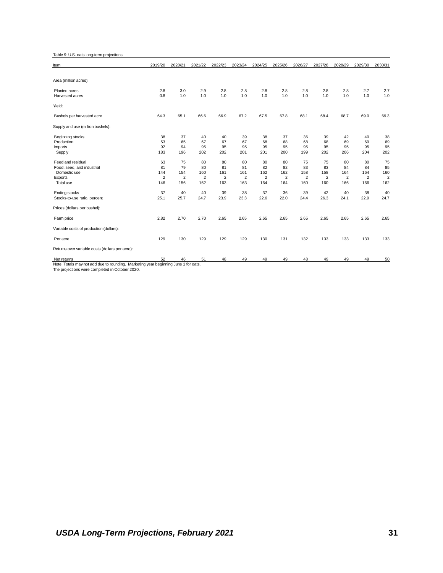Table 9: U.S. oats long-term projections

| ltem                                                                                | 2019/20        | 2020/21        | 2021/22        | 2022/23        | 2023/24        | 2024/25        | 2025/26        | 2026/27        | 2027/28        | 2028/29        | 2029/30        | 2030/31        |
|-------------------------------------------------------------------------------------|----------------|----------------|----------------|----------------|----------------|----------------|----------------|----------------|----------------|----------------|----------------|----------------|
|                                                                                     |                |                |                |                |                |                |                |                |                |                |                |                |
| Area (million acres):                                                               |                |                |                |                |                |                |                |                |                |                |                |                |
| Planted acres                                                                       | 2.8            | 3.0            | 2.9            | 2.8            | 2.8            | 2.8            | 2.8            | 2.8            | 2.8            | 2.8            | 2.7            | 2.7            |
| Harvested acres                                                                     | 0.8            | 1.0            | 1.0            | 1.0            | 1.0            | 1.0            | 1.0            | 1.0            | 1.0            | 1.0            | 1.0            | 1.0            |
| Yield:                                                                              |                |                |                |                |                |                |                |                |                |                |                |                |
| Bushels per harvested acre                                                          | 64.3           | 65.1           | 66.6           | 66.9           | 67.2           | 67.5           | 67.8           | 68.1           | 68.4           | 68.7           | 69.0           | 69.3           |
| Supply and use (million bushels):                                                   |                |                |                |                |                |                |                |                |                |                |                |                |
| Beginning stocks                                                                    | 38             | 37             | 40             | 40             | 39             | 38             | 37             | 36             | 39             | 42             | 40             | 38             |
| Production                                                                          | 53             | 65             | 67             | 67             | 67             | 68             | 68             | 68             | 68             | 69             | 69             | 69             |
| <b>Imports</b>                                                                      | 92             | 94             | 95             | 95             | 95             | 95             | 95             | 95             | 95             | 95             | 95             | 95             |
| Supply                                                                              | 183            | 196            | 202            | 202            | 201            | 201            | 200            | 199            | 202            | 206            | 204            | 202            |
| Feed and residual                                                                   | 63             | 75             | 80             | 80             | 80             | 80             | 80             | 75             | 75             | 80             | 80             | 75             |
| Food, seed, and industrial                                                          | 81             | 79             | 80             | 81             | 81             | 82             | 82             | 83             | 83             | 84             | 84             | 85             |
| Domestic use                                                                        | 144            | 154            | 160            | 161            | 161            | 162            | 162            | 158            | 158            | 164            | 164            | 160            |
| Exports                                                                             | $\overline{2}$ | $\overline{2}$ | $\overline{2}$ | $\overline{2}$ | $\overline{2}$ | $\overline{2}$ | $\overline{2}$ | $\overline{2}$ | $\overline{2}$ | $\overline{2}$ | $\overline{2}$ | $\overline{2}$ |
| Total use                                                                           | 146            | 156            | 162            | 163            | 163            | 164            | 164            | 160            | 160            | 166            | 166            | 162            |
| <b>Ending stocks</b>                                                                | 37             | 40             | 40             | 39             | 38             | 37             | 36             | 39             | 42             | 40             | 38             | 40             |
| Stocks-to-use ratio, percent                                                        | 25.1           | 25.7           | 24.7           | 23.9           | 23.3           | 22.6           | 22.0           | 24.4           | 26.3           | 24.1           | 22.9           | 24.7           |
| Prices (dollars per bushel):                                                        |                |                |                |                |                |                |                |                |                |                |                |                |
| Farm price                                                                          | 2.82           | 2.70           | 2.70           | 2.65           | 2.65           | 2.65           | 2.65           | 2.65           | 2.65           | 2.65           | 2.65           | 2.65           |
| Variable costs of production (dollars):                                             |                |                |                |                |                |                |                |                |                |                |                |                |
| Per acre                                                                            | 129            | 130            | 129            | 129            | 129            | 130            | 131            | 132            | 133            | 133            | 133            | 133            |
| Returns over variable costs (dollars per acre):                                     |                |                |                |                |                |                |                |                |                |                |                |                |
| Net returns                                                                         | 52             | 46             | 51             | 48             | 49             | 49             | 49             | 48             | 49             | 49             | 49             | 50             |
| Note: Totals may not add due to rounding. Marketing year beginning June 1 for oats. |                |                |                |                |                |                |                |                |                |                |                |                |
| The projections were completed in October 2020.                                     |                |                |                |                |                |                |                |                |                |                |                |                |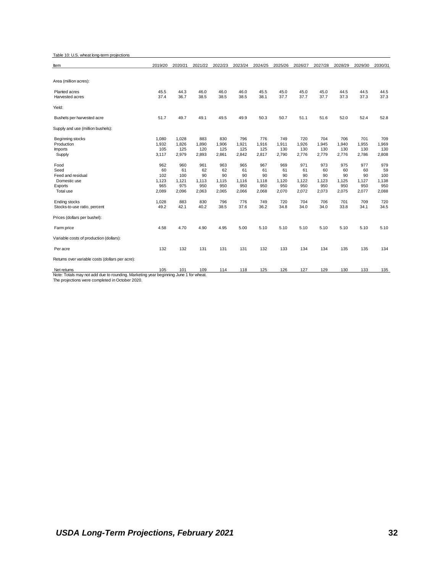Table 10: U.S. wheat long-term projections

| Item                                                                                | 2019/20 | 2020/21 | 2021/22 | 2022/23 | 2023/24 | 2024/25 | 2025/26 | 2026/27 | 2027/28 | 2028/29 | 2029/30 | 2030/31 |
|-------------------------------------------------------------------------------------|---------|---------|---------|---------|---------|---------|---------|---------|---------|---------|---------|---------|
|                                                                                     |         |         |         |         |         |         |         |         |         |         |         |         |
| Area (million acres):                                                               |         |         |         |         |         |         |         |         |         |         |         |         |
|                                                                                     |         |         |         |         |         |         |         |         |         |         |         |         |
| Planted acres                                                                       | 45.5    | 44.3    | 46.0    | 46.0    | 46.0    | 45.5    | 45.0    | 45.0    | 45.0    | 44.5    | 44.5    | 44.5    |
| Harvested acres                                                                     | 37.4    | 36.7    | 38.5    | 38.5    | 38.5    | 38.1    | 37.7    | 37.7    | 37.7    | 37.3    | 37.3    | 37.3    |
| Yield:                                                                              |         |         |         |         |         |         |         |         |         |         |         |         |
| Bushels per harvested acre                                                          | 51.7    | 49.7    | 49.1    | 49.5    | 49.9    | 50.3    | 50.7    | 51.1    | 51.6    | 52.0    | 52.4    | 52.8    |
| Supply and use (million bushels):                                                   |         |         |         |         |         |         |         |         |         |         |         |         |
| Beginning stocks                                                                    | 1,080   | 1,028   | 883     | 830     | 796     | 776     | 749     | 720     | 704     | 706     | 701     | 709     |
| Production                                                                          | 1,932   | 1,826   | 1,890   | 1,906   | 1,921   | 1,916   | 1,911   | 1,926   | 1,945   | 1,940   | 1,955   | 1,969   |
| <b>Imports</b>                                                                      | 105     | 125     | 120     | 125     | 125     | 125     | 130     | 130     | 130     | 130     | 130     | 130     |
| Supply                                                                              | 3,117   | 2,979   | 2,893   | 2,861   | 2,842   | 2,817   | 2,790   | 2,776   | 2,779   | 2,776   | 2,786   | 2,808   |
| Food                                                                                | 962     | 960     | 961     | 963     | 965     | 967     | 969     | 971     | 973     | 975     | 977     | 979     |
| Seed                                                                                | 60      | 61      | 62      | 62      | 61      | 61      | 61      | 61      | 60      | 60      | 60      | 59      |
| Feed and residual                                                                   | 102     | 100     | 90      | 90      | 90      | 90      | 90      | 90      | 90      | 90      | 90      | 100     |
| Domestic use                                                                        | 1,123   | 1,121   | 1,113   | 1,115   | 1,116   | 1,118   | 1,120   | 1,122   | 1,123   | 1,125   | 1,127   | 1,138   |
| Exports                                                                             | 965     | 975     | 950     | 950     | 950     | 950     | 950     | 950     | 950     | 950     | 950     | 950     |
| Total use                                                                           | 2,089   | 2,096   | 2,063   | 2,065   | 2,066   | 2,068   | 2,070   | 2,072   | 2,073   | 2,075   | 2,077   | 2,088   |
| <b>Ending stocks</b>                                                                | 1,028   | 883     | 830     | 796     | 776     | 749     | 720     | 704     | 706     | 701     | 709     | 720     |
| Stocks-to-use ratio, percent                                                        | 49.2    | 42.1    | 40.2    | 38.5    | 37.6    | 36.2    | 34.8    | 34.0    | 34.0    | 33.8    | 34.1    | 34.5    |
| Prices (dollars per bushel):                                                        |         |         |         |         |         |         |         |         |         |         |         |         |
| Farm price                                                                          | 4.58    | 4.70    | 4.90    | 4.95    | 5.00    | 5.10    | 5.10    | 5.10    | 5.10    | 5.10    | 5.10    | 5.10    |
| Variable costs of production (dollars):                                             |         |         |         |         |         |         |         |         |         |         |         |         |
| Per acre                                                                            | 132     | 132     | 131     | 131     | 131     | 132     | 133     | 134     | 134     | 135     | 135     | 134     |
| Returns over variable costs (dollars per acre):                                     |         |         |         |         |         |         |         |         |         |         |         |         |
| Net returns                                                                         | 105     | 101     | 109     | 114     | 118     | 125     | 126     | 127     | 129     | 130     | 133     | 135     |
| Note: Totals may not add due to rounding. Marketing year beginning June 1 for wheat |         |         |         |         |         |         |         |         |         |         |         |         |

Note: Totals may not add due to rounding. Marketing year beginning June 1 for wheat. The projections were completed in October 2020.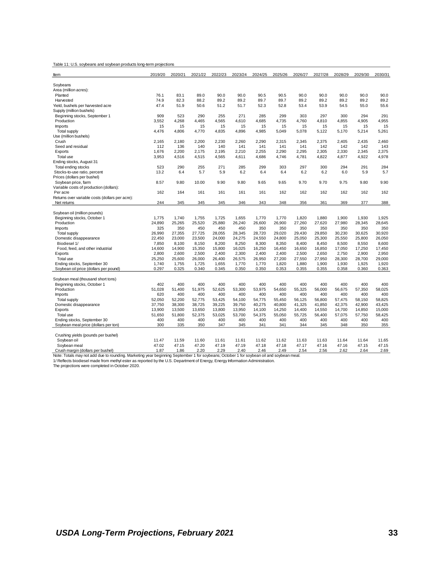|  |  |  |  | Table 11: U.S. soybeans and soybean products long-term projections |
|--|--|--|--|--------------------------------------------------------------------|
|--|--|--|--|--------------------------------------------------------------------|

| ltem                                                                                                                                                                          | 2019/20        | 2020/21       | 2021/22       | 2022/23        | 2023/24        | 2024/25        | 2025/26       | 2026/27       | 2027/28        | 2028/29       | 2029/30       | 2030/31       |
|-------------------------------------------------------------------------------------------------------------------------------------------------------------------------------|----------------|---------------|---------------|----------------|----------------|----------------|---------------|---------------|----------------|---------------|---------------|---------------|
| Soybeans                                                                                                                                                                      |                |               |               |                |                |                |               |               |                |               |               |               |
| Area (million acres):                                                                                                                                                         |                |               |               |                |                |                |               |               |                |               |               |               |
| Planted                                                                                                                                                                       | 76.1           | 83.1          | 89.0          | 90.0           | 90.0           | 90.5           | 90.5          | 90.0          | 90.0           | 90.0          | 90.0          | 90.0          |
| Harvested                                                                                                                                                                     | 74.9           | 82.3          | 88.2          | 89.2           | 89.2           | 89.7           | 89.7          | 89.2          | 89.2           | 89.2          | 89.2          | 89.2          |
| Yield, bushels per harvested acre                                                                                                                                             | 47.4           | 51.9          | 50.6          | 51.2           | 51.7           | 52.3           | 52.8          | 53.4          | 53.9           | 54.5          | 55.0          | 55.6          |
| Supply (million bushels)                                                                                                                                                      |                |               |               |                |                |                |               |               |                |               |               |               |
| Beginning stocks, September 1                                                                                                                                                 | 909            | 523           | 290           | 255            | 271            | 285            | 299           | 303           | 297            | 300           | 294           | 291           |
| Production                                                                                                                                                                    | 3,552          | 4,268         | 4,465         | 4,565          | 4,610          | 4,685          | 4,735         | 4,760         | 4,810          | 4,855         | 4,905         | 4,955         |
| <b>Imports</b>                                                                                                                                                                | 15             | 15            | 15            | 15             | 15             | 15             | 15            | 15            | 15             | 15            | 15            | 15            |
| Total supply                                                                                                                                                                  | 4,476          | 4,806         | 4,770         | 4,835          | 4,896          | 4,985          | 5,049         | 5,078         | 5,122          | 5,170         | 5,214         | 5,261         |
| Use (million bushels)                                                                                                                                                         |                |               |               |                |                |                |               |               |                |               |               |               |
| Crush                                                                                                                                                                         | 2,165          | 2,180         | 2,200         | 2,230          | 2,260          | 2,290          | 2,315         | 2,345         | 2,375          | 2,405         | 2,435         | 2,460         |
| Seed and residual                                                                                                                                                             | 112            | 136           | 140           | 140            | 141            | 141            | 141           | 141           | 142            | 142           | 142           | 143           |
| Exports                                                                                                                                                                       | 1,676          | 2,200         | 2,175         | 2,195          | 2,210          | 2,255          | 2,290         | 2,295         | 2,305          | 2,330         | 2,345         | 2,375         |
| Total use                                                                                                                                                                     | 3,953          | 4,516         | 4,515         | 4,565          | 4,611          | 4,686          | 4,746         | 4,781         | 4,822          | 4,877         | 4,922         | 4,978         |
| Ending stocks, August 31                                                                                                                                                      |                |               |               |                |                |                |               |               |                |               |               |               |
| Total ending stocks                                                                                                                                                           | 523            | 290           | 255           | 271            | 285            | 299            | 303           | 297           | 300            | 294           | 291           | 284           |
| Stocks-to-use ratio, percent                                                                                                                                                  | 13.2           | 6.4           | 5.7           | 5.9            | 6.2            | 6.4            | 6.4           | 6.2           | 6.2            | 6.0           | 5.9           | 5.7           |
| Prices (dollars per bushel)                                                                                                                                                   |                |               |               |                |                |                |               |               |                |               |               |               |
| Soybean price, farm                                                                                                                                                           | 8.57           | 9.80          | 10.00         | 9.90           | 9.80           | 9.65           | 9.65          | 9.70          | 9.70           | 9.75          | 9.80          | 9.90          |
| Variable costs of production (dollars):                                                                                                                                       |                |               |               |                |                |                |               |               |                |               |               |               |
| Per acre                                                                                                                                                                      | 162            | 164           | 161           | 161            | 161            | 161            | 162           | 162           | 162            | 162           | 162           | 162           |
| Returns over variable costs (dollars per acre):<br>Net returns                                                                                                                | 244            | 345           | 345           | 345            | 346            | 343            | 348           | 356           | 361            | 369           | 377           | 388           |
|                                                                                                                                                                               |                |               |               |                |                |                |               |               |                |               |               |               |
| Soybean oil (million pounds)                                                                                                                                                  |                |               |               |                |                |                |               |               |                |               |               |               |
| Beginning stocks, October 1                                                                                                                                                   | 1,775          | 1,740         | 1,755         | 1,725          | 1,655          | 1,770          | 1,770         | 1,820         | 1,880          | 1,900         | 1,930         | 1,925         |
| Production                                                                                                                                                                    | 24,890         | 25,265        | 25,520        | 25,880         | 26,240         | 26,600         | 26,900        | 27,260        | 27,620         | 27,980        | 28,345        | 28.645        |
| Imports                                                                                                                                                                       | 325            | 350           | 450           | 450            | 450            | 350            | 350           | 350           | 350            | 350           | 350           | 350           |
| Total supply                                                                                                                                                                  | 26,990         | 27,355        | 27,725        | 28,055         | 28,345         | 28,720         | 29,020        | 29,430        | 29,850         | 30,230        | 30,625        | 30,920        |
| Domestic disappearance                                                                                                                                                        | 22,450         | 23,000        | 23,500        | 24,000         | 24,275         | 24,550         | 24,800        | 25,050        | 25,300         | 25,550        | 25,800        | 26,050        |
| Biodiesel 1/                                                                                                                                                                  | 7,850          | 8,100         | 8,150         | 8,200          | 8,250          | 8,300          | 8,350         | 8,400         | 8,450          | 8,500         | 8,550         | 8,600         |
| Food, feed, and other industrial                                                                                                                                              | 14,600         | 14,900        | 15,350        | 15,800         | 16,025         | 16,250         | 16,450        | 16,650        | 16,850         | 17,050        | 17,250        | 17,450        |
| Exports                                                                                                                                                                       | 2,800          | 2,600         | 2,500         | 2,400          | 2,300          | 2,400          | 2,400         | 2,500         | 2,650          | 2,750         | 2,900         | 2,950         |
| Total use                                                                                                                                                                     | 25,250         | 25,600        | 26,000        | 26,400         | 26,575         | 26,950         | 27,200        | 27,550        | 27,950         | 28,300        | 28,700        | 29,000        |
| Ending stocks, September 30                                                                                                                                                   | 1,740          | 1,755         | 1,725         | 1,655          | 1,770          | 1,770          | 1,820         | 1,880         | 1,900          | 1,930         | 1,925         | 1,920         |
| Soybean oil price (dollars per pound)                                                                                                                                         | 0.297          | 0.325         | 0.340         | 0.345          | 0.350          | 0.350          | 0.353         | 0.355         | 0.355          | 0.358         | 0.360         | 0.363         |
|                                                                                                                                                                               |                |               |               |                |                |                |               |               |                |               |               |               |
| Soybean meal (thousand short tons)                                                                                                                                            |                |               |               |                |                |                |               |               |                |               |               |               |
| Beginning stocks, October 1                                                                                                                                                   | 402            | 400           | 400           | 400            | 400            | 400            | 400           | 400           | 400            | 400           | 400           | 400           |
| Production                                                                                                                                                                    | 51,028         | 51,400        | 51,975        | 52,625         | 53,300         | 53,975         | 54,650        | 55,325        | 56,000         | 56,675        | 57,350        | 58,025        |
| <b>Imports</b>                                                                                                                                                                | 620            | 400           | 400           | 400            | 400            | 400            | 400           | 400           | 400            | 400           | 400           | 400           |
| Total supply                                                                                                                                                                  | 52,050         | 52,200        | 52,775        | 53,425         | 54,100         | 54,775         | 55,450        | 56,125        | 56,800         | 57,475        | 58,150        | 58,825        |
| Domestic disappearance                                                                                                                                                        | 37,750         | 38,300        | 38,725        | 39,225         | 39,750         | 40,275         | 40,800        | 41,325        | 41,850         | 42,375        | 42,900        | 43,425        |
| Exports                                                                                                                                                                       | 13,900         | 13,500        | 13,650        | 13,800         | 13,950         | 14,100         | 14,250        | 14,400        | 14,550         | 14,700        | 14,850        | 15,000        |
| Total use                                                                                                                                                                     | 51,650         | 51,800        | 52,375        | 53,025         | 53,700         | 54,375         | 55,050        | 55,725        | 56,400         | 57,075        | 57,750        | 58,425        |
| Ending stocks, September 30                                                                                                                                                   | 400            | 400           | 400           | 400            | 400            | 400            | 400           | 400           | 400            | 400           | 400           | 400           |
| Soybean meal price (dollars per ton)                                                                                                                                          | 300            | 335           | 350           | 347            | 345            | 341            | 341           | 344           | 345            | 348           | 350           | 355           |
|                                                                                                                                                                               |                |               |               |                |                |                |               |               |                |               |               |               |
| Crushing yields (pounds per bushel)                                                                                                                                           |                |               |               |                |                |                |               |               |                |               |               |               |
| Soybean oil                                                                                                                                                                   | 11.47<br>47.02 | 11.59         | 11.60         | 11.61<br>47.19 | 11.61<br>47.19 | 11.62<br>47.18 | 11.62         | 11.63         | 11.63<br>47.16 | 11.64         | 11.64         | 11.65         |
| Soybean meal                                                                                                                                                                  | 1.87           | 47.15<br>1.86 | 47.20<br>2.20 | 2.29           | 2.40           | 2.46           | 47.18<br>2.49 | 47.17<br>2.54 | 2.56           | 47.16<br>2.62 | 47.15<br>2.64 | 47.15<br>2.69 |
| Crush margin (dollars per bushel)<br>Note: Totals may not add due to rounding. Marketing year beginning September 1 for soybeans; October 1 for soybean oil and soybean meal. |                |               |               |                |                |                |               |               |                |               |               |               |
| 1/ Reflects biodiesel made from methyl ester as reported by the U.S. Department of Energy, Energy Information Administration.                                                 |                |               |               |                |                |                |               |               |                |               |               |               |
| The projections were completed in October 2020.                                                                                                                               |                |               |               |                |                |                |               |               |                |               |               |               |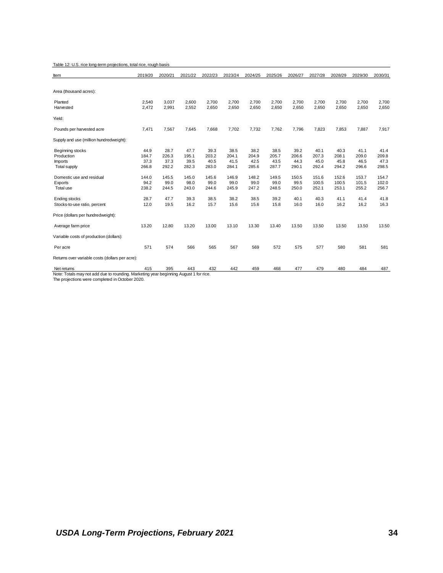|  |  |  | Table 12: U.S. rice long-term projections, total rice, rough basis |  |
|--|--|--|--------------------------------------------------------------------|--|
|--|--|--|--------------------------------------------------------------------|--|

| ltem                                                                                  | 2019/20 | 2020/21 | 2021/22 | 2022/23 | 2023/24 | 2024/25 | 2025/26 | 2026/27 | 2027/28 | 2028/29 | 2029/30 | 2030/31 |
|---------------------------------------------------------------------------------------|---------|---------|---------|---------|---------|---------|---------|---------|---------|---------|---------|---------|
|                                                                                       |         |         |         |         |         |         |         |         |         |         |         |         |
| Area (thousand acres):                                                                |         |         |         |         |         |         |         |         |         |         |         |         |
| Planted                                                                               | 2,540   | 3,037   | 2,600   | 2,700   | 2,700   | 2,700   | 2,700   | 2,700   | 2,700   | 2,700   | 2,700   | 2,700   |
| Harvested                                                                             | 2,472   | 2,991   | 2,552   | 2,650   | 2,650   | 2,650   | 2,650   | 2,650   | 2,650   | 2,650   | 2,650   | 2,650   |
| Yield:                                                                                |         |         |         |         |         |         |         |         |         |         |         |         |
| Pounds per harvested acre                                                             | 7,471   | 7,567   | 7,645   | 7,668   | 7,702   | 7,732   | 7,762   | 7,796   | 7,823   | 7,853   | 7,887   | 7,917   |
| Supply and use (million hundredweight):                                               |         |         |         |         |         |         |         |         |         |         |         |         |
| Beginning stocks                                                                      | 44.9    | 28.7    | 47.7    | 39.3    | 38.5    | 38.2    | 38.5    | 39.2    | 40.1    | 40.3    | 41.1    | 41.4    |
| Production                                                                            | 184.7   | 226.3   | 195.1   | 203.2   | 204.1   | 204.9   | 205.7   | 206.6   | 207.3   | 208.1   | 209.0   | 209.8   |
| <b>Imports</b>                                                                        | 37.3    | 37.3    | 39.5    | 40.5    | 41.5    | 42.5    | 43.5    | 44.3    | 45.0    | 45.8    | 46.5    | 47.3    |
| Total supply                                                                          | 266.8   | 292.2   | 282.3   | 283.0   | 284.1   | 285.6   | 287.7   | 290.1   | 292.4   | 294.2   | 296.6   | 298.5   |
| Domestic use and residual                                                             | 144.0   | 145.5   | 145.0   | 145.6   | 146.9   | 148.2   | 149.5   | 150.5   | 151.6   | 152.6   | 153.7   | 154.7   |
| Exports                                                                               | 94.2    | 99.0    | 98.0    | 99.0    | 99.0    | 99.0    | 99.0    | 99.5    | 100.5   | 100.5   | 101.5   | 102.0   |
| Total use                                                                             | 238.2   | 244.5   | 243.0   | 244.6   | 245.9   | 247.2   | 248.5   | 250.0   | 252.1   | 253.1   | 255.2   | 256.7   |
| Ending stocks                                                                         | 28.7    | 47.7    | 39.3    | 38.5    | 38.2    | 38.5    | 39.2    | 40.1    | 40.3    | 41.1    | 41.4    | 41.8    |
| Stocks-to-use ratio, percent                                                          | 12.0    | 19.5    | 16.2    | 15.7    | 15.6    | 15.6    | 15.8    | 16.0    | 16.0    | 16.2    | 16.2    | 16.3    |
| Price (dollars per hundredweight):                                                    |         |         |         |         |         |         |         |         |         |         |         |         |
| Average farm price                                                                    | 13.20   | 12.80   | 13.20   | 13.00   | 13.10   | 13.30   | 13.40   | 13.50   | 13.50   | 13.50   | 13.50   | 13.50   |
| Variable costs of production (dollars):                                               |         |         |         |         |         |         |         |         |         |         |         |         |
| Per acre                                                                              | 571     | 574     | 566     | 565     | 567     | 569     | 572     | 575     | 577     | 580     | 581     | 581     |
| Returns over variable costs (dollars per acre):                                       |         |         |         |         |         |         |         |         |         |         |         |         |
| Net returns                                                                           | 415     | 395     | 443     | 432     | 442     | 459     | 468     | 477     | 479     | 480     | 484     | 487     |
| Note: Totals may not add due to rounding. Marketing year beginning August 1 for rice. |         |         |         |         |         |         |         |         |         |         |         |         |
| The projections were completed in October 2020.                                       |         |         |         |         |         |         |         |         |         |         |         |         |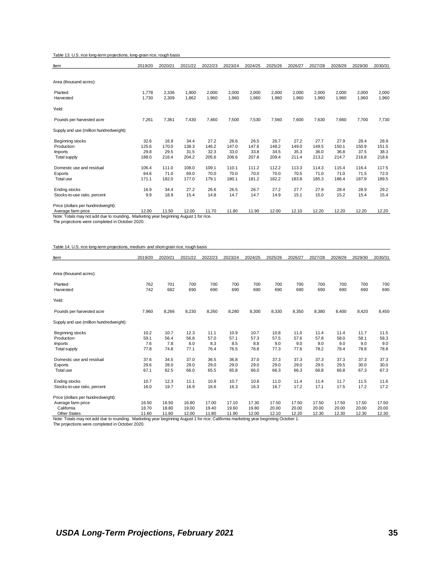Table 13. U.S. rice long-term projections, long-grain rice, rough basis

| Item                                                                                  | 2019/20 | 2020/21 | 2021/22 | 2022/23 | 2023/24 | 2024/25 | 2025/26 | 2026/27 | 2027/28 | 2028/29 | 2029/30 | 2030/31 |
|---------------------------------------------------------------------------------------|---------|---------|---------|---------|---------|---------|---------|---------|---------|---------|---------|---------|
|                                                                                       |         |         |         |         |         |         |         |         |         |         |         |         |
| Area (thousand acres):                                                                |         |         |         |         |         |         |         |         |         |         |         |         |
| Planted                                                                               | 1,778   | 2,336   | 1,900   | 2,000   | 2,000   | 2,000   | 2,000   | 2,000   | 2,000   | 2,000   | 2,000   | 2,000   |
| Harvested                                                                             | 1,730   | 2,309   | 1,862   | 1,960   | 1,960   | 1,960   | 1,960   | 1,960   | 1,960   | 1,960   | 1,960   | 1,960   |
| Yield:                                                                                |         |         |         |         |         |         |         |         |         |         |         |         |
| Pounds per harvested acre                                                             | 7,261   | 7,361   | 7,430   | 7,460   | 7,500   | 7,530   | 7,560   | 7,600   | 7,630   | 7,660   | 7,700   | 7,730   |
| Supply and use (million hundredweight):                                               |         |         |         |         |         |         |         |         |         |         |         |         |
| Beginning stocks                                                                      | 32.6    | 16.9    | 34.4    | 27.2    | 26.6    | 26.5    | 26.7    | 27.2    | 27.7    | 27.9    | 28.4    | 28.9    |
| Production                                                                            | 125.6   | 170.0   | 138.3   | 146.2   | 147.0   | 147.6   | 148.2   | 149.0   | 149.5   | 150.1   | 150.9   | 151.5   |
| <b>Imports</b>                                                                        | 29.8    | 29.5    | 31.5    | 32.3    | 33.0    | 33.8    | 34.5    | 35.3    | 36.0    | 36.8    | 37.5    | 38.3    |
| <b>Total supply</b>                                                                   | 188.0   | 216.4   | 204.2   | 205.6   | 206.6   | 207.8   | 209.4   | 211.4   | 213.2   | 214.7   | 216.8   | 218.6   |
| Domestic use and residual                                                             | 106.4   | 111.0   | 108.0   | 109.1   | 110.1   | 111.2   | 112.2   | 113.3   | 114.3   | 115.4   | 116.4   | 117.5   |
| Exports                                                                               | 64.6    | 71.0    | 69.0    | 70.0    | 70.0    | 70.0    | 70.0    | 70.5    | 71.0    | 71.0    | 71.5    | 72.0    |
| Total use                                                                             | 171.1   | 182.0   | 177.0   | 179.1   | 180.1   | 181.2   | 182.2   | 183.8   | 185.3   | 186.4   | 187.9   | 189.5   |
| Ending stocks                                                                         | 16.9    | 34.4    | 27.2    | 26.6    | 26.5    | 26.7    | 27.2    | 27.7    | 27.9    | 28.4    | 28.9    | 29.2    |
| Stocks-to-use ratio, percent                                                          | 9.9     | 18.9    | 15.4    | 14.8    | 14.7    | 14.7    | 14.9    | 15.1    | 15.0    | 15.2    | 15.4    | 15.4    |
| Price (dollars per hundredweight):                                                    |         |         |         |         |         |         |         |         |         |         |         |         |
| Average farm price                                                                    | 12.00   | 11.50   | 12.00   | 11.70   | 11.80   | 11.90   | 12.00   | 12.10   | 12.20   | 12.20   | 12.20   | 12.20   |
| Note: Totals may not add due to rounding. Marketing year beginning August 1 for rice. |         |         |         |         |         |         |         |         |         |         |         |         |
| The projections were completed in October 2020.                                       |         |         |         |         |         |         |         |         |         |         |         |         |

Table 14. U.S. rice long-term projections, medium- and short-grain rice, rough basis

| Item                                                                                                                                 | 2019/20 | 2020/21 | 2021/22 | 2022/23 | 2023/24 | 2024/25 | 2025/26 | 2026/27 | 2027/28 | 2028/29 | 2029/30 | 2030/31 |
|--------------------------------------------------------------------------------------------------------------------------------------|---------|---------|---------|---------|---------|---------|---------|---------|---------|---------|---------|---------|
|                                                                                                                                      |         |         |         |         |         |         |         |         |         |         |         |         |
| Area (thousand acres):                                                                                                               |         |         |         |         |         |         |         |         |         |         |         |         |
| Planted                                                                                                                              | 762     | 701     | 700     | 700     | 700     | 700     | 700     | 700     | 700     | 700     | 700     | 700     |
| Harvested                                                                                                                            | 742     | 682     | 690     | 690     | 690     | 690     | 690     | 690     | 690     | 690     | 690     | 690     |
| Yield:                                                                                                                               |         |         |         |         |         |         |         |         |         |         |         |         |
| Pounds per harvested acre                                                                                                            | 7,960   | 8,266   | 8,230   | 8,260   | 8,280   | 8,300   | 8,330   | 8,350   | 8,380   | 8,400   | 8,420   | 8,450   |
| Supply and use (million hundredweight):                                                                                              |         |         |         |         |         |         |         |         |         |         |         |         |
| Beginning stocks                                                                                                                     | 10.2    | 10.7    | 12.3    | 11.1    | 10.9    | 10.7    | 10.8    | 11.0    | 11.4    | 11.4    | 11.7    | 11.5    |
| Production                                                                                                                           | 59.1    | 56.4    | 56.8    | 57.0    | 57.1    | 57.3    | 57.5    | 57.6    | 57.8    | 58.0    | 58.1    | 58.3    |
| <b>Imports</b>                                                                                                                       | 7.6     | 7.8     | 8.0     | 8.3     | 8.5     | 8.8     | 9.0     | 9.0     | 9.0     | 9.0     | 9.0     | 9.0     |
| Total supply                                                                                                                         | 77.8    | 74.8    | 77.1    | 76.4    | 76.5    | 76.8    | 77.3    | 77.6    | 78.2    | 78.4    | 78.8    | 78.8    |
| Domestic use and residual                                                                                                            | 37.6    | 34.5    | 37.0    | 36.5    | 36.8    | 37.0    | 37.3    | 37.3    | 37.3    | 37.3    | 37.3    | 37.3    |
| Exports                                                                                                                              | 29.6    | 28.0    | 29.0    | 29.0    | 29.0    | 29.0    | 29.0    | 29.0    | 29.5    | 29.5    | 30.0    | 30.0    |
| Total use                                                                                                                            | 67.1    | 62.5    | 66.0    | 65.5    | 65.8    | 66.0    | 66.3    | 66.3    | 66.8    | 66.8    | 67.3    | 67.3    |
| <b>Ending stocks</b>                                                                                                                 | 10.7    | 12.3    | 11.1    | 10.9    | 10.7    | 10.8    | 11.0    | 11.4    | 11.4    | 11.7    | 11.5    | 11.6    |
| Stocks-to-use ratio, percent                                                                                                         | 16.0    | 19.7    | 16.9    | 16.6    | 16.3    | 16.3    | 16.7    | 17.2    | 17.1    | 17.5    | 17.2    | 17.2    |
| Price (dollars per hundredweight):                                                                                                   |         |         |         |         |         |         |         |         |         |         |         |         |
| Average farm price                                                                                                                   | 16.50   | 16.50   | 16.80   | 17.00   | 17.10   | 17.30   | 17.50   | 17.50   | 17.50   | 17.50   | 17.50   | 17.50   |
| California                                                                                                                           | 18.70   | 18.80   | 19.00   | 19.40   | 19.60   | 19.80   | 20.00   | 20.00   | 20.00   | 20.00   | 20.00   | 20.00   |
| <b>Other States</b>                                                                                                                  | 11.60   | 11.60   | 12.00   | 11.80   | 11.90   | 12.00   | 12.10   | 12.20   | 12.30   | 12.30   | 12.30   | 12.30   |
| Note: Totals may not add due to rounding. Marketing year beginning August 1 for rice; California marketing year beginning October 1. |         |         |         |         |         |         |         |         |         |         |         |         |
| The projections were completed in October 2020.                                                                                      |         |         |         |         |         |         |         |         |         |         |         |         |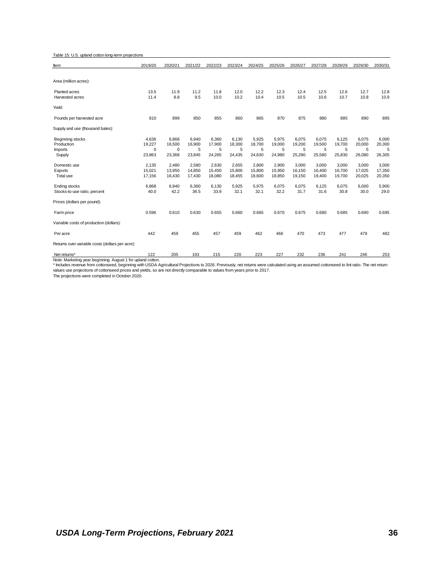Table 15: U.S. upland cotton long-term projections

| Item                                            | 2019/20 | 2020/21 | 2021/22 | 2022/23 | 2023/24 | 2024/25 | 2025/26 | 2026/27 | 2027/28 | 2028/29 | 2029/30 | 2030/31    |
|-------------------------------------------------|---------|---------|---------|---------|---------|---------|---------|---------|---------|---------|---------|------------|
|                                                 |         |         |         |         |         |         |         |         |         |         |         |            |
| Area (million acres):                           |         |         |         |         |         |         |         |         |         |         |         |            |
| Planted acres                                   | 13.5    | 11.9    | 11.2    | 11.8    | 12.0    | 12.2    | 12.3    | 12.4    | 12.5    | 12.6    | 12.7    | 12.8       |
| Harvested acres                                 | 11.4    | 8.8     | 9.5     | 10.0    | 10.2    | 10.4    | 10.5    | 10.5    | 10.6    | 10.7    | 10.8    | 10.9       |
| Yield:                                          |         |         |         |         |         |         |         |         |         |         |         |            |
| Pounds per harvested acre                       | 810     | 899     | 850     | 855     | 860     | 865     | 870     | 875     | 880     | 885     | 890     | 895        |
| Supply and use (thousand bales):                |         |         |         |         |         |         |         |         |         |         |         |            |
| Beginning stocks                                | 4,636   | 6,868   | 6,940   | 6,360   | 6,130   | 5,925   | 5,975   | 6,075   | 6,075   | 6,125   | 6,075   | 6,000      |
| Production                                      | 19,227  | 16,500  | 16,900  | 17,900  | 18,300  | 18,700  | 19,000  | 19,200  | 19,500  | 19,700  | 20,000  | 20,300     |
| <b>Imports</b>                                  | 0       | 0       | 5       | 5       | 5       | 5       | 5       | 5       | 5       | 5       | 5       | 5          |
| Supply                                          | 23,863  | 23,368  | 23,845  | 24,265  | 24,435  | 24,630  | 24,980  | 25,280  | 25,580  | 25,830  | 26,080  | 26,305     |
| Domestic use                                    | 2,135   | 2,480   | 2,580   | 2,630   | 2,655   | 2,800   | 2,900   | 3,000   | 3,000   | 3,000   | 3,000   | 3,000      |
| Exports                                         | 15,021  | 13,950  | 14,850  | 15,450  | 15,800  | 15,800  | 15,950  | 16,150  | 16,400  | 16,700  | 17,025  | 17,350     |
| Total use                                       | 17,156  | 16,430  | 17,430  | 18,080  | 18,455  | 18,600  | 18,850  | 19,150  | 19,400  | 19,700  | 20,025  | 20,350     |
| Ending stocks                                   | 6,868   | 6,940   | 6,360   | 6,130   | 5,925   | 5,975   | 6,075   | 6,075   | 6,125   | 6,075   | 6,000   | 5,900      |
| Stocks-to-use ratio, percent                    | 40.0    | 42.2    | 36.5    | 33.9    | 32.1    | 32.1    | 32.2    | 31.7    | 31.6    | 30.8    | 30.0    | 29.0       |
| Prices (dollars per pound):                     |         |         |         |         |         |         |         |         |         |         |         |            |
| Farm price                                      | 0.596   | 0.610   | 0.630   | 0.655   | 0.660   | 0.665   | 0.670   | 0.675   | 0.680   | 0.685   | 0.690   | 0.695      |
| Variable costs of production (dollars):         |         |         |         |         |         |         |         |         |         |         |         |            |
| Per acre                                        | 442     | 459     | 455     | 457     | 459     | 462     | 466     | 470     | 473     | 477     | 479     | 482        |
| Returns over variable costs (dollars per acre): |         |         |         |         |         |         |         |         |         |         |         |            |
| $N_{0}$ $n+1$ $n+2$                             | 122     | 20E     | 102     | 24E     | າາດ     | ברה     | 227     | າາາ     | - הר    | 0.11    | 2AC     | <b>OEO</b> |

Net returns\* Net returns and the comment of the comment of the comment of the comment of the comment of the co<br>Note: Marketing year beginning August 1 for upland cotton.<br>\* Includes revenue from cottonseed, beginning with U values use projections of cottonseed prices and yields, so are not directly comparable to values from years prior to 2017.

The projections were completed in October 2020.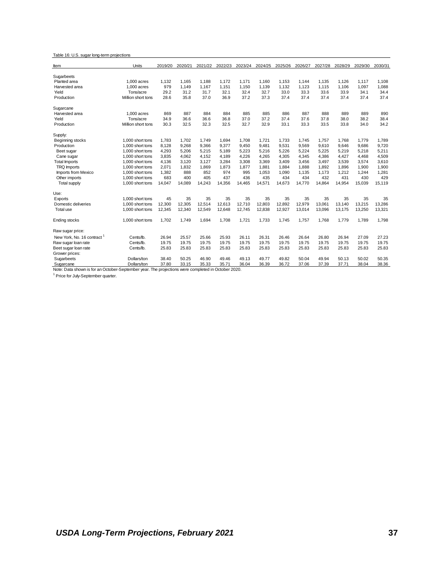#### Table 16: U.S. sugar long-term projections

| ltem                                                                                               | Units              | 2019/20 | 2020/21 | 2021/22 | 2022/23 | 2023/24 | 2024/25 | 2025/26 | 2026/27 | 2027/28 | 2028/29 | 2029/30 | 2030/31 |
|----------------------------------------------------------------------------------------------------|--------------------|---------|---------|---------|---------|---------|---------|---------|---------|---------|---------|---------|---------|
| Sugarbeets                                                                                         |                    |         |         |         |         |         |         |         |         |         |         |         |         |
| Planted area                                                                                       | $1.000$ acres      | 1,132   | 1,165   | 1.188   | 1,172   | 1,171   | 1,160   | 1,153   | 1,144   | 1,135   | 1,126   | 1,117   | 1,108   |
| Harvested area                                                                                     | $1.000$ acres      | 979     | 1,149   | 1,167   | 1,151   | 1,150   | 1,139   | 1,132   | 1,123   | 1,115   | 1,106   | 1,097   | 1,088   |
| Yield                                                                                              | Tons/acre          | 29.2    | 31.2    | 31.7    | 32.1    | 32.4    | 32.7    | 33.0    | 33.3    | 33.6    | 33.9    | 34.1    | 34.4    |
| Production                                                                                         | Million short tons | 28.6    | 35.8    | 37.0    | 36.9    | 37.2    | 37.3    | 37.4    | 37.4    | 37.4    | 37.4    | 37.4    | 37.4    |
| Sugarcane                                                                                          |                    |         |         |         |         |         |         |         |         |         |         |         |         |
| Harvested area                                                                                     | $1.000$ acres      | 869     | 887     | 884     | 884     | 885     | 885     | 886     | 887     | 888     | 889     | 889     | 890     |
| Yield                                                                                              | Tons/acre          | 34.9    | 36.6    | 36.6    | 36.8    | 37.0    | 37.2    | 37.4    | 37.6    | 37.8    | 38.0    | 38.2    | 38.4    |
| Production                                                                                         | Million short tons | 30.3    | 32.5    | 32.3    | 32.5    | 32.7    | 32.9    | 33.1    | 33.3    | 33.5    | 33.8    | 34.0    | 34.2    |
| Supply:                                                                                            |                    |         |         |         |         |         |         |         |         |         |         |         |         |
| Beginning stocks                                                                                   | 1,000 short tons   | 1,783   | 1,702   | 1.749   | 1.694   | 1,708   | 1,721   | 1,733   | 1,745   | 1,757   | 1,768   | 1,779   | 1,789   |
| Production                                                                                         | 1,000 short tons   | 8,128   | 9,268   | 9,366   | 9.377   | 9,450   | 9,481   | 9,531   | 9,569   | 9,610   | 9.646   | 9,686   | 9,720   |
| Beet sugar                                                                                         | 1,000 short tons   | 4,293   | 5,206   | 5,215   | 5,189   | 5,223   | 5,216   | 5,226   | 5,224   | 5,225   | 5,219   | 5,218   | 5,211   |
| Cane sugar                                                                                         | 1,000 short tons   | 3,835   | 4.062   | 4,152   | 4,189   | 4,226   | 4,265   | 4,305   | 4,345   | 4,386   | 4,427   | 4,468   | 4,509   |
| <b>Total Imports</b>                                                                               | 1,000 short tons   | 4,136   | 3,120   | 3,127   | 3,284   | 3,308   | 3,369   | 3.409   | 3.456   | 3.497   | 3,539   | 3,574   | 3,610   |
| TRQ Imports                                                                                        | 1,000 short tons   | 2,071   | 1,832   | 1,869   | 1,873   | 1,877   | 1,881   | 1,884   | 1,888   | 1,892   | 1,896   | 1,900   | 1,900   |
| Imports from Mexico                                                                                | 1.000 short tons   | 1.382   | 888     | 852     | 974     | 995     | 1.053   | 1.090   | 1.135   | 1,173   | 1.212   | 1,244   | 1,281   |
| Other imports                                                                                      | 1.000 short tons   | 683     | 400     | 405     | 437     | 436     | 435     | 434     | 434     | 432     | 431     | 430     | 429     |
| <b>Total supply</b>                                                                                | 1,000 short tons   | 14,047  | 14,089  | 14,243  | 14,356  | 14,465  | 14,571  | 14,673  | 14,770  | 14,864  | 14,954  | 15,039  | 15,119  |
| Use:                                                                                               |                    |         |         |         |         |         |         |         |         |         |         |         |         |
| Exports                                                                                            | 1.000 short tons   | 45      | 35      | 35      | 35      | 35      | 35      | 35      | 35      | 35      | 35      | 35      | 35      |
| Domestic deliveries                                                                                | 1.000 short tons   | 12.300  | 12.305  | 12.514  | 12.613  | 12.710  | 12.803  | 12.892  | 12.979  | 13.061  | 13,140  | 13.215  | 13,286  |
| Total use                                                                                          | 1,000 short tons   | 12,345  | 12,340  | 12,549  | 12.648  | 12,745  | 12,838  | 12,927  | 13,014  | 13,096  | 13.175  | 13,250  | 13,321  |
| Ending stocks                                                                                      | 1,000 short tons   | 1.702   | 1.749   | 1.694   | 1.708   | 1.721   | 1,733   | 1.745   | 1.757   | 1.768   | 1.779   | 1,789   | 1.798   |
| Raw sugar price:                                                                                   |                    |         |         |         |         |         |         |         |         |         |         |         |         |
| New York, No. 16 contract <sup>1</sup>                                                             | Cents/lb.          | 26.94   | 25.57   | 25.66   | 25.93   | 26.11   | 26.31   | 26.46   | 26.64   | 26.80   | 26.94   | 27.09   | 27.23   |
| Raw sugar loan rate                                                                                | Cents/lb.          | 19.75   | 19.75   | 19.75   | 19.75   | 19.75   | 19.75   | 19.75   | 19.75   | 19.75   | 19.75   | 19.75   | 19.75   |
| Beet sugar loan rate                                                                               | Cents/lb.          | 25.83   | 25.83   | 25.83   | 25.83   | 25.83   | 25.83   | 25.83   | 25.83   | 25.83   | 25.83   | 25.83   | 25.83   |
| Grower prices:                                                                                     |                    |         |         |         |         |         |         |         |         |         |         |         |         |
| Sugarbeets                                                                                         | Dollars/ton        | 38.40   | 50.25   | 46.90   | 49.46   | 49.13   | 49.77   | 49.82   | 50.04   | 49.94   | 50.13   | 50.02   | 50.35   |
| Sugarcane                                                                                          | Dollars/ton        | 37.80   | 33.15   | 35.33   | 35.71   | 36.04   | 36.39   | 36.72   | 37.06   | 37.39   | 37.71   | 38.04   | 38.36   |
| Note: Data shown is for an October-September year. The projections were completed in October 2020. |                    |         |         |         |         |         |         |         |         |         |         |         |         |

<sup>1</sup> Price for July-September quarter.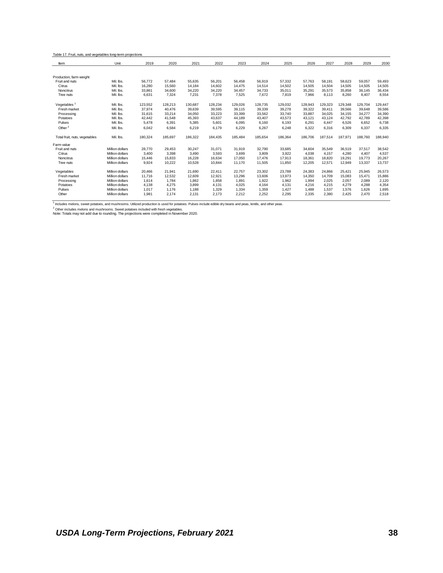| Table 17. Fruit, nuts, and vegetables long-term projections |                 |         |         |         |         |         |         |         |         |         |         |         |         |
|-------------------------------------------------------------|-----------------|---------|---------|---------|---------|---------|---------|---------|---------|---------|---------|---------|---------|
| Item                                                        | Unit            | 2019    | 2020    | 2021    | 2022    | 2023    | 2024    | 2025    | 2026    | 2027    | 2028    | 2029    | 2030    |
|                                                             |                 |         |         |         |         |         |         |         |         |         |         |         |         |
| Production, farm weight                                     |                 |         |         |         |         |         |         |         |         |         |         |         |         |
| Fruit and nuts                                              | Mil. Ibs.       | 56.772  | 57.484  | 55,635  | 56.201  | 56.458  | 56,919  | 57,332  | 57.763  | 58.191  | 58.623  | 59.057  | 59.493  |
| Citrus                                                      | Mil. Ibs.       | 16,280  | 15,560  | 14,184  | 14.602  | 14.475  | 14,514  | 14,502  | 14,505  | 14.504  | 14.505  | 14.505  | 14,505  |
| Noncitrus                                                   | Mil. Ibs.       | 33,861  | 34,600  | 34,220  | 34,220  | 34,457  | 34,733  | 35,011  | 35,291  | 35,573  | 35.858  | 36.145  | 36,434  |
| Tree nuts                                                   | Mil. Ibs.       | 6,631   | 7,324   | 7,231   | 7,378   | 7,525   | 7,672   | 7,819   | 7,966   | 8.113   | 8.260   | 8.407   | 8,554   |
| Vegetables <sup>1</sup>                                     | Mil. Ibs.       | 123,552 | 128.213 | 130,687 | 128,234 | 129,026 | 128,735 | 129,032 | 128.943 | 129,323 | 129.348 | 129.704 | 129,447 |
| Fresh market                                                | Mil. Ibs.       | 37,974  | 40.476  | 39.639  | 39,595  | 39.115  | 39,339  | 39,278  | 39,322  | 39.411  | 39.566  | 39.648  | 39,586  |
| Processing                                                  | Mil. Ibs.       | 31,615  | 33.214  | 34,050  | 33,223  | 33,399  | 33,562  | 33,740  | 33,887  | 34.025  | 34.155  | 34,277  | 34,390  |
| Potatoes                                                    | Mil. Ibs.       | 42.442  | 41.548  | 45,393  | 43,637  | 44.189  | 43,407  | 43,573  | 43.121  | 43.124  | 42.792  | 42.789  | 42,398  |
| Pulses                                                      | Mil. Ibs.       | 5,478   | 6,391   | 5,385   | 5,601   | 6,095   | 6,160   | 6,193   | 6,291   | 6,447   | 6,526   | 6,652   | 6,738   |
| Other <sup>2</sup>                                          | Mil. Ibs.       | 6.042   | 6,584   | 6,219   | 6.179   | 6,229   | 6,267   | 6,248   | 6.322   | 6.316   | 6.309   | 6.337   | 6,335   |
| Total fruit, nuts, vegetables                               | Mil. Ibs.       | 180,324 | 185,697 | 186,322 | 184,435 | 185,484 | 185,654 | 186,364 | 186,706 | 187,514 | 187,971 | 188,760 | 188,940 |
| Farm value                                                  |                 |         |         |         |         |         |         |         |         |         |         |         |         |
| Fruit and nuts                                              | Million dollars | 28,770  | 29.453  | 30,247  | 31.071  | 31,919  | 32,790  | 33,685  | 34.604  | 35,549  | 36.519  | 37.517  | 38,542  |
| Citrus                                                      | Million dollars | 3.400   | 3,398   | 3,490   | 3,593   | 3,699   | 3,809   | 3.922   | 4.038   | 4.157   | 4.280   | 4.407   | 4,537   |
| Noncitrus                                                   | Million dollars | 15.446  | 15.833  | 16.228  | 16.634  | 17.050  | 17.476  | 17.913  | 18.361  | 18.820  | 19.291  | 19.773  | 20,267  |
| Tree nuts                                                   | Million dollars | 9,924   | 10,222  | 10,528  | 10,844  | 11,170  | 11,505  | 11,850  | 12,205  | 12,571  | 12,949  | 13,337  | 13,737  |
| Vegetables                                                  | Million dollars | 20,466  | 21,941  | 21,690  | 22,411  | 22,757  | 23,302  | 23,788  | 24,383  | 24,866  | 25,421  | 25.945  | 26,573  |
| Fresh market                                                | Million dollars | 11.716  | 12,532  | 12.609  | 12.921  | 13.296  | 13,606  | 13,973  | 14.350  | 14.709  | 15.083  | 15.471  | 15,886  |
| Processing                                                  | Million dollars | 1.614   | 1.784   | 1.862   | 1.858   | 1.891   | 1,922   | 1.962   | 1.994   | 2.025   | 2.057   | 2.089   | 2,120   |
| Potatoes                                                    | Million dollars | 4.138   | 4.275   | 3.899   | 4.131   | 4.025   | 4.164   | 4.131   | 4.216   | 4.215   | 4.279   | 4.288   | 4.354   |
| Pulses                                                      | Million dollars | 1,017   | 1,176   | 1,188   | 1,329   | 1,334   | 1,359   | 1,427   | 1,488   | 1,537   | 1,576   | 1,626   | 1,695   |
| Other                                                       | Million dollars | 1,981   | 2,174   | 2,131   | 2,173   | 2,212   | 2,252   | 2,295   | 2,335   | 2,380   | 2,425   | 2,470   | 2,518   |

<sup>1</sup> includes melons, sweet potatoes, and mushrooms. Utilized production is used for potatoes. Pulses include edible dry beans and peas, lentils, and other peas.<br><sup>2</sup> Other includes melons and mushrooms. Sweet potatoes inclu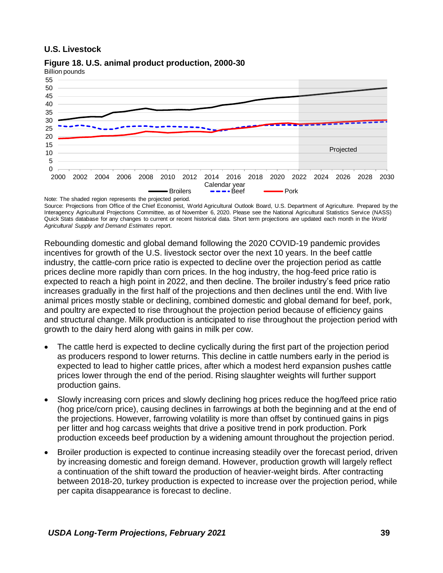### **U.S. Livestock**



**Figure 18. U.S. animal product production, 2000-30**

Source: Projections from Office of the Chief Economist, World Agricultural Outlook Board, U.S. Department of Agriculture. Prepared by the Interagency Agricultural Projections Committee, as of November 6, 2020. Please see the National Agricultural Statistics Service (NASS) Quick Stats database for any changes to current or recent historical data. Short term projections are updated each month in the *World Agricultural Supply and Demand Estimates* report.

Rebounding domestic and global demand following the 2020 COVID-19 pandemic provides incentives for growth of the U.S. livestock sector over the next 10 years. In the beef cattle industry, the cattle-corn price ratio is expected to decline over the projection period as cattle prices decline more rapidly than corn prices. In the hog industry, the hog-feed price ratio is expected to reach a high point in 2022, and then decline. The broiler industry's feed price ratio increases gradually in the first half of the projections and then declines until the end. With live animal prices mostly stable or declining, combined domestic and global demand for beef, pork, and poultry are expected to rise throughout the projection period because of efficiency gains and structural change. Milk production is anticipated to rise throughout the projection period with growth to the dairy herd along with gains in milk per cow.

- The cattle herd is expected to decline cyclically during the first part of the projection period as producers respond to lower returns. This decline in cattle numbers early in the period is expected to lead to higher cattle prices, after which a modest herd expansion pushes cattle prices lower through the end of the period. Rising slaughter weights will further support production gains.
- Slowly increasing corn prices and slowly declining hog prices reduce the hog/feed price ratio (hog price/corn price), causing declines in farrowings at both the beginning and at the end of the projections. However, farrowing volatility is more than offset by continued gains in pigs per litter and hog carcass weights that drive a positive trend in pork production. Pork production exceeds beef production by a widening amount throughout the projection period.
- Broiler production is expected to continue increasing steadily over the forecast period, driven by increasing domestic and foreign demand. However, production growth will largely reflect a continuation of the shift toward the production of heavier-weight birds. After contracting between 2018-20, turkey production is expected to increase over the projection period, while per capita disappearance is forecast to decline.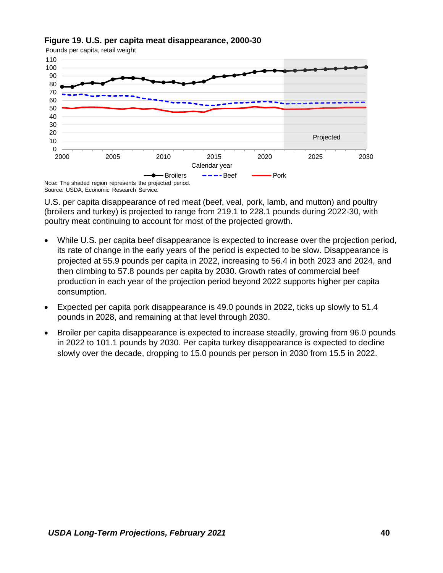



Source: USDA, Economic Research Service.

U.S. per capita disappearance of red meat (beef, veal, pork, lamb, and mutton) and poultry (broilers and turkey) is projected to range from 219.1 to 228.1 pounds during 2022-30, with poultry meat continuing to account for most of the projected growth.

- While U.S. per capita beef disappearance is expected to increase over the projection period, its rate of change in the early years of the period is expected to be slow. Disappearance is projected at 55.9 pounds per capita in 2022, increasing to 56.4 in both 2023 and 2024, and then climbing to 57.8 pounds per capita by 2030. Growth rates of commercial beef production in each year of the projection period beyond 2022 supports higher per capita consumption.
- Expected per capita pork disappearance is 49.0 pounds in 2022, ticks up slowly to 51.4 pounds in 2028, and remaining at that level through 2030.
- Broiler per capita disappearance is expected to increase steadily, growing from 96.0 pounds in 2022 to 101.1 pounds by 2030. Per capita turkey disappearance is expected to decline slowly over the decade, dropping to 15.0 pounds per person in 2030 from 15.5 in 2022.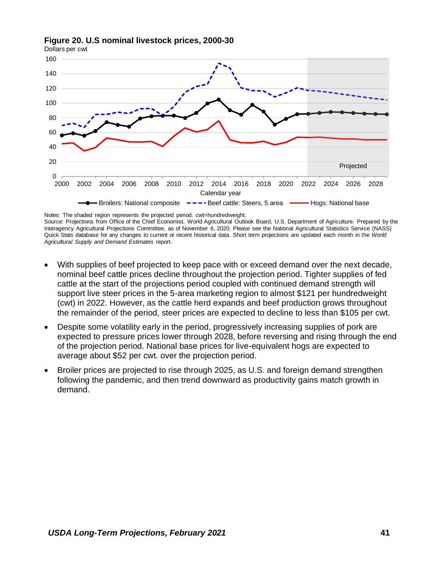





Notes: The shaded region represents the projected period. cwt=hundredweight. Source: Projections from Office of the Chief Economist, World Agricultural Outlook Board, U.S. Department of Agriculture. Prepared by the Interagency Agricultural Projections Committee, as of November 6, 2020. Please see the National Agricultural Statistics Service (NASS) Quick Stats database for any changes to current or recent historical data. Short term projections are updated each month in the *World Agricultural Supply and Demand Estimates* report.

- With supplies of beef projected to keep pace with or exceed demand over the next decade, nominal beef cattle prices decline throughout the projection period. Tighter supplies of fed cattle at the start of the projections period coupled with continued demand strength will support live steer prices in the 5-area marketing region to almost \$121 per hundredweight (cwt) in 2022. However, as the cattle herd expands and beef production grows throughout the remainder of the period, steer prices are expected to decline to less than \$105 per cwt.
- Despite some volatility early in the period, progressively increasing supplies of pork are expected to pressure prices lower through 2028, before reversing and rising through the end of the projection period. National base prices for live-equivalent hogs are expected to average about \$52 per cwt. over the projection period.
- Broiler prices are projected to rise through 2025, as U.S. and foreign demand strengthen following the pandemic, and then trend downward as productivity gains match growth in demand.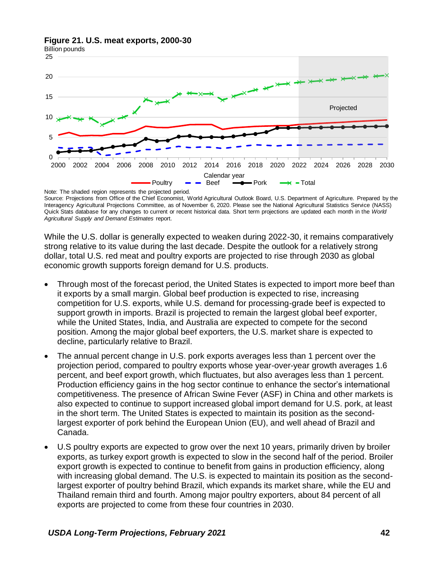#### **Figure 21. U.S. meat exports, 2000-30**



Note: The shaded region represents the projected period. Source: Projections from Office of the Chief Economist, World Agricultural Outlook Board, U.S. Department of Agriculture. Prepared by the Interagency Agricultural Projections Committee, as of November 6, 2020. Please see the National Agricultural Statistics Service (NASS) Quick Stats database for any changes to current or recent historical data. Short term projections are updated each month in the *World Agricultural Supply and Demand Estimates* report.

While the U.S. dollar is generally expected to weaken during 2022-30, it remains comparatively strong relative to its value during the last decade. Despite the outlook for a relatively strong dollar, total U.S. red meat and poultry exports are projected to rise through 2030 as global economic growth supports foreign demand for U.S. products.

- Through most of the forecast period, the United States is expected to import more beef than it exports by a small margin. Global beef production is expected to rise, increasing competition for U.S. exports, while U.S. demand for processing-grade beef is expected to support growth in imports. Brazil is projected to remain the largest global beef exporter, while the United States, India, and Australia are expected to compete for the second position. Among the major global beef exporters, the U.S. market share is expected to decline, particularly relative to Brazil.
- The annual percent change in U.S. pork exports averages less than 1 percent over the projection period, compared to poultry exports whose year-over-year growth averages 1.6 percent, and beef export growth, which fluctuates, but also averages less than 1 percent. Production efficiency gains in the hog sector continue to enhance the sector's international competitiveness. The presence of African Swine Fever (ASF) in China and other markets is also expected to continue to support increased global import demand for U.S. pork, at least in the short term. The United States is expected to maintain its position as the secondlargest exporter of pork behind the European Union (EU), and well ahead of Brazil and Canada.
- U.S poultry exports are expected to grow over the next 10 years, primarily driven by broiler exports, as turkey export growth is expected to slow in the second half of the period. Broiler export growth is expected to continue to benefit from gains in production efficiency, along with increasing global demand. The U.S. is expected to maintain its position as the secondlargest exporter of poultry behind Brazil, which expands its market share, while the EU and Thailand remain third and fourth. Among major poultry exporters, about 84 percent of all exports are projected to come from these four countries in 2030.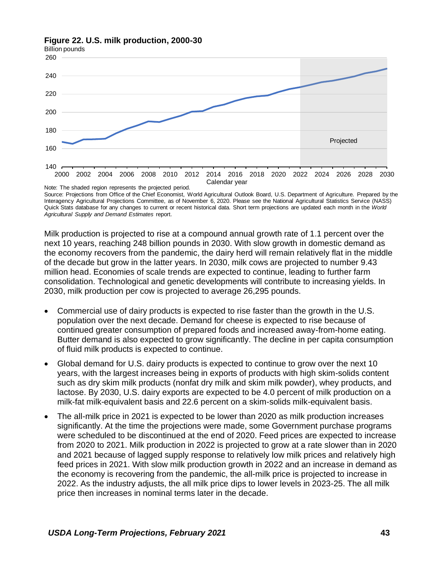### **Figure 22. U.S. milk production, 2000-30**



Source: Projections from Office of the Chief Economist, World Agricultural Outlook Board, U.S. Department of Agriculture. Prepared by the Interagency Agricultural Projections Committee, as of November 6, 2020. Please see the National Agricultural Statistics Service (NASS) Quick Stats database for any changes to current or recent historical data. Short term projections are updated each month in the *World Agricultural Supply and Demand Estimates* report.

Milk production is projected to rise at a compound annual growth rate of 1.1 percent over the next 10 years, reaching 248 billion pounds in 2030. With slow growth in domestic demand as the economy recovers from the pandemic, the dairy herd will remain relatively flat in the middle of the decade but grow in the latter years. In 2030, milk cows are projected to number 9.43 million head. Economies of scale trends are expected to continue, leading to further farm consolidation. Technological and genetic developments will contribute to increasing yields. In 2030, milk production per cow is projected to average 26,295 pounds.

- Commercial use of dairy products is expected to rise faster than the growth in the U.S. population over the next decade. Demand for cheese is expected to rise because of continued greater consumption of prepared foods and increased away-from-home eating. Butter demand is also expected to grow significantly. The decline in per capita consumption of fluid milk products is expected to continue.
- Global demand for U.S. dairy products is expected to continue to grow over the next 10 years, with the largest increases being in exports of products with high skim-solids content such as dry skim milk products (nonfat dry milk and skim milk powder), whey products, and lactose. By 2030, U.S. dairy exports are expected to be 4.0 percent of milk production on a milk-fat milk-equivalent basis and 22.6 percent on a skim-solids milk-equivalent basis.
- The all-milk price in 2021 is expected to be lower than 2020 as milk production increases significantly. At the time the projections were made, some Government purchase programs were scheduled to be discontinued at the end of 2020. Feed prices are expected to increase from 2020 to 2021. Milk production in 2022 is projected to grow at a rate slower than in 2020 and 2021 because of lagged supply response to relatively low milk prices and relatively high feed prices in 2021. With slow milk production growth in 2022 and an increase in demand as the economy is recovering from the pandemic, the all-milk price is projected to increase in 2022. As the industry adjusts, the all milk price dips to lower levels in 2023-25. The all milk price then increases in nominal terms later in the decade.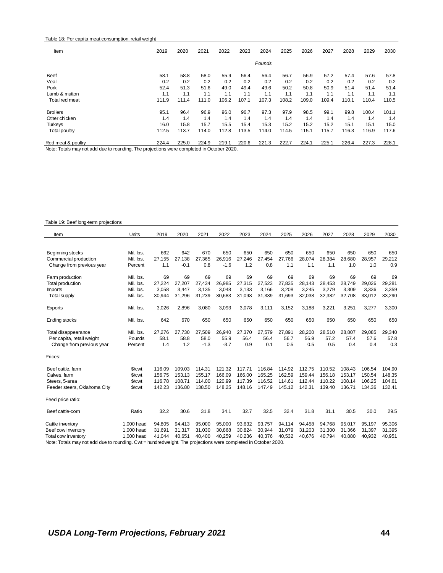#### Table 18: Per capita meat consumption, retail weight

| Item                                                                                     | 2019  | 2020  | 2021  | 2022  | 2023  | 2024   | 2025  | 2026  | 2027  | 2028  | 2029  | 2030  |
|------------------------------------------------------------------------------------------|-------|-------|-------|-------|-------|--------|-------|-------|-------|-------|-------|-------|
|                                                                                          |       |       |       |       |       | Pounds |       |       |       |       |       |       |
| Beef                                                                                     | 58.1  | 58.8  | 58.0  | 55.9  | 56.4  | 56.4   | 56.7  | 56.9  | 57.2  | 57.4  | 57.6  | 57.8  |
| Veal                                                                                     | 0.2   | 0.2   | 0.2   | 0.2   | 0.2   | 0.2    | 0.2   | 0.2   | 0.2   | 0.2   | 0.2   | 0.2   |
| Pork                                                                                     | 52.4  | 51.3  | 51.6  | 49.0  | 49.4  | 49.6   | 50.2  | 50.8  | 50.9  | 51.4  | 51.4  | 51.4  |
| Lamb & mutton                                                                            | 1.1   | 1.1   | 1.1   | 1.1   | 1.1   | 1.1    | 1.1   | 1.1   | 1.1   | 1.1   | 1.1   | 1.1   |
| Total red meat                                                                           | 111.9 | 111.4 | 111.0 | 106.2 | 107.1 | 107.3  | 108.2 | 109.0 | 109.4 | 110.1 | 110.4 | 110.5 |
| <b>Broilers</b>                                                                          | 95.1  | 96.4  | 96.9  | 96.0  | 96.7  | 97.3   | 97.9  | 98.5  | 99.1  | 99.8  | 100.4 | 101.1 |
| Other chicken                                                                            | 1.4   | 1.4   | 1.4   | 1.4   | 1.4   | 1.4    | 1.4   | 1.4   | 1.4   | 1.4   | 1.4   | 1.4   |
| <b>Turkeys</b>                                                                           | 16.0  | 15.8  | 15.7  | 15.5  | 15.4  | 15.3   | 15.2  | 15.2  | 15.2  | 15.1  | 15.1  | 15.0  |
| Total poultry                                                                            | 112.5 | 113.7 | 114.0 | 112.8 | 113.5 | 114.0  | 114.5 | 115.1 | 115.7 | 116.3 | 116.9 | 117.6 |
| Red meat & poultry                                                                       | 224.4 | 225.0 | 224.9 | 219.1 | 220.6 | 221.3  | 222.7 | 224.1 | 225.1 | 226.4 | 227.3 | 228.1 |
| Note: Totals may not add due to rounding. The projections were completed in October 2020 |       |       |       |       |       |        |       |       |       |       |       |       |

Note: Totals may not add due to rounding. The projections were completed in October 2020.

#### Table 19: Beef long-term projections

| Item                         | Units              | 2019   | 2020   | 2021   | 2022   | 2023   | 2024   | 2025   | 2026   | 2027   | 2028   | 2029   | 2030   |
|------------------------------|--------------------|--------|--------|--------|--------|--------|--------|--------|--------|--------|--------|--------|--------|
|                              |                    |        |        |        |        |        |        |        |        |        |        |        |        |
| Beginning stocks             | Mil. Ibs.          | 662    | 642    | 670    | 650    | 650    | 650    | 650    | 650    | 650    | 650    | 650    | 650    |
| Commercial production        | Mil. lbs.          | 27.155 | 27.138 | 27,365 | 26,916 | 27.246 | 27,454 | 27.766 | 28,074 | 28,384 | 28,680 | 28,957 | 29,212 |
| Change from previous year    | Percent            | 1.1    | $-0.1$ | 0.8    | $-1.6$ | 1.2    | 0.8    | 1.1    | 1.1    | 1.1    | 1.0    | 1.0    | 0.9    |
| Farm production              | Mil. Ibs.          | 69     | 69     | 69     | 69     | 69     | 69     | 69     | 69     | 69     | 69     | 69     | 69     |
| Total production             | Mil. Ibs.          | 27.224 | 27,207 | 27,434 | 26,985 | 27,315 | 27,523 | 27,835 | 28.143 | 28,453 | 28.749 | 29,026 | 29,281 |
| <b>Imports</b>               | Mil. Ibs.          | 3,058  | 3.447  | 3.135  | 3.048  | 3.133  | 3.166  | 3.208  | 3.245  | 3.279  | 3.309  | 3.336  | 3,359  |
| <b>Total supply</b>          | Mil. Ibs.          | 30,944 | 31,296 | 31,239 | 30,683 | 31,098 | 31,339 | 31,693 | 32,038 | 32,382 | 32,708 | 33,012 | 33,290 |
| Exports                      | Mil. lbs.          | 3,026  | 2,896  | 3,080  | 3,093  | 3,078  | 3,111  | 3,152  | 3,188  | 3,221  | 3,251  | 3,277  | 3,300  |
| <b>Ending stocks</b>         | Mil. Ibs.          | 642    | 670    | 650    | 650    | 650    | 650    | 650    | 650    | 650    | 650    | 650    | 650    |
| Total disappearance          | Mil. Ibs.          | 27,276 | 27,730 | 27,509 | 26,940 | 27,370 | 27,579 | 27,891 | 28,200 | 28,510 | 28,807 | 29,085 | 29,340 |
| Per capita, retail weight    | Pounds             | 58.1   | 58.8   | 58.0   | 55.9   | 56.4   | 56.4   | 56.7   | 56.9   | 57.2   | 57.4   | 57.6   | 57.8   |
| Change from previous year    | Percent            | 1.4    | 1.2    | $-1.3$ | $-3.7$ | 0.9    | 0.1    | 0.5    | 0.5    | 0.5    | 0.4    | 0.4    | 0.3    |
| Prices:                      |                    |        |        |        |        |        |        |        |        |        |        |        |        |
| Beef cattle, farm            | \$/ <sub>cut</sub> | 116.09 | 109.03 | 114.31 | 121.32 | 117.71 | 116.84 | 114.92 | 112.75 | 110.52 | 108.43 | 106.54 | 104.90 |
| Calves, farm                 | \$/ <sub>cut</sub> | 156.75 | 153.13 | 155.17 | 166.09 | 166.00 | 165.25 | 162.59 | 159.44 | 156.18 | 153.17 | 150.54 | 148.35 |
| Steers, 5-area               | \$/cwt             | 116.78 | 108.71 | 114.00 | 120.99 | 117.39 | 116.52 | 114.61 | 112.44 | 110.22 | 108.14 | 106.25 | 104.61 |
| Feeder steers, Oklahoma City | \$/cwt             | 142.23 | 136.80 | 138.50 | 148.25 | 148.16 | 147.49 | 145.12 | 142.31 | 139.40 | 136.71 | 134.36 | 132.41 |
| Feed price ratio:            |                    |        |        |        |        |        |        |        |        |        |        |        |        |
| Beef cattle-corn             | Ratio              | 32.2   | 30.6   | 31.8   | 34.1   | 32.7   | 32.5   | 32.4   | 31.8   | 31.1   | 30.5   | 30.0   | 29.5   |
| Cattle inventory             | 1,000 head         | 94,805 | 94,413 | 95,000 | 95,000 | 93,632 | 93,757 | 94,114 | 94,458 | 94,768 | 95,017 | 95,197 | 95,306 |
| Beef cow inventory           | 1.000 head         | 31.691 | 31.317 | 31.030 | 30.868 | 30.824 | 30.944 | 31,079 | 31.203 | 31.300 | 31.366 | 31.397 | 31,395 |
| Total cow inventory          | 1,000 head         | 41,044 | 40,651 | 40,400 | 40,259 | 40,236 | 40,376 | 40,532 | 40,676 | 40,794 | 40,880 | 40,932 | 40,951 |

Note: Totals may not add due to rounding. Cwt = hundredweight. The projections were completed in October 2020.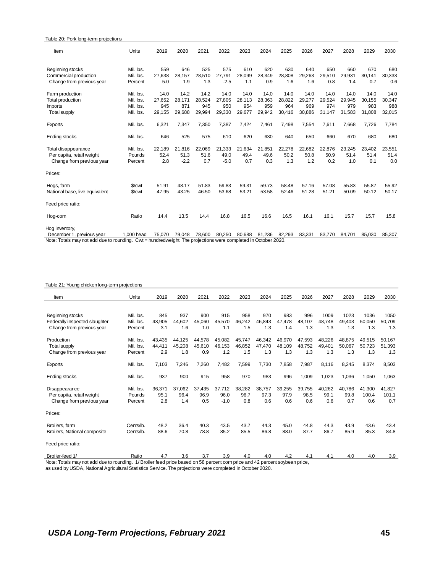| Table 20: Pork long-term projections |            |        |        |        |        |        |        |        |        |        |        |        |        |
|--------------------------------------|------------|--------|--------|--------|--------|--------|--------|--------|--------|--------|--------|--------|--------|
| Item                                 | Units      | 2019   | 2020   | 2021   | 2022   | 2023   | 2024   | 2025   | 2026   | 2027   | 2028   | 2029   | 2030   |
|                                      |            |        |        |        |        |        |        |        |        |        |        |        |        |
| Beginning stocks                     | Mil. lbs.  | 559    | 646    | 525    | 575    | 610    | 620    | 630    | 640    | 650    | 660    | 670    | 680    |
| Commercial production                | Mil. lbs.  | 27.638 | 28.157 | 28.510 | 27.791 | 28.099 | 28.349 | 28.808 | 29.263 | 29,510 | 29.931 | 30.141 | 30,333 |
| Change from previous year            | Percent    | 5.0    | 1.9    | 1.3    | $-2.5$ | 1.1    | 0.9    | 1.6    | 1.6    | 0.8    | 1.4    | 0.7    | 0.6    |
| Farm production                      | Mil. Ibs.  | 14.0   | 14.2   | 14.2   | 14.0   | 14.0   | 14.0   | 14.0   | 14.0   | 14.0   | 14.0   | 14.0   | 14.0   |
| Total production                     | Mil. Ibs.  | 27.652 | 28.171 | 28.524 | 27,805 | 28.113 | 28,363 | 28,822 | 29,277 | 29,524 | 29.945 | 30.155 | 30,347 |
| <b>Imports</b>                       | Mil. Ibs.  | 945    | 871    | 945    | 950    | 954    | 959    | 964    | 969    | 974    | 979    | 983    | 988    |
| <b>Total supply</b>                  | Mil. Ibs.  | 29,155 | 29,688 | 29,994 | 29,330 | 29,677 | 29,942 | 30,416 | 30,886 | 31,147 | 31,583 | 31,808 | 32,015 |
| Exports                              | Mil. Ibs.  | 6,321  | 7,347  | 7,350  | 7,387  | 7,424  | 7,461  | 7,498  | 7,554  | 7,611  | 7,668  | 7,726  | 7,784  |
| <b>Ending stocks</b>                 | Mil. Ibs.  | 646    | 525    | 575    | 610    | 620    | 630    | 640    | 650    | 660    | 670    | 680    | 680    |
| Total disappearance                  | Mil. Ibs.  | 22.189 | 21,816 | 22.069 | 21.333 | 21.634 | 21,851 | 22,278 | 22,682 | 22.876 | 23.245 | 23.402 | 23,551 |
| Per capita, retail weight            | Pounds     | 52.4   | 51.3   | 51.6   | 49.0   | 49.4   | 49.6   | 50.2   | 50.8   | 50.9   | 51.4   | 51.4   | 51.4   |
| Change from previous year            | Percent    | 2.8    | $-2.2$ | 0.7    | $-5.0$ | 0.7    | 0.3    | 1.3    | 1.2    | 0.2    | 1.0    | 0.1    | 0.0    |
| Prices:                              |            |        |        |        |        |        |        |        |        |        |        |        |        |
| Hogs, farm                           | \$/cwt     | 51.91  | 48.17  | 51.83  | 59.83  | 59.31  | 59.73  | 58.48  | 57.16  | 57.08  | 55.83  | 55.87  | 55.92  |
| National base, live equivalent       | \$/cwt     | 47.95  | 43.25  | 46.50  | 53.68  | 53.21  | 53.58  | 52.46  | 51.28  | 51.21  | 50.09  | 50.12  | 50.17  |
| Feed price ratio:                    |            |        |        |        |        |        |        |        |        |        |        |        |        |
| Hog-corn                             | Ratio      | 14.4   | 13.5   | 14.4   | 16.8   | 16.5   | 16.6   | 16.5   | 16.1   | 16.1   | 15.7   | 15.7   | 15.8   |
| Hog inventory,                       |            |        |        |        |        |        |        |        |        |        |        |        |        |
| December 1, previous year            | 1.000 head | 75,070 | 79,048 | 78.600 | 80,250 | 80.688 | 81.236 | 82,293 | 83,331 | 83.770 | 84,701 | 85.030 | 85,307 |

Note: Totals may not add due to rounding. Cwt = hundredweight. The projections were completed in October 2020.

#### Table 21: Young chicken long-term projections

| Item                          | Units     | 2019   | 2020   | 2021   | 2022   | 2023   | 2024   | 2025   | 2026   | 2027   | 2028   | 2029   | 2030   |
|-------------------------------|-----------|--------|--------|--------|--------|--------|--------|--------|--------|--------|--------|--------|--------|
|                               |           |        |        |        |        |        |        |        |        |        |        |        |        |
| Beginning stocks              | Mil. Ibs. | 845    | 937    | 900    | 915    | 958    | 970    | 983    | 996    | 1009   | 1023   | 1036   | 1050   |
| Federally inspected slaughter | Mil. Ibs. | 43.905 | 44,602 | 45,060 | 45,570 | 46,242 | 46,843 | 47,478 | 48,107 | 48,748 | 49,403 | 50,050 | 50,709 |
| Change from previous year     | Percent   | 3.1    | 1.6    | 1.0    | 1.1    | 1.5    | 1.3    | 1.4    | 1.3    | 1.3    | 1.3    | 1.3    | 1.3    |
| Production                    | Mil. Ibs. | 43.435 | 44,125 | 44.578 | 45,082 | 45,747 | 46,342 | 46,970 | 47,593 | 48,226 | 48.875 | 49.515 | 50,167 |
| <b>Total supply</b>           | Mil. Ibs. | 44.411 | 45.208 | 45,610 | 46,153 | 46,852 | 47,470 | 48,109 | 48,752 | 49.401 | 50.067 | 50.723 | 51,393 |
| Change from previous year     | Percent   | 2.9    | 1.8    | 0.9    | 1.2    | 1.5    | 1.3    | 1.3    | 1.3    | 1.3    | 1.3    | 1.3    | 1.3    |
| Exports                       | Mil. Ibs. | 7,103  | 7,246  | 7.260  | 7,482  | 7,599  | 7,730  | 7,858  | 7,987  | 8.116  | 8,245  | 8,374  | 8,503  |
| Ending stocks                 | Mil. lbs. | 937    | 900    | 915    | 958    | 970    | 983    | 996    | 1,009  | 1,023  | 1,036  | 1,050  | 1,063  |
| Disappearance                 | Mil. Ibs. | 36.371 | 37,062 | 37,435 | 37.712 | 38,282 | 38,757 | 39,255 | 39,755 | 40,262 | 40.786 | 41,300 | 41,827 |
| Per capita, retail weight     | Pounds    | 95.1   | 96.4   | 96.9   | 96.0   | 96.7   | 97.3   | 97.9   | 98.5   | 99.1   | 99.8   | 100.4  | 101.1  |
| Change from previous year     | Percent   | 2.8    | 1.4    | 0.5    | $-1.0$ | 0.8    | 0.6    | 0.6    | 0.6    | 0.6    | 0.7    | 0.6    | 0.7    |
| Prices:                       |           |        |        |        |        |        |        |        |        |        |        |        |        |
| Broilers, farm                | Cents/lb. | 48.2   | 36.4   | 40.3   | 43.5   | 43.7   | 44.3   | 45.0   | 44.8   | 44.3   | 43.9   | 43.6   | 43.4   |
| Broilers, National composite  | Cents/lb. | 88.6   | 70.8   | 78.8   | 85.2   | 85.5   | 86.8   | 88.0   | 87.7   | 86.7   | 85.9   | 85.3   | 84.8   |
| Feed price ratio:             |           |        |        |        |        |        |        |        |        |        |        |        |        |
| Broiler-feed 1/               | Ratio     | 4.7    | 3.6    | 3.7    | 3.9    | 4.0    | 4.0    | 4.2    | 4.1    | 4.1    | 4.0    | 4.0    | 3.9    |

Note: Totals may not add due to rounding. 1/ Broiler feed price based on 58 percent corn price and 42 percent soybean price, as used by USDA, National Agricultural Statistics Service. The projections were completed in October 2020.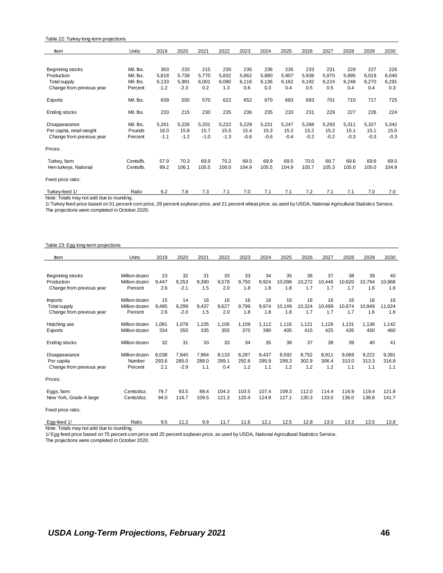#### Table 22: Turkey long-term projections

| Item                                      | Units     | 2019   | 2020   | 2021   | 2022   | 2023   | 2024   | 2025   | 2026   | 2027   | 2028   | 2029   | 2030   |
|-------------------------------------------|-----------|--------|--------|--------|--------|--------|--------|--------|--------|--------|--------|--------|--------|
|                                           |           |        |        |        |        |        |        |        |        |        |        |        |        |
| Beginning stocks                          | Mil. Ibs. | 303    | 233    | 215    | 230    | 235    | 236    | 235    | 233    | 231    | 229    | 227    | 226    |
| Production                                | Mil. Ibs. | 5,818  | 5,738  | 5,770  | 5,832  | 5,862  | 5,880  | 5,907  | 5,938  | 5,970  | 5,995  | 6,019  | 6,040  |
| <b>Total supply</b>                       | Mil. lbs. | 6,133  | 5,991  | 6,001  | 6,080  | 6,116  | 6,136  | 6,162  | 6,192  | 6,224  | 6,248  | 6,270  | 6,291  |
| Change from previous year                 | Percent   | $-1.2$ | $-2.3$ | 0.2    | 1.3    | 0.6    | 0.3    | 0.4    | 0.5    | 0.5    | 0.4    | 0.4    | 0.3    |
| Exports                                   | Mil. lbs. | 639    | 550    | 570    | 622    | 652    | 670    | 683    | 693    | 701    | 710    | 717    | 725    |
| Ending stocks                             | Mil. lbs. | 233    | 215    | 230    | 235    | 236    | 235    | 233    | 231    | 229    | 227    | 226    | 224    |
| Disappearance                             | Mil. Ibs. | 5,261  | 5,226  | 5,201  | 5,222  | 5,229  | 5,231  | 5,247  | 5,268  | 5,293  | 5,311  | 5,327  | 5,342  |
| Per capita, retail weight                 | Pounds    | 16.0   | 15.8   | 15.7   | 15.5   | 15.4   | 15.3   | 15.2   | 15.2   | 15.2   | 15.1   | 15.1   | 15.0   |
| Change from previous year                 | Percent   | $-1.1$ | $-1.2$ | $-1.0$ | $-1.3$ | $-0.6$ | $-0.6$ | $-0.4$ | $-0.2$ | $-0.2$ | $-0.3$ | $-0.3$ | $-0.3$ |
| Prices:                                   |           |        |        |        |        |        |        |        |        |        |        |        |        |
| Turkey, farm                              | Cents/lb. | 57.9   | 70.3   | 69.9   | 70.2   | 69.5   | 69.9   | 69.5   | 70.0   | 69.7   | 69.6   | 69.6   | 69.5   |
| Hen turkeys, National                     | Cents/lb. | 89.2   | 106.1  | 105.5  | 106.0  | 104.9  | 105.5  | 104.9  | 105.7  | 105.3  | 105.0  | 105.0  | 104.9  |
| Feed price ratio:                         |           |        |        |        |        |        |        |        |        |        |        |        |        |
| Turkey-feed 1/                            | Ratio     | 6.2    | 7.8    | 7.3    | 7.1    | 7.0    | 7.1    | 7.1    | 7.2    | 7.1    | 7.1    | 7.0    | 7.0    |
| Note: Totals may not add due to rounding. |           |        |        |        |        |        |        |        |        |        |        |        |        |

1/ Turkey feed price based on 51 percent corn price, 28 percent soybean price, and 21 percent wheat price, as used by USDA, National Agricultural Statistics Service. The projections were completed in October 2020.

#### Table 23: Egg long-term projections

| Item                                     | Units         | 2019  | 2020   | 2021  | 2022  | 2023  | 2024  | 2025   | 2026   | 2027   | 2028   | 2029   | 2030   |
|------------------------------------------|---------------|-------|--------|-------|-------|-------|-------|--------|--------|--------|--------|--------|--------|
|                                          |               |       |        |       |       |       |       |        |        |        |        |        |        |
| Beginning stocks                         | Million dozen | 23    | 32     | 31    | 33    | 33    | 34    | 35     | 36     | 37     | 38     | 39     | 40     |
| Production                               | Million dozen | 9.447 | 9.253  | 9.390 | 9.578 | 9.750 | 9.924 | 10.098 | 10.272 | 10,446 | 10,620 | 10.794 | 10,968 |
| Change from previous year                | Percent       | 2.6   | $-2.1$ | 1.5   | 2.0   | 1.8   | 1.8   | 1.8    | 1.7    | 1.7    | 1.7    | 1.6    | 1.6    |
| <i>Imports</i>                           | Million dozen | 15    | 14     | 16    | 16    | 16    | 16    | 16     | 16     | 16     | 16     | 16     | 16     |
| <b>Total supply</b>                      | Million dozen | 9.485 | 9,299  | 9.437 | 9,627 | 9.799 | 9.974 | 10.149 | 10,324 | 10,499 | 10.674 | 10.849 | 11,024 |
| Change from previous year                | Percent       | 2.6   | $-2.0$ | 1.5   | 2.0   | 1.8   | 1.8   | 1.8    | 1.7    | 1.7    | 1.7    | 1.6    | 1.6    |
| Hatching use                             | Million dozen | 1.081 | 1,078  | 1,105 | 1,106 | 1,109 | 1,112 | 1,116  | 1,121  | 1,126  | 1,131  | 1,136  | 1,142  |
| Exports                                  | Million dozen | 334   | 350    | 335   | 355   | 370   | 390   | 405    | 415    | 425    | 435    | 450    | 460    |
| <b>Ending stocks</b>                     | Million dozen | 32    | 31     | 33    | 33    | 34    | 35    | 36     | 37     | 38     | 39     | 40     | 41     |
| Disappearance                            | Million dozen | 8,038 | 7,840  | 7,964 | 8,133 | 8,287 | 8,437 | 8,592  | 8,752  | 8,911  | 9,069  | 9,222  | 9,381  |
| Per capita                               | Number        | 293.6 | 285.0  | 288.0 | 289.1 | 292.6 | 295.9 | 299.3  | 302.9  | 306.4  | 310.0  | 313.3  | 316.8  |
| Change from previous year                | Percent       | 2.1   | $-2.9$ | 1.1   | 0.4   | 1.2   | 1.1   | 1.2    | 1.2    | 1.2    | 1.1    | 1.1    | 1.1    |
| Prices:                                  |               |       |        |       |       |       |       |        |        |        |        |        |        |
| Eggs, farm                               | Cents/doz.    | 79.7  | 93.5   | 88.4  | 104.3 | 103.5 | 107.4 | 109.3  | 112.0  | 114.4  | 116.9  | 119.4  | 121.9  |
| New York, Grade A large                  | Cents/doz.    | 94.0  | 116.7  | 109.5 | 121.3 | 120.4 | 124.9 | 127.1  | 130.3  | 133.0  | 136.0  | 138.8  | 141.7  |
| Feed price ratio:                        |               |       |        |       |       |       |       |        |        |        |        |        |        |
| Egg-feed 1/                              | Ratio         | 9.5   | 11.2   | 9.9   | 11.7  | 11.6  | 12.1  | 12.5   | 12.8   | 13.0   | 13.3   | 13.5   | 13.8   |
| Note: Totale may not add dup to rounding |               |       |        |       |       |       |       |        |        |        |        |        |        |

Note: Totals may not add due to rounding.

1/ Egg feed price based on 75 percent corn price and 25 percent soybean price, as used by USDA, National Agricultural Statistics Service.

The projections were completed in October 2020.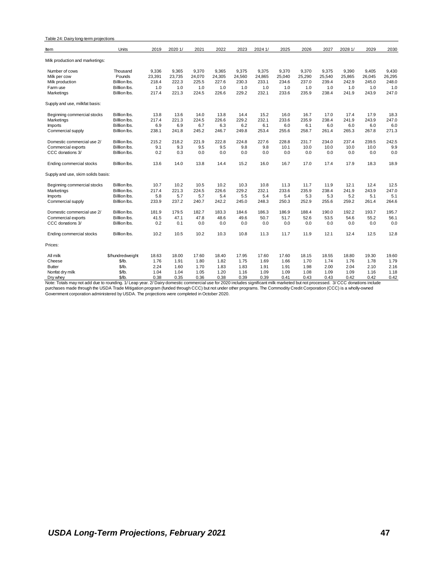| Table 24: Dairy long-term projections |                  |        |         |        |        |        |         |        |        |        |         |        |        |
|---------------------------------------|------------------|--------|---------|--------|--------|--------|---------|--------|--------|--------|---------|--------|--------|
| ltem                                  | Units            | 2019   | 2020 1/ | 2021   | 2022   | 2023   | 2024 1/ | 2025   | 2026   | 2027   | 2028 1/ | 2029   | 2030   |
| Milk production and marketings:       |                  |        |         |        |        |        |         |        |        |        |         |        |        |
| Number of cows                        | Thousand         | 9,336  | 9.365   | 9.370  | 9.365  | 9.375  | 9.375   | 9.370  | 9.370  | 9.375  | 9.390   | 9.405  | 9.430  |
| Milk per cow                          | Pounds           | 23,391 | 23,735  | 24,070 | 24,305 | 24,560 | 24,865  | 25,040 | 25,290 | 25,540 | 25,865  | 26,045 | 26,295 |
| Milk production                       | Billion lbs.     | 218.4  | 222.3   | 225.5  | 227.6  | 230.3  | 233.1   | 234.6  | 237.0  | 239.4  | 242.9   | 245.0  | 248.0  |
| Farm use                              | Billion lbs.     | 1.0    | 1.0     | 1.0    | 1.0    | 1.0    | 1.0     | 1.0    | 1.0    | 1.0    | 1.0     | 1.0    | 1.0    |
| Marketings                            | Billion lbs.     | 217.4  | 221.3   | 224.5  | 226.6  | 229.2  | 232.1   | 233.6  | 235.9  | 238.4  | 241.9   | 243.9  | 247.0  |
| Supply and use, milkfat basis:        |                  |        |         |        |        |        |         |        |        |        |         |        |        |
| Beginning commercial stocks           | Billion lbs.     | 13.8   | 13.6    | 14.0   | 13.8   | 14.4   | 15.2    | 16.0   | 16.7   | 17.0   | 17.4    | 17.9   | 18.3   |
| Marketings                            | Billion lbs.     | 217.4  | 221.3   | 224.5  | 226.6  | 229.2  | 232.1   | 233.6  | 235.9  | 238.4  | 241.9   | 243.9  | 247.0  |
| <b>Imports</b>                        | Billion lbs.     | 6.9    | 6.9     | 6.7    | 6.3    | 6.2    | 6.1     | 6.0    | 6.1    | 6.0    | 6.0     | 6.0    | 6.0    |
| Commercial supply                     | Billion lbs.     | 238.1  | 241.8   | 245.2  | 246.7  | 249.8  | 253.4   | 255.6  | 258.7  | 261.4  | 265.3   | 267.8  | 271.3  |
| Domestic commercial use 2/            | Billlion lbs.    | 215.2  | 218.2   | 221.9  | 222.8  | 224.8  | 227.6   | 228.8  | 231.7  | 234.0  | 237.4   | 239.5  | 242.5  |
| Commercial exports                    | Billion lbs.     | 9.1    | 9.3     | 9.5    | 9.5    | 9.8    | 9.8     | 10.1   | 10.0   | 10.0   | 10.0    | 10.0   | 9.9    |
| CCC donations 3/                      | Billlion lbs.    | 0.2    | 0.3     | 0.0    | 0.0    | 0.0    | 0.0     | 0.0    | 0.0    | 0.0    | 0.0     | 0.0    | 0.0    |
| Ending commercial stocks              | Billion lbs.     | 13.6   | 14.0    | 13.8   | 14.4   | 15.2   | 16.0    | 16.7   | 17.0   | 17.4   | 17.9    | 18.3   | 18.9   |
| Supply and use, skim solids basis:    |                  |        |         |        |        |        |         |        |        |        |         |        |        |
| Beginning commercial stocks           | Billlion lbs.    | 10.7   | 10.2    | 10.5   | 10.2   | 10.3   | 10.8    | 11.3   | 11.7   | 11.9   | 12.1    | 12.4   | 12.5   |
| Marketings                            | Billion lbs.     | 217.4  | 221.3   | 224.5  | 226.6  | 229.2  | 232.1   | 233.6  | 235.9  | 238.4  | 241.9   | 243.9  | 247.0  |
| <b>Imports</b>                        | Billion lbs.     | 5.8    | 5.7     | 5.7    | 5.4    | 5.5    | 5.4     | 5.4    | 5.3    | 5.3    | 5.2     | 5.1    | 5.1    |
| Commercial supply                     | Billion lbs.     | 233.9  | 237.2   | 240.7  | 242.2  | 245.0  | 248.3   | 250.3  | 252.9  | 255.6  | 259.2   | 261.4  | 264.6  |
| Domestic commercial use 2/            | Billion lbs.     | 181.9  | 179.5   | 182.7  | 183.3  | 184.6  | 186.3   | 186.9  | 188.4  | 190.0  | 192.2   | 193.7  | 195.7  |
| Commercial exports                    | Billion lbs.     | 41.5   | 47.1    | 47.8   | 48.6   | 49.6   | 50.7    | 51.7   | 52.6   | 53.5   | 54.6    | 55.2   | 56.1   |
| CCC donations 3/                      | Billion lbs.     | 0.2    | 0.1     | 0.0    | 0.0    | 0.0    | 0.0     | 0.0    | 0.0    | 0.0    | 0.0     | 0.0    | 0.0    |
| Ending commercial stocks              | Billion lbs.     | 10.2   | 10.5    | 10.2   | 10.3   | 10.8   | 11.3    | 11.7   | 11.9   | 12.1   | 12.4    | 12.5   | 12.8   |
| Prices:                               |                  |        |         |        |        |        |         |        |        |        |         |        |        |
| All milk                              | \$/hundredweight | 18.63  | 18.00   | 17.60  | 18.40  | 17.95  | 17.60   | 17.60  | 18.15  | 18.55  | 18.80   | 19.30  | 19.60  |
| Cheese                                | \$/lb.           | 1.76   | 1.91    | 1.80   | 1.82   | 1.75   | 1.69    | 1.66   | 1.70   | 1.74   | 1.76    | 1.78   | 1.79   |
| <b>Butter</b>                         | $$$ /lb.         | 2.24   | 1.60    | 1.70   | 1.83   | 1.83   | 1.91    | 1.91   | 1.98   | 2.00   | 2.04    | 2.10   | 2.16   |
| Nonfat dry milk                       | $$$ /lb.         | 1.04   | 1.04    | 1.05   | 1.20   | 1.16   | 1.09    | 1.09   | 1.08   | 1.09   | 1.09    | 1.16   | 1.18   |
| Dry whey                              | \$/lb.           | 0.38   | 0.35    | 0.36   | 0.38   | 0.39   | 0.39    | 0.41   | 0.43   | 0.43   | 0.42    | 0.42   | 0.42   |

Dry whey<br>Note: Totals may not add due to rounding. 1/Leap year. 2/Daisy domestic commercial use for 2020 includes significant milk marketed but not processed. 3/ CCC donations include<br>Duck: Totals may not add due to roundi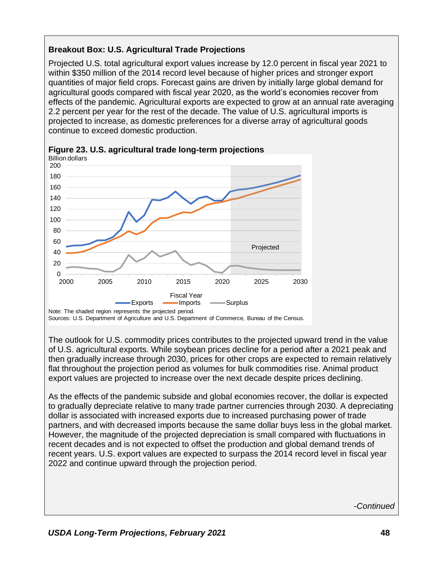# **Breakout Box: U.S. Agricultural Trade Projections**

Projected U.S. total agricultural export values increase by 12.0 percent in fiscal year 2021 to within \$350 million of the 2014 record level because of higher prices and stronger export quantities of major field crops. Forecast gains are driven by initially large global demand for agricultural goods compared with fiscal year 2020, as the world's economies recover from effects of the pandemic. Agricultural exports are expected to grow at an annual rate averaging 2.2 percent per year for the rest of the decade. The value of U.S. agricultural imports is projected to increase, as domestic preferences for a diverse array of agricultural goods continue to exceed domestic production.



Sources: U.S. Department of Agriculture and U.S. Department of Commerce, Bureau of the Census.

**Figure 23. U.S. agricultural trade long-term projections** Billion dollars

The outlook for U.S. commodity prices contributes to the projected upward trend in the value of U.S. agricultural exports. While soybean prices decline for a period after a 2021 peak and then gradually increase through 2030, prices for other crops are expected to remain relatively flat throughout the projection period as volumes for bulk commodities rise. Animal product export values are projected to increase over the next decade despite prices declining.

As the effects of the pandemic subside and global economies recover, the dollar is expected to gradually depreciate relative to many trade partner currencies through 2030. A depreciating dollar is associated with increased exports due to increased purchasing power of trade partners, and with decreased imports because the same dollar buys less in the global market. However, the magnitude of the projected depreciation is small compared with fluctuations in recent decades and is not expected to offset the production and global demand trends of recent years. U.S. export values are expected to surpass the 2014 record level in fiscal year 2022 and continue upward through the projection period.

-*Continued*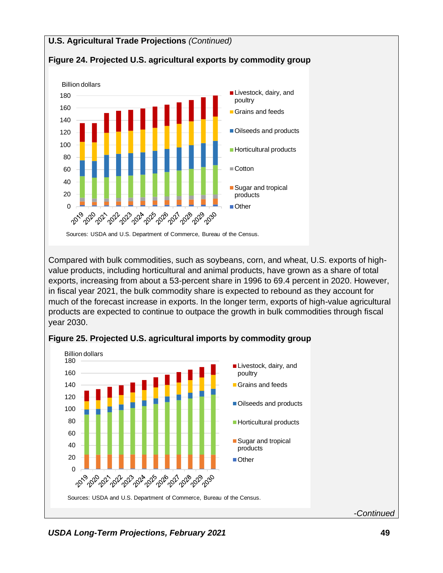# **U.S. Agricultural Trade Projections** *(Continued)*



## **Figure 24. Projected U.S. agricultural exports by commodity group**

Compared with bulk commodities, such as soybeans, corn, and wheat, U.S. exports of highvalue products, including horticultural and animal products, have grown as a share of total exports, increasing from about a 53-percent share in 1996 to 69.4 percent in 2020. However, in fiscal year 2021, the bulk commodity share is expected to rebound as they account for much of the forecast increase in exports. In the longer term, exports of high-value agricultural products are expected to continue to outpace the growth in bulk commodities through fiscal year 2030.



## **Figure 25. Projected U.S. agricultural imports by commodity group**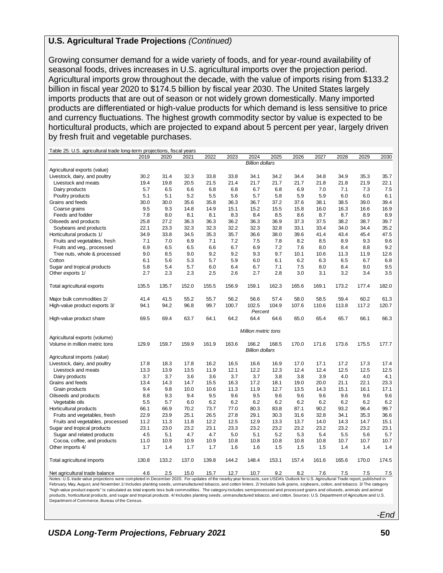### **U.S. Agricultural Trade Projections** *(Continued)*

Growing consumer demand for a wide variety of foods, and for year-round availability of seasonal foods, drives increases in U.S. agricultural imports over the projection period. Agricultural imports grow throughout the decade, with the value of imports rising from \$133.2 billion in fiscal year 2020 to \$174.5 billion by fiscal year 2030. The United States largely imports products that are out of season or not widely grown domestically. Many imported products are differentiated or high-value products for which demand is less sensitive to price and currency fluctuations. The highest growth commodity sector by value is expected to be horticultural products, which are projected to expand about 5 percent per year, largely driven by fresh fruit and vegetable purchases.

| Table 25: U.S. agricultural trade long-term projections, fiscal years                                                                                                              |             |             |             |             |             |                        |       |             |             |             |             |             |
|------------------------------------------------------------------------------------------------------------------------------------------------------------------------------------|-------------|-------------|-------------|-------------|-------------|------------------------|-------|-------------|-------------|-------------|-------------|-------------|
|                                                                                                                                                                                    | 2019        | 2020        | 2021        | 2022        | 2023        | 2024                   | 2025  | 2026        | 2027        | 2028        | 2029        | 2030        |
|                                                                                                                                                                                    |             |             |             |             |             | <b>Billion dollars</b> |       |             |             |             |             |             |
| Agricultural exports (value)                                                                                                                                                       |             |             |             |             |             |                        |       |             |             |             |             |             |
| Livestock, dairy, and poultry                                                                                                                                                      | 30.2        | 31.4        | 32.3        | 33.8        | 33.8        | 34.1                   | 34.2  | 34.4        | 34.8        | 34.9        | 35.3        | 35.7        |
| Livestock and meats                                                                                                                                                                | 19.4        | 19.8        | 20.5        | 21.5        | 21.4        | 21.7                   | 21.7  | 21.7        | 21.8        | 21.8        | 21.9        | 22.1        |
| Dairy products                                                                                                                                                                     | 5.7         | 6.5         | 6.6         | 6.8         | 6.8         | 6.7                    | 6.8   | 6.9         | 7.0         | 7.1         | 7.3         | 7.5         |
| Poultry products                                                                                                                                                                   | 5.1         | 5.1         | 5.2         | 5.5         | 5.6         | 5.7                    | 5.8   | 5.9         | 5.9         | 6.0         | 6.0         | 6.1         |
| Grains and feeds                                                                                                                                                                   | 30.0        | 30.0        | 35.6        | 35.8        | 36.3        | 36.7                   | 37.2  | 37.6        | 38.1        | 38.5        | 39.0        | 39.4        |
| Coarse grains                                                                                                                                                                      | 9.5         | 9.3         | 14.8        | 14.9        | 15.1        | 15.2                   | 15.5  | 15.8        | 16.0        | 16.3        | 16.6        | 16.9        |
| Feeds and fodder                                                                                                                                                                   | 7.8         | 8.0         | 8.1         | 8.1         | 8.3         | 8.4                    | 8.5   | 8.6         | 8.7         | 8.7         | 8.9         | 8.9         |
| Oilseeds and products                                                                                                                                                              | 25.8        | 27.2        | 36.3        | 36.3        | 36.2        | 36.3                   | 36.9  | 37.3        | 37.5        | 38.2        | 38.7        | 39.7        |
| Soybeans and products                                                                                                                                                              | 22.1        | 23.3        | 32.3        | 32.3        | 32.2        | 32.3                   | 32.8  | 33.1        | 33.4        | 34.0        | 34.4        | 35.2        |
| Horticultural products 1/                                                                                                                                                          | 34.9        | 33.8        | 34.5        | 35.3        | 35.7        | 36.6                   | 38.0  | 39.6        | 41.4        | 43.4        | 45.4        | 47.5        |
| Fruits and vegetables, fresh                                                                                                                                                       | 7.1         | 7.0         | 6.9         | 7.1         | 7.2         | 7.5                    | 7.8   | 8.2         | 8.5         | 8.9         | 9.3         | 9.6         |
| Fruits and veg., processed                                                                                                                                                         | 6.9         | 6.5         | 6.5         | 6.6         | 6.7         | 6.9                    | 7.2   | 7.6         | 8.0         | 8.4         | 8.8         | 9.2         |
| Tree nuts, whole & processed                                                                                                                                                       | 9.0         | 8.5         | 9.0         | 9.2         | 9.2         | 9.3                    | 9.7   | 10.1        | 10.6        | 11.3        | 11.9        | 12.6        |
| Cotton                                                                                                                                                                             | 6.1         | 5.6         | 5.3         | 5.7         | 5.9         | 6.0                    | 6.1   | 6.2         | 6.3         | 6.5         | 6.7         | 6.8         |
|                                                                                                                                                                                    | 5.8         | 5.4         | 5.7         | 6.0         | 6.4         | 6.7                    | 7.1   | 7.5         | 8.0         | 8.4         | 9.0         | 9.5         |
| Sugar and tropical products                                                                                                                                                        |             |             |             |             |             |                        |       |             |             |             |             |             |
| Other exports 1/                                                                                                                                                                   | 2.7         | 2.3         | 2.3         | 2.5         | 2.6         | 2.7                    | 2.8   | 3.0         | 3.1         | 3.2         | 3.4         | 3.5         |
| Total agricultural exports                                                                                                                                                         | 135.5       | 135.7       | 152.0       | 155.5       | 156.9       | 159.1                  | 162.3 | 165.6       | 169.1       | 173.2       | 177.4       | 182.0       |
| Major bulk commodities 2/                                                                                                                                                          | 41.4        | 41.5        | 55.2        | 55.7        | 56.2        | 56.6                   | 57.4  | 58.0        | 58.5        | 59.4        | 60.2        | 61.3        |
| High-value product exports 3/                                                                                                                                                      | 94.1        | 94.2        | 96.8        | 99.7        | 100.7       | 102.5                  | 104.9 | 107.6       | 110.6       | 113.8       | 117.2       | 120.7       |
|                                                                                                                                                                                    |             |             |             |             |             | Percent                |       |             |             |             |             |             |
| High-value product share                                                                                                                                                           | 69.5        | 69.4        | 63.7        | 64.1        | 64.2        | 64.4                   | 64.6  | 65.0        | 65.4        | 65.7        | 66.1        | 66.3        |
|                                                                                                                                                                                    |             |             |             |             |             | Million metric tons    |       |             |             |             |             |             |
| Agricultural exports (volume)                                                                                                                                                      |             |             |             |             |             |                        |       |             |             |             |             |             |
| Volume in million metric tons                                                                                                                                                      | 129.9       | 159.7       | 159.9       | 161.9       | 163.6       | 166.2                  | 168.5 | 170.0       | 171.6       | 173.6       | 175.5       | 177.7       |
|                                                                                                                                                                                    |             |             |             |             |             | <b>Billion dollars</b> |       |             |             |             |             |             |
| Agricultural imports (value)                                                                                                                                                       |             |             |             |             |             |                        |       |             |             |             |             |             |
| Livestock, dairy, and poultry                                                                                                                                                      | 17.8        | 18.3        | 17.8        | 16.2        | 16.5        | 16.6                   | 16.9  | 17.0        | 17.1        | 17.2        | 17.3        | 17.4        |
| Livestock and meats                                                                                                                                                                | 13.3        | 13.9        | 13.5        | 11.9        | 12.1        | 12.2                   | 12.3  | 12.4        | 12.4        | 12.5        | 12.5        | 12.5        |
| Dairy products                                                                                                                                                                     | 3.7         | 3.7         | 3.6         | 3.6         | 3.7         | 3.7                    | 3.8   | 3.8         | 3.9         | 4.0         | 4.0         | 4.1         |
| Grains and feeds                                                                                                                                                                   | 13.4        | 14.3        | 14.7        | 15.5        | 16.3        | 17.2                   | 18.1  | 19.0        | 20.0        | 21.1        | 22.1        | 23.3        |
| Grain products                                                                                                                                                                     | 9.4         | 9.8         | 10.0        | 10.6        | 11.3        | 11.9                   | 12.7  | 13.5        | 14.3        | 15.1        | 16.1        | 17.1        |
| Oilseeds and products                                                                                                                                                              | 8.8         | 9.3         | 9.4         | 9.5         | 9.6         | 9.5                    | 9.6   | 9.6         | 9.6         | 9.6         | 9.6         | 9.6         |
| Vegetable oils                                                                                                                                                                     | 5.5         | 5.7         | 6.0         | 6.2         | 6.2         | 6.2                    | 6.2   | 6.2         | 6.2         | 6.2         | 6.2         | 6.2         |
| Horticultural products                                                                                                                                                             | 66.1        | 66.9        | 70.2        | 73.7        | 77.0        | 80.3                   | 83.8  | 87.1        | 90.2        | 93.2        | 96.4        | 99.7        |
| Fruits and vegetables, fresh                                                                                                                                                       | 22.9        | 23.9        | 25.1        | 26.5        | 27.8        | 29.1                   | 30.3  | 31.6        | 32.8        | 34.1        | 35.3        | 36.6        |
| Fruits and vegetables, processed                                                                                                                                                   | 11.2        | 11.3        | 11.8        | 12.2        | 12.5        | 12.9                   | 13.3  | 13.7        | 14.0        | 14.3        | 14.7        | 15.1        |
| Sugar and tropical products                                                                                                                                                        | 23.1        | 23.0        | 23.2        | 23.1        | 23.3        | 23.2                   | 23.2  | 23.2        | 23.2        | 23.2        | 23.2        | 23.1        |
| Sugar and related products                                                                                                                                                         | 4.5         | 5.1         | 4.7         | 4.7         | 5.0         | 5.1                    | 5.2   | 5.3         | 5.4         | 5.5         | 5.6         | 5.7         |
|                                                                                                                                                                                    |             |             |             |             |             |                        |       |             |             |             |             |             |
| Cocoa, coffee, and products                                                                                                                                                        | 11.0<br>1.7 | 10.9<br>1.4 | 10.9<br>1.7 | 10.9<br>1.7 | 10.8<br>1.6 | 10.8<br>1.6            | 10.8  | 10.8<br>1.5 | 10.8<br>1.5 | 10.7<br>1.4 | 10.7<br>1.4 | 10.7<br>1.4 |
| Other imports 4/                                                                                                                                                                   |             |             |             |             |             |                        | 1.5   |             |             |             |             |             |
| Total agricultural imports                                                                                                                                                         | 130.8       | 133.2       | 137.0       | 139.8       | 144.2       | 148.4                  | 153.1 | 157.4       | 161.6       | 165.6       | 170.0       | 174.5       |
| Net agricultural trade balance                                                                                                                                                     | 4.6         | 2.5         | 15.0        | 15.7        | 12.7        | 10.7                   | 9.2   | 8.2         | 7.6         | 7.5         | 7.5         | 7.5         |
| Notes: U.S. trade value projections were completed in December 2020. For updates of the nearby year forecasts, see USDA's Outlook for U.S. Agricultural Trade report, published in |             |             |             |             |             |                        |       |             |             |             |             |             |

February, May, August, and November.1/ Includes planting seeds, unmanufactured tobacco, and cotton linters. 2/ Includes bulk grains, soybeans, cotton, and tobacco. 3/ The category "high-value product exports" is calculated as total exports less bulk commodities. The category includes semiprocessed and processed grains and oilseeds, animals and animal products, horticultural products, and sugar and tropical products. 4/ Includes planting seeds, unmanufactured tobacco, and cotton. Sources: U.S. Department of Agriculture and U.S. Department of Commerce, Bureau of the Census.

-*End*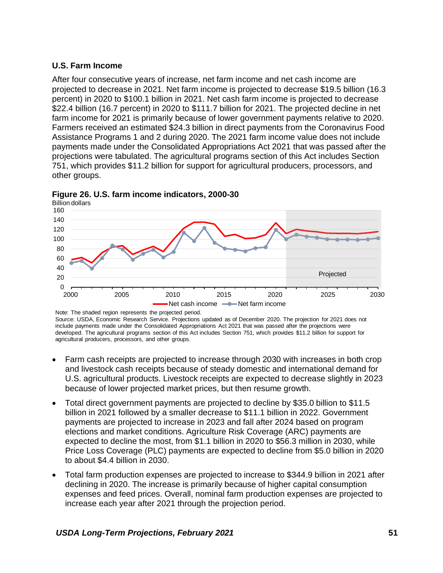## **U.S. Farm Income**

After four consecutive years of increase, net farm income and net cash income are projected to decrease in 2021. Net farm income is projected to decrease \$19.5 billion (16.3 percent) in 2020 to \$100.1 billion in 2021. Net cash farm income is projected to decrease \$22.4 billion (16.7 percent) in 2020 to \$111.7 billion for 2021. The projected decline in net farm income for 2021 is primarily because of lower government payments relative to 2020. Farmers received an estimated \$24.3 billion in direct payments from the Coronavirus Food Assistance Programs 1 and 2 during 2020. The 2021 farm income value does not include payments made under the Consolidated Appropriations Act 2021 that was passed after the projections were tabulated. The agricultural programs section of this Act includes Section 751, which provides \$11.2 billion for support for agricultural producers, processors, and other groups.



**Figure 26. U.S. farm income indicators, 2000-30**

Note: The shaded region represents the projected period. Source: USDA, Economic Research Service. Projections updated as of December 2020. The projection for 2021 does not include payments made under the Consolidated Appropriations Act 2021 that was passed after the projections were developed. The agricultural programs section of this Act includes Section 751, which provides \$11.2 billion for support for agricultural producers, processors, and other groups.

- Farm cash receipts are projected to increase through 2030 with increases in both crop and livestock cash receipts because of steady domestic and international demand for U.S. agricultural products. Livestock receipts are expected to decrease slightly in 2023 because of lower projected market prices, but then resume growth.
- Total direct government payments are projected to decline by \$35.0 billion to \$11.5 billion in 2021 followed by a smaller decrease to \$11.1 billion in 2022. Government payments are projected to increase in 2023 and fall after 2024 based on program elections and market conditions. Agriculture Risk Coverage (ARC) payments are expected to decline the most, from \$1.1 billion in 2020 to \$56.3 million in 2030, while Price Loss Coverage (PLC) payments are expected to decline from \$5.0 billion in 2020 to about \$4.4 billion in 2030.
- Total farm production expenses are projected to increase to \$344.9 billion in 2021 after declining in 2020. The increase is primarily because of higher capital consumption expenses and feed prices. Overall, nominal farm production expenses are projected to increase each year after 2021 through the projection period.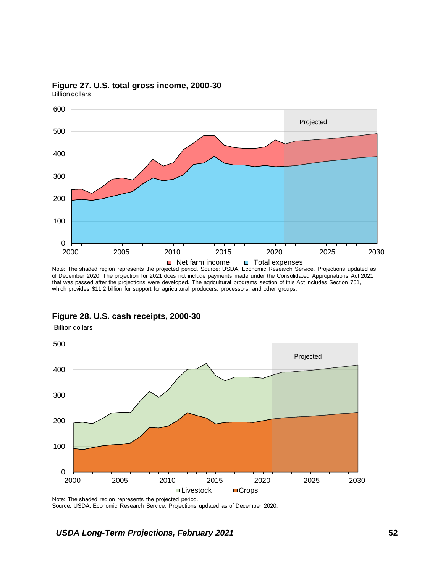

### **Figure 27. U.S. total gross income, 2000-30**

Billion dollars

Billion dollars

Note: The shaded region represents the projected period. Source: USDA, Economic Research Service. Projections updated as of December 2020. The projection for 2021 does not include payments made under the Consolidated Appropriations Act 2021 that was passed after the projections were developed. The agricultural programs section of this Act includes Section 751, which provides \$11.2 billion for support for agricultural producers, processors, and other groups.



### **Figure 28. U.S. cash receipts, 2000-30**

Note: The shaded region represents the projected period. Source: USDA, Economic Research Service. Projections updated as of December 2020.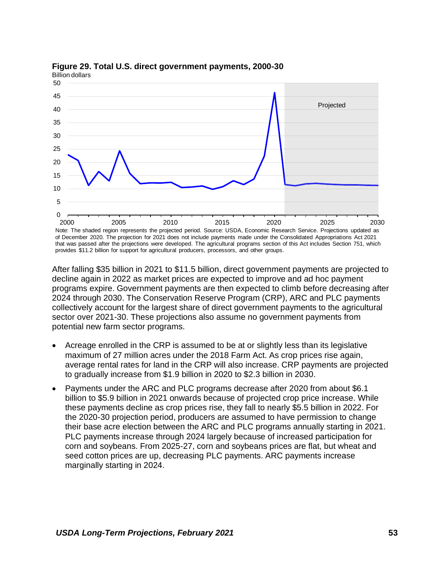

#### **Figure 29. Total U.S. direct government payments, 2000-30** Billion dollars

Note: The shaded region represents the projected period. Source: USDA, Economic Research Service. Projections updated as of December 2020. The projection for 2021 does not include payments made under the Consolidated Appropriations Act 2021 that was passed after the projections were developed. The agricultural programs section of this Act includes Section 751, which provides \$11.2 billion for support for agricultural producers, processors, and other groups.

After falling \$35 billion in 2021 to \$11.5 billion, direct government payments are projected to decline again in 2022 as market prices are expected to improve and ad hoc payment programs expire. Government payments are then expected to climb before decreasing after 2024 through 2030. The Conservation Reserve Program (CRP), ARC and PLC payments collectively account for the largest share of direct government payments to the agricultural sector over 2021-30. These projections also assume no government payments from potential new farm sector programs.

- Acreage enrolled in the CRP is assumed to be at or slightly less than its legislative maximum of 27 million acres under the 2018 Farm Act. As crop prices rise again, average rental rates for land in the CRP will also increase. CRP payments are projected to gradually increase from \$1.9 billion in 2020 to \$2.3 billion in 2030.
- Payments under the ARC and PLC programs decrease after 2020 from about \$6.1 billion to \$5.9 billion in 2021 onwards because of projected crop price increase. While these payments decline as crop prices rise, they fall to nearly \$5.5 billion in 2022. For the 2020-30 projection period, producers are assumed to have permission to change their base acre election between the ARC and PLC programs annually starting in 2021. PLC payments increase through 2024 largely because of increased participation for corn and soybeans. From 2025-27, corn and soybeans prices are flat, but wheat and seed cotton prices are up, decreasing PLC payments. ARC payments increase marginally starting in 2024.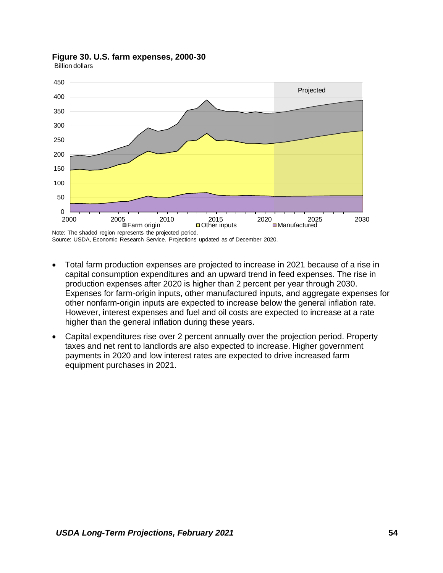

### **Figure 30. U.S. farm expenses, 2000-30**

Billion dollars

Source: USDA, Economic Research Service. Projections updated as of December 2020.

- Total farm production expenses are projected to increase in 2021 because of a rise in capital consumption expenditures and an upward trend in feed expenses. The rise in production expenses after 2020 is higher than 2 percent per year through 2030. Expenses for farm-origin inputs, other manufactured inputs, and aggregate expenses for other nonfarm-origin inputs are expected to increase below the general inflation rate. However, interest expenses and fuel and oil costs are expected to increase at a rate higher than the general inflation during these years.
- Capital expenditures rise over 2 percent annually over the projection period. Property taxes and net rent to landlords are also expected to increase. Higher government payments in 2020 and low interest rates are expected to drive increased farm equipment purchases in 2021.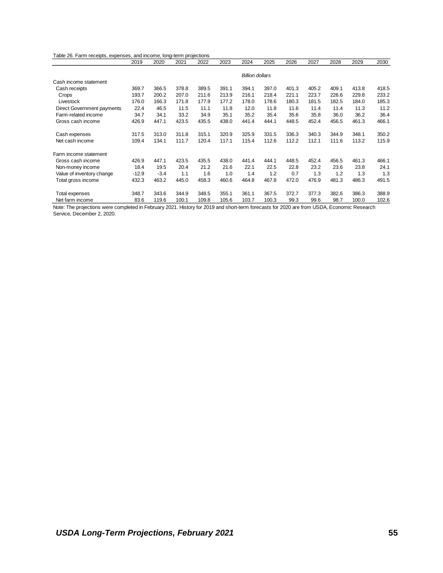| Table 26. Farm receipts, expenses, and income, long-term projections |         |        |       |       |       |                        |       |       |       |       |       |       |
|----------------------------------------------------------------------|---------|--------|-------|-------|-------|------------------------|-------|-------|-------|-------|-------|-------|
|                                                                      | 2019    | 2020   | 2021  | 2022  | 2023  | 2024                   | 2025  | 2026  | 2027  | 2028  | 2029  | 2030  |
|                                                                      |         |        |       |       |       |                        |       |       |       |       |       |       |
|                                                                      |         |        |       |       |       | <b>Billion dollars</b> |       |       |       |       |       |       |
| Cash income statement                                                |         |        |       |       |       |                        |       |       |       |       |       |       |
| Cash receipts                                                        | 369.7   | 366.5  | 378.8 | 389.5 | 391.1 | 394.1                  | 397.0 | 401.3 | 405.2 | 409.1 | 413.8 | 418.5 |
| Crops                                                                | 193.7   | 200.2  | 207.0 | 211.6 | 213.9 | 216.1                  | 218.4 | 221.1 | 223.7 | 226.6 | 229.8 | 233.2 |
| Livestock                                                            | 176.0   | 166.3  | 171.8 | 177.9 | 177.2 | 178.0                  | 178.6 | 180.3 | 181.5 | 182.5 | 184.0 | 185.3 |
| Direct Government payments                                           | 22.4    | 46.5   | 11.5  | 11.1  | 11.8  | 12.0                   | 11.8  | 11.6  | 11.4  | 11.4  | 11.3  | 11.2  |
| Farm-related income                                                  | 34.7    | 34.1   | 33.2  | 34.9  | 35.1  | 35.2                   | 35.4  | 35.6  | 35.8  | 36.0  | 36.2  | 36.4  |
| Gross cash income                                                    | 426.9   | 447.1  | 423.5 | 435.5 | 438.0 | 441.4                  | 444.1 | 448.5 | 452.4 | 456.5 | 461.3 | 466.1 |
| Cash expenses                                                        | 317.5   | 313.0  | 311.8 | 315.1 | 320.9 | 325.9                  | 331.5 | 336.3 | 340.3 | 344.9 | 348.1 | 350.2 |
| Net cash income                                                      | 109.4   | 134.1  | 111.7 | 120.4 | 117.1 | 115.4                  | 112.6 | 112.2 | 112.1 | 111.6 | 113.2 | 115.9 |
| Farm income statement                                                |         |        |       |       |       |                        |       |       |       |       |       |       |
| Gross cash income                                                    | 426.9   | 447.1  | 423.5 | 435.5 | 438.0 | 441.4                  | 444.1 | 448.5 | 452.4 | 456.5 | 461.3 | 466.1 |
| Non-money income                                                     | 18.4    | 19.5   | 20.4  | 21.2  | 21.6  | 22.1                   | 22.5  | 22.8  | 23.2  | 23.6  | 23.8  | 24.1  |
| Value of inventory change                                            | $-12.9$ | $-3.4$ | 1.1   | 1.6   | 1.0   | 1.4                    | 1.2   | 0.7   | 1.3   | 1.2   | 1.3   | 1.3   |
| Total gross income                                                   | 432.3   | 463.2  | 445.0 | 458.3 | 460.6 | 464.8                  | 467.8 | 472.0 | 476.9 | 481.3 | 486.3 | 491.5 |
| Total expenses                                                       | 348.7   | 343.6  | 344.9 | 348.5 | 355.1 | 361.1                  | 367.5 | 372.7 | 377.3 | 382.6 | 386.3 | 388.9 |
| Net farm income                                                      | 83.6    | 119.6  | 100.1 | 109.8 | 105.6 | 103.7                  | 100.3 | 99.3  | 99.6  | 98.7  | 100.0 | 102.6 |

Note: The projections were completed in February 2021. History for 2019 and short-term forecasts for 2020 are from USDA, Economic Research Service, December 2, 2020.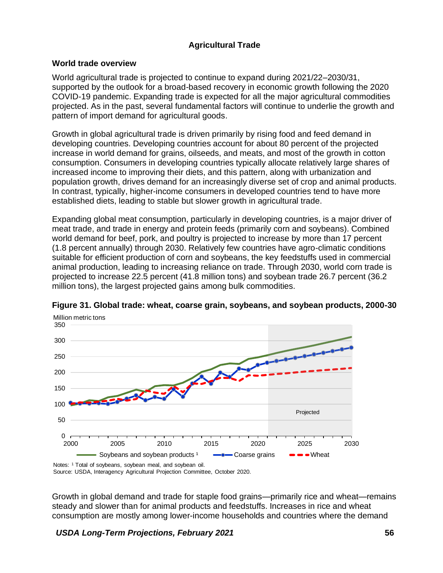# **Agricultural Trade**

### **World trade overview**

World agricultural trade is projected to continue to expand during 2021/22–2030/31, supported by the outlook for a broad-based recovery in economic growth following the 2020 COVID-19 pandemic. Expanding trade is expected for all the major agricultural commodities projected. As in the past, several fundamental factors will continue to underlie the growth and pattern of import demand for agricultural goods.

Growth in global agricultural trade is driven primarily by rising food and feed demand in developing countries. Developing countries account for about 80 percent of the projected increase in world demand for grains, oilseeds, and meats, and most of the growth in cotton consumption. Consumers in developing countries typically allocate relatively large shares of increased income to improving their diets, and this pattern, along with urbanization and population growth, drives demand for an increasingly diverse set of crop and animal products. In contrast, typically, higher-income consumers in developed countries tend to have more established diets, leading to stable but slower growth in agricultural trade.

Expanding global meat consumption, particularly in developing countries, is a major driver of meat trade, and trade in energy and protein feeds (primarily corn and soybeans). Combined world demand for beef, pork, and poultry is projected to increase by more than 17 percent (1.8 percent annually) through 2030. Relatively few countries have agro-climatic conditions suitable for efficient production of corn and soybeans, the key feedstuffs used in commercial animal production, leading to increasing reliance on trade. Through 2030, world corn trade is projected to increase 22.5 percent (41.8 million tons) and soybean trade 26.7 percent (36.2 million tons), the largest projected gains among bulk commodities.



**Figure 31. Global trade: wheat, coarse grain, soybeans, and soybean products, 2000-30** Million metric tons

Source: USDA, Interagency Agricultural Projection Committee, October 2020.

Growth in global demand and trade for staple food grains—primarily rice and wheat—remains steady and slower than for animal products and feedstuffs. Increases in rice and wheat consumption are mostly among lower-income households and countries where the demand

*USDA Long-Term Projections, February 2021* **56**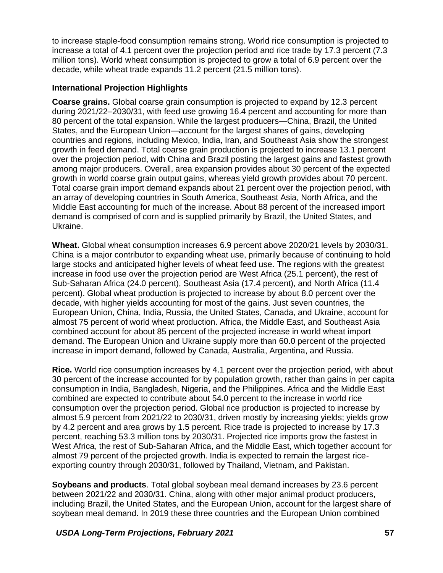to increase staple-food consumption remains strong. World rice consumption is projected to increase a total of 4.1 percent over the projection period and rice trade by 17.3 percent (7.3 million tons). World wheat consumption is projected to grow a total of 6.9 percent over the decade, while wheat trade expands 11.2 percent (21.5 million tons).

## **International Projection Highlights**

**Coarse grains.** Global coarse grain consumption is projected to expand by 12.3 percent during 2021/22–2030/31, with feed use growing 16.4 percent and accounting for more than 80 percent of the total expansion. While the largest producers—China, Brazil, the United States, and the European Union—account for the largest shares of gains, developing countries and regions, including Mexico, India, Iran, and Southeast Asia show the strongest growth in feed demand. Total coarse grain production is projected to increase 13.1 percent over the projection period, with China and Brazil posting the largest gains and fastest growth among major producers. Overall, area expansion provides about 30 percent of the expected growth in world coarse grain output gains, whereas yield growth provides about 70 percent. Total coarse grain import demand expands about 21 percent over the projection period, with an array of developing countries in South America, Southeast Asia, North Africa, and the Middle East accounting for much of the increase. About 88 percent of the increased import demand is comprised of corn and is supplied primarily by Brazil, the United States, and Ukraine.

**Wheat.** Global wheat consumption increases 6.9 percent above 2020/21 levels by 2030/31. China is a major contributor to expanding wheat use, primarily because of continuing to hold large stocks and anticipated higher levels of wheat feed use. The regions with the greatest increase in food use over the projection period are West Africa (25.1 percent), the rest of Sub-Saharan Africa (24.0 percent), Southeast Asia (17.4 percent), and North Africa (11.4 percent). Global wheat production is projected to increase by about 8.0 percent over the decade, with higher yields accounting for most of the gains. Just seven countries, the European Union, China, India, Russia, the United States, Canada, and Ukraine, account for almost 75 percent of world wheat production. Africa, the Middle East, and Southeast Asia combined account for about 85 percent of the projected increase in world wheat import demand. The European Union and Ukraine supply more than 60.0 percent of the projected increase in import demand, followed by Canada, Australia, Argentina, and Russia.

**Rice.** World rice consumption increases by 4.1 percent over the projection period, with about 30 percent of the increase accounted for by population growth, rather than gains in per capita consumption in India, Bangladesh, Nigeria, and the Philippines. Africa and the Middle East combined are expected to contribute about 54.0 percent to the increase in world rice consumption over the projection period. Global rice production is projected to increase by almost 5.9 percent from 2021/22 to 2030/31, driven mostly by increasing yields; yields grow by 4.2 percent and area grows by 1.5 percent. Rice trade is projected to increase by 17.3 percent, reaching 53.3 million tons by 2030/31. Projected rice imports grow the fastest in West Africa, the rest of Sub-Saharan Africa, and the Middle East, which together account for almost 79 percent of the projected growth. India is expected to remain the largest riceexporting country through 2030/31, followed by Thailand, Vietnam, and Pakistan.

**Soybeans and products**. Total global soybean meal demand increases by 23.6 percent between 2021/22 and 2030/31. China, along with other major animal product producers, including Brazil, the United States, and the European Union, account for the largest share of soybean meal demand. In 2019 these three countries and the European Union combined

*USDA Long-Term Projections, February 2021* **57**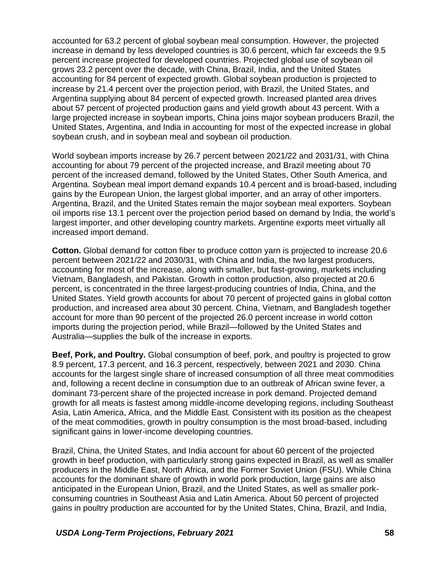accounted for 63.2 percent of global soybean meal consumption. However, the projected increase in demand by less developed countries is 30.6 percent, which far exceeds the 9.5 percent increase projected for developed countries. Projected global use of soybean oil grows 23.2 percent over the decade, with China, Brazil, India, and the United States accounting for 84 percent of expected growth. Global soybean production is projected to increase by 21.4 percent over the projection period, with Brazil, the United States, and Argentina supplying about 84 percent of expected growth. Increased planted area drives about 57 percent of projected production gains and yield growth about 43 percent. With a large projected increase in soybean imports, China joins major soybean producers Brazil, the United States, Argentina, and India in accounting for most of the expected increase in global soybean crush, and in soybean meal and soybean oil production.

World soybean imports increase by 26.7 percent between 2021/22 and 2031/31, with China accounting for about 79 percent of the projected increase, and Brazil meeting about 70 percent of the increased demand, followed by the United States, Other South America, and Argentina. Soybean meal import demand expands 10.4 percent and is broad-based, including gains by the European Union, the largest global importer, and an array of other importers. Argentina, Brazil, and the United States remain the major soybean meal exporters. Soybean oil imports rise 13.1 percent over the projection period based on demand by India, the world's largest importer, and other developing country markets. Argentine exports meet virtually all increased import demand.

**Cotton.** Global demand for cotton fiber to produce cotton yarn is projected to increase 20.6 percent between 2021/22 and 2030/31, with China and India, the two largest producers, accounting for most of the increase, along with smaller, but fast-growing, markets including Vietnam, Bangladesh, and Pakistan. Growth in cotton production, also projected at 20.6 percent, is concentrated in the three largest-producing countries of India, China, and the United States. Yield growth accounts for about 70 percent of projected gains in global cotton production, and increased area about 30 percent. China, Vietnam, and Bangladesh together account for more than 90 percent of the projected 26.0 percent increase in world cotton imports during the projection period, while Brazil—followed by the United States and Australia—supplies the bulk of the increase in exports.

**Beef, Pork, and Poultry.** Global consumption of beef, pork, and poultry is projected to grow 8.9 percent, 17.3 percent, and 16.3 percent, respectively, between 2021 and 2030. China accounts for the largest single share of increased consumption of all three meat commodities and, following a recent decline in consumption due to an outbreak of African swine fever, a dominant 73-percent share of the projected increase in pork demand. Projected demand growth for all meats is fastest among middle-income developing regions, including Southeast Asia, Latin America, Africa, and the Middle East. Consistent with its position as the cheapest of the meat commodities, growth in poultry consumption is the most broad-based, including significant gains in lower-income developing countries.

Brazil, China, the United States, and India account for about 60 percent of the projected growth in beef production, with particularly strong gains expected in Brazil, as well as smaller producers in the Middle East, North Africa, and the Former Soviet Union (FSU). While China accounts for the dominant share of growth in world pork production, large gains are also anticipated in the European Union, Brazil, and the United States, as well as smaller porkconsuming countries in Southeast Asia and Latin America. About 50 percent of projected gains in poultry production are accounted for by the United States, China, Brazil, and India,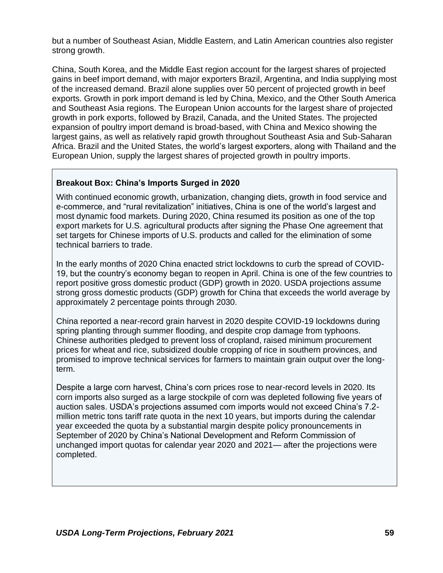but a number of Southeast Asian, Middle Eastern, and Latin American countries also register strong growth.

China, South Korea, and the Middle East region account for the largest shares of projected gains in beef import demand, with major exporters Brazil, Argentina, and India supplying most of the increased demand. Brazil alone supplies over 50 percent of projected growth in beef exports. Growth in pork import demand is led by China, Mexico, and the Other South America and Southeast Asia regions. The European Union accounts for the largest share of projected growth in pork exports, followed by Brazil, Canada, and the United States. The projected expansion of poultry import demand is broad-based, with China and Mexico showing the largest gains, as well as relatively rapid growth throughout Southeast Asia and Sub-Saharan Africa. Brazil and the United States, the world's largest exporters, along with Thailand and the European Union, supply the largest shares of projected growth in poultry imports.

## **Breakout Box: China's Imports Surged in 2020**

With continued economic growth, urbanization, changing diets, growth in food service and e-commerce, and "rural revitalization" initiatives, China is one of the world's largest and most dynamic food markets. During 2020, China resumed its position as one of the top export markets for U.S. agricultural products after signing the Phase One agreement that set targets for Chinese imports of U.S. products and called for the elimination of some technical barriers to trade.

In the early months of 2020 China enacted strict lockdowns to curb the spread of COVID-19, but the country's economy began to reopen in April. China is one of the few countries to report positive gross domestic product (GDP) growth in 2020. USDA projections assume strong gross domestic products (GDP) growth for China that exceeds the world average by approximately 2 percentage points through 2030.

China reported a near-record grain harvest in 2020 despite COVID-19 lockdowns during spring planting through summer flooding, and despite crop damage from typhoons. Chinese authorities pledged to prevent loss of cropland, raised minimum procurement prices for wheat and rice, subsidized double cropping of rice in southern provinces, and promised to improve technical services for farmers to maintain grain output over the longterm.

Despite a large corn harvest, China's corn prices rose to near-record levels in 2020. Its corn imports also surged as a large stockpile of corn was depleted following five years of auction sales. USDA's projections assumed corn imports would not exceed China's 7.2 million metric tons tariff rate quota in the next 10 years, but imports during the calendar year exceeded the quota by a substantial margin despite policy pronouncements in September of 2020 by China's National Development and Reform Commission of unchanged import quotas for calendar year 2020 and 2021— after the projections were completed.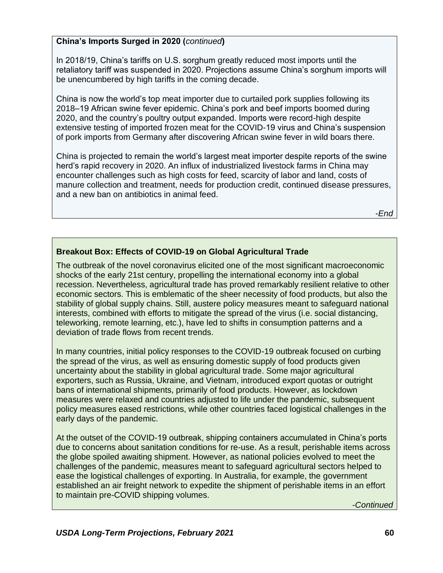# **China's Imports Surged in 2020 (***continued***)**

In 2018/19, China's tariffs on U.S. sorghum greatly reduced most imports until the retaliatory tariff was suspended in 2020. Projections assume China's sorghum imports will be unencumbered by high tariffs in the coming decade.

China is now the world's top meat importer due to curtailed pork supplies following its 2018–19 African swine fever epidemic. China's pork and beef imports boomed during 2020, and the country's poultry output expanded. Imports were record-high despite extensive testing of imported frozen meat for the COVID-19 virus and China's suspension of pork imports from Germany after discovering African swine fever in wild boars there.

China is projected to remain the world's largest meat importer despite reports of the swine herd's rapid recovery in 2020. An influx of industrialized livestock farms in China may encounter challenges such as high costs for feed, scarcity of labor and land, costs of manure collection and treatment, needs for production credit, continued disease pressures, and a new ban on antibiotics in animal feed.

-*End*

## **Breakout Box: Effects of COVID-19 on Global Agricultural Trade**

The outbreak of the novel coronavirus elicited one of the most significant macroeconomic shocks of the early 21st century, propelling the international economy into a global recession. Nevertheless, agricultural trade has proved remarkably resilient relative to other economic sectors. This is emblematic of the sheer necessity of food products, but also the stability of global supply chains. Still, austere policy measures meant to safeguard national interests, combined with efforts to mitigate the spread of the virus (i.e. social distancing, teleworking, remote learning, etc.), have led to shifts in consumption patterns and a deviation of trade flows from recent trends.

In many countries, initial policy responses to the COVID-19 outbreak focused on curbing the spread of the virus, as well as ensuring domestic supply of food products given uncertainty about the stability in global agricultural trade. Some major agricultural exporters, such as Russia, Ukraine, and Vietnam, introduced export quotas or outright bans of international shipments, primarily of food products. However, as lockdown measures were relaxed and countries adjusted to life under the pandemic, subsequent policy measures eased restrictions, while other countries faced logistical challenges in the early days of the pandemic.

At the outset of the COVID-19 outbreak, shipping containers accumulated in China's ports due to concerns about sanitation conditions for re-use. As a result, perishable items across the globe spoiled awaiting shipment. However, as national policies evolved to meet the challenges of the pandemic, measures meant to safeguard agricultural sectors helped to ease the logistical challenges of exporting. In Australia, for example, the government established an air freight network to expedite the shipment of perishable items in an effort to maintain pre-COVID shipping volumes.

-*Continued*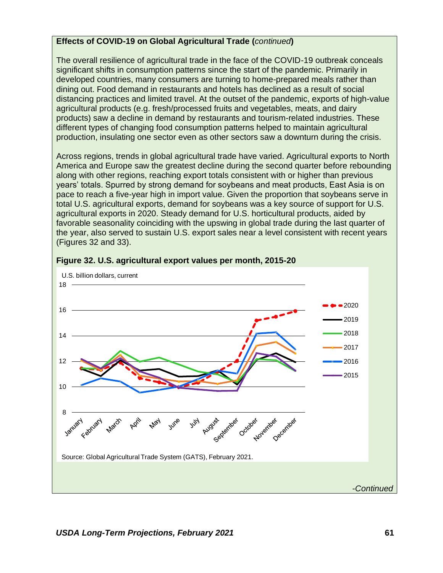### **Effects of COVID-19 on Global Agricultural Trade (***continued***)**

The overall resilience of agricultural trade in the face of the COVID-19 outbreak conceals significant shifts in consumption patterns since the start of the pandemic. Primarily in developed countries, many consumers are turning to home-prepared meals rather than dining out. Food demand in restaurants and hotels has declined as a result of social distancing practices and limited travel. At the outset of the pandemic, exports of high-value agricultural products (e.g. fresh/processed fruits and vegetables, meats, and dairy products) saw a decline in demand by restaurants and tourism-related industries. These different types of changing food consumption patterns helped to maintain agricultural production, insulating one sector even as other sectors saw a downturn during the crisis.

Across regions, trends in global agricultural trade have varied. Agricultural exports to North America and Europe saw the greatest decline during the second quarter before rebounding along with other regions, reaching export totals consistent with or higher than previous years' totals. Spurred by strong demand for soybeans and meat products, East Asia is on pace to reach a five-year high in import value. Given the proportion that soybeans serve in total U.S. agricultural exports, demand for soybeans was a key source of support for U.S. agricultural exports in 2020. Steady demand for U.S. horticultural products, aided by favorable seasonality coinciding with the upswing in global trade during the last quarter of the year, also served to sustain U.S. export sales near a level consistent with recent years (Figures 32 and 33).



### **Figure 32. U.S. agricultural export values per month, 2015-20**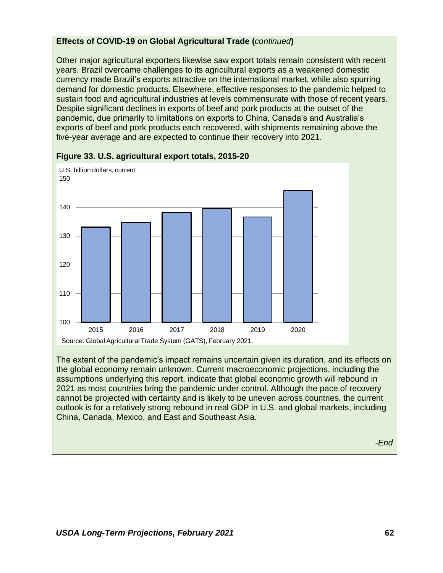## **Effects of COVID-19 on Global Agricultural Trade (***continued***)**

Other major agricultural exporters likewise saw export totals remain consistent with recent years. Brazil overcame challenges to its agricultural exports as a weakened domestic currency made Brazil's exports attractive on the international market, while also spurring demand for domestic products. Elsewhere, effective responses to the pandemic helped to sustain food and agricultural industries at levels commensurate with those of recent years. Despite significant declines in exports of beef and pork products at the outset of the pandemic, due primarily to limitations on exports to China, Canada's and Australia's exports of beef and pork products each recovered, with shipments remaining above the five-year average and are expected to continue their recovery into 2021.



### **Figure 33. U.S. agricultural export totals, 2015-20**

The extent of the pandemic's impact remains uncertain given its duration, and its effects on the global economy remain unknown. Current macroeconomic projections, including the assumptions underlying this report, indicate that global economic growth will rebound in 2021 as most countries bring the pandemic under control. Although the pace of recovery cannot be projected with certainty and is likely to be uneven across countries, the current outlook is for a relatively strong rebound in real GDP in U.S. and global markets, including China, Canada, Mexico, and East and Southeast Asia.

-*End*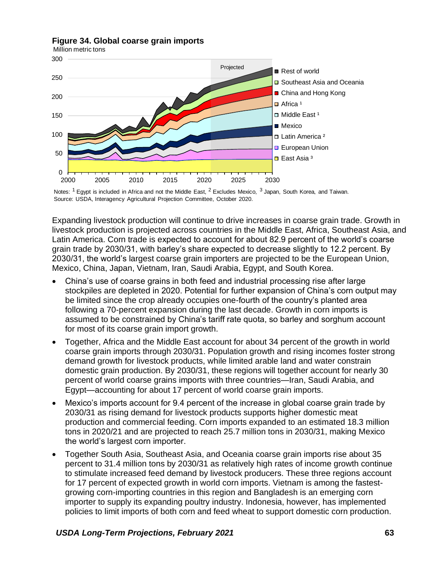

#### **Figure 34. Global coarse grain imports**

Million metric tons



Expanding livestock production will continue to drive increases in coarse grain trade. Growth in livestock production is projected across countries in the Middle East, Africa, Southeast Asia, and Latin America. Corn trade is expected to account for about 82.9 percent of the world's coarse grain trade by 2030/31, with barley's share expected to decrease slightly to 12.2 percent. By 2030/31, the world's largest coarse grain importers are projected to be the European Union, Mexico, China, Japan, Vietnam, Iran, Saudi Arabia, Egypt, and South Korea.

- China's use of coarse grains in both feed and industrial processing rise after large stockpiles are depleted in 2020. Potential for further expansion of China's corn output may be limited since the crop already occupies one-fourth of the country's planted area following a 70-percent expansion during the last decade. Growth in corn imports is assumed to be constrained by China's tariff rate quota, so barley and sorghum account for most of its coarse grain import growth.
- Together, Africa and the Middle East account for about 34 percent of the growth in world coarse grain imports through 2030/31. Population growth and rising incomes foster strong demand growth for livestock products, while limited arable land and water constrain domestic grain production. By 2030/31, these regions will together account for nearly 30 percent of world coarse grains imports with three countries—Iran, Saudi Arabia, and Egypt—accounting for about 17 percent of world coarse grain imports.
- Mexico's imports account for 9.4 percent of the increase in global coarse grain trade by 2030/31 as rising demand for livestock products supports higher domestic meat production and commercial feeding. Corn imports expanded to an estimated 18.3 million tons in 2020/21 and are projected to reach 25.7 million tons in 2030/31, making Mexico the world's largest corn importer.
- Together South Asia, Southeast Asia, and Oceania coarse grain imports rise about 35 percent to 31.4 million tons by 2030/31 as relatively high rates of income growth continue to stimulate increased feed demand by livestock producers. These three regions account for 17 percent of expected growth in world corn imports. Vietnam is among the fastestgrowing corn-importing countries in this region and Bangladesh is an emerging corn importer to supply its expanding poultry industry. Indonesia, however, has implemented policies to limit imports of both corn and feed wheat to support domestic corn production.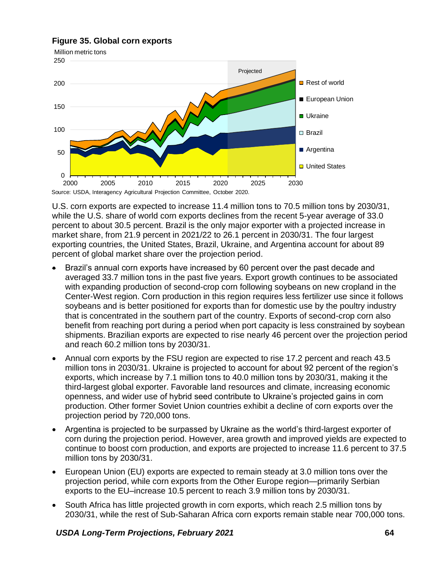# **Figure 35. Global corn exports**



U.S. corn exports are expected to increase 11.4 million tons to 70.5 million tons by 2030/31, while the U.S. share of world corn exports declines from the recent 5-year average of 33.0 percent to about 30.5 percent. Brazil is the only major exporter with a projected increase in market share, from 21.9 percent in 2021/22 to 26.1 percent in 2030/31. The four largest exporting countries, the United States, Brazil, Ukraine, and Argentina account for about 89 percent of global market share over the projection period.

- Brazil's annual corn exports have increased by 60 percent over the past decade and averaged 33.7 million tons in the past five years. Export growth continues to be associated with expanding production of second-crop corn following soybeans on new cropland in the Center-West region. Corn production in this region requires less fertilizer use since it follows soybeans and is better positioned for exports than for domestic use by the poultry industry that is concentrated in the southern part of the country. Exports of second-crop corn also benefit from reaching port during a period when port capacity is less constrained by soybean shipments. Brazilian exports are expected to rise nearly 46 percent over the projection period and reach 60.2 million tons by 2030/31.
- Annual corn exports by the FSU region are expected to rise 17.2 percent and reach 43.5 million tons in 2030/31. Ukraine is projected to account for about 92 percent of the region's exports, which increase by 7.1 million tons to 40.0 million tons by 2030/31, making it the third-largest global exporter. Favorable land resources and climate, increasing economic openness, and wider use of hybrid seed contribute to Ukraine's projected gains in corn production. Other former Soviet Union countries exhibit a decline of corn exports over the projection period by 720,000 tons.
- Argentina is projected to be surpassed by Ukraine as the world's third-largest exporter of corn during the projection period. However, area growth and improved yields are expected to continue to boost corn production, and exports are projected to increase 11.6 percent to 37.5 million tons by 2030/31.
- European Union (EU) exports are expected to remain steady at 3.0 million tons over the projection period, while corn exports from the Other Europe region—primarily Serbian exports to the EU–increase 10.5 percent to reach 3.9 million tons by 2030/31.
- South Africa has little projected growth in corn exports, which reach 2.5 million tons by 2030/31, while the rest of Sub-Saharan Africa corn exports remain stable near 700,000 tons.

## *USDA Long-Term Projections, February 2021* **64**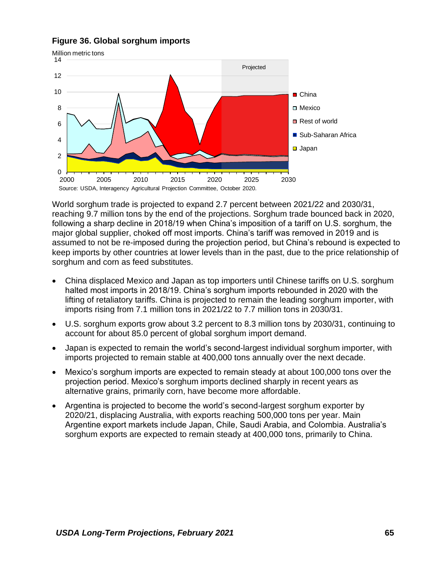### **Figure 36. Global sorghum imports**



World sorghum trade is projected to expand 2.7 percent between 2021/22 and 2030/31, reaching 9.7 million tons by the end of the projections. Sorghum trade bounced back in 2020, following a sharp decline in 2018/19 when China's imposition of a tariff on U.S. sorghum, the major global supplier, choked off most imports. China's tariff was removed in 2019 and is assumed to not be re-imposed during the projection period, but China's rebound is expected to keep imports by other countries at lower levels than in the past, due to the price relationship of sorghum and corn as feed substitutes.

- China displaced Mexico and Japan as top importers until Chinese tariffs on U.S. sorghum halted most imports in 2018/19. China's sorghum imports rebounded in 2020 with the lifting of retaliatory tariffs. China is projected to remain the leading sorghum importer, with imports rising from 7.1 million tons in 2021/22 to 7.7 million tons in 2030/31.
- U.S. sorghum exports grow about 3.2 percent to 8.3 million tons by 2030/31, continuing to account for about 85.0 percent of global sorghum import demand.
- Japan is expected to remain the world's second-largest individual sorghum importer, with imports projected to remain stable at 400,000 tons annually over the next decade.
- Mexico's sorghum imports are expected to remain steady at about 100,000 tons over the projection period. Mexico's sorghum imports declined sharply in recent years as alternative grains, primarily corn, have become more affordable.
- Argentina is projected to become the world's second-largest sorghum exporter by 2020/21, displacing Australia, with exports reaching 500,000 tons per year. Main Argentine export markets include Japan, Chile, Saudi Arabia, and Colombia. Australia's sorghum exports are expected to remain steady at 400,000 tons, primarily to China.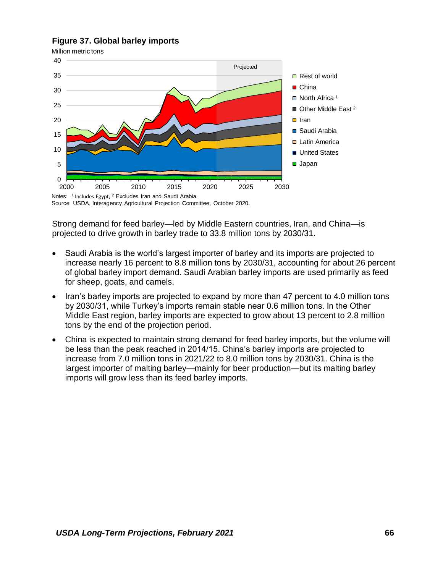### **Figure 37. Global barley imports**

Million metric tons



Source: USDA, Interagency Agricultural Projection Committee, October 2020.

Strong demand for feed barley—led by Middle Eastern countries, Iran, and China—is projected to drive growth in barley trade to 33.8 million tons by 2030/31.

- Saudi Arabia is the world's largest importer of barley and its imports are projected to increase nearly 16 percent to 8.8 million tons by 2030/31, accounting for about 26 percent of global barley import demand. Saudi Arabian barley imports are used primarily as feed for sheep, goats, and camels.
- Iran's barley imports are projected to expand by more than 47 percent to 4.0 million tons by 2030/31, while Turkey's imports remain stable near 0.6 million tons. In the Other Middle East region, barley imports are expected to grow about 13 percent to 2.8 million tons by the end of the projection period.
- China is expected to maintain strong demand for feed barley imports, but the volume will be less than the peak reached in 2014/15. China's barley imports are projected to increase from 7.0 million tons in 2021/22 to 8.0 million tons by 2030/31. China is the largest importer of malting barley—mainly for beer production—but its malting barley imports will grow less than its feed barley imports.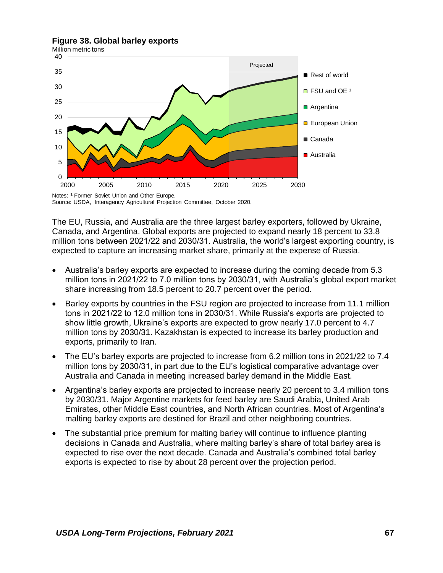#### **Figure 38. Global barley exports**



Source: USDA, Interagency Agricultural Projection Committee, October 2020.

The EU, Russia, and Australia are the three largest barley exporters, followed by Ukraine, Canada, and Argentina. Global exports are projected to expand nearly 18 percent to 33.8 million tons between 2021/22 and 2030/31. Australia, the world's largest exporting country, is expected to capture an increasing market share, primarily at the expense of Russia.

- Australia's barley exports are expected to increase during the coming decade from 5.3 million tons in 2021/22 to 7.0 million tons by 2030/31, with Australia's global export market share increasing from 18.5 percent to 20.7 percent over the period.
- Barley exports by countries in the FSU region are projected to increase from 11.1 million tons in 2021/22 to 12.0 million tons in 2030/31. While Russia's exports are projected to show little growth, Ukraine's exports are expected to grow nearly 17.0 percent to 4.7 million tons by 2030/31. Kazakhstan is expected to increase its barley production and exports, primarily to Iran.
- The EU's barley exports are projected to increase from 6.2 million tons in 2021/22 to 7.4 million tons by 2030/31, in part due to the EU's logistical comparative advantage over Australia and Canada in meeting increased barley demand in the Middle East.
- Argentina's barley exports are projected to increase nearly 20 percent to 3.4 million tons by 2030/31. Major Argentine markets for feed barley are Saudi Arabia, United Arab Emirates, other Middle East countries, and North African countries. Most of Argentina's malting barley exports are destined for Brazil and other neighboring countries.
- The substantial price premium for malting barley will continue to influence planting decisions in Canada and Australia, where malting barley's share of total barley area is expected to rise over the next decade. Canada and Australia's combined total barley exports is expected to rise by about 28 percent over the projection period.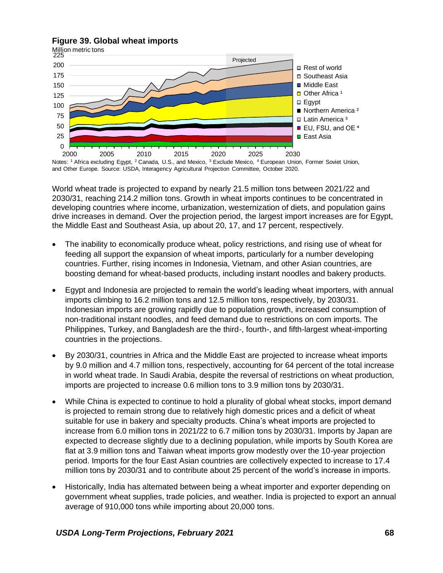## **Figure 39. Global wheat imports**



and Other Europe. Source: USDA, Interagency Agricultural Projection Committee, October 2020.

World wheat trade is projected to expand by nearly 21.5 million tons between 2021/22 and 2030/31, reaching 214.2 million tons. Growth in wheat imports continues to be concentrated in developing countries where income, urbanization, westernization of diets, and population gains drive increases in demand. Over the projection period, the largest import increases are for Egypt, the Middle East and Southeast Asia, up about 20, 17, and 17 percent, respectively.

- The inability to economically produce wheat, policy restrictions, and rising use of wheat for feeding all support the expansion of wheat imports, particularly for a number developing countries. Further, rising incomes in Indonesia, Vietnam, and other Asian countries, are boosting demand for wheat-based products, including instant noodles and bakery products.
- Egypt and Indonesia are projected to remain the world's leading wheat importers, with annual imports climbing to 16.2 million tons and 12.5 million tons, respectively, by 2030/31. Indonesian imports are growing rapidly due to population growth, increased consumption of non-traditional instant noodles, and feed demand due to restrictions on corn imports. The Philippines, Turkey, and Bangladesh are the third-, fourth-, and fifth-largest wheat-importing countries in the projections.
- By 2030/31, countries in Africa and the Middle East are projected to increase wheat imports by 9.0 million and 4.7 million tons, respectively, accounting for 64 percent of the total increase in world wheat trade. In Saudi Arabia, despite the reversal of restrictions on wheat production, imports are projected to increase 0.6 million tons to 3.9 million tons by 2030/31.
- While China is expected to continue to hold a plurality of global wheat stocks, import demand is projected to remain strong due to relatively high domestic prices and a deficit of wheat suitable for use in bakery and specialty products. China's wheat imports are projected to increase from 6.0 million tons in 2021/22 to 6.7 million tons by 2030/31. Imports by Japan are expected to decrease slightly due to a declining population, while imports by South Korea are flat at 3.9 million tons and Taiwan wheat imports grow modestly over the 10-year projection period. Imports for the four East Asian countries are collectively expected to increase to 17.4 million tons by 2030/31 and to contribute about 25 percent of the world's increase in imports.
- Historically, India has alternated between being a wheat importer and exporter depending on government wheat supplies, trade policies, and weather. India is projected to export an annual average of 910,000 tons while importing about 20,000 tons.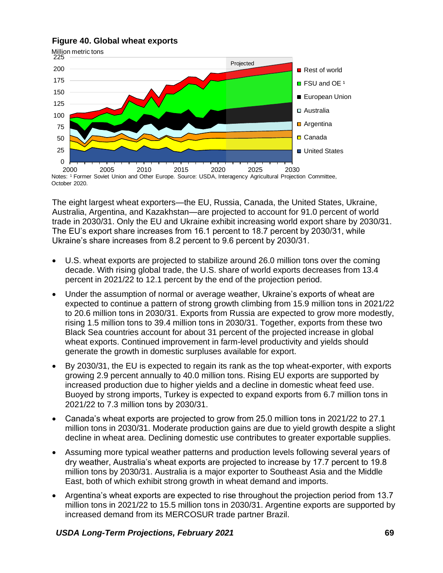# **Figure 40. Global wheat exports**



The eight largest wheat exporters—the EU, Russia, Canada, the United States, Ukraine, Australia, Argentina, and Kazakhstan—are projected to account for 91.0 percent of world trade in 2030/31. Only the EU and Ukraine exhibit increasing world export share by 2030/31. The EU's export share increases from 16.1 percent to 18.7 percent by 2030/31, while Ukraine's share increases from 8.2 percent to 9.6 percent by 2030/31.

- U.S. wheat exports are projected to stabilize around 26.0 million tons over the coming decade. With rising global trade, the U.S. share of world exports decreases from 13.4 percent in 2021/22 to 12.1 percent by the end of the projection period.
- Under the assumption of normal or average weather, Ukraine's exports of wheat are expected to continue a pattern of strong growth climbing from 15.9 million tons in 2021/22 to 20.6 million tons in 2030/31. Exports from Russia are expected to grow more modestly, rising 1.5 million tons to 39.4 million tons in 2030/31. Together, exports from these two Black Sea countries account for about 31 percent of the projected increase in global wheat exports. Continued improvement in farm-level productivity and yields should generate the growth in domestic surpluses available for export.
- By 2030/31, the EU is expected to regain its rank as the top wheat-exporter, with exports growing 2.9 percent annually to 40.0 million tons. Rising EU exports are supported by increased production due to higher yields and a decline in domestic wheat feed use. Buoyed by strong imports, Turkey is expected to expand exports from 6.7 million tons in 2021/22 to 7.3 million tons by 2030/31.
- Canada's wheat exports are projected to grow from 25.0 million tons in 2021/22 to 27.1 million tons in 2030/31. Moderate production gains are due to yield growth despite a slight decline in wheat area. Declining domestic use contributes to greater exportable supplies.
- Assuming more typical weather patterns and production levels following several years of dry weather, Australia's wheat exports are projected to increase by 17.7 percent to 19.8 million tons by 2030/31. Australia is a major exporter to Southeast Asia and the Middle East, both of which exhibit strong growth in wheat demand and imports.
- Argentina's wheat exports are expected to rise throughout the projection period from 13.7 million tons in 2021/22 to 15.5 million tons in 2030/31. Argentine exports are supported by increased demand from its MERCOSUR trade partner Brazil.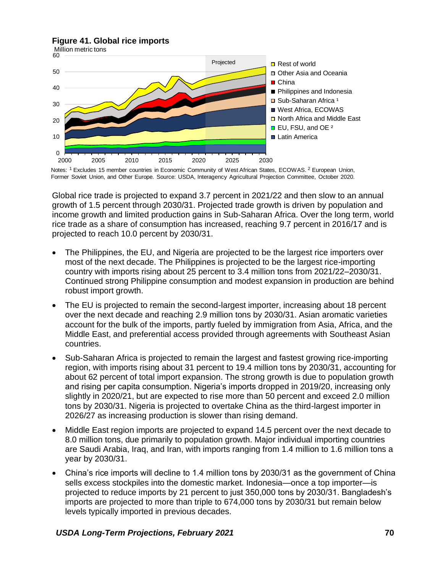### **Figure 41. Global rice imports**



Notes: <sup>1</sup> Excludes 15 member countries in Economic Community of West African States, ECOWAS. <sup>2</sup> European Union, Former Soviet Union, and Other Europe. Source: USDA, Interagency Agricultural Projection Committee, October 2020.

Global rice trade is projected to expand 3.7 percent in 2021/22 and then slow to an annual growth of 1.5 percent through 2030/31. Projected trade growth is driven by population and income growth and limited production gains in Sub-Saharan Africa. Over the long term, world rice trade as a share of consumption has increased, reaching 9.7 percent in 2016/17 and is projected to reach 10.0 percent by 2030/31.

- The Philippines, the EU, and Nigeria are projected to be the largest rice importers over most of the next decade. The Philippines is projected to be the largest rice-importing country with imports rising about 25 percent to 3.4 million tons from 2021/22–2030/31. Continued strong Philippine consumption and modest expansion in production are behind robust import growth.
- The EU is projected to remain the second-largest importer, increasing about 18 percent over the next decade and reaching 2.9 million tons by 2030/31. Asian aromatic varieties account for the bulk of the imports, partly fueled by immigration from Asia, Africa, and the Middle East, and preferential access provided through agreements with Southeast Asian countries.
- Sub-Saharan Africa is projected to remain the largest and fastest growing rice-importing region, with imports rising about 31 percent to 19.4 million tons by 2030/31, accounting for about 62 percent of total import expansion. The strong growth is due to population growth and rising per capita consumption. Nigeria's imports dropped in 2019/20, increasing only slightly in 2020/21, but are expected to rise more than 50 percent and exceed 2.0 million tons by 2030/31. Nigeria is projected to overtake China as the third-largest importer in 2026/27 as increasing production is slower than rising demand.
- Middle East region imports are projected to expand 14.5 percent over the next decade to 8.0 million tons, due primarily to population growth. Major individual importing countries are Saudi Arabia, Iraq, and Iran, with imports ranging from 1.4 million to 1.6 million tons a year by 2030/31.
- China's rice imports will decline to 1.4 million tons by 2030/31 as the government of China sells excess stockpiles into the domestic market. Indonesia—once a top importer—is projected to reduce imports by 21 percent to just 350,000 tons by 2030/31. Bangladesh's imports are projected to more than triple to 674,000 tons by 2030/31 but remain below levels typically imported in previous decades.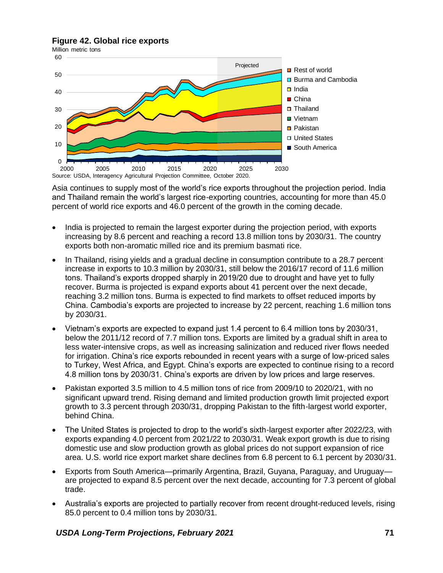### **Figure 42. Global rice exports**



Asia continues to supply most of the world's rice exports throughout the projection period. India and Thailand remain the world's largest rice-exporting countries, accounting for more than 45.0 percent of world rice exports and 46.0 percent of the growth in the coming decade.

- India is projected to remain the largest exporter during the projection period, with exports increasing by 8.6 percent and reaching a record 13.8 million tons by 2030/31. The country exports both non-aromatic milled rice and its premium basmati rice.
- In Thailand, rising yields and a gradual decline in consumption contribute to a 28.7 percent increase in exports to 10.3 million by 2030/31, still below the 2016/17 record of 11.6 million tons. Thailand's exports dropped sharply in 2019/20 due to drought and have yet to fully recover. Burma is projected is expand exports about 41 percent over the next decade, reaching 3.2 million tons. Burma is expected to find markets to offset reduced imports by China. Cambodia's exports are projected to increase by 22 percent, reaching 1.6 million tons by 2030/31.
- Vietnam's exports are expected to expand just 1.4 percent to 6.4 million tons by 2030/31, below the 2011/12 record of 7.7 million tons. Exports are limited by a gradual shift in area to less water-intensive crops, as well as increasing salinization and reduced river flows needed for irrigation. China's rice exports rebounded in recent years with a surge of low-priced sales to Turkey, West Africa, and Egypt. China's exports are expected to continue rising to a record 4.8 million tons by 2030/31. China's exports are driven by low prices and large reserves.
- Pakistan exported 3.5 million to 4.5 million tons of rice from 2009/10 to 2020/21, with no significant upward trend. Rising demand and limited production growth limit projected export growth to 3.3 percent through 2030/31, dropping Pakistan to the fifth-largest world exporter, behind China.
- The United States is projected to drop to the world's sixth-largest exporter after 2022/23, with exports expanding 4.0 percent from 2021/22 to 2030/31. Weak export growth is due to rising domestic use and slow production growth as global prices do not support expansion of rice area. U.S. world rice export market share declines from 6.8 percent to 6.1 percent by 2030/31.
- Exports from South America—primarily Argentina, Brazil, Guyana, Paraguay, and Uruguay are projected to expand 8.5 percent over the next decade, accounting for 7.3 percent of global trade.
- Australia's exports are projected to partially recover from recent drought-reduced levels, rising 85.0 percent to 0.4 million tons by 2030/31.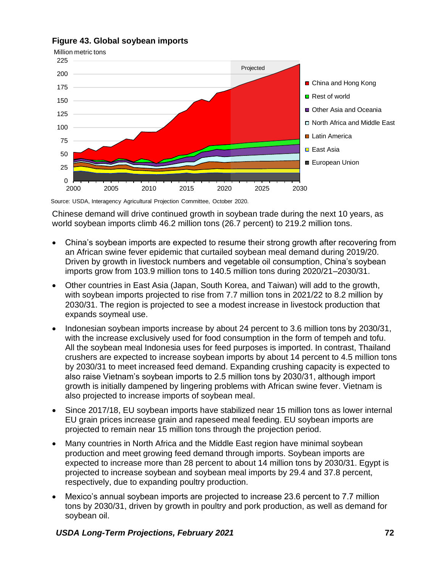

2000 2005 2010 2015 2020 2025 2030

# **Figure 43. Global soybean imports**

Source: USDA, Interagency Agricultural Projection Committee, October 2020.

Chinese demand will drive continued growth in soybean trade during the next 10 years, as world soybean imports climb 46.2 million tons (26.7 percent) to 219.2 million tons.

- China's soybean imports are expected to resume their strong growth after recovering from an African swine fever epidemic that curtailed soybean meal demand during 2019/20. Driven by growth in livestock numbers and vegetable oil consumption, China's soybean imports grow from 103.9 million tons to 140.5 million tons during 2020/21–2030/31.
- Other countries in East Asia (Japan, South Korea, and Taiwan) will add to the growth, with soybean imports projected to rise from 7.7 million tons in 2021/22 to 8.2 million by 2030/31. The region is projected to see a modest increase in livestock production that expands soymeal use.
- Indonesian soybean imports increase by about 24 percent to 3.6 million tons by 2030/31, with the increase exclusively used for food consumption in the form of tempeh and tofu. All the soybean meal Indonesia uses for feed purposes is imported. In contrast, Thailand crushers are expected to increase soybean imports by about 14 percent to 4.5 million tons by 2030/31 to meet increased feed demand. Expanding crushing capacity is expected to also raise Vietnam's soybean imports to 2.5 million tons by 2030/31, although import growth is initially dampened by lingering problems with African swine fever. Vietnam is also projected to increase imports of soybean meal.
- Since 2017/18, EU soybean imports have stabilized near 15 million tons as lower internal EU grain prices increase grain and rapeseed meal feeding. EU soybean imports are projected to remain near 15 million tons through the projection period.
- Many countries in North Africa and the Middle East region have minimal soybean production and meet growing feed demand through imports. Soybean imports are expected to increase more than 28 percent to about 14 million tons by 2030/31. Egypt is projected to increase soybean and soybean meal imports by 29.4 and 37.8 percent, respectively, due to expanding poultry production.
- Mexico's annual soybean imports are projected to increase 23.6 percent to 7.7 million tons by 2030/31, driven by growth in poultry and pork production, as well as demand for soybean oil.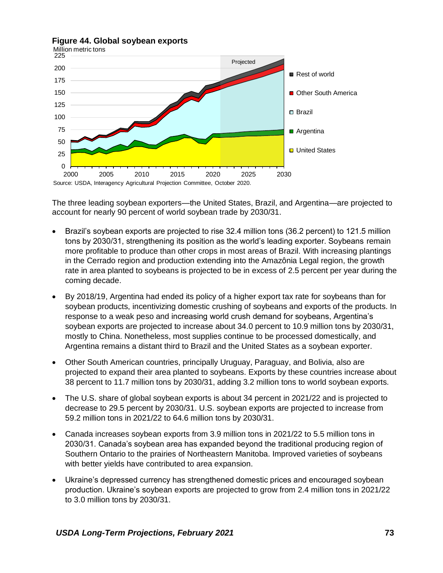

**Figure 44. Global soybean exports**

The three leading soybean exporters—the United States, Brazil, and Argentina—are projected to account for nearly 90 percent of world soybean trade by 2030/31.

- Brazil's soybean exports are projected to rise 32.4 million tons (36.2 percent) to 121.5 million tons by 2030/31, strengthening its position as the world's leading exporter. Soybeans remain more profitable to produce than other crops in most areas of Brazil. With increasing plantings in the Cerrado region and production extending into the Amazônia Legal region, the growth rate in area planted to soybeans is projected to be in excess of 2.5 percent per year during the coming decade.
- By 2018/19, Argentina had ended its policy of a higher export tax rate for soybeans than for soybean products, incentivizing domestic crushing of soybeans and exports of the products. In response to a weak peso and increasing world crush demand for soybeans, Argentina's soybean exports are projected to increase about 34.0 percent to 10.9 million tons by 2030/31, mostly to China. Nonetheless, most supplies continue to be processed domestically, and Argentina remains a distant third to Brazil and the United States as a soybean exporter.
- Other South American countries, principally Uruguay, Paraguay, and Bolivia, also are projected to expand their area planted to soybeans. Exports by these countries increase about 38 percent to 11.7 million tons by 2030/31, adding 3.2 million tons to world soybean exports.
- The U.S. share of global soybean exports is about 34 percent in 2021/22 and is projected to decrease to 29.5 percent by 2030/31. U.S. soybean exports are projected to increase from 59.2 million tons in 2021/22 to 64.6 million tons by 2030/31.
- Canada increases soybean exports from 3.9 million tons in 2021/22 to 5.5 million tons in 2030/31. Canada's soybean area has expanded beyond the traditional producing region of Southern Ontario to the prairies of Northeastern Manitoba. Improved varieties of soybeans with better yields have contributed to area expansion.
- Ukraine's depressed currency has strengthened domestic prices and encouraged soybean production. Ukraine's soybean exports are projected to grow from 2.4 million tons in 2021/22 to 3.0 million tons by 2030/31.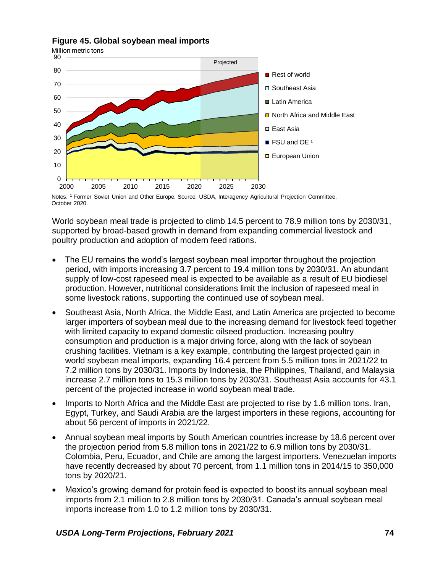

## **Figure 45. Global soybean meal imports**

Notes: <sup>1</sup> Former Soviet Union and Other Europe. Source: USDA, Interagency Agricultural Projection Committee, October 2020.

World soybean meal trade is projected to climb 14.5 percent to 78.9 million tons by 2030/31, supported by broad-based growth in demand from expanding commercial livestock and poultry production and adoption of modern feed rations.

- The EU remains the world's largest soybean meal importer throughout the projection period, with imports increasing 3.7 percent to 19.4 million tons by 2030/31. An abundant supply of low-cost rapeseed meal is expected to be available as a result of EU biodiesel production. However, nutritional considerations limit the inclusion of rapeseed meal in some livestock rations, supporting the continued use of soybean meal.
- Southeast Asia, North Africa, the Middle East, and Latin America are projected to become larger importers of soybean meal due to the increasing demand for livestock feed together with limited capacity to expand domestic oilseed production. Increasing poultry consumption and production is a major driving force, along with the lack of soybean crushing facilities. Vietnam is a key example, contributing the largest projected gain in world soybean meal imports, expanding 16.4 percent from 5.5 million tons in 2021/22 to 7.2 million tons by 2030/31. Imports by Indonesia, the Philippines, Thailand, and Malaysia increase 2.7 million tons to 15.3 million tons by 2030/31. Southeast Asia accounts for 43.1 percent of the projected increase in world soybean meal trade.
- Imports to North Africa and the Middle East are projected to rise by 1.6 million tons. Iran, Egypt, Turkey, and Saudi Arabia are the largest importers in these regions, accounting for about 56 percent of imports in 2021/22.
- Annual soybean meal imports by South American countries increase by 18.6 percent over the projection period from 5.8 million tons in 2021/22 to 6.9 million tons by 2030/31. Colombia, Peru, Ecuador, and Chile are among the largest importers. Venezuelan imports have recently decreased by about 70 percent, from 1.1 million tons in 2014/15 to 350,000 tons by 2020/21.
- Mexico's growing demand for protein feed is expected to boost its annual soybean meal imports from 2.1 million to 2.8 million tons by 2030/31. Canada's annual soybean meal imports increase from 1.0 to 1.2 million tons by 2030/31.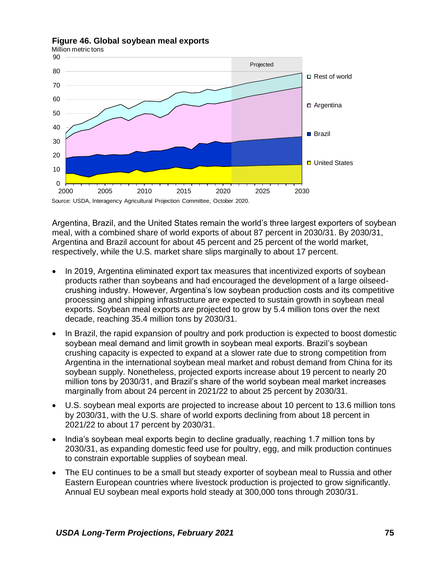

### **Figure 46. Global soybean meal exports**

Argentina, Brazil, and the United States remain the world's three largest exporters of soybean meal, with a combined share of world exports of about 87 percent in 2030/31. By 2030/31, Argentina and Brazil account for about 45 percent and 25 percent of the world market, respectively, while the U.S. market share slips marginally to about 17 percent.

- In 2019, Argentina eliminated export tax measures that incentivized exports of soybean products rather than soybeans and had encouraged the development of a large oilseedcrushing industry. However, Argentina's low soybean production costs and its competitive processing and shipping infrastructure are expected to sustain growth in soybean meal exports. Soybean meal exports are projected to grow by 5.4 million tons over the next decade, reaching 35.4 million tons by 2030/31.
- In Brazil, the rapid expansion of poultry and pork production is expected to boost domestic soybean meal demand and limit growth in soybean meal exports. Brazil's soybean crushing capacity is expected to expand at a slower rate due to strong competition from Argentina in the international soybean meal market and robust demand from China for its soybean supply. Nonetheless, projected exports increase about 19 percent to nearly 20 million tons by 2030/31, and Brazil's share of the world soybean meal market increases marginally from about 24 percent in 2021/22 to about 25 percent by 2030/31.
- U.S. soybean meal exports are projected to increase about 10 percent to 13.6 million tons by 2030/31, with the U.S. share of world exports declining from about 18 percent in 2021/22 to about 17 percent by 2030/31.
- India's soybean meal exports begin to decline gradually, reaching 1.7 million tons by 2030/31, as expanding domestic feed use for poultry, egg, and milk production continues to constrain exportable supplies of soybean meal.
- The EU continues to be a small but steady exporter of soybean meal to Russia and other Eastern European countries where livestock production is projected to grow significantly. Annual EU soybean meal exports hold steady at 300,000 tons through 2030/31.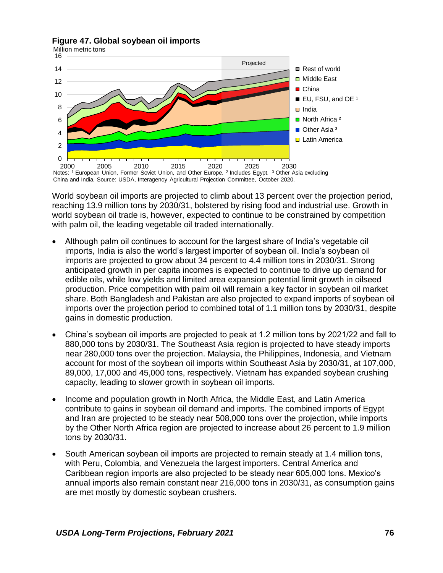



World soybean oil imports are projected to climb about 13 percent over the projection period, reaching 13.9 million tons by 2030/31, bolstered by rising food and industrial use. Growth in world soybean oil trade is, however, expected to continue to be constrained by competition with palm oil, the leading vegetable oil traded internationally.

- Although palm oil continues to account for the largest share of India's vegetable oil imports, India is also the world's largest importer of soybean oil. India's soybean oil imports are projected to grow about 34 percent to 4.4 million tons in 2030/31. Strong anticipated growth in per capita incomes is expected to continue to drive up demand for edible oils, while low yields and limited area expansion potential limit growth in oilseed production. Price competition with palm oil will remain a key factor in soybean oil market share. Both Bangladesh and Pakistan are also projected to expand imports of soybean oil imports over the projection period to combined total of 1.1 million tons by 2030/31, despite gains in domestic production.
- China's soybean oil imports are projected to peak at 1.2 million tons by 2021/22 and fall to 880,000 tons by 2030/31. The Southeast Asia region is projected to have steady imports near 280,000 tons over the projection. Malaysia, the Philippines, Indonesia, and Vietnam account for most of the soybean oil imports within Southeast Asia by 2030/31, at 107,000, 89,000, 17,000 and 45,000 tons, respectively. Vietnam has expanded soybean crushing capacity, leading to slower growth in soybean oil imports.
- Income and population growth in North Africa, the Middle East, and Latin America contribute to gains in soybean oil demand and imports. The combined imports of Egypt and Iran are projected to be steady near 508,000 tons over the projection, while imports by the Other North Africa region are projected to increase about 26 percent to 1.9 million tons by 2030/31.
- South American soybean oil imports are projected to remain steady at 1.4 million tons, with Peru, Colombia, and Venezuela the largest importers. Central America and Caribbean region imports are also projected to be steady near 605,000 tons. Mexico's annual imports also remain constant near 216,000 tons in 2030/31, as consumption gains are met mostly by domestic soybean crushers.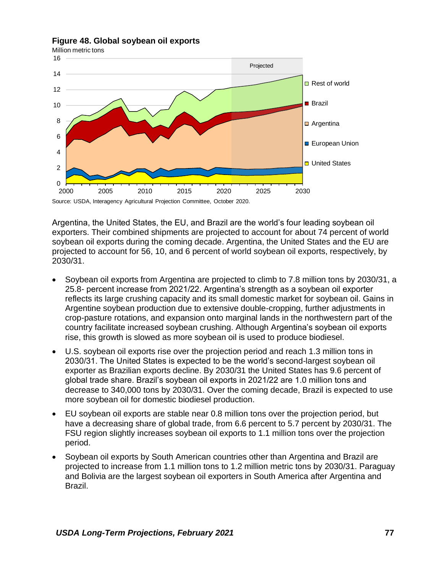

### **Figure 48. Global soybean oil exports**

Argentina, the United States, the EU, and Brazil are the world's four leading soybean oil exporters. Their combined shipments are projected to account for about 74 percent of world soybean oil exports during the coming decade. Argentina, the United States and the EU are projected to account for 56, 10, and 6 percent of world soybean oil exports, respectively, by 2030/31.

- Soybean oil exports from Argentina are projected to climb to 7.8 million tons by 2030/31, a 25.8- percent increase from 2021/22. Argentina's strength as a soybean oil exporter reflects its large crushing capacity and its small domestic market for soybean oil. Gains in Argentine soybean production due to extensive double-cropping, further adjustments in crop-pasture rotations, and expansion onto marginal lands in the northwestern part of the country facilitate increased soybean crushing. Although Argentina's soybean oil exports rise, this growth is slowed as more soybean oil is used to produce biodiesel.
- U.S. soybean oil exports rise over the projection period and reach 1.3 million tons in 2030/31. The United States is expected to be the world's second-largest soybean oil exporter as Brazilian exports decline. By 2030/31 the United States has 9.6 percent of global trade share. Brazil's soybean oil exports in 2021/22 are 1.0 million tons and decrease to 340,000 tons by 2030/31. Over the coming decade, Brazil is expected to use more soybean oil for domestic biodiesel production.
- EU soybean oil exports are stable near 0.8 million tons over the projection period, but have a decreasing share of global trade, from 6.6 percent to 5.7 percent by 2030/31. The FSU region slightly increases soybean oil exports to 1.1 million tons over the projection period.
- Soybean oil exports by South American countries other than Argentina and Brazil are projected to increase from 1.1 million tons to 1.2 million metric tons by 2030/31. Paraguay and Bolivia are the largest soybean oil exporters in South America after Argentina and Brazil.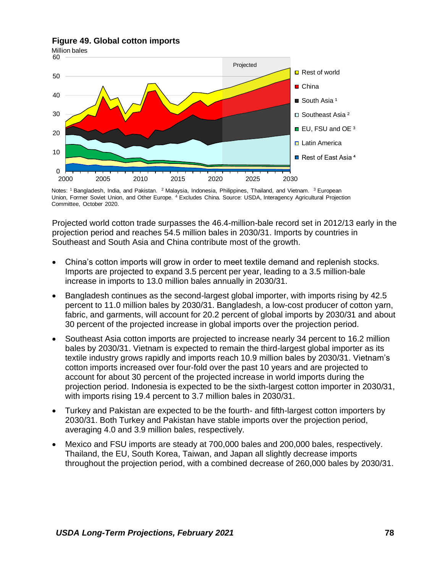### **Figure 49. Global cotton imports**



Notes: <sup>1</sup> Bangladesh, India, and Pakistan. <sup>2</sup> Malaysia, Indonesia, Philippines, Thailand, and Vietnam. <sup>3</sup> European Union, Former Soviet Union, and Other Europe. <sup>4</sup> Excludes China. Source: USDA, Interagency Agricultural Projection Committee, October 2020.

Projected world cotton trade surpasses the 46.4-million-bale record set in 2012/13 early in the projection period and reaches 54.5 million bales in 2030/31. Imports by countries in Southeast and South Asia and China contribute most of the growth.

- China's cotton imports will grow in order to meet textile demand and replenish stocks. Imports are projected to expand 3.5 percent per year, leading to a 3.5 million-bale increase in imports to 13.0 million bales annually in 2030/31.
- Bangladesh continues as the second-largest global importer, with imports rising by 42.5 percent to 11.0 million bales by 2030/31. Bangladesh, a low-cost producer of cotton yarn, fabric, and garments, will account for 20.2 percent of global imports by 2030/31 and about 30 percent of the projected increase in global imports over the projection period.
- Southeast Asia cotton imports are projected to increase nearly 34 percent to 16.2 million bales by 2030/31. Vietnam is expected to remain the third-largest global importer as its textile industry grows rapidly and imports reach 10.9 million bales by 2030/31. Vietnam's cotton imports increased over four-fold over the past 10 years and are projected to account for about 30 percent of the projected increase in world imports during the projection period. Indonesia is expected to be the sixth-largest cotton importer in 2030/31, with imports rising 19.4 percent to 3.7 million bales in 2030/31.
- Turkey and Pakistan are expected to be the fourth- and fifth-largest cotton importers by 2030/31. Both Turkey and Pakistan have stable imports over the projection period, averaging 4.0 and 3.9 million bales, respectively.
- Mexico and FSU imports are steady at 700,000 bales and 200,000 bales, respectively. Thailand, the EU, South Korea, Taiwan, and Japan all slightly decrease imports throughout the projection period, with a combined decrease of 260,000 bales by 2030/31.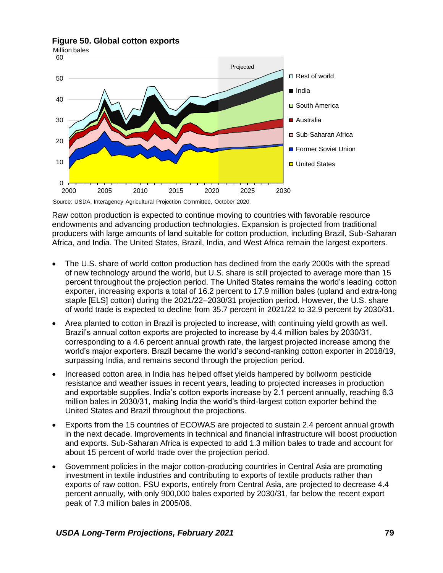**Figure 50. Global cotton exports**



Raw cotton production is expected to continue moving to countries with favorable resource endowments and advancing production technologies. Expansion is projected from traditional producers with large amounts of land suitable for cotton production, including Brazil, Sub-Saharan Africa, and India. The United States, Brazil, India, and West Africa remain the largest exporters.

- The U.S. share of world cotton production has declined from the early 2000s with the spread of new technology around the world, but U.S. share is still projected to average more than 15 percent throughout the projection period. The United States remains the world's leading cotton exporter, increasing exports a total of 16.2 percent to 17.9 million bales (upland and extra-long staple [ELS] cotton) during the 2021/22–2030/31 projection period. However, the U.S. share of world trade is expected to decline from 35.7 percent in 2021/22 to 32.9 percent by 2030/31.
- Area planted to cotton in Brazil is projected to increase, with continuing yield growth as well. Brazil's annual cotton exports are projected to increase by 4.4 million bales by 2030/31, corresponding to a 4.6 percent annual growth rate, the largest projected increase among the world's major exporters. Brazil became the world's second-ranking cotton exporter in 2018/19, surpassing India, and remains second through the projection period.
- Increased cotton area in India has helped offset yields hampered by bollworm pesticide resistance and weather issues in recent years, leading to projected increases in production and exportable supplies. India's cotton exports increase by 2.1 percent annually, reaching 6.3 million bales in 2030/31, making India the world's third-largest cotton exporter behind the United States and Brazil throughout the projections.
- Exports from the 15 countries of ECOWAS are projected to sustain 2.4 percent annual growth in the next decade. Improvements in technical and financial infrastructure will boost production and exports. Sub-Saharan Africa is expected to add 1.3 million bales to trade and account for about 15 percent of world trade over the projection period.
- Government policies in the major cotton-producing countries in Central Asia are promoting investment in textile industries and contributing to exports of textile products rather than exports of raw cotton. FSU exports, entirely from Central Asia, are projected to decrease 4.4 percent annually, with only 900,000 bales exported by 2030/31, far below the recent export peak of 7.3 million bales in 2005/06.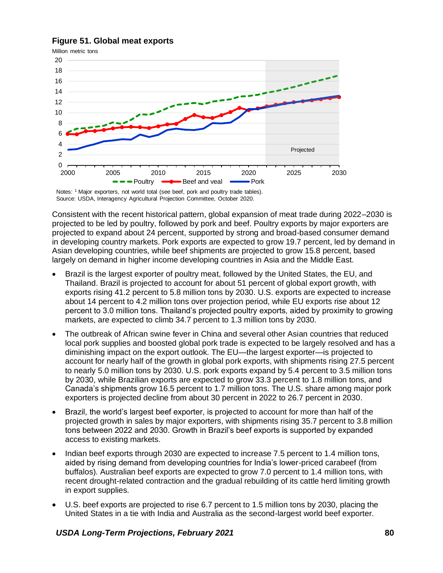# **Figure 51. Global meat exports**



Source: USDA, Interagency Agricultural Projection Committee, October 2020.

Consistent with the recent historical pattern, global expansion of meat trade during 2022–2030 is projected to be led by poultry, followed by pork and beef. Poultry exports by major exporters are projected to expand about 24 percent, supported by strong and broad-based consumer demand in developing country markets. Pork exports are expected to grow 19.7 percent, led by demand in Asian developing countries, while beef shipments are projected to grow 15.8 percent, based largely on demand in higher income developing countries in Asia and the Middle East.

- Brazil is the largest exporter of poultry meat, followed by the United States, the EU, and Thailand. Brazil is projected to account for about 51 percent of global export growth, with exports rising 41.2 percent to 5.8 million tons by 2030. U.S. exports are expected to increase about 14 percent to 4.2 million tons over projection period, while EU exports rise about 12 percent to 3.0 million tons. Thailand's projected poultry exports, aided by proximity to growing markets, are expected to climb 34.7 percent to 1.3 million tons by 2030.
- The outbreak of African swine fever in China and several other Asian countries that reduced local pork supplies and boosted global pork trade is expected to be largely resolved and has a diminishing impact on the export outlook. The EU—the largest exporter—is projected to account for nearly half of the growth in global pork exports, with shipments rising 27.5 percent to nearly 5.0 million tons by 2030. U.S. pork exports expand by 5.4 percent to 3.5 million tons by 2030, while Brazilian exports are expected to grow 33.3 percent to 1.8 million tons, and Canada's shipments grow 16.5 percent to 1.7 million tons. The U.S. share among major pork exporters is projected decline from about 30 percent in 2022 to 26.7 percent in 2030.
- Brazil, the world's largest beef exporter, is projected to account for more than half of the projected growth in sales by major exporters, with shipments rising 35.7 percent to 3.8 million tons between 2022 and 2030. Growth in Brazil's beef exports is supported by expanded access to existing markets.
- Indian beef exports through 2030 are expected to increase 7.5 percent to 1.4 million tons, aided by rising demand from developing countries for India's lower-priced carabeef (from buffalos). Australian beef exports are expected to grow 7.0 percent to 1.4 million tons, with recent drought-related contraction and the gradual rebuilding of its cattle herd limiting growth in export supplies.
- U.S. beef exports are projected to rise 6.7 percent to 1.5 million tons by 2030, placing the United States in a tie with India and Australia as the second-largest world beef exporter.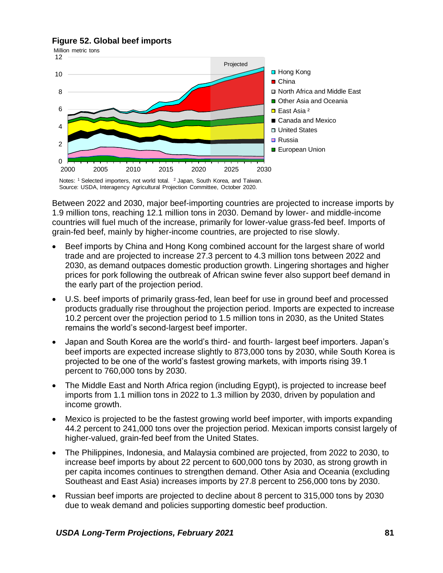# **Figure 52. Global beef imports**



Notes: <sup>1</sup> Selected importers, not world total. <sup>2</sup> Japan, South Korea, and Taiwan. Source: USDA, Interagency Agricultural Projection Committee, October 2020.

Between 2022 and 2030, major beef-importing countries are projected to increase imports by 1.9 million tons, reaching 12.1 million tons in 2030. Demand by lower- and middle-income countries will fuel much of the increase, primarily for lower-value grass-fed beef. Imports of grain-fed beef, mainly by higher-income countries, are projected to rise slowly.

- Beef imports by China and Hong Kong combined account for the largest share of world trade and are projected to increase 27.3 percent to 4.3 million tons between 2022 and 2030, as demand outpaces domestic production growth. Lingering shortages and higher prices for pork following the outbreak of African swine fever also support beef demand in the early part of the projection period.
- U.S. beef imports of primarily grass-fed, lean beef for use in ground beef and processed products gradually rise throughout the projection period. Imports are expected to increase 10.2 percent over the projection period to 1.5 million tons in 2030, as the United States remains the world's second-largest beef importer.
- Japan and South Korea are the world's third- and fourth- largest beef importers. Japan's beef imports are expected increase slightly to 873,000 tons by 2030, while South Korea is projected to be one of the world's fastest growing markets, with imports rising 39.1 percent to 760,000 tons by 2030.
- The Middle East and North Africa region (including Egypt), is projected to increase beef imports from 1.1 million tons in 2022 to 1.3 million by 2030, driven by population and income growth.
- Mexico is projected to be the fastest growing world beef importer, with imports expanding 44.2 percent to 241,000 tons over the projection period. Mexican imports consist largely of higher-valued, grain-fed beef from the United States.
- The Philippines, Indonesia, and Malaysia combined are projected, from 2022 to 2030, to increase beef imports by about 22 percent to 600,000 tons by 2030, as strong growth in per capita incomes continues to strengthen demand. Other Asia and Oceania (excluding Southeast and East Asia) increases imports by 27.8 percent to 256,000 tons by 2030.
- Russian beef imports are projected to decline about 8 percent to 315,000 tons by 2030 due to weak demand and policies supporting domestic beef production.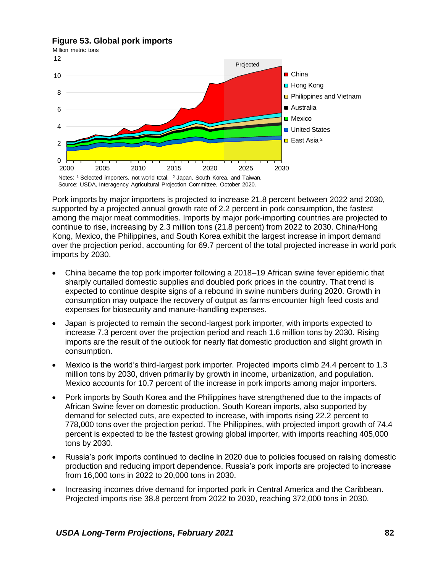# **Figure 53. Global pork imports**



Pork imports by major importers is projected to increase 21.8 percent between 2022 and 2030, supported by a projected annual growth rate of 2.2 percent in pork consumption, the fastest among the major meat commodities. Imports by major pork-importing countries are projected to continue to rise, increasing by 2.3 million tons (21.8 percent) from 2022 to 2030. China/Hong Kong, Mexico, the Philippines, and South Korea exhibit the largest increase in import demand over the projection period, accounting for 69.7 percent of the total projected increase in world pork imports by 2030.

- China became the top pork importer following a 2018–19 African swine fever epidemic that sharply curtailed domestic supplies and doubled pork prices in the country. That trend is expected to continue despite signs of a rebound in swine numbers during 2020. Growth in consumption may outpace the recovery of output as farms encounter high feed costs and expenses for biosecurity and manure-handling expenses.
- Japan is projected to remain the second-largest pork importer, with imports expected to increase 7.3 percent over the projection period and reach 1.6 million tons by 2030. Rising imports are the result of the outlook for nearly flat domestic production and slight growth in consumption.
- Mexico is the world's third-largest pork importer. Projected imports climb 24.4 percent to 1.3 million tons by 2030, driven primarily by growth in income, urbanization, and population. Mexico accounts for 10.7 percent of the increase in pork imports among major importers.
- Pork imports by South Korea and the Philippines have strengthened due to the impacts of African Swine fever on domestic production. South Korean imports, also supported by demand for selected cuts, are expected to increase, with imports rising 22.2 percent to 778,000 tons over the projection period. The Philippines, with projected import growth of 74.4 percent is expected to be the fastest growing global importer, with imports reaching 405,000 tons by 2030.
- Russia's pork imports continued to decline in 2020 due to policies focused on raising domestic production and reducing import dependence. Russia's pork imports are projected to increase from 16,000 tons in 2022 to 20,000 tons in 2030.
- Increasing incomes drive demand for imported pork in Central America and the Caribbean. Projected imports rise 38.8 percent from 2022 to 2030, reaching 372,000 tons in 2030.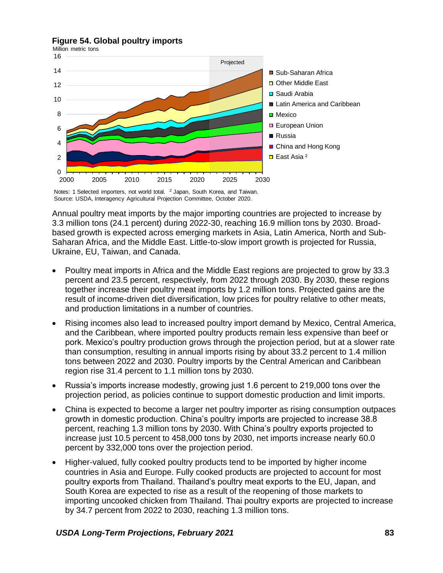# **Figure 54. Global poultry imports**



Notes: 1 Selected importers, not world total. <sup>2</sup> Japan, South Korea, and Taiwan. Source: USDA, Interagency Agricultural Projection Committee, October 2020.

Annual poultry meat imports by the major importing countries are projected to increase by 3.3 million tons (24.1 percent) during 2022-30, reaching 16.9 million tons by 2030. Broadbased growth is expected across emerging markets in Asia, Latin America, North and Sub-Saharan Africa, and the Middle East. Little-to-slow import growth is projected for Russia, Ukraine, EU, Taiwan, and Canada.

- Poultry meat imports in Africa and the Middle East regions are projected to grow by 33.3 percent and 23.5 percent, respectively, from 2022 through 2030. By 2030, these regions together increase their poultry meat imports by 1.2 million tons. Projected gains are the result of income-driven diet diversification, low prices for poultry relative to other meats, and production limitations in a number of countries.
- Rising incomes also lead to increased poultry import demand by Mexico, Central America, and the Caribbean, where imported poultry products remain less expensive than beef or pork. Mexico's poultry production grows through the projection period, but at a slower rate than consumption, resulting in annual imports rising by about 33.2 percent to 1.4 million tons between 2022 and 2030. Poultry imports by the Central American and Caribbean region rise 31.4 percent to 1.1 million tons by 2030.
- Russia's imports increase modestly, growing just 1.6 percent to 219,000 tons over the projection period, as policies continue to support domestic production and limit imports.
- China is expected to become a larger net poultry importer as rising consumption outpaces growth in domestic production. China's poultry imports are projected to increase 38.8 percent, reaching 1.3 million tons by 2030. With China's poultry exports projected to increase just 10.5 percent to 458,000 tons by 2030, net imports increase nearly 60.0 percent by 332,000 tons over the projection period.
- Higher-valued, fully cooked poultry products tend to be imported by higher income countries in Asia and Europe. Fully cooked products are projected to account for most poultry exports from Thailand. Thailand's poultry meat exports to the EU, Japan, and South Korea are expected to rise as a result of the reopening of those markets to importing uncooked chicken from Thailand. Thai poultry exports are projected to increase by 34.7 percent from 2022 to 2030, reaching 1.3 million tons.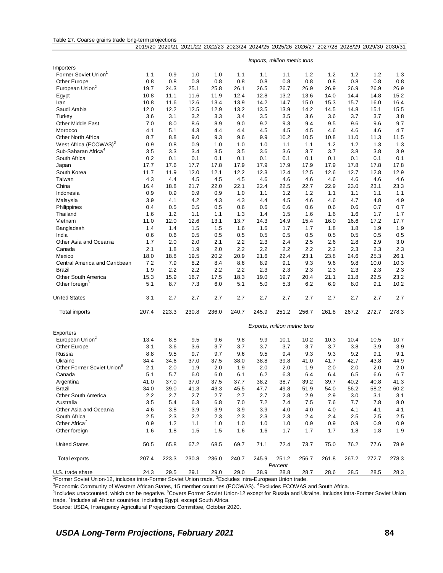| Table 27. Coarse grains trade long-term projections |  |  |
|-----------------------------------------------------|--|--|
|                                                     |  |  |

|                                        |       |       |       |       |       | 2019/20 2020/21 2021/22 2022/23 2023/24 2024/25 2025/26 2026/27 2027/28 2028/29 2029/30 2030/31 |                              |       |       |         |       |         |
|----------------------------------------|-------|-------|-------|-------|-------|-------------------------------------------------------------------------------------------------|------------------------------|-------|-------|---------|-------|---------|
|                                        |       |       |       |       |       |                                                                                                 |                              |       |       |         |       |         |
|                                        |       |       |       |       |       |                                                                                                 | Imports, million metric tons |       |       |         |       |         |
| Importers                              |       |       |       |       |       |                                                                                                 |                              |       |       |         |       |         |
| Former Soviet Union <sup>1</sup>       | 1.1   | 0.9   | 1.0   | 1.0   | 1.1   | 1.1                                                                                             | 1.1                          | 1.2   | 1.2   | 1.2     | 1.2   | 1.3     |
| <b>Other Europe</b>                    | 0.8   | 0.8   | 0.8   | 0.8   | 0.8   | 0.8                                                                                             | 0.8                          | 0.8   | 0.8   | 0.8     | 0.8   | 0.8     |
| European Union <sup>2</sup>            | 19.7  | 24.3  | 25.1  | 25.8  | 26.1  | 26.5                                                                                            | 26.7                         | 26.9  | 26.9  | 26.9    | 26.9  | 26.9    |
| Egypt                                  | 10.8  | 11.1  | 11.6  | 11.9  | 12.4  | 12.8                                                                                            | 13.2                         | 13.6  | 14.0  | 14.4    | 14.8  | 15.2    |
| Iran                                   | 10.8  | 11.6  | 12.6  | 13.4  | 13.9  | 14.2                                                                                            | 14.7                         | 15.0  | 15.3  | 15.7    | 16.0  | 16.4    |
| Saudi Arabia                           | 12.0  | 12.2  | 12.5  | 12.9  | 13.2  | 13.5                                                                                            | 13.9                         | 14.2  | 14.5  | 14.8    | 15.1  | 15.5    |
| Turkey                                 | 3.6   | 3.1   | 3.2   | 3.3   | 3.4   | 3.5                                                                                             | 3.5                          | 3.6   | 3.6   | 3.7     | 3.7   | 3.8     |
| <b>Other Middle East</b>               | 7.0   | 8.0   | 8.6   | 8.9   | 9.0   | 9.2                                                                                             | 9.3                          | 9.4   | 9.5   | 9.6     | 9.6   | 9.7     |
| Morocco                                | 4.1   | 5.1   | 4.3   | 4.4   | 4.4   | 4.5                                                                                             | 4.5                          | 4.5   | 4.6   | 4.6     | 4.6   | 4.7     |
| <b>Other North Africa</b>              | 8.7   | 8.8   | 9.0   | 9.3   | 9.6   | 9.9                                                                                             | 10.2                         | 10.5  | 10.8  | 11.0    | 11.3  | 11.5    |
| West Africa (ECOWAS) <sup>3</sup>      | 0.9   | 0.8   | 0.9   | 1.0   | 1.0   | 1.0                                                                                             | 1.1                          | 1.1   | 1.2   | 1.2     | 1.3   | 1.3     |
| Sub-Saharan Africa <sup>4</sup>        | 3.5   | 3.3   | 3.4   | 3.5   | 3.5   | 3.6                                                                                             | 3.6                          | 3.7   | 3.7   | 3.8     | 3.8   | 3.9     |
| South Africa                           | 0.2   | 0.1   | 0.1   | 0.1   | 0.1   | 0.1                                                                                             | 0.1                          | 0.1   | 0.1   | 0.1     | 0.1   | 0.1     |
| Japan                                  | 17.7  | 17.6  | 17.7  | 17.8  | 17.9  | 17.9                                                                                            | 17.9                         | 17.9  | 17.9  | 17.8    | 17.8  | 17.8    |
| South Korea                            | 11.7  | 11.9  | 12.0  | 12.1  | 12.2  | 12.3                                                                                            | 12.4                         | 12.5  | 12.6  | 12.7    | 12.8  | 12.9    |
| Taiwan                                 | 4.3   | 4.4   | 4.5   | 4.5   | 4.5   | 4.6                                                                                             | 4.6                          | 4.6   | 4.6   | 4.6     | 4.6   | 4.6     |
| China                                  | 16.4  | 18.8  | 21.7  | 22.0  | 22.1  | 22.4                                                                                            | 22.5                         | 22.7  | 22.9  | 23.0    | 23.1  | 23.3    |
| Indonesia                              | 0.9   | 0.9   | 0.9   | 0.9   | 1.0   | 1.1                                                                                             | 1.2                          | 1.2   | 1.1   | 1.1     | 1.1   | 1.1     |
| Malaysia                               | 3.9   | 4.1   | 4.2   | 4.3   | 4.3   | 4.4                                                                                             | 4.5                          | 4.6   | 4.6   | 4.7     | 4.8   | 4.9     |
| Philippines                            | 0.4   | 0.5   | 0.5   | 0.5   | 0.6   | 0.6                                                                                             | 0.6                          | 0.6   | 0.6   | 0.6     | 0.7   | 0.7     |
| Thailand                               | 1.6   | 1.2   | 1.1   | 1.1   | 1.3   | 1.4                                                                                             | 1.5                          | 1.6   | 1.6   | 1.6     | 1.7   | 1.7     |
| Vietnam                                | 11.0  | 12.0  | 12.6  | 13.1  | 13.7  | 14.3                                                                                            | 14.9                         | 15.4  | 16.0  | 16.6    | 17.2  | 17.7    |
| Bangladesh                             | 1.4   | 1.4   | 1.5   | 1.5   | 1.6   | 1.6                                                                                             | 1.7                          | 1.7   | 1.8   | 1.8     | 1.9   | 1.9     |
| India                                  | 0.6   | 0.6   | 0.5   | 0.5   | 0.5   | 0.5                                                                                             | 0.5                          | 0.5   | 0.5   | 0.5     | 0.5   | 0.5     |
| Other Asia and Oceania                 | 1.7   | 2.0   | 2.0   | 2.1   | 2.2   | 2.3                                                                                             | 2.4                          | 2.5   | 2.6   | 2.8     | 2.9   | 3.0     |
| Canada                                 | 2.1   | 1.8   | 1.9   | 2.0   | 2.2   | 2.2                                                                                             | 2.2                          | 2.2   | 2.2   | 2.3     | 2.3   | 2.3     |
| Mexico                                 | 18.0  | 18.8  | 19.5  | 20.2  | 20.9  | 21.6                                                                                            | 22.4                         | 23.1  | 23.8  | 24.6    | 25.3  | 26.1    |
| Central America and Caribbean          | 7.2   | 7.9   | 8.2   | 8.4   | 8.6   | 8.9                                                                                             | 9.1                          | 9.3   | 9.6   | 9.8     | 10.0  | 10.3    |
| Brazil                                 | 1.9   | 2.2   | 2.2   | 2.2   | 2.2   | 2.3                                                                                             | 2.3                          | 2.3   | 2.3   | 2.3     | 2.3   | 2.3     |
| Other South America                    | 15.3  | 15.9  | 16.7  | 17.5  | 18.3  | 19.0                                                                                            | 19.7                         | 20.4  | 21.1  | 21.8    | 22.5  | 23.2    |
| Other foreign <sup>5</sup>             | 5.1   | 8.7   | 7.3   | 6.0   | 5.1   |                                                                                                 | 5.3                          | 6.2   | 6.9   |         | 9.1   | 10.2    |
|                                        |       |       |       |       |       | 5.0                                                                                             |                              |       |       | 8.0     |       |         |
| <b>United States</b>                   | 3.1   | 2.7   | 2.7   | 2.7   | 2.7   | 2.7                                                                                             | 2.7                          | 2.7   | 2.7   | 2.7     | 2.7   | 2.7     |
| Total imports                          | 207.4 | 223.3 | 230.8 | 236.0 | 240.7 | 245.9                                                                                           | 251.2                        | 256.7 | 261.8 | 267.2   | 272.7 | 278.3   |
|                                        |       |       |       |       |       |                                                                                                 |                              |       |       |         |       |         |
|                                        |       |       |       |       |       |                                                                                                 | Exports, million metric tons |       |       |         |       |         |
| Exporters                              |       |       |       |       |       |                                                                                                 |                              |       |       |         |       |         |
| European Union <sup>2</sup>            | 13.4  | 8.8   | 9.5   | 9.6   | 9.8   | 9.9                                                                                             | 10.1                         | 10.2  | 10.3  | 10.4    | 10.5  | 10.7    |
| Other Europe                           | 3.1   | 3.6   | 3.6   | 3.7   | 3.7   | 3.7                                                                                             | 3.7                          | 3.7   | 3.7   | 3.8     | 3.9   | 3.9     |
| Russia                                 | 8.8   | 9.5   | 9.7   | 9.7   | 9.6   | 9.5                                                                                             | 9.4                          | 9.3   | 9.3   | 9.2     | 9.1   | 9.1     |
| Ukraine                                | 34.4  | 34.6  | 37.0  | 37.5  | 38.0  | 38.8                                                                                            | 39.8                         | 41.0  | 41.7  | 42.7    | 43.8  | 44.9    |
| Other Former Soviet Union <sup>6</sup> | 2.1   | 2.0   | 1.9   | 2.0   | 1.9   | 2.0                                                                                             | 2.0                          | 1.9   | 2.0   | $2.0\,$ | 2.0   | $2.0\,$ |
| Canada                                 | 5.1   | 5.7   | 6.0   | 6.0   | 6.1   | $6.2\,$                                                                                         | 6.3                          | 6.4   | 6.4   | 6.5     | 6.6   | 6.7     |
| Argentina                              | 41.0  | 37.0  | 37.0  | 37.5  | 37.7  | 38.2                                                                                            | 38.7                         | 39.2  | 39.7  | 40.2    | 40.8  | 41.3    |
| Brazil                                 | 34.0  | 39.0  | 41.3  | 43.3  | 45.5  | 47.7                                                                                            | 49.8                         | 51.9  | 54.0  | 56.2    | 58.2  | 60.2    |
| Other South America                    | 2.2   | 2.7   | 2.7   | 2.7   | 2.7   | 2.7                                                                                             | 2.8                          | 2.9   | 2.9   | 3.0     | 3.1   | 3.1     |
| Australia                              | 3.5   | 5.4   | 6.3   | 6.8   | 7.0   | 7.2                                                                                             | 7.4                          | 7.5   | 7.6   | 7.7     | 7.8   | 8.0     |
| Other Asia and Oceania                 | 4.6   | 3.8   | 3.9   | 3.9   | 3.9   | 3.9                                                                                             | 4.0                          | 4.0   | 4.0   | 4.1     | 4.1   | 4.1     |
| South Africa                           | 2.5   | 2.3   | 2.2   | 2.3   | 2.3   | 2.3                                                                                             | 2.3                          | 2.4   | 2.4   | 2.5     | 2.5   | 2.5     |
| Other Africa <sup>7</sup>              | 0.9   | $1.2$ | 1.1   | 1.0   | 1.0   | 1.0                                                                                             | 1.0                          | 0.9   | 0.9   | 0.9     | 0.9   | 0.9     |
| Other foreign                          | 1.6   | 1.8   | 1.5   | 1.5   | 1.6   | 1.6                                                                                             | 1.7                          | 1.7   | 1.7   | 1.8     | 1.8   | 1.9     |
| <b>United States</b>                   | 50.5  | 65.8  | 67.2  | 68.5  | 69.7  | 71.1                                                                                            | 72.4                         | 73.7  | 75.0  | 76.2    | 77.6  | 78.9    |
| Total exports                          | 207.4 | 223.3 | 230.8 | 236.0 | 240.7 | 245.9                                                                                           | 251.2                        | 256.7 | 261.8 | 267.2   | 272.7 | 278.3   |
|                                        |       |       |       |       |       |                                                                                                 | Percent                      |       |       |         |       |         |
| U.S. trade share                       | 24.3  | 29.5  | 29.1  | 29.0  | 29.0  | 28.9                                                                                            | 28.8                         | 28.7  | 28.6  | 28.5    | 28.5  | 28.3    |

<sup>1</sup>Former Soviet Union-12, includes intra-Former Soviet Union trade. <sup>2</sup>Excludes intra-European Union trade.

<sup>3</sup>Economic Community of Western African States, 15 member countries (ECOWAS). <sup>4</sup>Excludes ECOWAS and South Africa.

<sup>5</sup>Includes unaccounted, which can be negative. <sup>6</sup>Covers Former Soviet Union-12 except for Russia and Ukraine. Includes intra-Former Soviet Union trade. <sup>7</sup>Includes all African countries, including Egypt, except South Africa.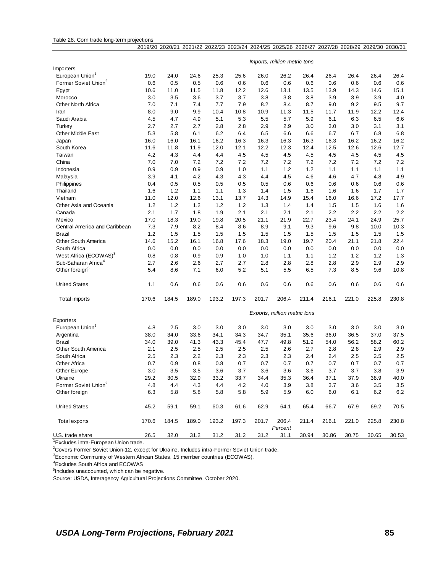|                                   |         |       |       | 2019/20 2020/21 2021/22 2022/23 2023/24 2024/25 2025/26 2026/27 2027/28 2028/29 2029/30 2030/31 |       |       |                              |       |       |       |         |         |
|-----------------------------------|---------|-------|-------|-------------------------------------------------------------------------------------------------|-------|-------|------------------------------|-------|-------|-------|---------|---------|
|                                   |         |       |       |                                                                                                 |       |       | Imports, million metric tons |       |       |       |         |         |
| Importers                         |         |       |       |                                                                                                 |       |       |                              |       |       |       |         |         |
| European Union <sup>1</sup>       | 19.0    | 24.0  | 24.6  | 25.3                                                                                            | 25.6  | 26.0  | 26.2                         | 26.4  | 26.4  | 26.4  | 26.4    | 26.4    |
| Former Soviet Union <sup>2</sup>  | 0.6     | 0.5   | 0.5   | 0.6                                                                                             | 0.6   | 0.6   | 0.6                          | 0.6   | 0.6   | 0.6   | 0.6     | 0.6     |
| Egypt                             | 10.6    | 11.0  | 11.5  | 11.8                                                                                            | 12.2  | 12.6  | 13.1                         | 13.5  | 13.9  | 14.3  | 14.6    | 15.1    |
| Morocco                           | 3.0     | 3.5   | 3.6   | 3.7                                                                                             | 3.7   | 3.8   | 3.8                          | 3.8   | 3.9   | 3.9   | 3.9     | 4.0     |
| Other North Africa                | 7.0     | 7.1   | 7.4   | 7.7                                                                                             | 7.9   | 8.2   | 8.4                          | 8.7   | 9.0   | 9.2   | 9.5     | 9.7     |
| Iran                              | 8.0     | 9.0   | 9.9   | 10.4                                                                                            | 10.8  | 10.9  | 11.3                         | 11.5  | 11.7  | 11.9  | 12.2    | 12.4    |
| Saudi Arabia                      | 4.5     | 4.7   | 4.9   | 5.1                                                                                             | 5.3   | 5.5   | 5.7                          | 5.9   | 6.1   | 6.3   | 6.5     | 6.6     |
| Turkey                            | 2.7     | 2.7   | 2.7   | 2.8                                                                                             | 2.8   | 2.9   | 2.9                          | 3.0   | 3.0   | 3.0   | 3.1     | 3.1     |
| <b>Other Middle East</b>          | 5.3     | 5.8   | 6.1   | 6.2                                                                                             | 6.4   | 6.5   | 6.6                          | 6.6   | 6.7   | 6.7   | 6.8     | 6.8     |
| Japan                             | 16.0    | 16.0  | 16.1  | 16.2                                                                                            | 16.3  | 16.3  | 16.3                         | 16.3  | 16.3  | 16.2  | 16.2    | 16.2    |
| South Korea                       | 11.6    | 11.8  | 11.9  | 12.0                                                                                            | 12.1  | 12.2  | 12.3                         | 12.4  | 12.5  | 12.6  | 12.6    | 12.7    |
| Taiwan                            | 4.2     | 4.3   | 4.4   | 4.4                                                                                             | 4.5   | 4.5   | 4.5                          | 4.5   | 4.5   | 4.5   | 4.5     | 4.5     |
| China                             | 7.0     | 7.0   | 7.2   | 7.2                                                                                             | 7.2   | 7.2   | 7.2                          | 7.2   | 7.2   | 7.2   | 7.2     | 7.2     |
| Indonesia                         | 0.9     | 0.9   | 0.9   | 0.9                                                                                             | 1.0   | 1.1   | 1.2                          | 1.2   | 1.1   | 1.1   | 1.1     | 1.1     |
| Malaysia                          | 3.9     | 4.1   | 4.2   | 4.3                                                                                             | 4.3   | 4.4   | 4.5                          | 4.6   | 4.6   | 4.7   | 4.8     | 4.9     |
| Philippines                       | 0.4     | 0.5   | 0.5   | 0.5                                                                                             | 0.5   | 0.5   | 0.6                          | 0.6   | 0.6   | 0.6   | 0.6     | 0.6     |
| Thailand                          | 1.6     | 1.2   | $1.1$ | 1.1                                                                                             | 1.3   | 1.4   | 1.5                          | 1.6   | 1.6   | 1.6   | 1.7     | 1.7     |
| Vietnam                           | 11.0    | 12.0  | 12.6  | 13.1                                                                                            | 13.7  | 14.3  | 14.9                         | 15.4  | 16.0  | 16.6  | 17.2    | 17.7    |
| Other Asia and Oceania            | 1.2     | 1.2   | $1.2$ | 1.2                                                                                             | $1.2$ | 1.3   | 1.4                          | 1.4   | 1.5   | 1.5   | 1.6     | 1.6     |
| Canada                            | 2.1     | 1.7   | 1.8   | 1.9                                                                                             | 2.1   | 2.1   | 2.1                          | 2.1   | 2.2   | 2.2   | 2.2     | 2.2     |
| Mexico                            | 17.0    | 18.3  | 19.0  | 19.8                                                                                            | 20.5  | 21.1  | 21.9                         | 22.7  | 23.4  | 24.1  | 24.9    | 25.7    |
| Central America and Caribbean     | 7.3     | 7.9   | 8.2   | 8.4                                                                                             | 8.6   | 8.9   | 9.1                          | 9.3   | 9.6   | 9.8   | 10.0    | 10.3    |
| Brazil                            | 1.2     | 1.5   | 1.5   | 1.5                                                                                             | 1.5   | 1.5   | 1.5                          | 1.5   | 1.5   | 1.5   | 1.5     | 1.5     |
| Other South America               | 14.6    | 15.2  | 16.1  | 16.8                                                                                            | 17.6  | 18.3  | 19.0                         | 19.7  | 20.4  | 21.1  | 21.8    | 22.4    |
| South Africa                      | 0.0     | 0.0   | 0.0   | 0.0                                                                                             | 0.0   | 0.0   | 0.0                          | 0.0   | 0.0   | 0.0   | 0.0     | 0.0     |
| West Africa (ECOWAS) <sup>3</sup> | 0.8     | 0.8   | 0.9   | 0.9                                                                                             | 1.0   | 1.0   | 1.1                          | 1.1   | 1.2   | 1.2   | 1.2     | 1.3     |
| Sub-Saharan Africa <sup>4</sup>   | 2.7     | 2.6   | 2.6   | 2.7                                                                                             | 2.7   | 2.8   | 2.8                          | 2.8   | 2.8   | 2.9   | 2.9     | 2.9     |
| Other foreign <sup>5</sup>        | 5.4     | 8.6   | 7.1   | 6.0                                                                                             | 5.2   | 5.1   | 5.5                          | 6.5   | 7.3   | 8.5   | 9.6     | 10.8    |
| <b>United States</b>              | 1.1     | 0.6   | 0.6   | 0.6                                                                                             | 0.6   | 0.6   | 0.6                          | 0.6   | 0.6   | 0.6   | 0.6     | 0.6     |
| Total imports                     | 170.6   | 184.5 | 189.0 | 193.2                                                                                           | 197.3 | 201.7 | 206.4                        | 211.4 | 216.1 | 221.0 | 225.8   | 230.8   |
|                                   |         |       |       |                                                                                                 |       |       | Exports, million metric tons |       |       |       |         |         |
| Exporters                         |         |       |       |                                                                                                 |       |       |                              |       |       |       |         |         |
| European Union <sup>1</sup>       | 4.8     | 2.5   | 3.0   | 3.0                                                                                             | 3.0   | 3.0   | 3.0                          | 3.0   | 3.0   | 3.0   | 3.0     | 3.0     |
| Argentina                         | 38.0    | 34.0  | 33.6  | 34.1                                                                                            | 34.3  | 34.7  | 35.1                         | 35.6  | 36.0  | 36.5  | 37.0    | 37.5    |
| Brazil                            | 34.0    | 39.0  | 41.3  | 43.3                                                                                            | 45.4  | 47.7  | 49.8                         | 51.9  | 54.0  | 56.2  | 58.2    | 60.2    |
| <b>Other South America</b>        | 2.1     | 2.5   | 2.5   | 2.5                                                                                             | 2.5   | 2.5   | 2.6                          | 2.7   | 2.8   | 2.8   | 2.9     | 2.9     |
| South Africa                      | 2.5     | 2.3   | 2.2   | 2.3                                                                                             | 2.3   | 2.3   | 2.3                          | 2.4   | 2.4   | 2.5   | 2.5     | 2.5     |
| <b>Other Africa</b>               | 0.7     | 0.9   | 0.8   | 0.8                                                                                             | 0.7   | 0.7   | 0.7                          | 0.7   | 0.7   | 0.7   | 0.7     | 0.7     |
| Other Europe                      | $3.0\,$ | 3.5   | 3.5   | 3.6                                                                                             | 3.7   | 3.6   | 3.6                          | 3.6   | 3.7   | 3.7   | 3.8     | 3.9     |
| Ukraine                           | 29.2    | 30.5  | 32.9  | 33.2                                                                                            | 33.7  | 34.4  | 35.3                         | 36.4  | 37.1  | 37.9  | 38.9    | 40.0    |
| Former Soviet Union <sup>2</sup>  | 4.8     | 4.4   | 4.3   | 4.4                                                                                             | 4.2   | 4.0   | 3.9                          | 3.8   | 3.7   | 3.6   | 3.5     | 3.5     |
| Other foreign                     | 6.3     | 5.8   | 5.8   | 5.8                                                                                             | 5.8   | 5.9   | 5.9                          | 6.0   | 6.0   | 6.1   | $6.2\,$ | $6.2\,$ |
| <b>United States</b>              | 45.2    | 59.1  | 59.1  | 60.3                                                                                            | 61.6  | 62.9  | 64.1                         | 65.4  | 66.7  | 67.9  | 69.2    | 70.5    |
| Total exports                     | 170.6   | 184.5 | 189.0 | 193.2                                                                                           | 197.3 | 201.7 | 206.4<br>Percent             | 211.4 | 216.1 | 221.0 | 225.8   | 230.8   |
| U.S. trade share                  | 26.5    | 32.0  | 31.2  | 31.2                                                                                            | 31.2  | 31.2  | 31.1                         | 30.94 | 30.86 | 30.75 | 30.65   | 30.53   |

**1Excludes intra-European Union trade.** 

Table 28. Corn trade long-term projections

<sup>2</sup>Covers Former Soviet Union-12, except for Ukraine. Includes intra-Former Soviet Union trade.

<sup>3</sup>Economic Community of Western African States, 15 member countries (ECOWAS).

<sup>4</sup>Excludes South Africa and ECOWAS

<sup>5</sup>Includes unaccounted, which can be negative.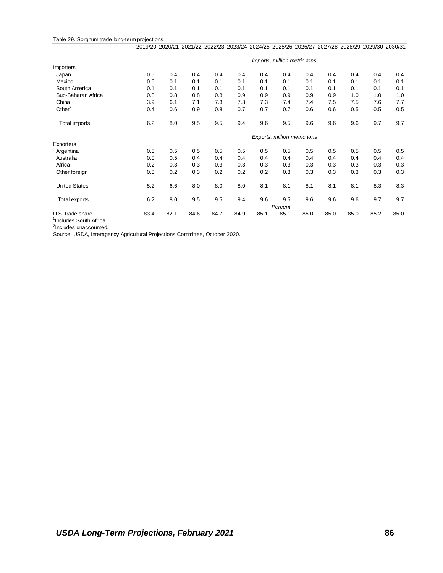#### Table 29. Sorghum trade long-term projections

|                                 | 2019/20 2020/21 |      |      |      |      | 2021/22 2022/23 2023/24 2024/25 2025/26 2026/27 |                              |      | 2027/28 2028/29 2029/30 2030/31 |      |      |      |
|---------------------------------|-----------------|------|------|------|------|-------------------------------------------------|------------------------------|------|---------------------------------|------|------|------|
|                                 |                 |      |      |      |      |                                                 | Imports, million metric tons |      |                                 |      |      |      |
| Importers                       |                 |      |      |      |      |                                                 |                              |      |                                 |      |      |      |
| Japan                           | 0.5             | 0.4  | 0.4  | 0.4  | 0.4  | 0.4                                             | 0.4                          | 0.4  | 0.4                             | 0.4  | 0.4  | 0.4  |
| Mexico                          | 0.6             | 0.1  | 0.1  | 0.1  | 0.1  | 0.1                                             | 0.1                          | 0.1  | 0.1                             | 0.1  | 0.1  | 0.1  |
| South America                   | 0.1             | 0.1  | 0.1  | 0.1  | 0.1  | 0.1                                             | 0.1                          | 0.1  | 0.1                             | 0.1  | 0.1  | 0.1  |
| Sub-Saharan Africa <sup>1</sup> | 0.8             | 0.8  | 0.8  | 0.8  | 0.9  | 0.9                                             | 0.9                          | 0.9  | 0.9                             | 1.0  | 1.0  | 1.0  |
| China                           | 3.9             | 6.1  | 7.1  | 7.3  | 7.3  | 7.3                                             | 7.4                          | 7.4  | 7.5                             | 7.5  | 7.6  | 7.7  |
| Other $2$                       | 0.4             | 0.6  | 0.9  | 0.8  | 0.7  | 0.7                                             | 0.7                          | 0.6  | 0.6                             | 0.5  | 0.5  | 0.5  |
| Total imports                   | 6.2             | 8.0  | 9.5  | 9.5  | 9.4  | 9.6                                             | 9.5                          | 9.6  | 9.6                             | 9.6  | 9.7  | 9.7  |
|                                 |                 |      |      |      |      |                                                 | Exports, million metric tons |      |                                 |      |      |      |
| Exporters                       |                 |      |      |      |      |                                                 |                              |      |                                 |      |      |      |
| Argentina                       | 0.5             | 0.5  | 0.5  | 0.5  | 0.5  | 0.5                                             | 0.5                          | 0.5  | 0.5                             | 0.5  | 0.5  | 0.5  |
| Australia                       | 0.0             | 0.5  | 0.4  | 0.4  | 0.4  | 0.4                                             | 0.4                          | 0.4  | 0.4                             | 0.4  | 0.4  | 0.4  |
| Africa                          | 0.2             | 0.3  | 0.3  | 0.3  | 0.3  | 0.3                                             | 0.3                          | 0.3  | 0.3                             | 0.3  | 0.3  | 0.3  |
| Other foreign                   | 0.3             | 0.2  | 0.3  | 0.2  | 0.2  | 0.2                                             | 0.3                          | 0.3  | 0.3                             | 0.3  | 0.3  | 0.3  |
| <b>United States</b>            | 5.2             | 6.6  | 8.0  | 8.0  | 8.0  | 8.1                                             | 8.1                          | 8.1  | 8.1                             | 8.1  | 8.3  | 8.3  |
| Total exports                   | 6.2             | 8.0  | 9.5  | 9.5  | 9.4  | 9.6                                             | 9.5<br>Percent               | 9.6  | 9.6                             | 9.6  | 9.7  | 9.7  |
| U.S. trade share                | 83.4            | 82.1 | 84.6 | 84.7 | 84.9 | 85.1                                            | 85.1                         | 85.0 | 85.0                            | 85.0 | 85.2 | 85.0 |

<sup>1</sup>Includes South Africa.

<sup>2</sup>Includes unaccounted.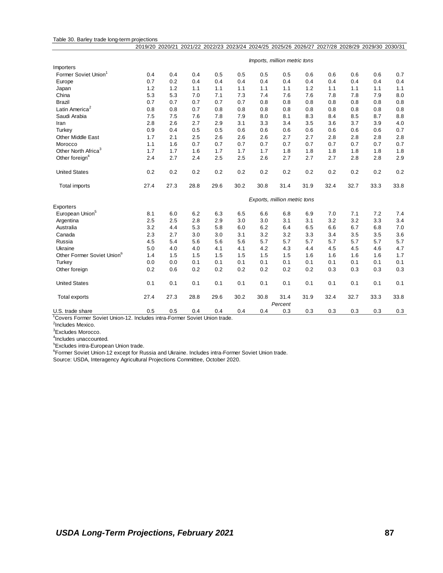#### Table 30. Barley trade long-term projections 2019/20 2020/21 2021/22 2022/23 2023/24 2024/25 2025/26 2026/27 2027/28 2028/29 2029/30 2030/31

|                                        |      |      |      |      |      |      | Imports, million metric tons |      |      |      |      |      |
|----------------------------------------|------|------|------|------|------|------|------------------------------|------|------|------|------|------|
| Importers                              |      |      |      |      |      |      |                              |      |      |      |      |      |
| Former Soviet Union <sup>1</sup>       | 0.4  | 0.4  | 0.4  | 0.5  | 0.5  | 0.5  | 0.5                          | 0.6  | 0.6  | 0.6  | 0.6  | 0.7  |
| Europe                                 | 0.7  | 0.2  | 0.4  | 0.4  | 0.4  | 0.4  | 0.4                          | 0.4  | 0.4  | 0.4  | 0.4  | 0.4  |
| Japan                                  | 1.2  | 1.2  | 1.1  | 1.1  | 1.1  | 1.1  | 1.1                          | 1.2  | 1.1  | 1.1  | 1.1  | 1.1  |
| China                                  | 5.3  | 5.3  | 7.0  | 7.1  | 7.3  | 7.4  | 7.6                          | 7.6  | 7.8  | 7.8  | 7.9  | 8.0  |
| <b>Brazil</b>                          | 0.7  | 0.7  | 0.7  | 0.7  | 0.7  | 0.8  | 0.8                          | 0.8  | 0.8  | 0.8  | 0.8  | 0.8  |
| Latin America <sup>2</sup>             | 0.8  | 0.8  | 0.7  | 0.8  | 0.8  | 0.8  | 0.8                          | 0.8  | 0.8  | 0.8  | 0.8  | 0.8  |
| Saudi Arabia                           | 7.5  | 7.5  | 7.6  | 7.8  | 7.9  | 8.0  | 8.1                          | 8.3  | 8.4  | 8.5  | 8.7  | 8.8  |
| Iran                                   | 2.8  | 2.6  | 2.7  | 2.9  | 3.1  | 3.3  | 3.4                          | 3.5  | 3.6  | 3.7  | 3.9  | 4.0  |
| Turkey                                 | 0.9  | 0.4  | 0.5  | 0.5  | 0.6  | 0.6  | 0.6                          | 0.6  | 0.6  | 0.6  | 0.6  | 0.7  |
| <b>Other Middle East</b>               | 1.7  | 2.1  | 2.5  | 2.6  | 2.6  | 2.6  | 2.7                          | 2.7  | 2.8  | 2.8  | 2.8  | 2.8  |
| Morocco                                | 1.1  | 1.6  | 0.7  | 0.7  | 0.7  | 0.7  | 0.7                          | 0.7  | 0.7  | 0.7  | 0.7  | 0.7  |
| Other North Africa <sup>3</sup>        | 1.7  | 1.7  | 1.6  | 1.7  | 1.7  | 1.7  | 1.8                          | 1.8  | 1.8  | 1.8  | 1.8  | 1.8  |
| Other foreign <sup>4</sup>             | 2.4  | 2.7  | 2.4  | 2.5  | 2.5  | 2.6  | 2.7                          | 2.7  | 2.7  | 2.8  | 2.8  | 2.9  |
| <b>United States</b>                   | 0.2  | 0.2  | 0.2  | 0.2  | 0.2  | 0.2  | 0.2                          | 0.2  | 0.2  | 0.2  | 0.2  | 0.2  |
| Total imports                          | 27.4 | 27.3 | 28.8 | 29.6 | 30.2 | 30.8 | 31.4                         | 31.9 | 32.4 | 32.7 | 33.3 | 33.8 |
|                                        |      |      |      |      |      |      | Exports, million metric tons |      |      |      |      |      |
| Exporters                              |      |      |      |      |      |      |                              |      |      |      |      |      |
| European Union <sup>5</sup>            | 8.1  | 6.0  | 6.2  | 6.3  | 6.5  | 6.6  | 6.8                          | 6.9  | 7.0  | 7.1  | 7.2  | 7.4  |
| Argentina                              | 2.5  | 2.5  | 2.8  | 2.9  | 3.0  | 3.0  | 3.1                          | 3.1  | 3.2  | 3.2  | 3.3  | 3.4  |
| Australia                              | 3.2  | 4.4  | 5.3  | 5.8  | 6.0  | 6.2  | 6.4                          | 6.5  | 6.6  | 6.7  | 6.8  | 7.0  |
| Canada                                 | 2.3  | 2.7  | 3.0  | 3.0  | 3.1  | 3.2  | 3.2                          | 3.3  | 3.4  | 3.5  | 3.5  | 3.6  |
| Russia                                 | 4.5  | 5.4  | 5.6  | 5.6  | 5.6  | 5.7  | 5.7                          | 5.7  | 5.7  | 5.7  | 5.7  | 5.7  |
| Ukraine                                | 5.0  | 4.0  | 4.0  | 4.1  | 4.1  | 4.2  | 4.3                          | 4.4  | 4.5  | 4.5  | 4.6  | 4.7  |
| Other Former Soviet Union <sup>6</sup> | 1.4  | 1.5  | 1.5  | 1.5  | 1.5  | 1.5  | 1.5                          | 1.6  | 1.6  | 1.6  | 1.6  | 1.7  |
| Turkey                                 | 0.0  | 0.0  | 0.1  | 0.1  | 0.1  | 0.1  | 0.1                          | 0.1  | 0.1  | 0.1  | 0.1  | 0.1  |
| Other foreign                          | 0.2  | 0.6  | 0.2  | 0.2  | 0.2  | 0.2  | 0.2                          | 0.2  | 0.3  | 0.3  | 0.3  | 0.3  |
| <b>United States</b>                   | 0.1  | 0.1  | 0.1  | 0.1  | 0.1  | 0.1  | 0.1                          | 0.1  | 0.1  | 0.1  | 0.1  | 0.1  |
| <b>Total exports</b>                   | 27.4 | 27.3 | 28.8 | 29.6 | 30.2 | 30.8 | 31.4                         | 31.9 | 32.4 | 32.7 | 33.3 | 33.8 |
| U.S. trade share                       | 0.5  | 0.5  | 0.4  | 0.4  | 0.4  | 0.4  | Percent<br>0.3               | 0.3  | 0.3  | 0.3  | 0.3  | 0.3  |

<sup>1</sup>Covers Former Soviet Union-12. Includes intra-Former Soviet Union trade.<br><sup>2</sup>Includes Mexico.

<sup>3</sup>Excludes Morocco.

4 Includes unaccounted.

<sup>5</sup>Excludes intra-European Union trade.

<sup>6</sup>Former Soviet Union-12 except for Russia and Ukraine. Includes intra-Former Soviet Union trade.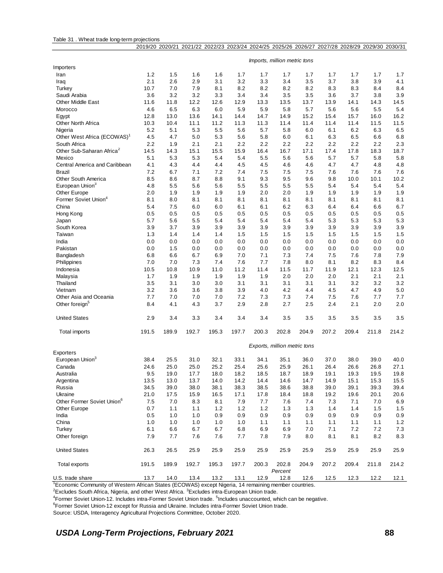#### Table 31 . Wheat trade long-term projections

|                                                    |            |            |            |            |            |            | 2019/20 2020/21 2021/22 2022/23 2023/24 2024/25 2025/26 2026/27 2027/28 2028/29 2029/30 2030/31 |            |            |             |             |             |
|----------------------------------------------------|------------|------------|------------|------------|------------|------------|-------------------------------------------------------------------------------------------------|------------|------------|-------------|-------------|-------------|
|                                                    |            |            |            |            |            |            |                                                                                                 |            |            |             |             |             |
| Importers                                          |            |            |            |            |            |            | Imports, million metric tons                                                                    |            |            |             |             |             |
| Iran                                               | 1.2        | 1.5        | 1.6        | 1.6        | 1.7        | 1.7        | 1.7                                                                                             | 1.7        | 1.7        | 1.7         | 1.7         | 1.7         |
| Iraq                                               | 2.1        | 2.6        | 2.9        | 3.1        | 3.2        | 3.3        | 3.4                                                                                             | 3.5        | 3.7        | 3.8         | 3.9         | 4.1         |
| Turkey                                             | 10.7       | 7.0        | 7.9        | 8.1        | 8.2        | 8.2        | 8.2                                                                                             | 8.2        | 8.3        | 8.3         | 8.4         | 8.4         |
| Saudi Arabia                                       | 3.6        | 3.2        | 3.2        | 3.3        | 3.4        | 3.4        | 3.5                                                                                             | 3.5        | 3.6        | 3.7         | 3.8         | 3.9         |
| <b>Other Middle East</b>                           | 11.6       | 11.8       | 12.2       | 12.6       | 12.9       | 13.3       | 13.5                                                                                            | 13.7       | 13.9       | 14.1        | 14.3        | 14.5        |
| Morocco                                            | 4.6        | 6.5        | 6.3        | 6.0        | 5.9        | 5.9        | 5.8                                                                                             | 5.7        | 5.6        | 5.6         | 5.5         | 5.4         |
| Egypt                                              | 12.8       | 13.0       | 13.6       | 14.1       | 14.4       | 14.7       | 14.9                                                                                            | 15.2       | 15.4       | 15.7        | 16.0        | 16.2        |
| <b>Other North Africa</b>                          | 10.3       | 10.4       | 11.1       | 11.2       | 11.3       | 11.3       | 11.4                                                                                            | 11.4       | 11.4       | 11.4        | 11.5        | 11.5        |
| Nigeria                                            | 5.2        | 5.1        | 5.3        | 5.5        | 5.6        | 5.7        | 5.8                                                                                             | 6.0        | 6.1        | 6.2         | 6.3         | 6.5         |
| Other West Africa (ECOWAS) <sup>1</sup>            | 4.5        | 4.7        | 5.0        | 5.3        | 5.6        | 5.8        | 6.0                                                                                             | 6.1        | 6.3        | 6.5         | 6.6         | 6.8         |
| South Africa                                       | 2.2        | 1.9        | 2.1        | 2.1        | 2.2        | 2.2        | 2.2                                                                                             | 2.2        | 2.2        | 2.2         | 2.2         | 2.3         |
| Other Sub-Saharan Africa <sup>2</sup>              | 14.5       | 14.3       | 15.1       | 15.5       | 15.9       | 16.4       | 16.7                                                                                            | 17.1       | 17.4       | 17.8        | 18.3        | 18.7        |
| Mexico                                             | 5.1        | 5.3        | 5.3        | 5.4        | 5.4        | 5.5        | 5.6                                                                                             | 5.6        | 5.7        | 5.7         | 5.8         | 5.8         |
| Central America and Caribbean                      | 4.1        | 4.3        | 4.4        | 4.4        | 4.5        | 4.5        | 4.6                                                                                             | 4.6        | 4.7        | 4.7         | 4.8         | 4.8         |
| Brazil                                             | 7.2        | 6.7        | 7.1        | 7.2        | 7.4<br>9.1 | 7.5<br>9.3 | 7.5                                                                                             | 7.5        | 7.6        | 7.6         | 7.6         | 7.6         |
| Other South America<br>European Union <sup>3</sup> | 8.5<br>4.8 | 8.6<br>5.5 | 8.7<br>5.6 | 8.8<br>5.6 | 5.5        | 5.5        | 9.5<br>5.5                                                                                      | 9.6<br>5.5 | 9.8<br>5.4 | 10.0<br>5.4 | 10.1<br>5.4 | 10.2<br>5.4 |
| Other Europe                                       | 2.0        | 1.9        | 1.9        | 1.9        | 1.9        | 2.0        | 2.0                                                                                             | 1.9        | 1.9        | 1.9         | 1.9         | 1.9         |
| Former Soviet Union <sup>4</sup>                   | 8.1        | 8.0        | 8.1        | 8.1        | 8.1        | 8.1        | 8.1                                                                                             | 8.1        | 8.1        | 8.1         | 8.1         | 8.1         |
| China                                              | 5.4        | 7.5        | 6.0        | 6.0        | 6.1        | 6.1        | 6.2                                                                                             | 6.3        | 6.4        | 6.4         | 6.6         | 6.7         |
| Hong Kong                                          | 0.5        | 0.5        | 0.5        | 0.5        | 0.5        | 0.5        | 0.5                                                                                             | 0.5        | 0.5        | 0.5         | 0.5         | 0.5         |
| Japan                                              | 5.7        | 5.6        | 5.5        | 5.4        | 5.4        | 5.4        | 5.4                                                                                             | 5.4        | 5.3        | 5.3         | 5.3         | 5.3         |
| South Korea                                        | 3.9        | 3.7        | 3.9        | 3.9        | 3.9        | 3.9        | 3.9                                                                                             | 3.9        | 3.9        | 3.9         | 3.9         | 3.9         |
| Taiwan                                             | 1.3        | 1.4        | 1.4        | 1.4        | 1.5        | 1.5        | 1.5                                                                                             | 1.5        | 1.5        | 1.5         | 1.5         | 1.5         |
| India                                              | 0.0        | 0.0        | 0.0        | 0.0        | 0.0        | 0.0        | 0.0                                                                                             | 0.0        | 0.0        | 0.0         | 0.0         | 0.0         |
| Pakistan                                           | 0.0        | 1.5        | 0.0        | 0.0        | 0.0        | 0.0        | 0.0                                                                                             | 0.0        | 0.0        | 0.0         | 0.0         | 0.0         |
| Bangladesh                                         | 6.8        | 6.6        | 6.7        | 6.9        | 7.0        | 7.1        | 7.3                                                                                             | 7.4        | 7.5        | 7.6         | 7.8         | 7.9         |
| Philippines                                        | 7.0        | 7.0        | 7.3        | 7.4        | 7.6        | 7.7        | 7.8                                                                                             | 8.0        | 8.1        | 8.2         | 8.3         | 8.4         |
| Indonesia                                          | 10.5       | 10.8       | 10.9       | 11.0       | 11.2       | 11.4       | 11.5                                                                                            | 11.7       | 11.9       | 12.1        | 12.3        | 12.5        |
| Malaysia                                           | 1.7        | 1.9        | 1.9        | 1.9        | 1.9        | 1.9        | 2.0                                                                                             | 2.0        | 2.0        | 2.1         | 2.1         | 2.1         |
| Thailand                                           | 3.5        | 3.1        | 3.0        | 3.0        | 3.1        | 3.1        | 3.1                                                                                             | 3.1        | 3.1        | 3.2         | 3.2         | 3.2         |
| Vietnam                                            | 3.2        | 3.6        | 3.6        | 3.8        | 3.9        | 4.0        | 4.2                                                                                             | 4.4        | 4.5        | 4.7         | 4.9         | 5.0         |
| Other Asia and Oceania                             | 7.7        | 7.0        | 7.0        | 7.0        | 7.2        | 7.3        | 7.3                                                                                             | 7.4        | 7.5        | 7.6         | 7.7         | 7.7         |
| Other foreign <sup>5</sup>                         | 8.4        | 4.1        | 4.3        | 3.7        | 2.9        | 2.8        | 2.7                                                                                             | 2.5        | 2.4        | 2.1         | 2.0         | 2.0         |
| <b>United States</b>                               | 2.9        | 3.4        | 3.3        | 3.4        | 3.4        | 3.4        | 3.5                                                                                             | 3.5        | 3.5        | 3.5         | 3.5         | 3.5         |
| Total imports                                      | 191.5      | 189.9      | 192.7      | 195.3      | 197.7      | 200.3      | 202.8                                                                                           | 204.9      | 207.2      | 209.4       | 211.8       | 214.2       |
|                                                    |            |            |            |            |            |            | Exports, million metric tons                                                                    |            |            |             |             |             |
| Exporters<br>European Union <sup>3</sup>           | 38.4       | 25.5       | 31.0       | 32.1       | 33.1       | 34.1       | 35.1                                                                                            | 36.0       | 37.0       | 38.0        | 39.0        | 40.0        |
| Canada                                             | 24.6       | 25.0       | 25.0       | 25.2       | 25.4       | 25.6       | 25.9                                                                                            | 26.1       | 26.4       | 26.6        | 26.8        | 27.1        |
| Australia                                          | 9.5        | 19.0       | 17.7       | 18.0       | 18.2       | 18.5       | 18.7                                                                                            | 18.9       | 19.1       | 19.3        | 19.5        | 19.8        |
| Argentina                                          | 13.5       | 13.0       | 13.7       | 14.0       | 14.2       | 14.4       | 14.6                                                                                            | 14.7       | 14.9       | 15.1        | 15.3        | 15.5        |
| Russia                                             | 34.5       | 39.0       | 38.0       | 38.1       | 38.3       | 38.5       | 38.6                                                                                            | 38.8       | 39.0       | 39.1        | 39.3        | 39.4        |
| Ukraine                                            | 21.0       | 17.5       | 15.9       | 16.5       | 17.1       | 17.8       | 18.4                                                                                            | 18.8       | 19.2       | 19.6        | 20.1        | 20.6        |
| Other Former Soviet Union <sup>6</sup>             | 7.5        | 7.0        | 8.3        | 8.1        | 7.9        | 7.7        | 7.6                                                                                             | 7.4        | 7.3        | 7.1         | 7.0         | 6.9         |
| Other Europe                                       | 0.7        | 1.1        | 1.1        | 1.2        | 1.2        | 1.2        | 1.3                                                                                             | 1.3        | 1.4        | 1.4         | 1.5         | 1.5         |
| India                                              | 0.5        | 1.0        | 1.0        | 0.9        | 0.9        | 0.9        | 0.9                                                                                             | 0.9        | 0.9        | 0.9         | 0.9         | 0.9         |
| China                                              | 1.0        | 1.0        | 1.0        | 1.0        | 1.0        | 1.1        | 1.1                                                                                             | 1.1        | 1.1        | 1.1         | 1.1         | 1.2         |
| Turkey                                             | 6.1        | 6.6        | 6.7        | 6.7        | 6.8        | 6.9        | 6.9                                                                                             | 7.0        | 7.1        | 7.2         | 7.2         | 7.3         |
| Other foreign                                      | 7.9        | 7.7        | 7.6        | 7.6        | 7.7        | 7.8        | 7.9                                                                                             | 8.0        | 8.1        | 8.1         | 8.2         | 8.3         |
| <b>United States</b>                               | 26.3       | 26.5       | 25.9       | 25.9       | 25.9       | 25.9       | 25.9                                                                                            | 25.9       | 25.9       | 25.9        | 25.9        | 25.9        |
| <b>Total exports</b>                               | 191.5      | 189.9      | 192.7      | 195.3      | 197.7      | 200.3      | 202.8                                                                                           | 204.9      | 207.2      | 209.4       | 211.8       | 214.2       |
| U.S. trade share                                   | 13.7       | 14.0       | 13.4       | 13.2       | 13.1       | 12.9       | Percent<br>12.8                                                                                 | 12.6       | 12.5       | 12.3        | 12.2        | 12.1        |
|                                                    |            |            |            |            |            |            |                                                                                                 |            |            |             |             |             |

<sup>1</sup>Economic Community of Western African States (ECOWAS) except Nigeria, 14 remaining member countries.

 ${}^{2}$ Excludes South Africa, Nigeria, and other West Africa.  ${}^{3}$ Excludes intra-European Union trade.

<sup>4</sup>Former Soviet Union-12. Includes intra-Former Soviet Union trade. <sup>5</sup>Includes unaccounted, which can be negative.

<sup>6</sup>Former Soviet Union-12 except for Russia and Ukraine. Includes intra-Former Soviet Union trade.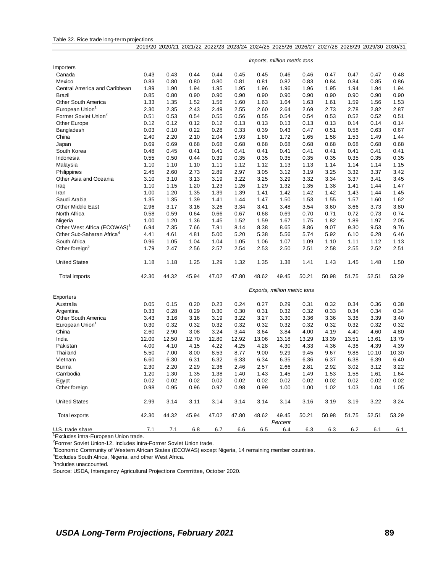#### Table 32. Rice trade long-term projections

|                                         |       |       |       |         |              |       |                              |       | 2019/20 2020/21 2021/22 2022/23 2023/24 2024/25 2025/26 2026/27 2027/28 2028/29 2029/30 2030/31 |       |       |       |
|-----------------------------------------|-------|-------|-------|---------|--------------|-------|------------------------------|-------|-------------------------------------------------------------------------------------------------|-------|-------|-------|
|                                         |       |       |       |         |              |       |                              |       |                                                                                                 |       |       |       |
|                                         |       |       |       |         |              |       | Imports, million metric tons |       |                                                                                                 |       |       |       |
| Importers                               |       |       |       |         |              |       |                              |       |                                                                                                 |       |       |       |
| Canada                                  | 0.43  | 0.43  | 0.44  | 0.44    | 0.45         | 0.45  | 0.46                         | 0.46  | 0.47                                                                                            | 0.47  | 0.47  | 0.48  |
| Mexico                                  | 0.83  | 0.80  | 0.80  | 0.80    | 0.81         | 0.81  | 0.82                         | 0.83  | 0.84                                                                                            | 0.84  | 0.85  | 0.86  |
| Central America and Caribbean           | 1.89  | 1.90  | 1.94  | 1.95    | 1.95         | 1.96  | 1.96                         | 1.96  | 1.95                                                                                            | 1.94  | 1.94  | 1.94  |
| Brazil                                  | 0.85  | 0.80  | 0.90  | 0.90    | 0.90         | 0.90  | 0.90                         | 0.90  | 0.90                                                                                            | 0.90  | 0.90  | 0.90  |
| Other South America                     | 1.33  | 1.35  | 1.52  | 1.56    | 1.60         | 1.63  | 1.64                         | 1.63  | 1.61                                                                                            | 1.59  | 1.56  | 1.53  |
| European Union <sup>1</sup>             | 2.30  | 2.35  | 2.43  | 2.49    | 2.55         | 2.60  | 2.64                         | 2.69  | 2.73                                                                                            | 2.78  | 2.82  | 2.87  |
| Former Soviet Union <sup>2</sup>        | 0.51  | 0.53  | 0.54  | 0.55    | 0.56         | 0.55  | 0.54                         | 0.54  | 0.53                                                                                            | 0.52  | 0.52  | 0.51  |
| Other Europe                            | 0.12  | 0.12  | 0.12  | 0.12    | 0.13         | 0.13  | 0.13                         | 0.13  | 0.13                                                                                            | 0.14  | 0.14  | 0.14  |
| Bangladesh                              | 0.03  | 0.10  | 0.22  | 0.28    | 0.33         | 0.39  | 0.43                         | 0.47  | 0.51                                                                                            | 0.58  | 0.63  | 0.67  |
| China                                   | 2.40  | 2.20  | 2.10  | 2.04    | 1.93         | 1.80  | 1.72                         | 1.65  | 1.58                                                                                            | 1.53  | 1.49  | 1.44  |
| Japan                                   | 0.69  | 0.69  | 0.68  | 0.68    | 0.68         | 0.68  | 0.68                         | 0.68  | 0.68                                                                                            | 0.68  | 0.68  | 0.68  |
| South Korea                             | 0.48  | 0.45  | 0.41  | 0.41    | 0.41         | 0.41  | 0.41                         | 0.41  | 0.41                                                                                            | 0.41  | 0.41  | 0.41  |
| Indonesia                               | 0.55  | 0.50  | 0.44  | 0.39    | 0.35         | 0.35  | 0.35                         | 0.35  | 0.35                                                                                            | 0.35  | 0.35  | 0.35  |
| Malaysia                                | 1.10  | 1.10  | 1.10  | 1.11    | 1.12         | 1.12  | 1.13                         | 1.13  | 1.14                                                                                            | 1.14  | 1.14  | 1.15  |
| Philippines                             | 2.45  | 2.60  | 2.73  | 2.89    | 2.97         | 3.05  | 3.12                         | 3.19  | 3.25                                                                                            | 3.32  | 3.37  | 3.42  |
| Other Asia and Oceania                  | 3.10  | 3.10  | 3.13  | 3.19    | 3.22         | 3.25  | 3.29                         | 3.32  | 3.34                                                                                            | 3.37  | 3.41  | 3.45  |
| Iraq                                    | 1.10  | 1.15  | 1.20  | 1.23    | 1.26         | 1.29  | 1.32                         | 1.35  | 1.38                                                                                            | 1.41  | 1.44  | 1.47  |
| Iran                                    | 1.00  | 1.20  | 1.35  | 1.39    | 1.39         | 1.41  | 1.42                         | 1.42  | 1.42                                                                                            | 1.43  | 1.44  | 1.45  |
| Saudi Arabia                            | 1.35  | 1.35  | 1.39  | 1.41    | 1.44         | 1.47  | 1.50                         | 1.53  | 1.55                                                                                            | 1.57  | 1.60  | 1.62  |
| <b>Other Middle East</b>                | 2.96  | 3.17  | 3.16  | 3.26    | 3.34         | 3.41  | 3.48                         | 3.54  | 3.60                                                                                            | 3.66  | 3.73  | 3.80  |
|                                         |       | 0.59  | 0.64  | 0.66    |              | 0.68  | 0.69                         | 0.70  | 0.71                                                                                            | 0.72  |       | 0.74  |
| North Africa<br>Nigeria                 | 0.58  | 1.20  |       |         | 0.67<br>1.52 |       |                              |       |                                                                                                 |       | 0.73  | 2.05  |
|                                         | 1.00  |       | 1.36  | 1.45    |              | 1.59  | 1.67                         | 1.75  | 1.82                                                                                            | 1.89  | 1.97  |       |
| Other West Africa (ECOWAS) <sup>3</sup> | 6.94  | 7.35  | 7.66  | 7.91    | 8.14         | 8.38  | 8.65                         | 8.86  | 9.07                                                                                            | 9.30  | 9.53  | 9.76  |
| Other Sub-Saharan Africa <sup>4</sup>   | 4.41  | 4.61  | 4.81  | 5.00    | 5.20         | 5.38  | 5.56                         | 5.74  | 5.92                                                                                            | 6.10  | 6.28  | 6.46  |
| South Africa                            | 0.96  | 1.05  | 1.04  | 1.04    | 1.05         | 1.06  | 1.07                         | 1.09  | 1.10                                                                                            | 1.11  | 1.12  | 1.13  |
| Other foreign <sup>5</sup>              | 1.79  | 2.47  | 2.56  | 2.57    | 2.54         | 2.53  | 2.50                         | 2.51  | 2.58                                                                                            | 2.55  | 2.52  | 2.51  |
| <b>United States</b>                    | 1.18  | 1.18  | 1.25  | 1.29    | 1.32         | 1.35  | 1.38                         | 1.41  | 1.43                                                                                            | 1.45  | 1.48  | 1.50  |
| Total imports                           | 42.30 | 44.32 | 45.94 | 47.02   | 47.80        | 48.62 | 49.45                        | 50.21 | 50.98                                                                                           | 51.75 | 52.51 | 53.29 |
|                                         |       |       |       |         |              |       | Exports, million metric tons |       |                                                                                                 |       |       |       |
| Exporters                               |       |       |       |         |              |       |                              |       |                                                                                                 |       |       |       |
| Australia                               | 0.05  | 0.15  | 0.20  | 0.23    | 0.24         | 0.27  | 0.29                         | 0.31  | 0.32                                                                                            | 0.34  | 0.36  | 0.38  |
| Argentina                               | 0.33  | 0.28  | 0.29  | 0.30    | 0.30         | 0.31  | 0.32                         | 0.32  | 0.33                                                                                            | 0.34  | 0.34  | 0.34  |
| Other South America                     | 3.43  | 3.16  | 3.16  | 3.19    | 3.22         | 3.27  | 3.30                         | 3.36  | 3.36                                                                                            | 3.38  | 3.39  | 3.40  |
| European Union                          | 0.30  | 0.32  | 0.32  | 0.32    | 0.32         | 0.32  | 0.32                         | 0.32  | 0.32                                                                                            | 0.32  | 0.32  | 0.32  |
| China                                   | 2.60  | 2.90  | 3.08  | 3.24    | 3.44         | 3.64  | 3.84                         | 4.00  | 4.19                                                                                            | 4.40  | 4.60  | 4.80  |
| India                                   | 12.00 | 12.50 | 12.70 | 12.80   | 12.92        | 13.06 | 13.18                        | 13.29 | 13.39                                                                                           | 13.51 | 13.61 | 13.79 |
| Pakistan                                | 4.00  | 4.10  | 4.15  | 4.22    | 4.25         | 4.28  | 4.30                         | 4.33  | 4.36                                                                                            | 4.38  | 4.39  | 4.39  |
| Thailand                                | 5.50  | 7.00  | 8.00  | 8.53    | 8.77         | 9.00  | 9.29                         | 9.45  | 9.67                                                                                            | 9.88  | 10.10 | 10.30 |
| Vietnam                                 | 6.60  | 6.30  | 6.31  | 6.32    | 6.33         | 6.34  | 6.35                         | 6.36  | 6.37                                                                                            | 6.38  | 6.39  | 6.40  |
| <b>Burma</b>                            | 2.30  | 2.20  | 2.29  | 2.36    | 2.46         | 2.57  | 2.66                         | 2.81  | 2.92                                                                                            | 3.02  | 3.12  | 3.22  |
| Cambodia                                | 1.20  | 1.30  | 1.35  | 1.38    | 1.40         | 1.43  | 1.45                         | 1.49  | 1.53                                                                                            | 1.58  | 1.61  | 1.64  |
| Egypt                                   | 0.02  | 0.02  | 0.02  | 0.02    | 0.02         | 0.02  | 0.02                         | 0.02  | 0.02                                                                                            | 0.02  | 0.02  | 0.02  |
| Other foreign                           | 0.98  | 0.95  | 0.96  | 0.97    | 0.98         | 0.99  | 1.00                         | 1.00  | 1.02                                                                                            | 1.03  | 1.04  | 1.05  |
|                                         |       |       |       |         |              |       |                              |       |                                                                                                 |       |       |       |
| <b>United States</b>                    | 2.99  | 3.14  | 3.11  | 3.14    | 3.14         | 3.14  | 3.14                         | 3.16  | 3.19                                                                                            | 3.19  | 3.22  | 3.24  |
| Total exports                           | 42.30 | 44.32 | 45.94 | 47.02   | 47.80        | 48.62 | 49.45<br>Percent             | 50.21 | 50.98                                                                                           | 51.75 | 52.51 | 53.29 |
| U.S. trade share                        | 7.1   | 7.1   | 6.8   | $6.7\,$ | 6.6          | 6.5   | 6.4                          | 6.3   | 6.3                                                                                             | 6.2   | 6.1   | 6.1   |

<sup>1</sup>Excludes intra-European Union trade.

<sup>2</sup>Former Soviet Union-12. Includes intra-Former Soviet Union trade.

<sup>3</sup>Economic Community of Western African States (ECOWAS) except Nigeria, 14 remaining member countries.

<sup>4</sup>Excludes South Africa, Nigeria, and other West Africa.

<sup>5</sup>Includes unaccounted.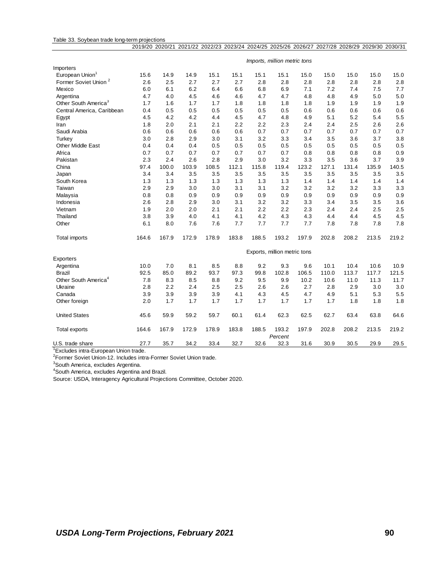#### Table 33. Soybean trade long-term projections 2019/20 2020/21 2021/22 2022/23 2023/24 2024/25 2025/26 2026/27 2027/28 2028/29 2029/30 2030/31

|                                  |       |       |       |       |       |       | Imports, million metric tons |       |       |       |       |       |
|----------------------------------|-------|-------|-------|-------|-------|-------|------------------------------|-------|-------|-------|-------|-------|
| Importers                        |       |       |       |       |       |       |                              |       |       |       |       |       |
| European Union <sup>1</sup>      | 15.6  | 14.9  | 14.9  | 15.1  | 15.1  | 15.1  | 15.1                         | 15.0  | 15.0  | 15.0  | 15.0  | 15.0  |
| Former Soviet Union <sup>2</sup> | 2.6   | 2.5   | 2.7   | 2.7   | 2.7   | 2.8   | 2.8                          | 2.8   | 2.8   | 2.8   | 2.8   | 2.8   |
| Mexico                           | 6.0   | 6.1   | 6.2   | 6.4   | 6.6   | 6.8   | 6.9                          | 7.1   | 7.2   | 7.4   | 7.5   | 7.7   |
| Argentina                        | 4.7   | 4.0   | 4.5   | 4.6   | 4.6   | 4.7   | 4.7                          | 4.8   | 4.8   | 4.9   | 5.0   | 5.0   |
| Other South America <sup>3</sup> | 1.7   | 1.6   | 1.7   | 1.7   | 1.8   | 1.8   | 1.8                          | 1.8   | 1.9   | 1.9   | 1.9   | 1.9   |
| Central America, Caribbean       | 0.4   | 0.5   | 0.5   | 0.5   | 0.5   | 0.5   | 0.5                          | 0.6   | 0.6   | 0.6   | 0.6   | 0.6   |
| Egypt                            | 4.5   | 4.2   | 4.2   | 4.4   | 4.5   | 4.7   | 4.8                          | 4.9   | 5.1   | 5.2   | 5.4   | 5.5   |
| Iran                             | 1.8   | 2.0   | 2.1   | 2.1   | 2.2   | 2.2   | 2.3                          | 2.4   | 2.4   | 2.5   | 2.6   | 2.6   |
| Saudi Arabia                     | 0.6   | 0.6   | 0.6   | 0.6   | 0.6   | 0.7   | 0.7                          | 0.7   | 0.7   | 0.7   | 0.7   | 0.7   |
| Turkey                           | 3.0   | 2.8   | 2.9   | 3.0   | 3.1   | 3.2   | 3.3                          | 3.4   | 3.5   | 3.6   | 3.7   | 3.8   |
| <b>Other Middle East</b>         | 0.4   | 0.4   | 0.4   | 0.5   | 0.5   | 0.5   | 0.5                          | 0.5   | 0.5   | 0.5   | 0.5   | 0.5   |
| Africa                           | 0.7   | 0.7   | 0.7   | 0.7   | 0.7   | 0.7   | 0.7                          | 0.8   | 0.8   | 0.8   | 0.8   | 0.9   |
| Pakistan                         | 2.3   | 2.4   | 2.6   | 2.8   | 2.9   | 3.0   | 3.2                          | 3.3   | 3.5   | 3.6   | 3.7   | 3.9   |
| China                            | 97.4  | 100.0 | 103.9 | 108.5 | 112.1 | 115.8 | 119.4                        | 123.2 | 127.1 | 131.4 | 135.9 | 140.5 |
| Japan                            | 3.4   | 3.4   | 3.5   | 3.5   | 3.5   | 3.5   | 3.5                          | 3.5   | 3.5   | 3.5   | 3.5   | 3.5   |
| South Korea                      | 1.3   | 1.3   | 1.3   | 1.3   | 1.3   | 1.3   | 1.3                          | 1.4   | 1.4   | 1.4   | 1.4   | 1.4   |
| Taiwan                           | 2.9   | 2.9   | 3.0   | 3.0   | 3.1   | 3.1   | 3.2                          | 3.2   | 3.2   | 3.2   | 3.3   | 3.3   |
| Malaysia                         | 0.8   | 0.8   | 0.9   | 0.9   | 0.9   | 0.9   | 0.9                          | 0.9   | 0.9   | 0.9   | 0.9   | 0.9   |
| Indonesia                        | 2.6   | 2.8   | 2.9   | 3.0   | 3.1   | 3.2   | 3.2                          | 3.3   | 3.4   | 3.5   | 3.5   | 3.6   |
| Vietnam                          | 1.9   | 2.0   | 2.0   | 2.1   | 2.1   | 2.2   | 2.2                          | 2.3   | 2.4   | 2.4   | 2.5   | 2.5   |
| Thailand                         | 3.8   | 3.9   | 4.0   | 4.1   | 4.1   | 4.2   | 4.3                          | 4.3   | 4.4   | 4.4   | 4.5   | 4.5   |
| Other                            | 6.1   | 8.0   | 7.6   | 7.6   | 7.7   | 7.7   | 7.7                          | 7.7   | 7.8   | 7.8   | 7.8   | 7.8   |
| <b>Total imports</b>             | 164.6 | 167.9 | 172.9 | 178.9 | 183.8 | 188.5 | 193.2                        | 197.9 | 202.8 | 208.2 | 213.5 | 219.2 |
|                                  |       |       |       |       |       |       | Exports, million metric tons |       |       |       |       |       |
| Exporters                        |       |       |       |       |       |       |                              |       |       |       |       |       |
| Argentina                        | 10.0  | 7.0   | 8.1   | 8.5   | 8.8   | 9.2   | 9.3                          | 9.6   | 10.1  | 10.4  | 10.6  | 10.9  |
| <b>Brazil</b>                    | 92.5  | 85.0  | 89.2  | 93.7  | 97.3  | 99.8  | 102.8                        | 106.5 | 110.0 | 113.7 | 117.7 | 121.5 |
| Other South America <sup>4</sup> | 7.8   | 8.3   | 8.5   | 8.8   | 9.2   | 9.5   | 9.9                          | 10.2  | 10.6  | 11.0  | 11.3  | 11.7  |
| Ukraine                          | 2.8   | 2.2   | 2.4   | 2.5   | 2.5   | 2.6   | 2.6                          | 2.7   | 2.8   | 2.9   | 3.0   | 3.0   |
| Canada                           | 3.9   | 3.9   | 3.9   | 3.9   | 4.1   | 4.3   | 4.5                          | 4.7   | 4.9   | 5.1   | 5.3   | 5.5   |
| Other foreign                    | 2.0   | 1.7   | 1.7   | 1.7   | 1.7   | 1.7   | 1.7                          | 1.7   | 1.7   | 1.8   | 1.8   | 1.8   |
| <b>United States</b>             | 45.6  | 59.9  | 59.2  | 59.7  | 60.1  | 61.4  | 62.3                         | 62.5  | 62.7  | 63.4  | 63.8  | 64.6  |
| Total exports                    | 164.6 | 167.9 | 172.9 | 178.9 | 183.8 | 188.5 | 193.2<br>Percent             | 197.9 | 202.8 | 208.2 | 213.5 | 219.2 |
| U.S. trade share                 | 27.7  | 35.7  | 34.2  | 33.4  | 32.7  | 32.6  | 32.3                         | 31.6  | 30.9  | 30.5  | 29.9  | 29.5  |

<sup>1</sup>Excludes intra-European Union trade.

<sup>2</sup>Former Soviet Union-12. Includes intra-Former Soviet Union trade.

<sup>3</sup>South America, excludes Argentina.

<sup>4</sup>South America, excludes Argentina and Brazil.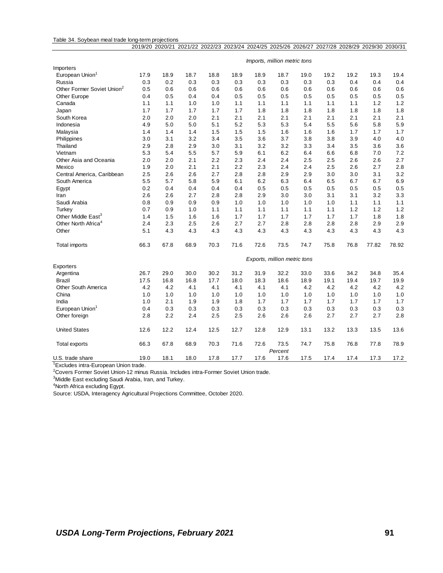#### Table 34. Soybean meal trade long-term projections

|                                        |      | 2019/20 2020/21 |      |      |      | 2021/22 2022/23 2023/24 2024/25 2025/26 2026/27 2027/28 2028/29 2029/30 2030/31 |                              |      |      |      |       |       |
|----------------------------------------|------|-----------------|------|------|------|---------------------------------------------------------------------------------|------------------------------|------|------|------|-------|-------|
|                                        |      |                 |      |      |      |                                                                                 | Imports, million metric tons |      |      |      |       |       |
| Importers                              |      |                 |      |      |      |                                                                                 |                              |      |      |      |       |       |
| European Union <sup>1</sup>            | 17.9 | 18.9            | 18.7 | 18.8 | 18.9 | 18.9                                                                            | 18.7                         | 19.0 | 19.2 | 19.2 | 19.3  | 19.4  |
| Russia                                 | 0.3  | 0.2             | 0.3  | 0.3  | 0.3  | 0.3                                                                             | 0.3                          | 0.3  | 0.3  | 0.4  | 0.4   | 0.4   |
| Other Former Soviet Union <sup>2</sup> | 0.5  | 0.6             | 0.6  | 0.6  | 0.6  | 0.6                                                                             | 0.6                          | 0.6  | 0.6  | 0.6  | 0.6   | 0.6   |
| <b>Other Europe</b>                    | 0.4  | 0.5             | 0.4  | 0.4  | 0.5  | 0.5                                                                             | 0.5                          | 0.5  | 0.5  | 0.5  | 0.5   | 0.5   |
| Canada                                 | 1.1  | 1.1             | 1.0  | 1.0  | 1.1  | 1.1                                                                             | 1.1                          | 1.1  | 1.1  | 1.1  | 1.2   | 1.2   |
| Japan                                  | 1.7  | 1.7             | 1.7  | 1.7  | 1.7  | 1.8                                                                             | 1.8                          | 1.8  | 1.8  | 1.8  | 1.8   | 1.8   |
| South Korea                            | 2.0  | 2.0             | 2.0  | 2.1  | 2.1  | 2.1                                                                             | 2.1                          | 2.1  | 2.1  | 2.1  | 2.1   | 2.1   |
| Indonesia                              | 4.9  | 5.0             | 5.0  | 5.1  | 5.2  | 5.3                                                                             | 5.3                          | 5.4  | 5.5  | 5.6  | 5.8   | 5.9   |
| Malaysia                               | 1.4  | 1.4             | 1.4  | 1.5  | 1.5  | 1.5                                                                             | 1.6                          | 1.6  | 1.6  | 1.7  | 1.7   | 1.7   |
| Philippines                            | 3.0  | 3.1             | 3.2  | 3.4  | 3.5  | 3.6                                                                             | 3.7                          | 3.8  | 3.8  | 3.9  | 4.0   | 4.0   |
| Thailand                               | 2.9  | 2.8             | 2.9  | 3.0  | 3.1  | 3.2                                                                             | 3.2                          | 3.3  | 3.4  | 3.5  | 3.6   | 3.6   |
| Vietnam                                | 5.3  | 5.4             | 5.5  | 5.7  | 5.9  | 6.1                                                                             | 6.2                          | 6.4  | 6.6  | 6.8  | 7.0   | 7.2   |
| Other Asia and Oceania                 | 2.0  | 2.0             | 2.1  | 2.2  | 2.3  | 2.4                                                                             | 2.4                          | 2.5  | 2.5  | 2.6  | 2.6   | 2.7   |
| Mexico                                 | 1.9  | 2.0             | 2.1  | 2.1  | 2.2  | 2.3                                                                             | 2.4                          | 2.4  | 2.5  | 2.6  | 2.7   | 2.8   |
| Central America, Caribbean             | 2.5  | 2.6             | 2.6  | 2.7  | 2.8  | 2.8                                                                             | 2.9                          | 2.9  | 3.0  | 3.0  | 3.1   | 3.2   |
| South America                          | 5.5  | 5.7             | 5.8  | 5.9  | 6.1  | 6.2                                                                             | 6.3                          | 6.4  | 6.5  | 6.7  | 6.7   | 6.9   |
| Egypt                                  | 0.2  | 0.4             | 0.4  | 0.4  | 0.4  | 0.5                                                                             | 0.5                          | 0.5  | 0.5  | 0.5  | 0.5   | 0.5   |
| Iran                                   | 2.6  | 2.6             | 2.7  | 2.8  | 2.8  | 2.9                                                                             | 3.0                          | 3.0  | 3.1  | 3.1  | 3.2   | 3.3   |
| Saudi Arabia                           | 0.8  | 0.9             | 0.9  | 0.9  | 1.0  | 1.0                                                                             | 1.0                          | 1.0  | 1.0  | 1.1  | 1.1   | 1.1   |
| Turkey                                 | 0.7  | 0.9             | 1.0  | 1.1  | 1.1  | 1.1                                                                             | 1.1                          | 1.1  | 1.1  | 1.2  | 1.2   | 1.2   |
| Other Middle East <sup>3</sup>         | 1.4  | 1.5             | 1.6  | 1.6  | 1.7  | 1.7                                                                             | 1.7                          | 1.7  | 1.7  | 1.7  | 1.8   | 1.8   |
| Other North Africa <sup>4</sup>        | 2.4  | 2.3             | 2.5  | 2.6  | 2.7  | 2.7                                                                             | 2.8                          | 2.8  | 2.8  | 2.8  | 2.9   | 2.9   |
| Other                                  | 5.1  | 4.3             | 4.3  | 4.3  | 4.3  | 4.3                                                                             | 4.3                          | 4.3  | 4.3  | 4.3  | 4.3   | 4.3   |
| Total imports                          | 66.3 | 67.8            | 68.9 | 70.3 | 71.6 | 72.6                                                                            | 73.5                         | 74.7 | 75.8 | 76.8 | 77.82 | 78.92 |
|                                        |      |                 |      |      |      |                                                                                 | Exports, million metric tons |      |      |      |       |       |
| Exporters                              |      |                 |      |      |      |                                                                                 |                              |      |      |      |       |       |
| Argentina                              | 26.7 | 29.0            | 30.0 | 30.2 | 31.2 | 31.9                                                                            | 32.2                         | 33.0 | 33.6 | 34.2 | 34.8  | 35.4  |
| Brazil                                 | 17.5 | 16.8            | 16.8 | 17.7 | 18.0 | 18.3                                                                            | 18.6                         | 18.9 | 19.1 | 19.4 | 19.7  | 19.9  |
| Other South America                    | 4.2  | 4.2             | 4.1  | 4.1  | 4.1  | 4.1                                                                             | 4.1                          | 4.2  | 4.2  | 4.2  | 4.2   | 4.2   |
| China                                  | 1.0  | 1.0             | 1.0  | 1.0  | 1.0  | 1.0                                                                             | 1.0                          | 1.0  | 1.0  | 1.0  | 1.0   | 1.0   |
| India                                  | 1.0  | 2.1             | 1.9  | 1.9  | 1.8  | 1.7                                                                             | 1.7                          | 1.7  | 1.7  | 1.7  | 1.7   | 1.7   |
| European Union <sup>1</sup>            | 0.4  | 0.3             | 0.3  | 0.3  | 0.3  | 0.3                                                                             | 0.3                          | 0.3  | 0.3  | 0.3  | 0.3   | 0.3   |
| Other foreign                          | 2.8  | 2.2             | 2.4  | 2.5  | 2.5  | 2.6                                                                             | 2.6                          | 2.6  | 2.7  | 2.7  | 2.7   | 2.8   |
| <b>United States</b>                   | 12.6 | 12.2            | 12.4 | 12.5 | 12.7 | 12.8                                                                            | 12.9                         | 13.1 | 13.2 | 13.3 | 13.5  | 13.6  |
| Total exports                          | 66.3 | 67.8            | 68.9 | 70.3 | 71.6 | 72.6                                                                            | 73.5<br>Percent              | 74.7 | 75.8 | 76.8 | 77.8  | 78.9  |
| U.S. trade share                       | 19.0 | 18.1            | 18.0 | 17.8 | 17.7 | 17.6                                                                            | 17.6                         | 17.5 | 17.4 | 17.4 | 17.3  | 17.2  |

<sup>1</sup>Excludes intra-European Union trade.

<sup>2</sup>Covers Former Soviet Union-12 minus Russia. Includes intra-Former Soviet Union trade.

<sup>3</sup>Middle East excluding Saudi Arabia, Iran, and Turkey.

<sup>4</sup>North Africa excluding Egypt.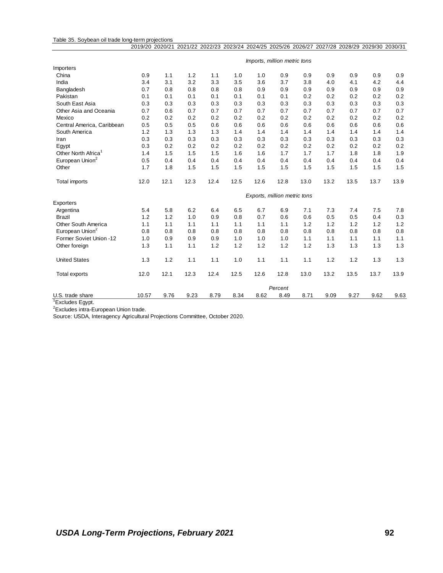#### Table 35. Soybean oil trade long-term projections

|                                 |                              |      |      |      |      |      |                              |      | 2019/20 2020/21 2021/22 2022/23 2023/24 2024/25 2025/26 2026/27 2027/28 2028/29 2029/30 2030/31 |      |      |      |
|---------------------------------|------------------------------|------|------|------|------|------|------------------------------|------|-------------------------------------------------------------------------------------------------|------|------|------|
|                                 | Imports, million metric tons |      |      |      |      |      |                              |      |                                                                                                 |      |      |      |
| Importers                       |                              |      |      |      |      |      |                              |      |                                                                                                 |      |      |      |
| China                           | 0.9                          | 1.1  | 1.2  | 1.1  | 1.0  | 1.0  | 0.9                          | 0.9  | 0.9                                                                                             | 0.9  | 0.9  | 0.9  |
| India                           | 3.4                          | 3.1  | 3.2  | 3.3  | 3.5  | 3.6  | 3.7                          | 3.8  | 4.0                                                                                             | 4.1  | 4.2  | 4.4  |
| Bangladesh                      | 0.7                          | 0.8  | 0.8  | 0.8  | 0.8  | 0.9  | 0.9                          | 0.9  | 0.9                                                                                             | 0.9  | 0.9  | 0.9  |
| Pakistan                        | 0.1                          | 0.1  | 0.1  | 0.1  | 0.1  | 0.1  | 0.1                          | 0.2  | 0.2                                                                                             | 0.2  | 0.2  | 0.2  |
| South East Asia                 | 0.3                          | 0.3  | 0.3  | 0.3  | 0.3  | 0.3  | 0.3                          | 0.3  | 0.3                                                                                             | 0.3  | 0.3  | 0.3  |
| Other Asia and Oceania          | 0.7                          | 0.6  | 0.7  | 0.7  | 0.7  | 0.7  | 0.7                          | 0.7  | 0.7                                                                                             | 0.7  | 0.7  | 0.7  |
| Mexico                          | 0.2                          | 0.2  | 0.2  | 0.2  | 0.2  | 0.2  | 0.2                          | 0.2  | 0.2                                                                                             | 0.2  | 0.2  | 0.2  |
| Central America, Caribbean      | 0.5                          | 0.5  | 0.5  | 0.6  | 0.6  | 0.6  | 0.6                          | 0.6  | 0.6                                                                                             | 0.6  | 0.6  | 0.6  |
| South America                   | 1.2                          | 1.3  | 1.3  | 1.3  | 1.4  | 1.4  | 1.4                          | 1.4  | 1.4                                                                                             | 1.4  | 1.4  | 1.4  |
| Iran                            | 0.3                          | 0.3  | 0.3  | 0.3  | 0.3  | 0.3  | 0.3                          | 0.3  | 0.3                                                                                             | 0.3  | 0.3  | 0.3  |
| Egypt                           | 0.3                          | 0.2  | 0.2  | 0.2  | 0.2  | 0.2  | 0.2                          | 0.2  | 0.2                                                                                             | 0.2  | 0.2  | 0.2  |
| Other North Africa <sup>1</sup> | 1.4                          | 1.5  | 1.5  | 1.5  | 1.6  | 1.6  | 1.7                          | 1.7  | 1.7                                                                                             | 1.8  | 1.8  | 1.9  |
| European Union <sup>2</sup>     | 0.5                          | 0.4  | 0.4  | 0.4  | 0.4  | 0.4  | 0.4                          | 0.4  | 0.4                                                                                             | 0.4  | 0.4  | 0.4  |
| Other                           | 1.7                          | 1.8  | 1.5  | 1.5  | 1.5  | 1.5  | 1.5                          | 1.5  | 1.5                                                                                             | 1.5  | 1.5  | 1.5  |
| <b>Total imports</b>            | 12.0                         | 12.1 | 12.3 | 12.4 | 12.5 | 12.6 | 12.8                         | 13.0 | 13.2                                                                                            | 13.5 | 13.7 | 13.9 |
|                                 |                              |      |      |      |      |      | Exports, million metric tons |      |                                                                                                 |      |      |      |
| Exporters                       |                              |      |      |      |      |      |                              |      |                                                                                                 |      |      |      |
| Argentina                       | 5.4                          | 5.8  | 6.2  | 6.4  | 6.5  | 6.7  | 6.9                          | 7.1  | 7.3                                                                                             | 7.4  | 7.5  | 7.8  |
| <b>Brazil</b>                   | 1.2                          | 1.2  | 1.0  | 0.9  | 0.8  | 0.7  | 0.6                          | 0.6  | 0.5                                                                                             | 0.5  | 0.4  | 0.3  |
| Other South America             | 1.1                          | 1.1  | 1.1  | 1.1  | 1.1  | 1.1  | 1.1                          | 1.2  | 1.2                                                                                             | 1.2  | 1.2  | 1.2  |
| European Union <sup>2</sup>     | 0.8                          | 0.8  | 0.8  | 0.8  | 0.8  | 0.8  | 0.8                          | 0.8  | 0.8                                                                                             | 0.8  | 0.8  | 0.8  |
| Former Soviet Union -12         | 1.0                          | 0.9  | 0.9  | 0.9  | 1.0  | 1.0  | 1.0                          | 1.1  | 1.1                                                                                             | 1.1  | 1.1  | 1.1  |
| Other foreign                   | 1.3                          | 1.1  | 1.1  | 1.2  | 1.2  | 1.2  | 1.2                          | 1.2  | 1.3                                                                                             | 1.3  | 1.3  | 1.3  |
| <b>United States</b>            | 1.3                          | 1.2  | 1.1  | 1.1  | 1.0  | 1.1  | 1.1                          | 1.1  | 1.2                                                                                             | 1.2  | 1.3  | 1.3  |
| <b>Total exports</b>            | 12.0                         | 12.1 | 12.3 | 12.4 | 12.5 | 12.6 | 12.8                         | 13.0 | 13.2                                                                                            | 13.5 | 13.7 | 13.9 |
|                                 |                              |      |      |      |      |      | Percent                      |      |                                                                                                 |      |      |      |
| U.S. trade share                | 10.57                        | 9.76 | 9.23 | 8.79 | 8.34 | 8.62 | 8.49                         | 8.71 | 9.09                                                                                            | 9.27 | 9.62 | 9.63 |

<sup>1</sup>Excludes Egypt.

<sup>2</sup>Excludes intra-European Union trade.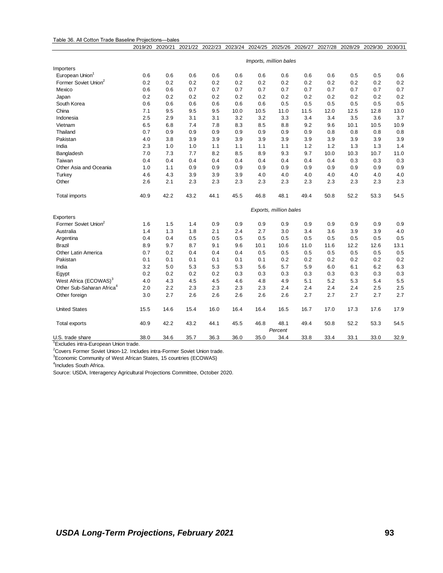|  |  | Table 36. All Cotton Trade Baseline Projections—bales |  |
|--|--|-------------------------------------------------------|--|
|  |  |                                                       |  |

|                                       | 2019/20                | 2020/21 | 2021/22 | 2022/23 |      | 2023/24 2024/25 2025/26 2026/27 |                        |      | 2027/28 | 2028/29 | 2029/30 | 2030/31 |
|---------------------------------------|------------------------|---------|---------|---------|------|---------------------------------|------------------------|------|---------|---------|---------|---------|
|                                       | Imports, million bales |         |         |         |      |                                 |                        |      |         |         |         |         |
| Importers                             |                        |         |         |         |      |                                 |                        |      |         |         |         |         |
| European Union <sup>1</sup>           | 0.6                    | 0.6     | 0.6     | 0.6     | 0.6  | 0.6                             | 0.6                    | 0.6  | 0.6     | 0.5     | 0.5     | 0.6     |
| Former Soviet Union <sup>2</sup>      | 0.2                    | 0.2     | 0.2     | 0.2     | 0.2  | 0.2                             | 0.2                    | 0.2  | 0.2     | 0.2     | 0.2     | 0.2     |
| Mexico                                | 0.6                    | 0.6     | 0.7     | 0.7     | 0.7  | 0.7                             | 0.7                    | 0.7  | 0.7     | 0.7     | 0.7     | 0.7     |
| Japan                                 | 0.2                    | 0.2     | 0.2     | 0.2     | 0.2  | 0.2                             | 0.2                    | 0.2  | 0.2     | 0.2     | 0.2     | 0.2     |
| South Korea                           | 0.6                    | 0.6     | 0.6     | 0.6     | 0.6  | 0.6                             | 0.5                    | 0.5  | 0.5     | 0.5     | 0.5     | 0.5     |
| China                                 | 7.1                    | 9.5     | 9.5     | 9.5     | 10.0 | 10.5                            | 11.0                   | 11.5 | 12.0    | 12.5    | 12.8    | 13.0    |
| Indonesia                             | 2.5                    | 2.9     | 3.1     | 3.1     | 3.2  | 3.2                             | 3.3                    | 3.4  | 3.4     | 3.5     | 3.6     | 3.7     |
| Vietnam                               | 6.5                    | 6.8     | 7.4     | 7.8     | 8.3  | 8.5                             | 8.8                    | 9.2  | 9.6     | 10.1    | 10.5    | 10.9    |
| Thailand                              | 0.7                    | 0.9     | 0.9     | 0.9     | 0.9  | 0.9                             | 0.9                    | 0.9  | 0.8     | 0.8     | 0.8     | 0.8     |
| Pakistan                              | 4.0                    | 3.8     | 3.9     | 3.9     | 3.9  | 3.9                             | 3.9                    | 3.9  | 3.9     | 3.9     | 3.9     | 3.9     |
| India                                 | 2.3                    | 1.0     | 1.0     | 1.1     | 1.1  | 1.1                             | 1.1                    | 1.2  | 1.2     | 1.3     | 1.3     | 1.4     |
| Bangladesh                            | 7.0                    | 7.3     | 7.7     | 8.2     | 8.5  | 8.9                             | 9.3                    | 9.7  | 10.0    | 10.3    | 10.7    | 11.0    |
| Taiwan                                | 0.4                    | 0.4     | 0.4     | 0.4     | 0.4  | 0.4                             | 0.4                    | 0.4  | 0.4     | 0.3     | 0.3     | 0.3     |
| Other Asia and Oceania                | 1.0                    | 1.1     | 0.9     | 0.9     | 0.9  | 0.9                             | 0.9                    | 0.9  | 0.9     | 0.9     | 0.9     | 0.9     |
| Turkey                                | 4.6                    | 4.3     | 3.9     | 3.9     | 3.9  | 4.0                             | 4.0                    | 4.0  | 4.0     | 4.0     | 4.0     | 4.0     |
| Other                                 | 2.6                    | 2.1     | 2.3     | 2.3     | 2.3  | 2.3                             | 2.3                    | 2.3  | 2.3     | 2.3     | 2.3     | 2.3     |
| <b>Total imports</b>                  | 40.9                   | 42.2    | 43.2    | 44.1    | 45.5 | 46.8                            | 48.1                   | 49.4 | 50.8    | 52.2    | 53.3    | 54.5    |
|                                       |                        |         |         |         |      |                                 | Exports, million bales |      |         |         |         |         |
| Exporters                             |                        |         |         |         |      |                                 |                        |      |         |         |         |         |
| Former Soviet Union <sup>2</sup>      | 1.6                    | 1.5     | 1.4     | 0.9     | 0.9  | 0.9                             | 0.9                    | 0.9  | 0.9     | 0.9     | 0.9     | 0.9     |
| Australia                             | 1.4                    | 1.3     | 1.8     | 2.1     | 2.4  | 2.7                             | 3.0                    | 3.4  | 3.6     | 3.9     | 3.9     | 4.0     |
| Argentina                             | 0.4                    | 0.4     | 0.5     | 0.5     | 0.5  | 0.5                             | 0.5                    | 0.5  | 0.5     | 0.5     | 0.5     | 0.5     |
| <b>Brazil</b>                         | 8.9                    | 9.7     | 8.7     | 9.1     | 9.6  | 10.1                            | 10.6                   | 11.0 | 11.6    | 12.2    | 12.6    | 13.1    |
| Other Latin America                   | 0.7                    | 0.2     | 0.4     | 0.4     | 0.4  | 0.5                             | 0.5                    | 0.5  | 0.5     | 0.5     | 0.5     | 0.5     |
| Pakistan                              | 0.1                    | 0.1     | 0.1     | 0.1     | 0.1  | 0.1                             | 0.2                    | 0.2  | 0.2     | 0.2     | 0.2     | 0.2     |
| India                                 | 3.2                    | 5.0     | 5.3     | 5.3     | 5.3  | 5.6                             | 5.7                    | 5.9  | 6.0     | 6.1     | 6.2     | 6.3     |
| Egypt                                 | 0.2                    | 0.2     | 0.2     | 0.2     | 0.3  | 0.3                             | 0.3                    | 0.3  | 0.3     | 0.3     | 0.3     | 0.3     |
| West Africa (ECOWAS) <sup>3</sup>     | 4.0                    | 4.3     | 4.5     | 4.5     | 4.6  | 4.8                             | 4.9                    | 5.1  | 5.2     | 5.3     | 5.4     | 5.5     |
| Other Sub-Saharan Africa <sup>4</sup> | 2.0                    | 2.2     | 2.3     | 2.3     | 2.3  | 2.3                             | 2.4                    | 2.4  | 2.4     | 2.4     | 2.5     | 2.5     |
| Other foreign                         | 3.0                    | 2.7     | 2.6     | 2.6     | 2.6  | 2.6                             | 2.6                    | 2.7  | 2.7     | 2.7     | 2.7     | 2.7     |
| <b>United States</b>                  | 15.5                   | 14.6    | 15.4    | 16.0    | 16.4 | 16.4                            | 16.5                   | 16.7 | 17.0    | 17.3    | 17.6    | 17.9    |
| <b>Total exports</b>                  | 40.9                   | 42.2    | 43.2    | 44.1    | 45.5 | 46.8                            | 48.1                   | 49.4 | 50.8    | 52.2    | 53.3    | 54.5    |
|                                       |                        |         |         |         |      |                                 | Percent                |      |         |         |         |         |
| U.S. trade share                      | 38.0                   | 34.6    | 35.7    | 36.3    | 36.0 | 35.0                            | 34.4                   | 33.8 | 33.4    | 33.1    | 33.0    | 32.9    |

<sup>1</sup>Excludes intra-European Union trade.

<sup>2</sup>Covers Former Soviet Union-12. Includes intra-Former Soviet Union trade.

<sup>3</sup>Economic Community of West African States, 15 countries (ECOWAS)

4 Includes South Africa.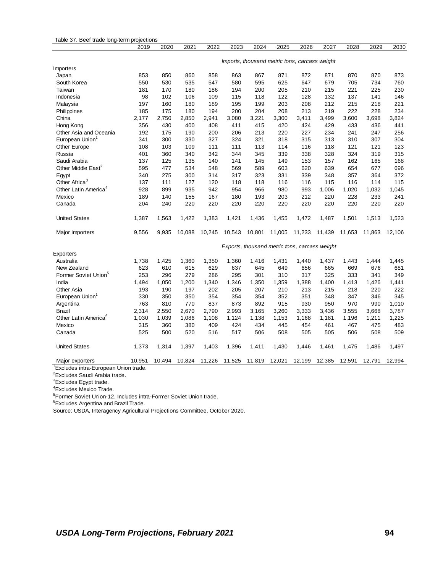| Table 37. Beef trade long-term projections |                                               |        |        |        |        |        |        |        |        |        |        |        |
|--------------------------------------------|-----------------------------------------------|--------|--------|--------|--------|--------|--------|--------|--------|--------|--------|--------|
|                                            | 2019                                          | 2020   | 2021   | 2022   | 2023   | 2024   | 2025   | 2026   | 2027   | 2028   | 2029   | 2030   |
|                                            | Imports, thousand metric tons, carcass weight |        |        |        |        |        |        |        |        |        |        |        |
| Importers                                  |                                               |        |        |        |        |        |        |        |        |        |        |        |
| Japan                                      | 853                                           | 850    | 860    | 858    | 863    | 867    | 871    | 872    | 871    | 870    | 870    | 873    |
| South Korea                                | 550                                           | 530    | 535    | 547    | 580    | 595    | 625    | 647    | 679    | 705    | 734    | 760    |
| Taiwan                                     | 181                                           | 170    | 180    | 186    | 194    | 200    | 205    | 210    | 215    | 221    | 225    | 230    |
| Indonesia                                  | 98                                            | 102    | 106    | 109    | 115    | 118    | 122    | 128    | 132    | 137    | 141    | 146    |
| Malaysia                                   | 197                                           | 160    | 180    | 189    | 195    | 199    | 203    | 208    | 212    | 215    | 218    | 221    |
| Philippines                                | 185                                           | 175    | 180    | 194    | 200    | 204    | 208    | 213    | 219    | 222    | 228    | 234    |
| China                                      | 2,177                                         | 2,750  | 2,850  | 2,941  | 3,080  | 3,221  | 3,300  | 3,411  | 3,499  | 3,600  | 3,698  | 3,824  |
| Hong Kong                                  | 356                                           | 430    | 400    | 408    | 411    | 415    | 420    | 424    | 429    | 433    | 436    | 441    |
| Other Asia and Oceania                     | 192                                           | 175    | 190    | 200    | 206    | 213    | 220    | 227    | 234    | 241    | 247    | 256    |
| European Union                             | 341                                           | 300    | 330    | 327    | 324    | 321    | 318    | 315    | 313    | 310    | 307    | 304    |
| <b>Other Europe</b>                        | 108                                           | 103    | 109    | 111    | 111    | 113    | 114    | 116    | 118    | 121    | 121    | 123    |
| Russia                                     | 401                                           | 360    | 340    | 342    | 344    | 345    | 339    | 338    | 328    | 324    | 319    | 315    |
| Saudi Arabia                               | 137                                           | 125    | 135    | 140    | 141    | 145    | 149    | 153    | 157    | 162    | 165    | 168    |
| Other Middle East <sup>2</sup>             | 595                                           | 477    | 534    | 548    | 569    | 589    | 603    | 620    | 639    | 654    | 677    | 696    |
| Egypt                                      | 340                                           | 275    | 300    | 314    | 317    | 323    | 331    | 339    | 348    | 357    | 364    | 372    |
| Other Africa <sup>3</sup>                  | 137                                           | 111    | 127    | 120    | 118    | 118    | 116    | 116    | 115    | 116    | 114    | 115    |
| Other Latin America <sup>4</sup>           | 928                                           | 899    | 935    | 942    | 954    | 966    | 980    | 993    | 1,006  | 1,020  | 1,032  | 1,045  |
| Mexico                                     | 189                                           | 140    | 155    | 167    | 180    | 193    | 203    | 212    | 220    | 228    | 233    | 241    |
| Canada                                     | 204                                           | 240    | 220    | 220    | 220    | 220    | 220    | 220    | 220    | 220    | 220    | 220    |
| <b>United States</b>                       | 1,387                                         | 1,563  | 1,422  | 1,383  | 1,421  | 1,436  | 1,455  | 1,472  | 1,487  | 1,501  | 1,513  | 1,523  |
| Major importers                            | 9,556                                         | 9,935  | 10,088 | 10,245 | 10,543 | 10,801 | 11,005 | 11,233 | 11,439 | 11,653 | 11,863 | 12,106 |
|                                            | Exports, thousand metric tons, carcass weight |        |        |        |        |        |        |        |        |        |        |        |
| Exporters                                  |                                               |        |        |        |        |        |        |        |        |        |        |        |
| Australia                                  | 1,738                                         | 1,425  | 1,360  | 1,350  | 1,360  | 1,416  | 1,431  | 1,440  | 1,437  | 1,443  | 1,444  | 1,445  |
| New Zealand                                | 623                                           | 610    | 615    | 629    | 637    | 645    | 649    | 656    | 665    | 669    | 676    | 681    |
| Former Soviet Union <sup>5</sup>           | 253                                           | 296    | 279    | 286    | 295    | 301    | 310    | 317    | 325    | 333    | 341    | 349    |
| India                                      | 1,494                                         | 1,050  | 1,200  | 1,340  | 1,346  | 1,350  | 1,359  | 1,388  | 1,400  | 1,413  | 1,426  | 1,441  |
| Other Asia                                 | 193                                           | 190    | 197    | 202    | 205    | 207    | 210    | 213    | 215    | 218    | 220    | 222    |
| European Union                             | 330                                           | 350    | 350    | 354    | 354    | 354    | 352    | 351    | 348    | 347    | 346    | 345    |
| Argentina                                  | 763                                           | 810    | 770    | 837    | 873    | 892    | 915    | 930    | 950    | 970    | 990    | 1,010  |
| Brazil                                     | 2,314                                         | 2,550  | 2,670  | 2,790  | 2,993  | 3,165  | 3,260  | 3,333  | 3,436  | 3,555  | 3,668  | 3,787  |
| Other Latin America <sup>6</sup>           | 1,030                                         | 1,039  | 1,086  | 1,108  | 1,124  | 1,138  | 1,153  | 1,168  | 1,181  | 1,196  | 1,211  | 1,225  |
| Mexico                                     | 315                                           | 360    | 380    | 409    | 424    | 434    | 445    | 454    | 461    | 467    | 475    | 483    |
| Canada                                     | 525                                           | 500    | 520    | 516    | 517    | 506    | 508    | 505    | 505    | 506    | 508    | 509    |
| <b>United States</b>                       | 1,373                                         | 1,314  | 1,397  | 1,403  | 1,396  | 1,411  | 1,430  | 1,446  | 1,461  | 1,475  | 1,486  | 1,497  |
| Major exporters                            | 10,951                                        | 10,494 | 10,824 | 11,226 | 11,525 | 11,819 | 12,021 | 12,199 | 12,385 | 12,591 | 12,791 | 12,994 |

<sup>1</sup>Excludes intra-European Union trade.

<sup>2</sup>Excludes Saudi Arabia trade.

<sup>3</sup>Excludes Egypt trade.

<sup>4</sup>Excludes Mexico Trade.

<sup>5</sup>Former Soviet Union-12. Includes intra-Former Soviet Union trade.

<sup>6</sup>Excludes Argentina and Brazil Trade.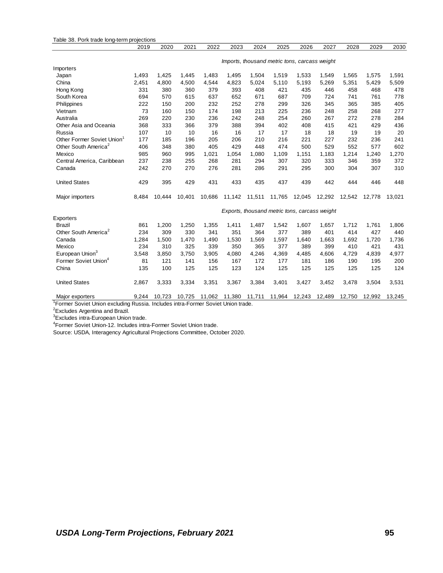|                                                                                                                | 2019                                          | 2020   | 2021   | 2022                        | 2023   | 2024   | 2025   | 2026   | 2027   | 2028   | 2029   | 2030   |
|----------------------------------------------------------------------------------------------------------------|-----------------------------------------------|--------|--------|-----------------------------|--------|--------|--------|--------|--------|--------|--------|--------|
|                                                                                                                | Imports, thousand metric tons, carcass weight |        |        |                             |        |        |        |        |        |        |        |        |
| Importers                                                                                                      |                                               |        |        |                             |        |        |        |        |        |        |        |        |
| Japan                                                                                                          | 1,493                                         | 1,425  | 1,445  | 1,483                       | 1,495  | 1,504  | 1,519  | 1,533  | 1,549  | 1,565  | 1,575  | 1,591  |
| China                                                                                                          | 2,451                                         | 4,800  | 4,500  | 4,544                       | 4,823  | 5,024  | 5,110  | 5,193  | 5,269  | 5,351  | 5,429  | 5,509  |
| Hong Kong                                                                                                      | 331                                           | 380    | 360    | 379                         | 393    | 408    | 421    | 435    | 446    | 458    | 468    | 478    |
| South Korea                                                                                                    | 694                                           | 570    | 615    | 637                         | 652    | 671    | 687    | 709    | 724    | 741    | 761    | 778    |
| Philippines                                                                                                    | 222                                           | 150    | 200    | 232                         | 252    | 278    | 299    | 326    | 345    | 365    | 385    | 405    |
| Vietnam                                                                                                        | 73                                            | 160    | 150    | 174                         | 198    | 213    | 225    | 236    | 248    | 258    | 268    | 277    |
| Australia                                                                                                      | 269                                           | 220    | 230    | 236                         | 242    | 248    | 254    | 260    | 267    | 272    | 278    | 284    |
| Other Asia and Oceania                                                                                         | 368                                           | 333    | 366    | 379                         | 388    | 394    | 402    | 408    | 415    | 421    | 429    | 436    |
| Russia                                                                                                         | 107                                           | 10     | 10     | 16                          | 16     | 17     | 17     | 18     | 18     | 19     | 19     | 20     |
| Other Former Soviet Union <sup>1</sup>                                                                         | 177                                           | 185    | 196    | 205                         | 206    | 210    | 216    | 221    | 227    | 232    | 236    | 241    |
| Other South America <sup>2</sup>                                                                               | 406                                           | 348    | 380    | 405                         | 429    | 448    | 474    | 500    | 529    | 552    | 577    | 602    |
| Mexico                                                                                                         | 985                                           | 960    | 995    | 1,021                       | 1,054  | 1,080  | 1,109  | 1,151  | 1,183  | 1,214  | 1,240  | 1,270  |
| Central America, Caribbean                                                                                     | 237                                           | 238    | 255    | 268                         | 281    | 294    | 307    | 320    | 333    | 346    | 359    | 372    |
| Canada                                                                                                         | 242                                           | 270    | 270    | 276                         | 281    | 286    | 291    | 295    | 300    | 304    | 307    | 310    |
| <b>United States</b>                                                                                           | 429                                           | 395    | 429    | 431                         | 433    | 435    | 437    | 439    | 442    | 444    | 446    | 448    |
| Major importers                                                                                                | 8.484                                         | 10.444 | 10.401 | 10,686                      | 11,142 | 11,511 | 11,765 | 12,045 | 12,292 | 12,542 | 12,778 | 13.021 |
|                                                                                                                | Exports, thousand metric tons, carcass weight |        |        |                             |        |        |        |        |        |        |        |        |
| Exporters                                                                                                      |                                               |        |        |                             |        |        |        |        |        |        |        |        |
| <b>Brazil</b>                                                                                                  | 861                                           | 1,200  | 1,250  | 1,355                       | 1,411  | 1,487  | 1,542  | 1,607  | 1,657  | 1,712  | 1,761  | 1,806  |
| Other South America <sup>2</sup>                                                                               | 234                                           | 309    | 330    | 341                         | 351    | 364    | 377    | 389    | 401    | 414    | 427    | 440    |
| Canada                                                                                                         | 1,284                                         | 1,500  | 1,470  | 1,490                       | 1,530  | 1,569  | 1,597  | 1,640  | 1,663  | 1,692  | 1,720  | 1,736  |
| Mexico                                                                                                         | 234                                           | 310    | 325    | 339                         | 350    | 365    | 377    | 389    | 399    | 410    | 421    | 431    |
| European Union <sup>3</sup>                                                                                    | 3,548                                         | 3,850  | 3,750  | 3,905                       | 4,080  | 4,246  | 4,369  | 4,485  | 4,606  | 4,729  | 4,839  | 4,977  |
| Former Soviet Union <sup>4</sup>                                                                               | 81                                            | 121    | 141    | 156                         | 167    | 172    | 177    | 181    | 186    | 190    | 195    | 200    |
| China                                                                                                          | 135                                           | 100    | 125    | 125                         | 123    | 124    | 125    | 125    | 125    | 125    | 125    | 124    |
| <b>United States</b>                                                                                           | 2,867                                         | 3,333  | 3,334  | 3,351                       | 3,367  | 3,384  | 3,401  | 3,427  | 3,452  | 3,478  | 3,504  | 3,531  |
| Major exporters<br><sup>1</sup> Former Soviet Union oveluding Bussie, Includes intro Former Soviet Union trade | 9,244                                         |        |        | 10,723 10,725 11,062 11,380 |        | 11,711 | 11,964 | 12,243 | 12,489 | 12,750 | 12,992 | 13,245 |

<sup>1</sup>Former Soviet Union excluding Russia. Includes intra-Former Soviet Union trade.

<sup>2</sup>Excludes Argentina and Brazil.

<sup>3</sup>Excludes intra-European Union trade.

<sup>4</sup>Former Soviet Union-12. Includes intra-Former Soviet Union trade.